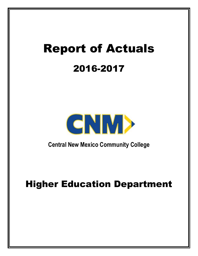# Report of Actuals 2016-2017



**Central New Mexico Community College** 

## Higher Education Department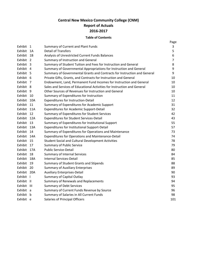### **Central New Mexico Community College (CNM) Report of Actuals 2016-2017**

#### **Table of Contents**

|             |                |                                                                          | Page           |
|-------------|----------------|--------------------------------------------------------------------------|----------------|
| Exhibit 1   |                | Summary of Current and Plant Funds                                       | 3              |
| Exhibit     | - 1A           | <b>Detail of Transfers</b>                                               | 5              |
| Exhibit     | 1B             | Analysis of Unrestricted Current Funds Balances                          | 6              |
| Exhibit     | $\overline{2}$ | Summary of Instruction and General                                       | $\overline{7}$ |
| Exhibit     | - 3            | Summary of Student Tuition and Fees for Instruction and General          | 8              |
| Exhibit     | -4             | Summary of Governmental Appropriations for Instruction and General       | 9              |
| Exhibit 5   |                | Summary of Governmental Grants and Contracts for Instruction and General | 9              |
| Exhibit 6   |                | Private Gifts, Grants, and Contracts for Instruction and General         | 10             |
| Exhibit     | - 7            | Endowment, Land, Permanent Fund Incomes for Instruction and General      | 10             |
| Exhibit 8   |                | Sales and Services of Educational Activities for Instruction and General | 10             |
| Exhibit 9   |                | Other Sources of Revenues for Instruction and General                    | 10             |
| Exhibit     | - 10           | Summary of Expenditures for Instruction                                  | 11             |
| Exhibit 10A |                | Expenditures for Instruction-Detail                                      | 12             |
| Exhibit 11  |                | Summary of Expenditures for Academic Support                             | 31             |
| Exhibit 11A |                | <b>Expenditures for Academic Support-Detail</b>                          | 32             |
| Exhibit 12  |                | Summary of Expenditures for Student Services                             | 42             |
| Exhibit     | 12A            | <b>Expenditures for Student Services-Detail</b>                          | 43             |
| Exhibit 13  |                | Summary of Expenditures for Institutional Support                        | 55             |
| Exhibit 13A |                | Expenditures for Institutional Support-Detail                            | 57             |
| Exhibit 14  |                | Summary of Expenditures for Operations and Maintenance                   | 73             |
| Exhibit 14A |                | Expenditures for Operations and Maintenance-Detail                       | 74             |
| Exhibit     | - 15           | <b>Student Social and Cultural Development Activities</b>                | 78             |
| Exhibit     | 17             | <b>Summary of Public Service</b>                                         | 79             |
| Exhibit     | 17A            | <b>Public Service-Detail</b>                                             | 80             |
| Exhibit 18  |                | <b>Summary of Internal Services</b>                                      | 84             |
| Exhibit 18A |                | <b>Internal Services-Detail</b>                                          | 85             |
| Exhibit 19  |                | Summary of Student Grants and Stipends                                   | 88             |
| Exhibit 20  |                | <b>Summary of Auxiliary Enterprises</b>                                  | 89             |
| Exhibit 20A |                | <b>Auxiliary Enterprises-Detail</b>                                      | 90             |
| Exhibit I   |                | <b>Summary of Capital Outlay</b>                                         | 93             |
| Exhibit II  |                | Summary of Renewals and Replacements                                     | 94             |
| Exhibit III |                | <b>Summary of Debt Services</b>                                          | 95             |
| Exhibit a   |                | Summary of Current Funds Revenue by Source                               | 96             |
| Exhibit b   |                | Summary of Salaries in All Current Funds                                 | 98             |
| Exhibit e   |                | Salaries of Principal Officers                                           | 101            |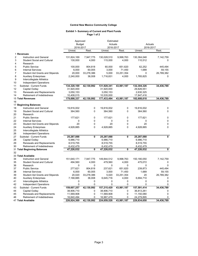#### **Central New Mexico Community College**

#### **Exhibit 1- Summary of Current and Plant Funds Page 1 of 2**

|                |                                        | Approved      |             | Estimated   |                        |             |              |
|----------------|----------------------------------------|---------------|-------------|-------------|------------------------|-------------|--------------|
|                |                                        | <b>Budget</b> |             | Actuals     |                        | Actuals     |              |
|                |                                        | 2016-2017     |             |             | 2016-2017<br>2016-2017 |             |              |
|                |                                        | Unrest.       | Rest.       | Unrest.     | Rest.                  | Unrest.     | Rest.        |
|                | 1 Revenues                             |               |             |             |                        |             |              |
| $\overline{2}$ | Instruction and General                | 131,824,169   | 7,947,775   | 130,028,510 | 9,998,763              | 130,364,048 | 7,142,759    |
| 3              | <b>Student Social and Cultural</b>     | 130,000       | 4,000       | 115,000     | 4,000                  | 110,512     | 0            |
| $\overline{4}$ | Research                               |               |             |             |                        |             |              |
| 5              | <b>Public Service</b>                  | 100,000       | 804,818     | 60,000      | 651,620                | 62,252      | 445,494      |
| 6              | <b>Internal Services</b>               | 6,000         | 60,005      | 3,000       | 71,450                 | 1,689       | 59,155       |
| $\overline{7}$ | <b>Student Aid Grants and Stipends</b> | 20,000        | 33,278,386  | 5,000       | 33,251,354             | 0           | 26,789,382   |
| 8              | <b>Auxiliary Enterprises</b>           | 2,240,000     | 36,008      | 1,716,831   | 4,000                  | 1,765,825   | 0            |
| 9              | Intercollegiate Athletics              |               |             |             |                        |             |              |
| 10             | Independent Operations                 |               |             |             |                        |             |              |
| 11             | Subtotal - Current Funds               | 134,320,169   | 42,130,992  | 131,928,341 | 43,981,187             | 132,304,326 | 34,436,789   |
| 12             | Capital Outlay                         | 31,920,000    |             | 31,920,000  |                        | 29,826,551  |              |
| 13             | <b>Renewals and Replacements</b>       | 3,050,153     |             | 3,050,153   |                        | 2,630,325   |              |
| 14             | Retirement of Indebtedness             | 10,408,015    |             | 10,535,000  |                        | 17,847,416  |              |
|                | <b>15 Total Revenues</b>               | 179,698,337   | 42,130,992  | 177,433,494 | 43,981,187             | 182,608,618 | 34,436,789   |
| 16             |                                        |               |             |             |                        |             |              |
|                | 17 Beginning Balances                  |               |             |             |                        |             |              |
| 18             | Instruction and General                | 19,816,002    | 0           | 19,816,002  | 0                      | 19,816,002  | 0            |
| 19             | <b>Student Social and Cultural</b>     | 364,560       | 0           | 364,560     | 0                      | 364,560     | $\Omega$     |
|                |                                        |               |             |             |                        |             |              |
| 20             | Research                               |               |             |             |                        |             |              |
| 21             | <b>Public Service</b>                  | 177,621       | 0           | 177,621     | 0                      | 177,621     | 0            |
| 22             | <b>Internal Services</b>               | 0             | $\Omega$    | 0           | 0                      | 0           | $\Omega$     |
| 23             | <b>Student Aid Grants and Stipends</b> | 20            | 0           | 20          | 0                      | 20          | $\mathbf 0$  |
| 24             | <b>Auxiliary Enterprises</b>           | 4,928,885     | 0           | 4,928,885   | 0                      | 4,928,885   | $\Omega$     |
| 25             | Intercollegiate Athletics              |               |             |             |                        |             |              |
| 26             | Independent Operations                 |               |             |             |                        |             |              |
| 27             | Subtotal - Current Funds               | 25,287,088    | 0           | 25,287,088  | 0                      | 25,287,088  | $\mathbf{0}$ |
| 28             | Capital Outlay                         | 6,986,710     |             | 6,986,710   |                        | 6,986,710   |              |
| 29             | Renewals and Replacements              | 8,519,755     |             | 8,519,755   |                        | 8,519,755   |              |
| 30             | Retirement of Indebtedness             | 6,432,479     |             | 6,432,479   |                        | 6,432,479   |              |
|                | 31 Total Beginning Balances            | 47,226,032    | 0           | 47,226,032  | $\mathbf{0}$           | 47,226,032  | 0            |
| 32             |                                        |               |             |             |                        |             |              |
|                | 33 Total Available                     |               |             |             |                        |             |              |
| 34             | <b>Instruction and General</b>         | 151,640,171   | 7,947,775   | 149,844,512 | 9,998,763              | 150,180,050 | 7,142,759    |
| 35             | <b>Student Social and Cultural</b>     | 494,560       | 4,000       | 479,560     | 4,000                  | 475,072     | 0            |
| 36             | Research                               | 0             | $\mathbf 0$ | 0           | $\Omega$               | 0           | $\Omega$     |
| 37             | <b>Public Service</b>                  | 277,621       | 804,818     | 237,621     | 651,620                | 239,873     | 445,494      |
| 38             | <b>Internal Services</b>               | 6,000         | 60,005      | 3,000       | 71,450                 | 1,689       | 59,155       |
| 39             | <b>Student Aid Grants and Stipends</b> | 20,020        | 33,278,386  | 5,020       | 33,251,354             | 20          | 26,789,382   |
| 40             | <b>Auxiliary Enterprises</b>           | 7,168,885     | 36,008      | 6,645,716   | 4,000                  | 6,694,710   | 0            |
| 41             | Intercollegiate Athletics              | 0             | 0           | 0           | 0                      | $\mathbf 0$ | $\mathbf 0$  |
| 42             | <b>Independent Operations</b>          | 0             | 0           | 0           | 0                      | $\Omega$    | $\mathbf 0$  |
| 43             | Subtotal - Current Funds               | 159,607,257   | 42,130,992  | 157,215,429 | 43,981,187             | 157,591,414 | 34,436,789   |
| 44             | Capital Outlay                         | 38,906,710    | 0           | 38,906,710  | 0                      | 36,813,261  | 0            |
| 45             | <b>Renewals and Replacements</b>       | 11,569,908    | $\mathbf 0$ | 11,569,908  | $\mathbf 0$            | 11,150,080  | $\mathbf 0$  |
| 46             | Retirement of Indebtedness             | 16,840,494    | 0           | 16,967,479  | $\Omega$               | 24,279,895  | $\Omega$     |
|                | 47 Total Available                     | 226,924,369   | 42,130,992  | 224,659,526 | 43,981,187             | 229,834,650 | 34,436,789   |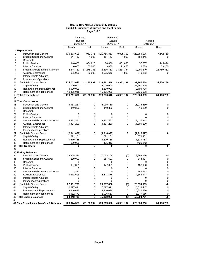#### **Central New Mexico Community College Exhibit 1- Summary of Current and Plant Funds Page 2 of 2**

|                                              | Approved      |            | Estimated   |             |                      |              |
|----------------------------------------------|---------------|------------|-------------|-------------|----------------------|--------------|
|                                              | <b>Budget</b> |            | Actuals     |             | Actuals<br>2016-2017 |              |
|                                              | 2016-2017     |            | 2016-2017   |             |                      |              |
|                                              | Unrest.       | Rest.      | Unrest.     | Rest.       | Unrest.              | Rest.        |
| 1 Expenditures                               |               |            |             |             |                      |              |
| $\overline{2}$<br>Instruction and General    | 130,873,606   | 7,947,775  | 129,755,367 | 9,998,763   | 128,851,075          | 7,142,759    |
| 3<br><b>Student Social and Cultural</b>      | 244,757       | 4,000      | 181,157     | 4,000       | 151,145              | $\Omega$     |
| 4<br>Research                                |               |            |             |             |                      |              |
| 5<br><b>Public Service</b>                   | 140,000       | 804,818    | 60,000      | 651,620     | 57,687               | 445,494      |
| 6<br><b>Internal Services</b>                | 6,000         | 60,005     | 3,000       | 71,450      | 1,689                | 59,155       |
| 7<br><b>Student Aid Grants and Stipends</b>  | 2,444,162     | 33,278,386 | 2,436,382   | 33,251,354  | 2,290,210            | 26,789,382   |
| 8<br><b>Auxiliary Enterprises</b>            | 995,090       | 36,008     | 1,025,640   | 4,000       | 749,363              | 0            |
| 9<br>Intercollegiate Athletics               |               |            |             |             |                      |              |
| 10<br>Independent Operations                 |               |            |             |             |                      |              |
| Subtotal - Current Funds<br>11               | 134,703,615   | 42,130,992 | 133,461,546 | 43,981,187  | 132,101,168          | 34,436,789   |
| 12<br>Capital Outlay                         | 27,000,000    |            | 32,000,000  |             | 31,667,915           |              |
| 13<br>Renewals and Replacements              | 4,600,000     |            | 3,300,000   |             | 2,199,708            |              |
| 14<br>Retirement of Indebtedness             | 10,408,015    |            | 10,535,000  |             | 10,636,098           |              |
| 15 Total Expenditures                        | 176,711,630   | 42,130,992 | 179,296,546 | 43,981,187  | 176,604,889          | 34,436,789   |
| 16                                           |               |            |             |             |                      |              |
| 17 Transfer to (from)                        |               |            |             |             |                      |              |
| Instruction and General<br>18                | (3,961,251)   | 0          | (3.035.439) | 0           | (3,035,439)          | 0            |
| 19<br><b>Student Social and Cultural</b>     | (10, 800)     | 0          | (10, 800)   | 0           | (10, 800)            | $\mathbf 0$  |
| 20<br>Research                               |               |            |             |             |                      |              |
| 21<br><b>Public Service</b>                  | 0             | 0          | 0           | $\mathbf 0$ | $\mathbf 0$          | $\mathbf 0$  |
| 22<br><b>Internal Services</b>               | 0             | 0          | 0           | 0           | $\Omega$             | 0            |
| 23<br><b>Student Aid Grants and Stipends</b> | 2,431,362     | 0          | 2,431,362   | 0           | 2,431,362            | $\mathbf 0$  |
| 24<br><b>Auxiliary Enterprises</b>           | (1,301,200)   | 0          | (1,301,200) | 0           | (1,301,200)          | 0            |
| 25<br>Intercollegiate Athletics              |               |            |             |             |                      |              |
| 26<br>Independent Operations                 |               |            |             |             |                      |              |
| 27<br>Subtotal - Current Funds               | (2,841,889)   | 0          | (1,916,077) | 0           | (1,916,077)          | $\mathbf{0}$ |
| 28<br>Capital Outlay                         | 671,101       |            | 671,101     |             | 671,101              |              |
| 29<br>Renewals and Replacements              | 1,670,788     |            | 1,670,788   |             | 1,670,788            |              |
| 30<br><b>Retirement of Indebtedness</b>      | 500,000       |            | (425, 812)  |             | (425,812)            |              |
| 31 Total Transfers                           | 0             | 0          | 0           | 0           | 0                    | $\mathbf 0$  |
| 32                                           |               |            |             |             |                      |              |
| 33 Ending Balances                           |               |            |             |             |                      |              |
| 34<br><b>Instruction and General</b>         | 16,805,314    | 0          | 17,053,706  | (0)         | 18,293,536           | (0)          |
| 35<br><b>Student Social and Cultural</b>     | 239,003       | 0          | 287,603     | 0           | 313,127              | $\mathbf 0$  |
| 36<br>Research                               | 0             | 0          | 0           | 0           | 0                    | $\pmb{0}$    |
| 37<br><b>Public Service</b>                  | 137,621       | 0          | 177,621     | 0           | 182,186              | $\mathbf 0$  |
| 38<br><b>Internal Services</b>               | 0             | 0          | 0           | 0           | 0                    | $\pmb{0}$    |
| 39<br><b>Student Aid Grants and Stipends</b> | 7,220         | 0          | 0           | 0           | 141,172              | $\mathbf 0$  |
| 40<br><b>Auxiliary Enterprises</b>           | 4,872,595     | 0          | 4,318,876   | 0           | 4,644,147            | 0            |
| 41<br>Intercollegiate Athletics              | 0             | 0          | 0           | 0           | 0                    | $\pmb{0}$    |
| 42<br>Independent Operations                 | 0             | 0          | 0           | 0           | $\mathbf 0$          | $\mathbf 0$  |
| Subtotal - Current Funds<br>43               | 22,061,753    | 0          | 21,837,806  | (0)         | 23,574,169           | (0)          |
| 44<br>Capital Outlay                         | 12,577,811    | 0          | 7,577,811   | 0           | 5,816,447            | 0            |
| 45<br>Renewals and Replacements              | 8,640,696     | 0          | 9,940,696   | $\pmb{0}$   | 10,621,160           | $\pmb{0}$    |
| 46<br>Retirement of Indebtedness             | 6,932,479     | 0          | 6,006,667   | 0           | 13,217,985           | $\mathbf 0$  |
| 47 Total Ending Balances<br>48               | 50,212,739    | 0          | 45,362,980  | (0)         | 53,229,761           | (0)          |
| 49 Total Expenditures, Transfers, & Balances | 226,924,369   | 42,130,992 | 224,659,526 | 43,981,187  | 229,834,650          | 34,436,789   |
|                                              |               |            |             |             |                      |              |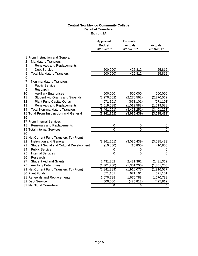#### **Central New Mexico Community College Detail of Transfers Exhibit 1A**

|                                            |                                         | Approved<br><b>Budget</b><br>2016-2017 | Estimated<br>Actuals<br>2016-2017 | Actuals<br>2016-2017 |
|--------------------------------------------|-----------------------------------------|----------------------------------------|-----------------------------------|----------------------|
| 1 From Instruction and General             |                                         |                                        |                                   |                      |
| 2<br><b>Mandatory Transfers</b>            |                                         |                                        |                                   |                      |
| 3<br>Renewals and Replacements             |                                         |                                        |                                   |                      |
| <b>Debt Service</b><br>4                   |                                         | (500,000)                              | 425,812                           | 425,812              |
| 5<br><b>Total Mandatory Transfers</b><br>6 |                                         | (500,000)                              | 425,812                           | 425,812              |
| 7<br>Non-mandatory Transfers               |                                         |                                        |                                   |                      |
| <b>Public Service</b><br>8                 |                                         |                                        |                                   |                      |
| 9<br>Research                              |                                         |                                        |                                   |                      |
| <b>Auxiliary Enterprises</b><br>10         |                                         | 500,000                                | 500,000                           | 500,000              |
| 11                                         | <b>Student Aid Grants and Stipends</b>  | (2,270,562)                            | (2,270,562)                       | (2,270,562)          |
| 12<br><b>Plant Fund Capital Outlay</b>     |                                         | (671, 101)                             | (671, 101)                        | (671, 101)           |
| 13<br><b>Renewals and Replacements</b>     |                                         | (1,019,588)                            | (1,019,588)                       | (1,019,588)          |
| <b>Total Non-mandatory Transfers</b><br>14 |                                         | (3,461,251)                            | (3,461,251)                       | (3,461,251)          |
| 15 Total From Instruction and General      |                                         | (3,961,251)                            | (3,035,439)                       | (3,035,439)          |
| 16                                         |                                         |                                        |                                   |                      |
| 17 From Internal Services                  |                                         |                                        |                                   |                      |
| Renewals and Replacements<br>18            |                                         | $\mathbf 0$                            | 0                                 | 0                    |
| 19 Total Internal Services                 |                                         | $\overline{0}$                         | $\overline{0}$                    | $\overline{0}$       |
| 20                                         |                                         |                                        |                                   |                      |
| 21 Net Current Fund Transfers To (From)    |                                         |                                        |                                   |                      |
| 22<br><b>Instruction and General</b>       |                                         | (3,961,251)                            | (3,035,439)                       | (3,035,439)          |
| 23                                         | Student Social and Cultural Development | (10, 800)                              | (10, 800)                         | (10, 800)            |
| 24<br><b>Public Service</b>                |                                         | 0                                      | 0                                 | 0                    |
| 25<br><b>Internal Services</b>             |                                         | 0                                      | 0                                 | $\overline{0}$       |
| 26<br>Research                             |                                         |                                        |                                   |                      |
| 27<br><b>Student Aid and Grants</b>        |                                         | 2,431,362                              | 2,431,362                         | 2,431,362            |
| <b>Auxiliary Enterprises</b><br>28         |                                         | (1,301,200)                            | (1,301,200)                       | (1,301,200)          |
| 29 Net Current Fund Transfers To (From)    |                                         | (2,841,889)                            | (1,916,077)                       | (1,916,077)          |
| 30 Plant Funds                             |                                         | 671,101                                | 671,101                           | 671,101              |
| 31 Renewals and Replacements               |                                         | 1,670,788                              | 1,670,788                         | 1,670,788            |
| 32 Debt Service                            |                                         | 500,000                                | (425, 812)                        | (425, 812)           |
| <b>33 Net Total Transfers</b>              |                                         | 0                                      | 0                                 | 0                    |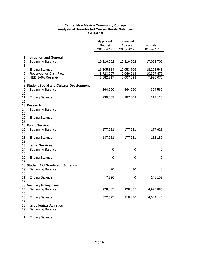#### **Central New Mexico Community College Analysis of Unrestricted Current Funds Balances Exhibit 1B**

|                |                                           | Approved<br><b>Budget</b><br>2016-2017 | <b>Estimated</b><br>Actuals<br>2016-2017 | Actuals<br>2016-2017 |
|----------------|-------------------------------------------|----------------------------------------|------------------------------------------|----------------------|
|                |                                           |                                        |                                          |                      |
|                | 1 Instruction and General                 |                                        |                                          |                      |
| 2<br>3         | <b>Beginning Balance</b>                  | 19,816,002                             | 19,816,002                               | 17,053,706           |
| 4              | <b>Ending Balance</b>                     | 16,805,314                             | 17,053,706                               | 18,293,548           |
| 5              | Reserved for Cash Flow                    | 8,723,097                              | 9,046,013                                | 10,367,477           |
| 6              | HED 3-6% Reserve                          | 8,082,217                              | 8,007,693                                | 7,926,070            |
| $\overline{7}$ |                                           |                                        |                                          |                      |
|                | 8 Student Social and Cultural Development |                                        |                                          |                      |
| 9              | <b>Beginning Balance</b>                  | 364,560                                | 364,560                                  | 364,560              |
| 10             |                                           |                                        |                                          |                      |
| 11<br>12       | <b>Ending Balance</b>                     | 239,003                                | 287,603                                  | 313,126              |
|                | 13 Research                               |                                        |                                          |                      |
| 14<br>15       | <b>Beginning Balance</b>                  |                                        |                                          |                      |
| 16<br>17       | <b>Ending Balance</b>                     |                                        |                                          |                      |
|                | 18 Public Service                         |                                        |                                          |                      |
| 19             | <b>Beginning Balance</b>                  | 177,621                                | 177,621                                  | 177,621              |
| 20             |                                           |                                        |                                          |                      |
| 21             | <b>Ending Balance</b>                     | 137,621                                | 177,621                                  | 182,186              |
| 22             |                                           |                                        |                                          |                      |
|                | 23 Internal Services                      |                                        |                                          |                      |
| 24<br>25       | <b>Beginning Balance</b>                  | 0                                      | 0                                        | 0                    |
| 26<br>27       | <b>Ending Balance</b>                     | 0                                      | 0                                        | 0                    |
|                | 28 Student Aid Grants and Stipends        |                                        |                                          |                      |
| 29<br>30       | <b>Beginning Balance</b>                  | 20                                     | 20                                       | 0                    |
| 31<br>32       | <b>Ending Balance</b>                     | 7,220                                  | 0                                        | 141,152              |
|                | 33 Auxiliary Enterprises                  |                                        |                                          |                      |
| 34             | <b>Beginning Balance</b>                  | 4,928,885                              | 4,928,885                                | 4,928,885            |
| 35             |                                           |                                        |                                          |                      |
| 36             | <b>Ending Balance</b>                     | 4,872,595                              | 4,318,876                                | 4,644,146            |
| 37             |                                           |                                        |                                          |                      |
|                | 38 Intercollegiate Athletics              |                                        |                                          |                      |
| 39<br>40       | <b>Beginning Balance</b>                  |                                        |                                          |                      |
| 41             | <b>Ending Balance</b>                     |                                        |                                          |                      |

Page 6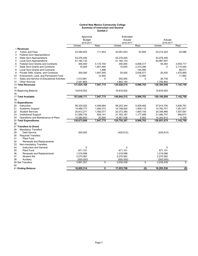#### **Central New Mexico Community College Summary of Instruction and General Exhibit 2**

|                |                                             | Approved<br><b>Budget</b><br>2016-2017 |           | Estimated<br>Actuals<br>2016-2017 |             | Actuals<br>2016-2017 |             |  |
|----------------|---------------------------------------------|----------------------------------------|-----------|-----------------------------------|-------------|----------------------|-------------|--|
|                |                                             | Unrest.                                | Rest.     | Unrest.                           | Rest.       | Unrest.              | Rest.       |  |
|                | 1 Revenues                                  |                                        |           |                                   |             |                      |             |  |
| $\overline{2}$ | <b>Tuition and Fees</b>                     | 23,395,923                             | 111,543   | 23,091,833                        | 53,500      | 24,214,243           | 25,086      |  |
| 3              | <b>Federal Govt Appropriations</b>          |                                        |           |                                   |             |                      |             |  |
| 4              | <b>State Govt Appropriations</b>            | 53,276,400                             |           | 53,276,400                        |             | 53,276,400           |             |  |
| 5              | <b>Local Govt Appropriations</b>            | 51, 182, 133                           |           | 51,182,133                        |             | 50,987,947           |             |  |
| 6              | <b>Federal Govt Grants and Contracts</b>    | 300,000                                | 4,172,704 | 300.000                           | 4,858,317   | 55,383               | 3,455,717   |  |
| 7              | <b>State Govt Grants and Contracts</b>      | 15,000                                 | 1,801,485 | 15,000                            | 2,314,280   | 0                    | 2,110,483   |  |
| 8              | <b>Local Govt Grants and Contracts</b>      |                                        | 1,998     |                                   | 124,095     |                      | 68,517      |  |
| 9              | Private Gifts, Grants, and Contracts        | 300,000                                | 1,847,545 | 20,000                            | 2,636,071   | 20,435               | 1,470,965   |  |
| 10             | Endowment, Land, and Permanent Fund         |                                        | 12,500    |                                   | 12,500      |                      | 11,992      |  |
| 11             | Sales and Service of Educational Activities | 1,012,861                              | 0         | 300,000                           | $\mathbf 0$ | 26,738               | $\Omega$    |  |
| 12             | <b>Other Sources</b>                        | 2,341,852                              |           | 1,843,144                         |             | 1,782,902            |             |  |
|                | 13 Total Revenues                           | 131,824,169                            | 7,947,775 | 130,028,510                       | 9,998,763   | 130,364,048          | 7,142,759   |  |
| 14             |                                             |                                        |           |                                   |             |                      |             |  |
|                | 15 Beginning Balance                        | 19,816,002                             |           | 19,816,002                        |             | 19,816,002           |             |  |
| 16             |                                             |                                        |           |                                   |             |                      |             |  |
|                | 17 Total Available                          | 151,640,171                            | 7,947,775 | 149,844,512                       | 9,998,763   | 150,180,050          | 7,142,759   |  |
| 18             |                                             |                                        |           |                                   |             |                      |             |  |
|                | 19 Expenditures                             |                                        |           |                                   |             |                      |             |  |
| 20             | Instruction                                 | 58,325,022                             | 4,409,684 | 58,253,344                        | 5,509,482   | 57,914,750           | 3,626,791   |  |
| 21             | Academic Support                            | 14,488,777                             | 1,094,373 | 14,798,920                        | 1,409,110   | 14,762,701           | 1,051,977   |  |
| 22             | <b>Student Services</b>                     | 20,812,271                             | 1,592,077 | 20,372,380                        | 1,893,100   | 20,349,966           | 1,507,591   |  |
| 23             | <b>Institutional Support</b>                | 21,656,733                             | 826,141   | 21,763,187                        | 1,177,489   | 21,480,747           | 946,673     |  |
| 24             | Operations and Maintenance of Plant         | 15,590,803                             | 25,500    | 14,567,536                        | 9,583       | 14,342,912           | 9,728       |  |
|                | 25 Total Expenditures                       | 130,873,606                            | 7,947,775 | 129,755,367                       | 9,998,763   | 128,851,075          | 7,142,759   |  |
| 26             |                                             |                                        |           |                                   |             |                      |             |  |
|                | 27 Transfers to (from)                      |                                        |           |                                   |             |                      |             |  |
| 28             | <b>Mandatory Transfers</b>                  |                                        |           |                                   |             |                      |             |  |
| 29             | <b>Debt Service</b>                         | 500,000                                |           | (425, 812)                        |             | (425, 812)           |             |  |
| 30             | <b>Required Transfers</b>                   |                                        |           |                                   |             |                      |             |  |
| 31             | <b>Plant Fund</b>                           |                                        |           |                                   |             |                      |             |  |
| 32             | Renewals and Replacements                   |                                        |           |                                   |             |                      |             |  |
| 33             | Non-mandatory Transfers                     |                                        |           |                                   |             |                      |             |  |
| 34             | Instruction and General                     | 0                                      |           | 0                                 |             | 0                    |             |  |
| 35             | <b>Plant Fund</b>                           | 671,101                                |           | 671,101                           |             | 671,101              |             |  |
| 36             | Renewals and Replacements                   | 1,019,588                              |           | 1,019,588                         |             | 1,019,588            |             |  |
| 37             | <b>Student Aid</b>                          | 2,270,562                              |           | 2,270,562                         |             | 2,270,562            |             |  |
| 38             | Auxiliary                                   | (500,000)                              |           | (500,000)                         |             | (500,000)            |             |  |
|                | 39 Net Transfers                            | 3,961,251                              | 0         | 3,035,439                         | $\mathbf 0$ | 3,035,439            | $\mathbf 0$ |  |
| 40             |                                             |                                        |           |                                   |             |                      |             |  |
|                | 41 Ending Balance                           | 16,805,314                             | 0         | 17,053,706                        | (0)         | 18,293,536           | (0)         |  |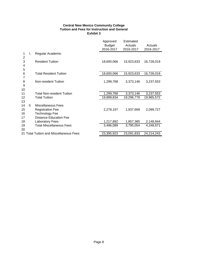#### **Central New Mexico Community College Tuition and Fees for Instruction and General Exhibit 3**

|                      |    |                                                                                                                | Approved<br><b>Budget</b><br>2016-2017 | Estimated<br>Actuals<br>2016-2017 | Actuals<br>2016-2017 |
|----------------------|----|----------------------------------------------------------------------------------------------------------------|----------------------------------------|-----------------------------------|----------------------|
| 1<br>2               | I. | Regular Academic                                                                                               |                                        |                                   |                      |
| 3<br>4<br>5          |    | <b>Resident Tuition</b>                                                                                        | 18,600,066                             | 15,923,633                        | 16,728,019           |
| 6                    |    | <b>Total Resident Tuition</b>                                                                                  | 18,600,066                             | 15,923,633                        | 16,728,019           |
| 7<br>8<br>9<br>10    |    | Non-resident Tuition                                                                                           | 1,299,768                              | 3,373,146                         | 3,237,553            |
| 11                   |    | <b>Total Non-resident Tuition</b>                                                                              | 1,299,768                              | 3,373,146                         | 3,237,553            |
| 12<br>13             |    | <b>Total Tuition</b>                                                                                           | 19,899,834                             | 19,296,779                        | 19,965,572           |
| 14<br>15<br>16<br>17 | Ш. | <b>Miscellaneous Fees</b><br><b>Registration Fee</b><br><b>Technology Fee</b><br><b>Distance Education Fee</b> | 2,278,197                              | 1,937,669                         | 2,099,727            |
| 18                   |    | <b>Laboratory Fees</b>                                                                                         | 1,217,892                              | 1,857,385                         | 2,148,944            |
| 19<br>20             |    | <b>Total Miscellaneous Fees</b>                                                                                | 3,496,089                              | 3,795,054                         | 4,248,671            |
|                      |    | 21 Total Tuition and Miscellaneous Fees                                                                        | 23,395,923                             | 23,091,833                        | 24,214,243           |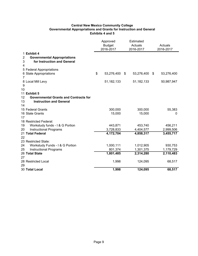#### **Central New Mexico Community College Governmental Appropriations and Grants for Instruction and General Exhibits 4 and 5**

|                |                                                   | Approved                                           |    | Estimated            |                  |
|----------------|---------------------------------------------------|----------------------------------------------------|----|----------------------|------------------|
|                |                                                   | <b>Budget</b><br>Actuals<br>2016-2017<br>2016-2017 |    | Actuals<br>2016-2017 |                  |
|                | 1 Exhibit 4                                       |                                                    |    |                      |                  |
| $\overline{c}$ | <b>Governmental Appropriations</b>                |                                                    |    |                      |                  |
| 3              | for Instruction and General                       |                                                    |    |                      |                  |
| 4              |                                                   |                                                    |    |                      |                  |
|                | 5 Federal Appropriations                          |                                                    |    |                      |                  |
|                | 6 State Appropriations                            | \$<br>53,276,400                                   | \$ | 53,276,400           | \$<br>53,276,400 |
| 7              |                                                   |                                                    |    |                      |                  |
|                | 8 Local Mill Levy                                 | 51, 182, 133                                       |    | 51,182,133           | 50,987,947       |
| 9              |                                                   |                                                    |    |                      |                  |
| 10             |                                                   |                                                    |    |                      |                  |
|                | 11 Exhibit 5                                      |                                                    |    |                      |                  |
| 12             | <b>Governmental Grants and Contracts for</b>      |                                                    |    |                      |                  |
| 13             | <b>Instruction and General</b>                    |                                                    |    |                      |                  |
| 14             |                                                   |                                                    |    |                      |                  |
|                | 15 Federal Grants                                 | 300,000                                            |    | 300,000              | 55,383           |
|                | 16 State Grants                                   | 15,000                                             |    | 15,000               | 0                |
| 17             |                                                   |                                                    |    |                      |                  |
|                | 18 Restricted Federal:                            |                                                    |    |                      |                  |
| 19             | Workstudy funds - I & G Portion                   | 443,871                                            |    | 453,740              | 456,211          |
| 20             | <b>Instructional Programs</b><br>21 Total Federal | 3,728,833                                          |    | 4,404,577            | 2,999,506        |
| 22             |                                                   | 4,172,704                                          |    | 4,858,317            | 3,455,717        |
|                | 23 Restricted State:                              |                                                    |    |                      |                  |
| 24             | Workstudy Funds - I & G Portion                   | 1,000,111                                          |    | 1,012,905            | 930,753          |
| 25             | <b>Instructional Programs</b>                     | 801,374                                            |    | 1,301,375            | 1,179,729        |
|                | 26 Total State                                    | 1,801,485                                          |    | 2,314,280            | 2,110,483        |
| 27             |                                                   |                                                    |    |                      |                  |
|                | 28 Restricted Local                               | 1,998                                              |    | 124,095              | 68,517           |
| 29             |                                                   |                                                    |    |                      |                  |
|                | 30 Total Local                                    | 1,998                                              |    | 124,095              | 68,517           |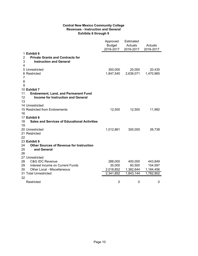#### **Central New Mexico Community College Revenues - Instruction and General Exhibits 6 through 9**

|                                                           | Approved<br><b>Budget</b><br>2016-2017 | Estimated<br>Actuals<br>2016-2017 | Actuals<br>2016-2017 |
|-----------------------------------------------------------|----------------------------------------|-----------------------------------|----------------------|
| 1 Exhibit 6                                               |                                        |                                   |                      |
| $\overline{2}$<br><b>Private Grants and Contracts for</b> |                                        |                                   |                      |
| 3<br><b>Instruction and General</b>                       |                                        |                                   |                      |
| 4                                                         |                                        |                                   |                      |
| 5 Unrestricted                                            | 300,000                                | 20,000                            | 20,435               |
| 6 Restricted                                              | 1,847,545                              | 2,636,071                         | 1,470,965            |
| 7                                                         |                                        |                                   |                      |
| 8                                                         |                                        |                                   |                      |
| 9                                                         |                                        |                                   |                      |
| 10 Exhibit 7                                              |                                        |                                   |                      |
| 11<br><b>Endowment, Land, and Permanent Fund</b>          |                                        |                                   |                      |
| 12<br><b>Income for Instruction and General</b>           |                                        |                                   |                      |
| 13                                                        |                                        |                                   |                      |
| 14 Unrestricted                                           |                                        |                                   |                      |
| 15 Restricted from Endowments                             | 12,500                                 | 12,500                            | 11,992               |
| 16<br>17 Exhibit 8                                        |                                        |                                   |                      |
| 18<br><b>Sales and Services of Educational Activities</b> |                                        |                                   |                      |
| 19                                                        |                                        |                                   |                      |
| 20 Unrestricted                                           | 1,012,861                              | 300,000                           | 26,738               |
| 21 Restricted                                             |                                        |                                   |                      |
| 22                                                        |                                        |                                   |                      |
| 23 Exhibit 9                                              |                                        |                                   |                      |
| 24<br><b>Other Sources of Revenue for Instruction</b>     |                                        |                                   |                      |
| 25<br>and General                                         |                                        |                                   |                      |
| 26                                                        |                                        |                                   |                      |
| 27 Unrestricted                                           |                                        |                                   |                      |
| 28<br><b>C&amp;G IDC Revenue</b>                          | 288,000                                | 400,000                           | 443,849              |
| 29<br>Interest Income on Current Funds                    | 35,000                                 | 60,500                            | 154,597              |
| 30<br>Other Local - Miscellaneous                         | 2,018,852                              | 1,382,644                         | 1,184,456            |
| 31 Total Unrestricted                                     | 2,341,852                              | 1,843,144                         | 1,782,902            |
| 32                                                        |                                        |                                   |                      |
| Restricted                                                | 0                                      | 0                                 | 0                    |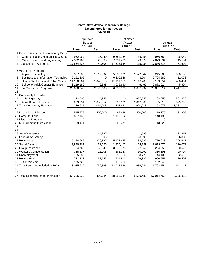#### **Central New Mexico Community College Expenditures for Instruction Exhibit 10**

|                                                | Approved<br><b>Budget</b> |           | Estimated<br>Actuals |           | Actuals              |           |
|------------------------------------------------|---------------------------|-----------|----------------------|-----------|----------------------|-----------|
|                                                | 2016-2017<br>Unrest.      | Rest.     | 2016-2017<br>Unrest. | Rest.     | 2016-2017<br>Unrest. | Rest.     |
| 1 General Academic Instruction by Depart       |                           |           |                      |           |                      |           |
| Communication, Humanities, & Socia<br>2        | 9,962,069                 | 16,940    | 9,682,164            | 35,954    | 9,956,684            | 26,049    |
| Math, Science, and Engineering<br>3            | 7,592,169                 | 23,565    | 7,931,480            | 79,079    | 7,679,634            | 45,554    |
| 4 Total General Academic                       | 17,554,238                | 40,505    | 17,613,644           | 115,034   | 17,636,318           | 71,602    |
| 5                                              |                           |           |                      |           |                      |           |
| 6 Vocational Programs                          |                           |           |                      |           |                      |           |
| <b>Applied Technologies</b><br>7               | 5,337,586                 | 1,117,392 | 5,588,931            | 1,522,044 | 5,245,760            | 950,186   |
| <b>Business and Information Technolog</b><br>8 | 6,292,809                 | 0         | 6,300,926            | 43,204    | 5,794,986            | 11,072    |
| Health, Wellness, and Public Safety<br>9       | 11,176,761                | 1,046,813 | 11,131,358           | 1,116,280 | 9,139,254            | 480,434   |
| School of Adult General Education<br>10        | 3,219,186                 | 9,398     | 3,035,690            | 6,467     | 2,871,014            | 5,904     |
| 11 Total Vocational Programs                   | 26,026,342                | 2,173,603 | 26,056,905           | 2,687,994 | 23,051,014           | 1,447,596 |
| 12                                             |                           |           |                      |           |                      |           |
| 13 Community Education                         |                           |           |                      |           |                      |           |
| <b>CNM</b> Ingenuity<br>14                     | 23,000                    | 4,856     | 0                    | 657,647   | 98,055               | 302,320   |
| <b>Adult Basic Education</b><br>16             | 203,631                   | 1,059,852 | 203,631              | 1,012,566 | 55,616               | 979,793   |
| 17 Total Community Education                   | 226,631                   | 1,064,708 | 203,631              | 1,670,213 | 153,671              | 1,282,114 |
| 18                                             |                           |           |                      |           |                      |           |
| 19 Instructional Division                      | 515,575                   | 400,000   | 97,438               | 400,000   | 119,375              | 182,905   |
| 20 Computer Labs                               | 897,135                   |           | 1,193,322            |           | 5,148,190            |           |
| 21 Distance Education                          | 0                         |           | 0                    |           | 0                    |           |
| 22 Multi-Campus Instructional                  | 69,471                    |           | 69,471               |           | 13,028               |           |
| 23                                             |                           |           |                      |           |                      |           |
| 24                                             |                           |           |                      |           |                      |           |
| 25 State Workstudy                             |                           | 144,397   |                      | 141,599   |                      | 121,861   |
| 26 Federal Workstudy                           |                           | 13,503    |                      | 23,396    |                      | 26,388    |
| 27 Retirement                                  | 5,178,645                 | 226,897   | 5,178,645            | 183,586   | 4,770,638            | 204,647   |
| 28 Social Security                             | 2,830,467                 | 121,353   | 2,830,467            | 104,159   | 2,613,675            | 116,072   |
| 29 Group Insurance                             | 3,704,769                 | 165,349   | 3,678,073            | 122,552   | 3,204,555            | 120,526   |
| 30 Worker's Compensation                       | 358,337                   | 23,106    | 368,337              | 30,792    | 366,695              | 20,704    |
| 31 Unemployment                                | 55,880                    | 3,618     | 55,880               | 3,770     | 44,100               | 2,513     |
| 32 Retiree Health                              | 731,812                   | 32,645    | 731,812              | 26,387    | 660,951              | 29,401    |
| 33 Tuition Waivers                             | 175,720                   |           | 175,720              |           | 132,540              |           |
| 34 Total Items not Included in 10A's           | 13,035,630                | 730,868   | 13,018,934           | 636,241   | 11,793,154           | 642,112   |
| 35                                             |                           |           |                      |           |                      |           |
| 36<br>37 Total Expenditures for Instruction    | 58,325,022                | 4,409,684 | 58,253,344           | 5,509,482 | 57,914,750           | 3,626,330 |
|                                                |                           |           |                      |           |                      |           |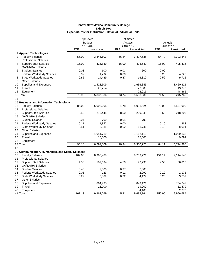|    |                                                   |            | Approved      |                      | Estimated    |            |              |
|----|---------------------------------------------------|------------|---------------|----------------------|--------------|------------|--------------|
|    |                                                   |            | <b>Budget</b> | Actuals<br>2016-2017 |              | Actuals    |              |
|    |                                                   |            | 2016-2017     |                      |              | 2016-2017  |              |
|    |                                                   | <b>FTE</b> | Unrestricted  | <b>FTE</b>           | Unrestricted | <b>FTE</b> | Unrestricted |
|    | 1 Applied Technologies                            |            |               |                      |              |            |              |
| 2  | <b>Faculty Salaries</b>                           | 56.00      | 3,345,603     | 56.84                | 3,427,635    | 54.79      | 3,303,848    |
| 3  | <b>Professional Salaries</b>                      |            |               |                      |              |            |              |
| 4  | <b>Support Staff Salaries</b>                     | 16.00      | 425,839       | 16.00                | 408,540      | 16.00      | 405,416      |
| 5  | <b>GA/TA/RA Salaries</b>                          |            |               |                      |              |            |              |
| 6  | <b>Student Salaries</b>                           | 0.03       | 600           | 0.03                 | 600          | 0.00       |              |
| 7  | <b>Federal Workstudy Salaries</b>                 | 0.07       | 1,292         | 0.00                 |              | 0.25       | 4,728        |
| 8  | <b>State Workstudy Salaries</b>                   | 0.82       | 14,489        | 0.87                 | 16,310       | 0.52       | 9,712        |
| 9  | <b>Other Salaries</b>                             |            |               |                      |              |            |              |
| 10 | Supplies and Expenses                             |            | 1,523,509     |                      | 1,636,845    |            | 1,460,321    |
| 11 | Travel                                            |            | 26,254        |                      | 26,085       |            | 13,370       |
| 12 | Equipment                                         |            |               |                      | 72,916       |            | 48,365       |
|    | 13 Total                                          | 72.92      | 5,337,586     | 73.74                | 5,588,931    | 71.55      | 5,245,760    |
| 14 |                                                   |            |               |                      |              |            |              |
|    | 15 Business and Information Technology            |            |               |                      |              |            |              |
| 16 | <b>Faculty Salaries</b>                           | 86.00      | 5,008,605     | 81.78                | 4,931,624    | 75.09      | 4,527,990    |
| 17 | <b>Professional Salaries</b>                      |            |               |                      |              |            |              |
| 18 | <b>Support Staff Salaries</b>                     | 8.50       | 215,448       | 8.50                 | 229,248      | 8.50       | 218,205      |
| 19 | <b>GA/TA/RA Salaries</b>                          |            |               |                      |              |            |              |
| 20 | <b>Student Salaries</b>                           | 0.04       | 700           | 0.04                 | 700          |            |              |
| 21 | <b>Federal Workstudy Salaries</b>                 | 0.11       | 1,852         | 0.00                 |              | 0.10       | 1,863        |
| 22 | <b>State Workstudy Salaries</b>                   | 0.51       | 8,985         | 0.62                 | 11,741       | 0.43       | 8,091        |
| 23 | <b>Other Salaries</b>                             |            |               |                      |              |            |              |
| 24 | Supplies and Expenses                             |            | 1,041,719     |                      | 1,112,113    |            | 1,029,138    |
| 25 | Travel                                            |            | 15,500        |                      | 15,500       |            | 9,699        |
| 26 | Equipment                                         |            |               |                      |              |            |              |
|    | 27 Total                                          | 95.16      | 6,292,809     | 90.94                | 6,300,926    | 84.11      | 5,794,986    |
| 28 |                                                   |            |               |                      |              |            |              |
|    | 29 Communication, Humanities, and Social Sciences |            |               |                      |              |            |              |
| 30 | <b>Faculty Salaries</b>                           | 162.00     | 8,960,488     |                      | 8,703,721    | 151.14     | 9,114,148    |
| 31 | <b>Professional Salaries</b>                      |            |               |                      |              |            |              |
| 32 | <b>Support Staff Salaries</b>                     | 4.50       | 109,634       | 4.50                 | 92,796       | 4.50       | 86,810       |
| 33 | <b>GA/TA/RA Salaries</b>                          |            |               |                      |              |            |              |
| 34 | <b>Student Salaries</b>                           | 0.40       | 7,000         | 0.37                 | 7,000        |            |              |
| 35 | <b>Federal Workstudy Salaries</b>                 | 0.01       | 123           | 0.12                 | 2,297        | 0.12       | 2,171        |
| 36 | <b>State Workstudy Salaries</b>                   | 0.22       | 3,889         | 0.22                 | 4,129        | 0.20       | 3,759        |
| 37 | <b>Other Salaries</b>                             |            |               |                      |              |            |              |
| 38 | Supplies and Expenses                             |            | 864,935       |                      | 849,121      |            | 734,647      |
| 39 | Travel                                            |            | 16,000        |                      | 19,000       |            | 12,479       |
| 40 | Equipment                                         |            |               |                      | 4,100        |            | 2,670        |
|    | 41 Total                                          | 167.13     | 9,962,069     | 5.21                 | 9,682,164    | 155.95     | 9,956,684    |
|    |                                                   |            |               |                      |              |            |              |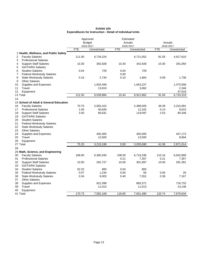| Exhibit 10A                                                      |
|------------------------------------------------------------------|
| <b>Expenditures for Instruction - Detail of Individual Units</b> |

|    |                                        |            | Approved      | Estimated  |              |            |              |  |
|----|----------------------------------------|------------|---------------|------------|--------------|------------|--------------|--|
|    |                                        |            | <b>Budget</b> |            | Actuals      |            | Actuals      |  |
|    |                                        |            | 2016-2017     |            | 2016-2017    |            | 2016-2017    |  |
|    |                                        | <b>FTE</b> | Unrestricted  | <b>FTE</b> | Unrestricted | <b>FTE</b> | Unrestricted |  |
|    | 1 Health, Wellness, and Public Safety  |            |               |            |              |            |              |  |
| 2  | <b>Faculty Salaries</b>                | 111.00     | 6,734,224     |            | 6,721,052    | 81.55      | 4,917,610    |  |
| 3  | <b>Professional Salaries</b>           |            |               |            |              |            |              |  |
| 4  | <b>Support Staff Salaries</b>          | 10.30      | 362,928       | 10.30      | 342,928      | 10.30      | 291,050      |  |
| 5  | <b>GA/TA/RA Salaries</b>               |            |               |            |              |            |              |  |
| 6  | <b>Student Salaries</b>                | 0.04       | 729           | 0.04       | 729          |            |              |  |
| 7  | <b>Federal Workstudy Salaries</b>      |            |               | 0.00       |              |            |              |  |
| 8  | <b>State Workstudy Salaries</b>        | 0.16       | 2,734         | 0.10       | 1,864        | 0.09       | 1,736        |  |
| 9  | <b>Other Salaries</b>                  |            |               |            |              |            |              |  |
| 10 | Supplies and Expenses                  |            | 1,925,459     |            | 1,843,227    |            | 1,473,558    |  |
| 11 | Travel                                 |            | 13,810        |            | 3,062        |            | 2,346        |  |
| 12 | Equipment                              |            |               |            |              |            | 47,019       |  |
|    | 13 Total                               | 121.50     | 9,039,884     | 10.44      | 8,912,862    | 91.94      | 6,733,319    |  |
| 14 |                                        |            |               |            |              |            |              |  |
|    | 15 School of Adult & General Education |            |               |            |              |            |              |  |
| 16 | <b>Faculty Salaries</b>                | 70.75      | 2,582,422     |            | 2,398,926    | 38.39      | 2,315,081    |  |
| 17 | <b>Professional Salaries</b>           | 1.00       | 40,628        |            | 12,162       | 0.14       | 9,610        |  |
| 18 | <b>Support Staff Salaries</b>          | 3.50       | 90,631        |            | 119,097      | 2.53       | 90,346       |  |
| 19 | <b>GA/TA/RA Salaries</b>               |            |               |            |              |            |              |  |
| 20 | <b>Student Salaries</b>                |            |               |            |              |            |              |  |
| 21 | <b>Federal Workstudy Salaries</b>      |            |               |            |              |            |              |  |
| 22 | <b>State Workstudy Salaries</b>        |            |               |            |              |            |              |  |
| 23 | <b>Other Salaries</b>                  |            |               |            |              |            |              |  |
| 24 | Supplies and Expenses                  |            | 492,005       |            | 492,005      |            | 447,173      |  |
| 25 | Travel                                 |            | 13,500        |            | 13,500       |            | 8,804        |  |
| 26 | Equipment                              |            |               |            |              |            |              |  |
|    | 27 Total                               | 75.25      | 3,219,186     | 0.00       | 3,035,690    | 41.06      | 2,871,014    |  |
| 28 |                                        |            |               |            |              |            |              |  |
|    | 29 Math, Science, and Engineering      |            |               |            |              |            |              |  |
| 30 | <b>Faculty Salaries</b>                | 108.00     | 6,360,293     | 108.00     | 6,719,336    | 110.16     | 6,642,806    |  |
| 31 | <b>Professional Salaries</b>           |            |               | 0.21       | 7,357        | 0.21       | 7,357        |  |
| 32 | <b>Support Staff Salaries</b>          | 10.00      | 291,727       | 10.00      | 301,997      | 10.00      | 291,391      |  |
| 33 | <b>GA/TA/RA Salaries</b>               |            |               |            |              |            |              |  |
| 34 | <b>Student Salaries</b>                | 52.32      | 800           | 0.04       | 800          |            |              |  |
| 35 | <b>Federal Workstudy Salaries</b>      | 0.07       | 1,234         | 0.00       | 55           | 0.00       | 35           |  |
| 36 | <b>State Workstudy Salaries</b>        | 0.34       | 6,003         | 0.40       | 7,551        | 0.38       | 7,167        |  |
| 37 | <b>Other Salaries</b>                  |            |               |            |              |            |              |  |
| 38 | Supplies and Expenses                  |            | 921,099       |            | 883,371      |            | 716,732      |  |
| 39 | Travel                                 |            | 11,013        |            | 11,013       |            | 14,146       |  |
| 40 | Equipment                              |            |               |            |              |            |              |  |
|    | 41 Total                               | 170.73     | 7,592,169     | 118.65     | 7,931,480    | 120.74     | 7,679,634    |  |
|    |                                        |            |               |            |              |            |              |  |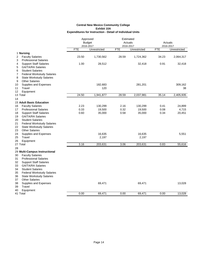|          |                                                          |            | Approved<br><b>Budget</b> |            | Estimated<br>Actuals      |            | Actuals                   |
|----------|----------------------------------------------------------|------------|---------------------------|------------|---------------------------|------------|---------------------------|
|          |                                                          | <b>FTE</b> | 2016-2017<br>Unrestricted | <b>FTE</b> | 2016-2017<br>Unrestricted | <b>FTE</b> | 2016-2017<br>Unrestricted |
|          | 1 Nursing                                                |            |                           |            |                           |            |                           |
| 2        | <b>Faculty Salaries</b>                                  | 23.50      | 1,730,562                 | 28.59      | 1,724,362                 | 34.23      | 2,064,317                 |
| 3        | <b>Professional Salaries</b>                             |            |                           |            |                           |            |                           |
| 4        | <b>Support Staff Salaries</b>                            | 1.00       | 28,512                    |            | 32,418                    | 0.91       | 32,418                    |
| 5        | <b>GA/TA/RA Salaries</b>                                 |            |                           |            |                           |            |                           |
| 6        | <b>Student Salaries</b>                                  |            |                           |            |                           |            |                           |
| 7        | <b>Federal Workstudy Salaries</b>                        |            |                           |            |                           |            |                           |
| 8        | <b>State Workstudy Salaries</b><br><b>Other Salaries</b> |            |                           |            |                           |            |                           |
| 9        | Supplies and Expenses                                    |            | 182,683                   |            | 281,201                   |            | 309,162                   |
| 10<br>11 | Travel                                                   |            | 120                       |            |                           |            | 38                        |
| 12       | Equipment                                                |            |                           |            |                           |            |                           |
|          | 13 Total                                                 | 24.50      | 1,941,877                 | 28.59      | 2,037,981                 | 35.14      | 2,405,935                 |
| 14       |                                                          |            |                           |            |                           |            |                           |
|          | <b>15 Adult Basic Education</b>                          |            |                           |            |                           |            |                           |
| 16       | <b>Faculty Salaries</b>                                  | 2.23       | 130,299                   | 2.16       | 130,299                   | 0.41       | 24,899                    |
| 17       | <b>Professional Salaries</b>                             | 0.33       | 19,500                    | 0.32       | 19,500                    | 0.08       | 4,715                     |
| 18       | <b>Support Staff Salaries</b>                            | 0.60       | 35,000                    | 0.58       | 35,000                    | 0.34       | 20,451                    |
| 19       | <b>GA/TA/RA Salaries</b>                                 |            |                           |            |                           |            |                           |
| 20       | <b>Student Salaries</b>                                  |            |                           |            |                           |            |                           |
| 21       | <b>Federal Workstudy Salaries</b>                        |            |                           |            |                           |            |                           |
| 22       | <b>State Workstudy Salaries</b>                          |            |                           |            |                           |            |                           |
| 23       | <b>Other Salaries</b>                                    |            |                           |            |                           |            |                           |
| 24       | Supplies and Expenses                                    |            | 16,635                    |            | 16,635                    |            | 5,551                     |
| 25       | Travel                                                   |            | 2,197                     |            | 2,197                     |            |                           |
| 26       | Equipment<br>27 Total                                    | 3.16       | 203,631                   | 3.06       | 203,631                   | 0.83       | 55,616                    |
| 28       |                                                          |            |                           |            |                           |            |                           |
|          | 29 Multi-Campus Instructional                            |            |                           |            |                           |            |                           |
| 30       | <b>Faculty Salaries</b>                                  |            |                           |            |                           |            |                           |
| 31       | <b>Professional Salaries</b>                             |            |                           |            |                           |            |                           |
| 32       | <b>Support Staff Salaries</b>                            |            |                           |            |                           |            |                           |
| 33       | <b>GA/TA/RA Salaries</b>                                 |            |                           |            |                           |            |                           |
| 34       | <b>Student Salaries</b>                                  |            |                           |            |                           |            |                           |
| 35       | <b>Federal Workstudy Salaries</b>                        |            |                           |            |                           |            |                           |
| 36       | <b>State Workstudy Salaries</b>                          |            |                           |            |                           |            |                           |
| 37       | <b>Other Salaries</b>                                    |            |                           |            |                           |            |                           |
| 38       | Supplies and Expenses                                    |            | 69,471                    |            | 69,471                    |            | 13,028                    |
| 39       | Travel                                                   |            |                           |            |                           |            |                           |
| 40       | Equipment                                                |            |                           |            |                           |            |                           |
|          | 41 Total                                                 | 0.00       | 69,471                    | 0.00       | 69,471                    | 0.00       | 13,028                    |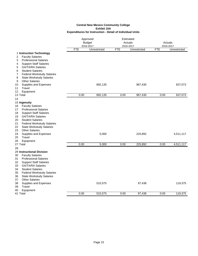|                                                                 |            | Approved<br><b>Budget</b><br>2016-2017 |            | Estimated<br>Actuals<br>2016-2017 |            | Actuals<br>2016-2017 |
|-----------------------------------------------------------------|------------|----------------------------------------|------------|-----------------------------------|------------|----------------------|
|                                                                 | <b>FTE</b> | Unrestricted                           | <b>FTE</b> | Unrestricted                      | <b>FTE</b> | Unrestricted         |
| 1 Instruction Technology                                        |            |                                        |            |                                   |            |                      |
| <b>Faculty Salaries</b><br>2                                    |            |                                        |            |                                   |            |                      |
| <b>Professional Salaries</b><br>3                               |            |                                        |            |                                   |            |                      |
| <b>Support Staff Salaries</b><br>4                              |            |                                        |            |                                   |            |                      |
| <b>GA/TA/RA Salaries</b><br>5                                   |            |                                        |            |                                   |            |                      |
| <b>Student Salaries</b><br>6                                    |            |                                        |            |                                   |            |                      |
| <b>Federal Workstudy Salaries</b><br>7                          |            |                                        |            |                                   |            |                      |
| <b>State Workstudy Salaries</b><br>8                            |            |                                        |            |                                   |            |                      |
| <b>Other Salaries</b><br>9                                      |            |                                        |            |                                   |            |                      |
| Supplies and Expenses<br>10                                     |            | 892,135                                |            | 967,430                           |            | 637,073              |
| Travel<br>11                                                    |            |                                        |            |                                   |            |                      |
| 12<br>Equipment                                                 |            |                                        |            |                                   |            |                      |
| 13 Total                                                        | 0.00       | 892,135                                | 0.00       | 967,430                           | 0.00       | 637,073              |
| 14                                                              |            |                                        |            |                                   |            |                      |
| 15 Ingenuity                                                    |            |                                        |            |                                   |            |                      |
| <b>Faculty Salaries</b><br>16                                   |            |                                        |            |                                   |            |                      |
| 17<br><b>Professional Salaries</b>                              |            |                                        |            |                                   |            |                      |
| 18<br><b>Support Staff Salaries</b><br><b>GA/TA/RA Salaries</b> |            |                                        |            |                                   |            |                      |
| 19<br><b>Student Salaries</b>                                   |            |                                        |            |                                   |            |                      |
| 20<br>21<br><b>Federal Workstudy Salaries</b>                   |            |                                        |            |                                   |            |                      |
| 22<br><b>State Workstudy Salaries</b>                           |            |                                        |            |                                   |            |                      |
| 23<br><b>Other Salaries</b>                                     |            |                                        |            |                                   |            |                      |
| 24<br>Supplies and Expenses                                     |            | 5,000                                  |            | 225,892                           |            | 4,511,117            |
| 25<br>Travel                                                    |            |                                        |            |                                   |            |                      |
| 26<br>Equipment                                                 |            |                                        |            |                                   |            |                      |
| 27 Total                                                        | 0.00       | 5,000                                  | 0.00       | 225,892                           | 0.00       | 4,511,117            |
| 28                                                              |            |                                        |            |                                   |            |                      |
| 29 Instructional Division                                       |            |                                        |            |                                   |            |                      |
| 30<br><b>Faculty Salaries</b>                                   |            |                                        |            |                                   |            |                      |
| 31<br><b>Professional Salaries</b>                              |            |                                        |            |                                   |            |                      |
| 32<br><b>Support Staff Salaries</b>                             |            |                                        |            |                                   |            |                      |
| <b>GA/TA/RA Salaries</b><br>33                                  |            |                                        |            |                                   |            |                      |
| 34<br><b>Student Salaries</b>                                   |            |                                        |            |                                   |            |                      |
| 35<br><b>Federal Workstudy Salaries</b>                         |            |                                        |            |                                   |            |                      |
| 36<br><b>State Workstudy Salaries</b>                           |            |                                        |            |                                   |            |                      |
| <b>Other Salaries</b><br>37                                     |            |                                        |            |                                   |            |                      |
| 38<br>Supplies and Expenses                                     |            | 515,575                                |            | 97,438                            |            | 119,375              |
| Travel<br>39                                                    |            |                                        |            |                                   |            |                      |
| Equipment<br>40                                                 |            |                                        |            |                                   |            |                      |
| 41 Total                                                        | 0.00       | 515,575                                | 0.00       | 97,438                            | 0.00       | 119,375              |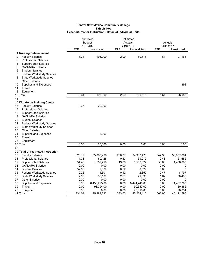|                                 |                                                                                                                                                                                                                       |            | Approved<br><b>Budget</b><br>2016-2017 |            | Estimated<br>Actuals<br>2016-2017 |            | Actuals<br>2016-2017 |  |
|---------------------------------|-----------------------------------------------------------------------------------------------------------------------------------------------------------------------------------------------------------------------|------------|----------------------------------------|------------|-----------------------------------|------------|----------------------|--|
|                                 |                                                                                                                                                                                                                       | <b>FTE</b> | Unrestricted                           | <b>FTE</b> | Unrestricted                      | <b>FTE</b> | Unrestricted         |  |
| 2                               | 1 Nursing Enhancement<br><b>Faculty Salaries</b>                                                                                                                                                                      | 3.34       | 195,000                                | 2.99       | 180,515                           | 1.61       | 97,163               |  |
| 3<br>4<br>5<br>6<br>7<br>8<br>9 | <b>Professional Salaries</b><br><b>Support Staff Salaries</b><br><b>GA/TA/RA Salaries</b><br><b>Student Salaries</b><br><b>Federal Workstudy Salaries</b><br><b>State Workstudy Salaries</b><br><b>Other Salaries</b> |            |                                        |            |                                   |            |                      |  |
| 10<br>11                        | Supplies and Expenses<br>Travel                                                                                                                                                                                       |            |                                        |            |                                   |            | 893                  |  |
| 12                              | Equipment<br>13 Total                                                                                                                                                                                                 | 3.34       | 195,000                                | 2.99       | 180,515                           | 1.61       | 98,055               |  |
| 14                              |                                                                                                                                                                                                                       |            |                                        |            |                                   |            |                      |  |
|                                 | 15 Workforce Training Center                                                                                                                                                                                          |            |                                        |            |                                   |            |                      |  |
| 16                              | <b>Faculty Salaries</b>                                                                                                                                                                                               | 0.35       | 20,000                                 |            |                                   |            |                      |  |
| 17                              | <b>Professional Salaries</b>                                                                                                                                                                                          |            |                                        |            |                                   |            |                      |  |
| 18                              | <b>Support Staff Salaries</b>                                                                                                                                                                                         |            |                                        |            |                                   |            |                      |  |
| 19                              | <b>GA/TA/RA Salaries</b>                                                                                                                                                                                              |            |                                        |            |                                   |            |                      |  |
| 20                              | <b>Student Salaries</b>                                                                                                                                                                                               |            |                                        |            |                                   |            |                      |  |
| 21                              | <b>Federal Workstudy Salaries</b>                                                                                                                                                                                     |            |                                        |            |                                   |            |                      |  |
| 22                              | <b>State Workstudy Salaries</b>                                                                                                                                                                                       |            |                                        |            |                                   |            |                      |  |
| 23                              | <b>Other Salaries</b>                                                                                                                                                                                                 |            |                                        |            |                                   |            |                      |  |
| 24                              | Supplies and Expenses                                                                                                                                                                                                 |            | 3,000                                  |            |                                   |            |                      |  |
| 25                              | Travel                                                                                                                                                                                                                |            |                                        |            |                                   |            |                      |  |
| 26                              | Equipment<br>27 Total                                                                                                                                                                                                 | 0.35       | 23,000                                 | 0.00       | 0.00                              | 0.00       | 0.00                 |  |
| 28                              |                                                                                                                                                                                                                       |            |                                        |            |                                   |            |                      |  |
|                                 | 29 Total Unrestricted Instruction                                                                                                                                                                                     |            |                                        |            |                                   |            |                      |  |
| 30                              | <b>Faculty Salaries</b>                                                                                                                                                                                               | 623.17     | 35,067,496                             | 280.37     | 34,937,470                        | 547.36     | 33,007,861           |  |
| 31                              | <b>Professional Salaries</b>                                                                                                                                                                                          | 1.33       | 60,128                                 | 0.53       | 39,019                            | 0.43       | 21,682               |  |
| 32                              | <b>Support Staff Salaries</b>                                                                                                                                                                                         | 54.40      | 1,559,719                              | 49.88      | 1,562,024                         | 53.08      | 1,436,087            |  |
| 33                              | <b>GA/TA/RA Salaries</b>                                                                                                                                                                                              | 0.00       | 0.00                                   | 0.00       | 0.00                              | 0.00       | 0                    |  |
| 34                              | <b>Student Salaries</b>                                                                                                                                                                                               | 52.83      | 9,829                                  | 0.52       | 9,829                             | 0.00       | 0                    |  |
| 35                              | <b>Federal Workstudy Salaries</b>                                                                                                                                                                                     | 0.26       | 4,501                                  | 0.12       | 2,352                             | 0.47       | 8,797                |  |
| 36                              | <b>State Workstudy Salaries</b>                                                                                                                                                                                       | 2.05       | 36,100                                 | 2.21       | 41,595                            | 1.62       | 30,465               |  |
| 37                              | <b>Other Salaries</b>                                                                                                                                                                                                 | 0.00       | 0.00                                   | 0.00       | 0.00                              | 0.00       | 0                    |  |
| 38                              | Supplies and Expenses                                                                                                                                                                                                 | 0.00       | 8,453,225.00                           | 0.00       | 8,474,748.00                      | 0.00       | 11,457,768           |  |
| 39                              | Travel                                                                                                                                                                                                                | 0.00       | 98,394.00                              | 0.00       | 90,357.00                         | 0.00       | 60,882               |  |
| 40                              | Equipment                                                                                                                                                                                                             | 0.00       | 0.00                                   | 0.00       | 77,016.00                         | 0.00       | 98,054               |  |
|                                 | 41 Total                                                                                                                                                                                                              | 734.04     | 45,289,392                             | 333.63     | 45,234,410                        | 602.95     | 46,121,596           |  |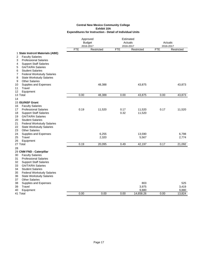|                                         |            | Approved<br><b>Budget</b><br>2016-2017 |            | Estimated<br>Actuals<br>2016-2017 |            | Actuals<br>2016-2017 |  |
|-----------------------------------------|------------|----------------------------------------|------------|-----------------------------------|------------|----------------------|--|
|                                         | <b>FTE</b> | Restricted                             | <b>FTE</b> | Restricted                        | <b>FTE</b> | Restricted           |  |
| 1 State Instrcnl Materials (ABE)        |            |                                        |            |                                   |            |                      |  |
| <b>Faculty Salaries</b><br>2            |            |                                        |            |                                   |            |                      |  |
| <b>Professional Salaries</b><br>3       |            |                                        |            |                                   |            |                      |  |
| <b>Support Staff Salaries</b><br>4      |            |                                        |            |                                   |            |                      |  |
| <b>GA/TA/RA Salaries</b><br>5           |            |                                        |            |                                   |            |                      |  |
| <b>Student Salaries</b><br>6            |            |                                        |            |                                   |            |                      |  |
| <b>Federal Workstudy Salaries</b><br>7  |            |                                        |            |                                   |            |                      |  |
| 8<br><b>State Workstudy Salaries</b>    |            |                                        |            |                                   |            |                      |  |
| <b>Other Salaries</b><br>9              |            |                                        |            |                                   |            |                      |  |
| Supplies and Expenses<br>10             |            | 48,388                                 |            | 43,875                            |            | 43,873               |  |
| Travel<br>11                            |            |                                        |            |                                   |            |                      |  |
| 12<br>Equipment                         |            |                                        |            |                                   |            |                      |  |
| 13 Total                                | 0.00       | 48,388                                 | 0.00       | 43,875                            | 0.00       | 43,873               |  |
| 14                                      |            |                                        |            |                                   |            |                      |  |
| 15 ISU/NSF Grant                        |            |                                        |            |                                   |            |                      |  |
| <b>Faculty Salaries</b><br>16           |            |                                        |            |                                   |            |                      |  |
| <b>Professional Salaries</b><br>17      | 0.19       | 11,520                                 | 0.17       | 11,520                            | 0.17       | 11,520               |  |
| <b>Support Staff Salaries</b><br>18     |            |                                        | 0.32       | 11,520                            |            |                      |  |
| 19<br><b>GA/TA/RA Salaries</b>          |            |                                        |            |                                   |            |                      |  |
| 20<br><b>Student Salaries</b>           |            |                                        |            |                                   |            |                      |  |
| 21<br><b>Federal Workstudy Salaries</b> |            |                                        |            |                                   |            |                      |  |
| 22<br><b>State Workstudy Salaries</b>   |            |                                        |            |                                   |            |                      |  |
| <b>Other Salaries</b><br>23             |            |                                        |            |                                   |            |                      |  |
| 24<br>Supplies and Expenses             |            | 6,255                                  |            | 13,590                            |            | 6,798                |  |
| 25<br>Travel                            |            | 2,320                                  |            | 5,567                             |            | 2,774                |  |
| Equipment<br>26                         |            |                                        |            |                                   |            |                      |  |
| 27 Total                                | 0.19       | 20,095                                 | 0.49       | 42,197                            | 0.17       | 21,092               |  |
| 28                                      |            |                                        |            |                                   |            |                      |  |
| 29 CNM FND - Caterpillar                |            |                                        |            |                                   |            |                      |  |
| 30<br><b>Faculty Salaries</b>           |            |                                        |            |                                   |            |                      |  |
| 31<br><b>Professional Salaries</b>      |            |                                        |            |                                   |            |                      |  |
| 32<br><b>Support Staff Salaries</b>     |            |                                        |            |                                   |            |                      |  |
| <b>GA/TA/RA Salaries</b><br>33          |            |                                        |            |                                   |            |                      |  |
| <b>Student Salaries</b><br>34           |            |                                        |            |                                   |            |                      |  |
| 35<br><b>Federal Workstudy Salaries</b> |            |                                        |            |                                   |            |                      |  |
| 36<br><b>State Workstudy Salaries</b>   |            |                                        |            |                                   |            |                      |  |
| <b>Other Salaries</b><br>37             |            |                                        |            |                                   |            |                      |  |
| Supplies and Expenses<br>38             |            |                                        |            | 803                               |            | 525                  |  |
| 39<br>Travel                            |            |                                        |            | 3,975                             |            | 3,419                |  |
| 40<br>Equipment                         |            |                                        |            | 9,880                             |            | 9,880                |  |
| 41 Total                                | 0.00       | 0.00                                   | 0.00       | 14,658.26                         | 0.00       | 13,824               |  |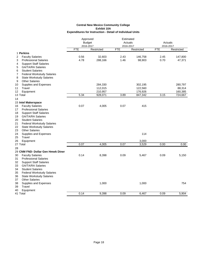|                                                                 |            | Approved<br><b>Budget</b><br>2016-2017 |            | Estimated<br>Actuals<br>2016-2017 |            | Actuals<br>2016-2017 |  |
|-----------------------------------------------------------------|------------|----------------------------------------|------------|-----------------------------------|------------|----------------------|--|
|                                                                 | <b>FTE</b> | Restricted                             | <b>FTE</b> | Restricted                        | <b>FTE</b> | Restricted           |  |
| 1 Perkins                                                       |            |                                        |            |                                   |            |                      |  |
| 2<br><b>Faculty Salaries</b>                                    | 0.56       | 32,603                                 | 2.43       | 146,758                           | 2.45       | 147,800              |  |
| <b>Professional Salaries</b><br>3                               | 4.78       | 288,166                                | 1.46       | 98,903                            | 0.70       | 47,371               |  |
| <b>Support Staff Salaries</b><br>4                              |            |                                        |            |                                   |            |                      |  |
| <b>GA/TA/RA Salaries</b><br>5                                   |            |                                        |            |                                   |            |                      |  |
| <b>Student Salaries</b><br>6                                    |            |                                        |            |                                   |            |                      |  |
| <b>Federal Workstudy Salaries</b><br>7                          |            |                                        |            |                                   |            |                      |  |
| 8<br><b>State Workstudy Salaries</b>                            |            |                                        |            |                                   |            |                      |  |
| 9<br><b>Other Salaries</b>                                      |            |                                        |            |                                   |            |                      |  |
| Supplies and Expenses<br>10                                     |            | 284,330                                |            | 302,195                           |            | 280,797              |  |
| Travel<br>11                                                    |            | 112,015                                |            | 122,560                           |            | 88,314               |  |
| 12<br>Equipment                                                 |            | 210,957                                |            | 176,926                           |            | 160,385              |  |
| 13 Total                                                        | 5.34       | 928,071                                | 3.89       | 847,342                           | 3.15       | 724,667              |  |
| 14                                                              |            |                                        |            |                                   |            |                      |  |
| 15 Intel Makerspace                                             |            |                                        |            |                                   |            |                      |  |
| <b>Faculty Salaries</b><br>16                                   | 0.07       | 4,005                                  | 0.07       | 415                               |            |                      |  |
| 17<br><b>Professional Salaries</b>                              |            |                                        |            |                                   |            |                      |  |
| 18<br><b>Support Staff Salaries</b><br><b>GA/TA/RA Salaries</b> |            |                                        |            |                                   |            |                      |  |
| 19<br>20<br><b>Student Salaries</b>                             |            |                                        |            |                                   |            |                      |  |
| 21<br><b>Federal Workstudy Salaries</b>                         |            |                                        |            |                                   |            |                      |  |
| 22<br><b>State Workstudy Salaries</b>                           |            |                                        |            |                                   |            |                      |  |
| 23<br><b>Other Salaries</b>                                     |            |                                        |            |                                   |            |                      |  |
| 24<br>Supplies and Expenses                                     |            |                                        |            | 114                               |            |                      |  |
| Travel<br>25                                                    |            |                                        |            |                                   |            |                      |  |
| 26<br>Equipment                                                 |            |                                        |            | 3,000                             |            |                      |  |
| 27 Total                                                        | 0.07       | 4,005                                  | 0.07       | 3,529                             | 0.00       | 0.00                 |  |
| 28                                                              |            |                                        |            |                                   |            |                      |  |
| 29 CNM FND- Dollar Gen Hmwk Diner                               |            |                                        |            |                                   |            |                      |  |
| <b>Faculty Salaries</b><br>30                                   | 0.14       | 8,398                                  | 0.09       | 5,467                             | 0.09       | 5,150                |  |
| 31<br><b>Professional Salaries</b>                              |            |                                        |            |                                   |            |                      |  |
| 32<br><b>Support Staff Salaries</b>                             |            |                                        |            |                                   |            |                      |  |
| GA/TA/RA Salaries<br>33                                         |            |                                        |            |                                   |            |                      |  |
| 34<br><b>Student Salaries</b>                                   |            |                                        |            |                                   |            |                      |  |
| 35<br><b>Federal Workstudy Salaries</b>                         |            |                                        |            |                                   |            |                      |  |
| 36<br><b>State Workstudy Salaries</b>                           |            |                                        |            |                                   |            |                      |  |
| <b>Other Salaries</b><br>37                                     |            |                                        |            |                                   |            |                      |  |
| 38<br>Supplies and Expenses                                     |            | 1,000                                  |            | 1,000                             |            | 754                  |  |
| 39<br>Travel                                                    |            |                                        |            |                                   |            |                      |  |
| 40<br>Equipment                                                 |            |                                        |            |                                   |            |                      |  |
| 41 Total                                                        | 0.14       | 9,398                                  | 0.09       | 6,467                             | 0.09       | 5,904                |  |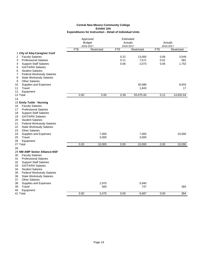|                                         |            | Approved                |                         | Estimated  |                         |            |
|-----------------------------------------|------------|-------------------------|-------------------------|------------|-------------------------|------------|
|                                         |            | <b>Budget</b>           |                         | Actuals    | Actuals                 |            |
|                                         | <b>FTE</b> | 2016-2017<br>Restricted | 2016-2017<br><b>FTE</b> | Restricted | 2016-2017<br><b>FTE</b> | Restricted |
| 1 City of Abq-Caregiver Conf            |            |                         |                         |            |                         |            |
| <b>Faculty Salaries</b><br>2            |            |                         | 0.22                    | 13,000     | 0.06                    | 3,549      |
| <b>Professional Salaries</b><br>3       |            |                         | 0.11                    | 7,571      | 0.01                    | 581        |
| <b>Support Staff Salaries</b><br>4      |            |                         | 0.06                    | 2,073      | 0.05                    | 1,753      |
| <b>GA/TA/RA Salaries</b><br>5           |            |                         |                         |            |                         |            |
| <b>Student Salaries</b><br>6            |            |                         |                         |            |                         |            |
| <b>Federal Workstudy Salaries</b><br>7  |            |                         |                         |            |                         |            |
| 8<br><b>State Workstudy Salaries</b>    |            |                         |                         |            |                         |            |
| <b>Other Salaries</b><br>9              |            |                         |                         |            |                         |            |
| 10<br>Supplies and Expenses             |            |                         |                         | 30,588     |                         | 8,933      |
| Travel<br>11                            |            |                         |                         | 1,843      |                         | 17         |
| 12<br>Equipment                         |            |                         |                         |            |                         |            |
| 13 Total                                | 0.00       | 0.00                    | 0.39                    | 55,075.00  | 0.12                    | 14,832.64  |
| 14                                      |            |                         |                         |            |                         |            |
| 15 Emily Tuttle - Nursing               |            |                         |                         |            |                         |            |
| <b>Faculty Salaries</b><br>16           |            |                         |                         |            |                         |            |
| <b>Professional Salaries</b><br>17      |            |                         |                         |            |                         |            |
| <b>Support Staff Salaries</b><br>18     |            |                         |                         |            |                         |            |
| <b>GA/TA/RA Salaries</b><br>19          |            |                         |                         |            |                         |            |
| <b>Student Salaries</b><br>20           |            |                         |                         |            |                         |            |
| 21<br><b>Federal Workstudy Salaries</b> |            |                         |                         |            |                         |            |
| 22<br><b>State Workstudy Salaries</b>   |            |                         |                         |            |                         |            |
| <b>Other Salaries</b><br>23             |            |                         |                         |            |                         |            |
| 24<br>Supplies and Expenses             |            | 7,000                   |                         | 7,000      |                         | 10,000     |
| Travel<br>25                            |            | 3,000                   |                         | 3,000      |                         |            |
| 26<br>Equipment                         |            |                         |                         |            |                         |            |
| 27 Total                                | 0.00       | 10,000                  | 0.00                    | 10,000     | 0.00                    | 10,000     |
| 28                                      |            |                         |                         |            |                         |            |
| 29 NM AMP Senior Alliance-NSF           |            |                         |                         |            |                         |            |
| <b>Faculty Salaries</b><br>30           |            |                         |                         |            |                         |            |
| 31<br><b>Professional Salaries</b>      |            |                         |                         |            |                         |            |
| 32<br><b>Support Staff Salaries</b>     |            |                         |                         |            |                         |            |
| 33<br><b>GA/TA/RA Salaries</b>          |            |                         |                         |            |                         |            |
| <b>Student Salaries</b><br>34           |            |                         |                         |            |                         |            |
| 35<br><b>Federal Workstudy Salaries</b> |            |                         |                         |            |                         |            |
| 36<br><b>State Workstudy Salaries</b>   |            |                         |                         |            |                         |            |
| <b>Other Salaries</b><br>37             |            |                         |                         |            |                         |            |
| 38<br>Supplies and Expenses             |            | 2,970                   |                         | 5,940      |                         |            |
| 39<br>Travel                            |            | 500                     |                         | 747        |                         | 384        |
| 40<br>Equipment                         |            |                         |                         |            |                         |            |
| 41 Total                                | 0.00       | 3,470                   | 0.00                    | 6,687      | 0.00                    | 384        |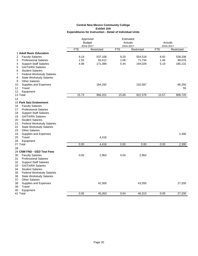|                                                                |            | Approved                |                         | Estimated  |                         |            |
|----------------------------------------------------------------|------------|-------------------------|-------------------------|------------|-------------------------|------------|
|                                                                |            | <b>Budget</b>           | Actuals                 |            | Actuals                 |            |
|                                                                | <b>FTE</b> | 2016-2017<br>Restricted | 2016-2017<br><b>FTE</b> | Restricted | 2016-2017<br><b>FTE</b> | Restricted |
| 1 Adult Basic Education                                        |            |                         |                         |            |                         |            |
| 2<br><b>Faculty Salaries</b>                                   | 9.19       | 537,108                 | 9.20                    | 554,518    | 8.92                    | 538,208    |
| <b>Professional Salaries</b><br>3                              | 1.55       | 93,412                  | 1.06                    | 71,734     | 1.46                    | 99,076     |
| <b>Support Staff Salaries</b><br>4                             | 4.99       | 171,389                 | 5.44                    | 194,029    | 5.19                    | 185,131    |
| <b>GA/TA/RA Salaries</b><br>5                                  |            |                         |                         |            |                         |            |
| 6<br><b>Student Salaries</b>                                   |            |                         |                         |            |                         |            |
| <b>Federal Workstudy Salaries</b><br>7                         |            |                         |                         |            |                         |            |
| 8<br><b>State Workstudy Salaries</b>                           |            |                         |                         |            |                         |            |
| <b>Other Salaries</b><br>9                                     |            |                         |                         |            |                         |            |
| Supplies and Expenses<br>10                                    |            | 164,292                 |                         | 102,097    |                         | 86,250     |
| Travel<br>11                                                   |            |                         |                         |            |                         | 55         |
| 12<br>Equipment                                                |            |                         |                         |            |                         |            |
| 13 Total                                                       | 15.73      | 966,201                 | 15.69                   | 922,378    | 15.57                   | 908,720    |
| 14                                                             |            |                         |                         |            |                         |            |
| 15 Park Saiz Endowment                                         |            |                         |                         |            |                         |            |
| <b>Faculty Salaries</b><br>16                                  |            |                         |                         |            |                         |            |
| <b>Professional Salaries</b><br>17                             |            |                         |                         |            |                         |            |
| <b>Support Staff Salaries</b><br>18                            |            |                         |                         |            |                         |            |
| <b>GA/TA/RA Salaries</b><br>19                                 |            |                         |                         |            |                         |            |
| 20<br><b>Student Salaries</b>                                  |            |                         |                         |            |                         |            |
| 21<br><b>Federal Workstudy Salaries</b>                        |            |                         |                         |            |                         |            |
| 22<br><b>State Workstudy Salaries</b>                          |            |                         |                         |            |                         |            |
| 23<br><b>Other Salaries</b>                                    |            |                         |                         |            |                         |            |
| 24<br>Supplies and Expenses                                    |            |                         |                         |            |                         | 2,300      |
| 25<br>Travel                                                   |            | 4,416                   |                         |            |                         |            |
| 26<br>Equipment                                                |            |                         |                         |            |                         |            |
| 27 Total                                                       | 0.00       | 4,416                   | 0.00                    | 0.00       | 0.00                    | 2,300      |
| 28                                                             |            |                         |                         |            |                         |            |
| 29 CNM FND - GED Test Fees                                     |            |                         |                         |            |                         |            |
| <b>Faculty Salaries</b><br>30                                  | 0.05       | 2,963                   | 0.04                    | 2,963      |                         |            |
| <b>Professional Salaries</b><br>31                             |            |                         |                         |            |                         |            |
| 32<br><b>Support Staff Salaries</b>                            |            |                         |                         |            |                         |            |
| <b>GA/TA/RA Salaries</b><br>33                                 |            |                         |                         |            |                         |            |
| <b>Student Salaries</b><br>34                                  |            |                         |                         |            |                         |            |
| 35<br><b>Federal Workstudy Salaries</b><br>36                  |            |                         |                         |            |                         |            |
| <b>State Workstudy Salaries</b><br><b>Other Salaries</b><br>37 |            |                         |                         |            |                         |            |
| 38<br>Supplies and Expenses                                    |            | 42,300                  |                         | 43,350     |                         | 27,200     |
| Travel<br>39                                                   |            |                         |                         |            |                         |            |
| 40<br>Equipment                                                |            |                         |                         |            |                         |            |
| 41 Total                                                       | 0.05       | 45,263                  | 0.04                    | 46,313     | 0.00                    | 27,200     |
|                                                                |            |                         |                         |            |                         |            |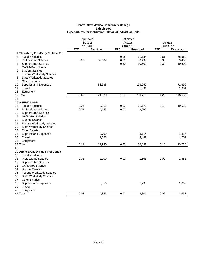|                                                                       |            | Approved      |            | Estimated  |            |            |  |
|-----------------------------------------------------------------------|------------|---------------|------------|------------|------------|------------|--|
|                                                                       |            | <b>Budget</b> | Actuals    |            | Actuals    |            |  |
|                                                                       |            | 2016-2017     | 2016-2017  |            | 2016-2017  |            |  |
|                                                                       | <b>FTE</b> | Restricted    | <b>FTE</b> | Restricted | <b>FTE</b> | Restricted |  |
| 1 Thornburg Fnd-Early Childhd Ed                                      |            |               |            |            |            |            |  |
| <b>Faculty Salaries</b><br>2                                          |            |               | 0.18       | 11,134     | 0.61       | 36,960     |  |
| 3<br><b>Professional Salaries</b>                                     | 0.62       | 37,087        | 0.79       | 53,499     | 0.35       | 23,460     |  |
| 4<br><b>Support Staff Salaries</b>                                    |            |               | 0.30       | 10,602     | 0.30       | 10,602     |  |
| <b>GA/TA/RA Salaries</b><br>5                                         |            |               |            |            |            |            |  |
| <b>Student Salaries</b><br>6                                          |            |               |            |            |            |            |  |
| <b>Federal Workstudy Salaries</b><br>7                                |            |               |            |            |            |            |  |
| 8<br><b>State Workstudy Salaries</b>                                  |            |               |            |            |            |            |  |
| <b>Other Salaries</b><br>9                                            |            |               |            |            |            |            |  |
| Supplies and Expenses<br>10                                           |            | 83,933        |            | 153,552    |            | 72,699     |  |
| Travel<br>11                                                          |            |               |            | 1,931      |            | 1,931      |  |
| 12<br>Equipment                                                       |            |               | 1.27       |            | 1.26       |            |  |
| 13 Total                                                              | 0.62       | 121,020       |            | 230,718    |            | 145,652    |  |
| 14                                                                    |            |               |            |            |            |            |  |
| 15 ASERT (UNM)                                                        |            |               |            |            |            |            |  |
| <b>Faculty Salaries</b><br>16                                         | 0.04       | 2,512         | 0.19       | 11,172     | 0.18       | 10,622     |  |
| <b>Professional Salaries</b><br>17                                    | 0.07       | 4,155         | 0.03       | 2,069      |            |            |  |
| 18<br><b>Support Staff Salaries</b><br>19<br><b>GA/TA/RA Salaries</b> |            |               |            |            |            |            |  |
| 20<br><b>Student Salaries</b>                                         |            |               |            |            |            |            |  |
| 21<br><b>Federal Workstudy Salaries</b>                               |            |               |            |            |            |            |  |
| <b>State Workstudy Salaries</b><br>22                                 |            |               |            |            |            |            |  |
| 23<br><b>Other Salaries</b>                                           |            |               |            |            |            |            |  |
| 24<br>Supplies and Expenses                                           |            | 3,700         |            | 3,114      |            | 1,337      |  |
| Travel<br>25                                                          |            | 2,568         |            | 3,482      |            | 1,769      |  |
| 26<br>Equipment                                                       |            |               |            |            |            |            |  |
| 27 Total                                                              | 0.11       | 12,935        | 0.22       | 19,837     | 0.18       | 13,728     |  |
| 28                                                                    |            |               |            |            |            |            |  |
| 29 Annie E Casey Fnd Fincl Coach                                      |            |               |            |            |            |            |  |
| <b>Faculty Salaries</b><br>30                                         |            |               |            |            |            |            |  |
| <b>Professional Salaries</b><br>31                                    | 0.03       | 2,000         | 0.02       | 1,568      | 0.02       | 1,568      |  |
| 32<br><b>Support Staff Salaries</b>                                   |            |               |            |            |            |            |  |
| <b>GA/TA/RA Salaries</b><br>33                                        |            |               |            |            |            |            |  |
| <b>Student Salaries</b><br>34                                         |            |               |            |            |            |            |  |
| 35<br><b>Federal Workstudy Salaries</b>                               |            |               |            |            |            |            |  |
| <b>State Workstudy Salaries</b><br>36                                 |            |               |            |            |            |            |  |
| <b>Other Salaries</b><br>37                                           |            |               |            |            |            |            |  |
| 38<br>Supplies and Expenses                                           |            | 2,856         |            | 1,233      |            | 1,069      |  |
| Travel<br>39                                                          |            |               |            |            |            |            |  |
| 40<br>Equipment                                                       |            |               |            |            |            |            |  |
| 41 Total                                                              | 0.03       | 4,856         | 0.02       | 2,801      | 0.02       | 2,637      |  |
|                                                                       |            |               |            |            |            |            |  |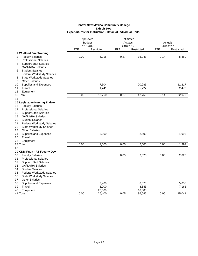|                                                               |            | Approved<br><b>Budget</b><br>2016-2017 |            | Estimated<br>Actuals<br>2016-2017 |            | Actuals<br>2016-2017 |  |
|---------------------------------------------------------------|------------|----------------------------------------|------------|-----------------------------------|------------|----------------------|--|
|                                                               | <b>FTE</b> | Restricted                             | <b>FTE</b> | Restricted                        | <b>FTE</b> | Restricted           |  |
| 1 Wildland Fire Training                                      |            |                                        |            |                                   |            |                      |  |
| <b>Faculty Salaries</b><br>2                                  | 0.09       | 5,215                                  | 0.27       | 16,043                            | 0.14       | 8,380                |  |
| <b>Professional Salaries</b><br>3                             |            |                                        |            |                                   |            |                      |  |
| <b>Support Staff Salaries</b><br>4                            |            |                                        |            |                                   |            |                      |  |
| <b>GA/TA/RA Salaries</b><br>5                                 |            |                                        |            |                                   |            |                      |  |
| <b>Student Salaries</b><br>6                                  |            |                                        |            |                                   |            |                      |  |
| <b>Federal Workstudy Salaries</b><br>7                        |            |                                        |            |                                   |            |                      |  |
| 8<br><b>State Workstudy Salaries</b>                          |            |                                        |            |                                   |            |                      |  |
| <b>Other Salaries</b><br>9                                    |            |                                        |            |                                   |            |                      |  |
| Supplies and Expenses<br>10                                   |            | 7,304                                  |            | 20,985                            |            | 11,217               |  |
| Travel<br>11                                                  |            | 1,241                                  |            | 5,722                             |            | 2,478                |  |
| Equipment<br>12                                               |            |                                        |            |                                   |            |                      |  |
| 13 Total                                                      | 0.09       | 13,760                                 | 0.27       | 42,750                            | 0.14       | 22,075               |  |
| 14                                                            |            |                                        |            |                                   |            |                      |  |
| 15 Legislative Nursing Endow<br><b>Faculty Salaries</b><br>16 |            |                                        |            |                                   |            |                      |  |
| <b>Professional Salaries</b><br>17                            |            |                                        |            |                                   |            |                      |  |
| 18<br><b>Support Staff Salaries</b>                           |            |                                        |            |                                   |            |                      |  |
| 19<br><b>GA/TA/RA Salaries</b>                                |            |                                        |            |                                   |            |                      |  |
| <b>Student Salaries</b><br>20                                 |            |                                        |            |                                   |            |                      |  |
| 21<br><b>Federal Workstudy Salaries</b>                       |            |                                        |            |                                   |            |                      |  |
| 22<br><b>State Workstudy Salaries</b>                         |            |                                        |            |                                   |            |                      |  |
| 23<br><b>Other Salaries</b>                                   |            |                                        |            |                                   |            |                      |  |
| 24<br>Supplies and Expenses                                   |            | 2,500                                  |            | 2,500                             |            | 1,992                |  |
| 25<br>Travel                                                  |            |                                        |            |                                   |            |                      |  |
| 26<br>Equipment                                               |            |                                        |            |                                   |            |                      |  |
| 27 Total                                                      | 0.00       | 2,500                                  | 0.00       | 2,500                             | 0.00       | 1,992                |  |
| 28                                                            |            |                                        |            |                                   |            |                      |  |
| 29 CNM Fndn - AT Faculty Dev                                  |            |                                        |            |                                   |            |                      |  |
| <b>Faculty Salaries</b><br>30                                 |            |                                        | 0.05       | 2,825                             | 0.05       | 2,825                |  |
| 31<br><b>Professional Salaries</b>                            |            |                                        |            |                                   |            |                      |  |
| 32<br><b>Support Staff Salaries</b>                           |            |                                        |            |                                   |            |                      |  |
| GA/TA/RA Salaries<br>33                                       |            |                                        |            |                                   |            |                      |  |
| 34<br><b>Student Salaries</b>                                 |            |                                        |            |                                   |            |                      |  |
| <b>Federal Workstudy Salaries</b><br>35                       |            |                                        |            |                                   |            |                      |  |
| <b>State Workstudy Salaries</b><br>36                         |            |                                        |            |                                   |            |                      |  |
| <b>Other Salaries</b><br>37                                   |            |                                        |            |                                   |            |                      |  |
| 38<br>Supplies and Expenses                                   |            | 3,400                                  |            | 6,878                             |            | 5,055                |  |
| Travel<br>39                                                  |            | 3,000                                  |            | 8,643                             |            | 7,161                |  |
| Equipment<br>40                                               |            | 20,000                                 |            | 18,300                            |            |                      |  |
| 41 Total                                                      | 0.00       | 26,400                                 | 0.05       | 36,646                            | 0.05       | 15,041               |  |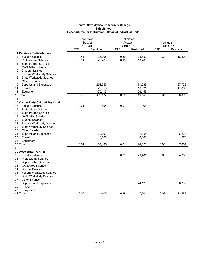|                                         |            | Approved                |            | Estimated<br>Actuals    |            |                         |  |
|-----------------------------------------|------------|-------------------------|------------|-------------------------|------------|-------------------------|--|
|                                         |            | <b>Budget</b>           |            |                         | Actuals    |                         |  |
|                                         | <b>FTE</b> | 2016-2017<br>Restricted | <b>FTE</b> | 2016-2017<br>Restricted | <b>FTE</b> | 2016-2017<br>Restricted |  |
| 1 Perkins - Redistribution              |            |                         |            |                         |            |                         |  |
| <b>Faculty Salaries</b><br>2            | 0.44       | 26,008                  | 0.39       | 23,530                  | 0.31       | 18,809                  |  |
| 3<br><b>Professional Salaries</b>       | 0.34       | 20,760                  | 0.16       | 10,760                  |            |                         |  |
| <b>Support Staff Salaries</b><br>4      |            |                         |            |                         |            |                         |  |
| <b>GA/TA/RA Salaries</b><br>5           |            |                         |            |                         |            |                         |  |
| <b>Student Salaries</b><br>6            |            |                         |            |                         |            |                         |  |
| 7<br><b>Federal Workstudy Salaries</b>  |            |                         |            |                         |            |                         |  |
| 8<br><b>State Workstudy Salaries</b>    |            |                         |            |                         |            |                         |  |
| 9<br><b>Other Salaries</b>              |            |                         |            |                         |            |                         |  |
| Supplies and Expenses<br>10             |            | 251,646                 |            | 71,589                  |            | 37,723                  |  |
| 11<br>Travel                            |            | 23,650                  |            | 16,821                  |            | 11,863                  |  |
| 12<br>Equipment                         |            | 170,413                 |            | 26,458                  |            |                         |  |
| 13 Total                                | 0.78       | 492,477                 | 0.55       | 149,158                 | 0.31       | 68,395                  |  |
| 14                                      |            |                         |            |                         |            |                         |  |
| 15 Carino Early Childhd Toy Lend        |            |                         |            |                         |            |                         |  |
| <b>Faculty Salaries</b><br>16           | 0.01       | 594                     | 0.01       | 65                      |            |                         |  |
| 17<br><b>Professional Salaries</b>      |            |                         |            |                         |            |                         |  |
| <b>Support Staff Salaries</b><br>18     |            |                         |            |                         |            |                         |  |
| <b>GA/TA/RA Salaries</b><br>19          |            |                         |            |                         |            |                         |  |
| 20<br><b>Student Salaries</b>           |            |                         |            |                         |            |                         |  |
| 21<br><b>Federal Workstudy Salaries</b> |            |                         |            |                         |            |                         |  |
| 22<br><b>State Workstudy Salaries</b>   |            |                         |            |                         |            |                         |  |
| 23<br><b>Other Salaries</b>             |            |                         |            |                         |            |                         |  |
| 24<br>Supplies and Expenses             |            | 30,891                  |            | 17,955                  |            | 6,228                   |  |
| Travel<br>25                            |            | 6,000                   |            | 6,000                   |            | 1,576                   |  |
| 26<br>Equipment                         |            |                         |            |                         |            |                         |  |
| 27 Total                                | 0.01       | 37,485                  | 0.01       | 24,020                  | 0.00       | 7,804                   |  |
| 28                                      |            |                         |            |                         |            |                         |  |
| 29 Accelerator-IGNITE                   |            |                         |            |                         |            |                         |  |
| <b>Faculty Salaries</b><br>30           |            |                         | 0.39       | 23,481                  | 0.08       | 4,756                   |  |
| 31<br><b>Professional Salaries</b>      |            |                         |            |                         |            |                         |  |
| 32<br><b>Support Staff Salaries</b>     |            |                         |            |                         |            |                         |  |
| 33<br><b>GA/TA/RA Salaries</b>          |            |                         |            |                         |            |                         |  |
| <b>Student Salaries</b><br>34           |            |                         |            |                         |            |                         |  |
| 35<br><b>Federal Workstudy Salaries</b> |            |                         |            |                         |            |                         |  |
| 36<br><b>State Workstudy Salaries</b>   |            |                         |            |                         |            |                         |  |
| <b>Other Salaries</b><br>37             |            |                         |            |                         |            |                         |  |
| 38<br>Supplies and Expenses             |            |                         |            | 24,120                  |            | 6,732                   |  |
| 39<br>Travel                            |            |                         |            |                         |            |                         |  |
| 40<br>Equipment                         |            |                         |            |                         |            |                         |  |
| 41 Total                                | 0.00       | 0.00                    | 0.39       | 47,601                  | 0.08       | 11,488                  |  |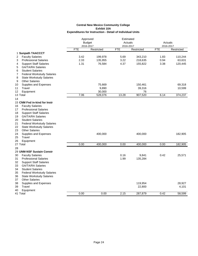|                                         |            | Approved<br><b>Budget</b> |                         | Estimated<br>Actuals |                         | Actuals    |  |
|-----------------------------------------|------------|---------------------------|-------------------------|----------------------|-------------------------|------------|--|
|                                         | <b>FTE</b> | 2016-2017<br>Restricted   | 2016-2017<br><b>FTE</b> | Restricted           | 2016-2017<br><b>FTE</b> | Restricted |  |
| 1 Sunpath TAACCCT                       |            |                           |                         |                      |                         |            |  |
| <b>Faculty Salaries</b><br>2            | 3.42       | 199,978                   | 5.69                    | 343,210              | 1.83                    | 110,244    |  |
| <b>Professional Salaries</b><br>3       | 2.33       | 135,955                   | 3.22                    | 218,635              | 0.94                    | 63,631     |  |
| <b>Support Staff Salaries</b><br>4      | 1.31       | 76,584                    | 4.37                    | 155,822              | 3.38                    | 120,445    |  |
| 5<br><b>GA/TA/RA Salaries</b>           |            |                           |                         |                      |                         |            |  |
| <b>Student Salaries</b><br>6            |            |                           |                         |                      |                         |            |  |
| <b>Federal Workstudy Salaries</b><br>7  |            |                           |                         |                      |                         |            |  |
| 8<br><b>State Workstudy Salaries</b>    |            |                           |                         |                      |                         |            |  |
| <b>Other Salaries</b><br>9              |            |                           |                         |                      |                         |            |  |
| 10<br>Supplies and Expenses             |            | 75,669                    |                         | 150,461              |                         | 69,318     |  |
| 11<br>Travel                            |            | 9,890                     |                         | 39,316               |                         | 10,599     |  |
| Equipment<br>12                         |            | 30,000                    |                         | 76                   |                         |            |  |
| 13 Total                                | 7.06       | 528,076                   | 13.28                   | 907,520              | 6.14                    | 374,237    |  |
| 14                                      |            |                           |                         |                      |                         |            |  |
| 15 CNM Fnd in-kind for Instr            |            |                           |                         |                      |                         |            |  |
| <b>Faculty Salaries</b><br>16           |            |                           |                         |                      |                         |            |  |
| <b>Professional Salaries</b><br>17      |            |                           |                         |                      |                         |            |  |
| <b>Support Staff Salaries</b><br>18     |            |                           |                         |                      |                         |            |  |
| <b>GA/TA/RA Salaries</b><br>19          |            |                           |                         |                      |                         |            |  |
| 20<br><b>Student Salaries</b>           |            |                           |                         |                      |                         |            |  |
| 21<br><b>Federal Workstudy Salaries</b> |            |                           |                         |                      |                         |            |  |
| 22<br><b>State Workstudy Salaries</b>   |            |                           |                         |                      |                         |            |  |
| <b>Other Salaries</b><br>23             |            |                           |                         |                      |                         |            |  |
| 24<br>Supplies and Expenses             |            | 400,000                   |                         | 400,000              |                         | 182,905    |  |
| 25<br>Travel                            |            |                           |                         |                      |                         |            |  |
| 26<br>Equipment                         |            |                           |                         |                      |                         |            |  |
| 27 Total                                | 0.00       | 400,000                   | 0.00                    | 400,000              | 0.00                    | 182,905    |  |
| 28                                      |            |                           |                         |                      |                         |            |  |
| 29 UNM-NSF Sustain Constr               |            |                           |                         |                      |                         |            |  |
| <b>Faculty Salaries</b><br>30           |            |                           | 0.16                    | 9,841                | 0.42                    | 25,571     |  |
| 31<br><b>Professional Salaries</b>      |            |                           | 1.99                    | 135,284              |                         |            |  |
| 32<br><b>Support Staff Salaries</b>     |            |                           |                         |                      |                         |            |  |
| GA/TA/RA Salaries<br>33                 |            |                           |                         |                      |                         |            |  |
| 34<br><b>Student Salaries</b>           |            |                           |                         |                      |                         |            |  |
| 35<br><b>Federal Workstudy Salaries</b> |            |                           |                         |                      |                         |            |  |
| 36<br><b>State Workstudy Salaries</b>   |            |                           |                         |                      |                         |            |  |
| <b>Other Salaries</b><br>37             |            |                           |                         |                      |                         |            |  |
| 38<br>Supplies and Expenses             |            |                           |                         | 119,954              |                         | 28,927     |  |
| Travel<br>39                            |            |                           |                         | 22,800               |                         | 4,101      |  |
| 40<br>Equipment                         | 0.00       | 0.00                      | 2.15                    | 287,879              | 0.42                    | 58,599     |  |
| 41 Total                                |            |                           |                         |                      |                         |            |  |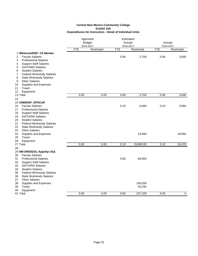|                                                                                                                                                                                                                                                                                                                                                                   | Approved<br>Estimated<br><b>Budget</b><br>Actuals<br>2016-2017<br>2016-2017 |            | Actuals<br>2016-2017 |                   |            |            |
|-------------------------------------------------------------------------------------------------------------------------------------------------------------------------------------------------------------------------------------------------------------------------------------------------------------------------------------------------------------------|-----------------------------------------------------------------------------|------------|----------------------|-------------------|------------|------------|
|                                                                                                                                                                                                                                                                                                                                                                   | <b>FTE</b>                                                                  | Restricted | <b>FTE</b>           | Restricted        | <b>FTE</b> | Restricted |
| 1 Whatcom/NSF: C5 Mentee<br>2<br><b>Faculty Salaries</b><br><b>Professional Salaries</b><br>3<br><b>Support Staff Salaries</b><br>4<br><b>GA/TA/RA Salaries</b><br>5<br><b>Student Salaries</b><br>6                                                                                                                                                              |                                                                             |            | 0.06                 | 3,704             | 0.06       | 3,840      |
| 7<br><b>Federal Workstudy Salaries</b><br>8<br><b>State Workstudy Salaries</b><br><b>Other Salaries</b><br>9<br>Supplies and Expenses<br>10<br>Travel<br>11<br>12<br>Equipment                                                                                                                                                                                    |                                                                             |            |                      |                   |            |            |
| 13 Total                                                                                                                                                                                                                                                                                                                                                          | 0.00                                                                        | 0.00       | 0.06                 | 3,704             | 0.06       | 3,840      |
| 14                                                                                                                                                                                                                                                                                                                                                                |                                                                             |            |                      |                   |            |            |
| <b>15 UNM/NSF: EPSCoR</b><br>16<br><b>Faculty Salaries</b><br><b>Professional Salaries</b><br>17<br><b>Support Staff Salaries</b><br>18<br><b>GA/TA/RA Salaries</b><br>19<br><b>Student Salaries</b><br>20<br>21<br><b>Federal Workstudy Salaries</b><br>22<br><b>State Workstudy Salaries</b>                                                                    |                                                                             |            | 0.10                 | 6,000             | 0.10       | 5,994      |
| 23<br><b>Other Salaries</b><br>24<br>Supplies and Expenses<br>25<br>Travel<br>26<br>Equipment                                                                                                                                                                                                                                                                     |                                                                             |            |                      | 23,900            |            | 18,084     |
| 27 Total                                                                                                                                                                                                                                                                                                                                                          | 0.00                                                                        | 0.00       | 0.10                 | 29,900.00         | 0.10       | 24,078     |
| 28<br>29 NM DWS/DOL-Appshp USA<br>30<br><b>Faculty Salaries</b><br>31<br><b>Professional Salaries</b><br>32<br><b>Support Staff Salaries</b><br>33<br><b>GA/TA/RA Salaries</b><br><b>Student Salaries</b><br>34<br>35<br><b>Federal Workstudy Salaries</b><br>36<br><b>State Workstudy Salaries</b><br><b>Other Salaries</b><br>37<br>38<br>Supplies and Expenses |                                                                             |            | 0.82                 | 56,000<br>156,028 |            |            |
| Travel<br>39<br>40<br>Equipment                                                                                                                                                                                                                                                                                                                                   |                                                                             |            |                      | 35,200            |            |            |
| 41 Total                                                                                                                                                                                                                                                                                                                                                          | 0.00                                                                        | 0.00       | 0.82                 | 247,228           | 0.00       | 0          |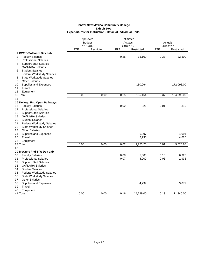|                                                                           | Approved<br><b>Budget</b><br>2016-2017 |            | Estimated<br>Actuals<br>2016-2017 |            | Actuals<br>2016-2017 |            |
|---------------------------------------------------------------------------|----------------------------------------|------------|-----------------------------------|------------|----------------------|------------|
|                                                                           | <b>FTE</b>                             | Restricted | <b>FTE</b>                        | Restricted | <b>FTE</b>           | Restricted |
| 1 DWFS-Software Dev Lab<br><b>Faculty Salaries</b><br>2                   |                                        |            | 0.25                              | 15,100     | 0.37                 | 22,500     |
| 3<br><b>Professional Salaries</b>                                         |                                        |            |                                   |            |                      |            |
| <b>Support Staff Salaries</b><br>4                                        |                                        |            |                                   |            |                      |            |
| 5<br><b>GA/TA/RA Salaries</b><br><b>Student Salaries</b>                  |                                        |            |                                   |            |                      |            |
| 6<br>7<br><b>Federal Workstudy Salaries</b>                               |                                        |            |                                   |            |                      |            |
| 8<br><b>State Workstudy Salaries</b>                                      |                                        |            |                                   |            |                      |            |
| <b>Other Salaries</b><br>9                                                |                                        |            |                                   |            |                      |            |
| Supplies and Expenses<br>10                                               |                                        |            |                                   | 180,064    |                      | 172,098.00 |
| Travel<br>11                                                              |                                        |            |                                   |            |                      |            |
| 12<br>Equipment                                                           |                                        |            |                                   |            |                      |            |
| 13 Total                                                                  | 0.00                                   | 0.00       | 0.25                              | 195,164    | 0.37                 | 194,598.00 |
| 14                                                                        |                                        |            |                                   |            |                      |            |
| 15 Kellogg Fnd Open Pathways                                              |                                        |            |                                   |            |                      |            |
| <b>Faculty Salaries</b><br>16                                             |                                        |            | 0.02                              | 926        | 0.01                 | 810        |
| <b>Professional Salaries</b><br>17                                        |                                        |            |                                   |            |                      |            |
| <b>Support Staff Salaries</b><br>18                                       |                                        |            |                                   |            |                      |            |
| 19<br><b>GA/TA/RA Salaries</b><br><b>Student Salaries</b><br>20           |                                        |            |                                   |            |                      |            |
| 21<br><b>Federal Workstudy Salaries</b>                                   |                                        |            |                                   |            |                      |            |
| 22<br><b>State Workstudy Salaries</b>                                     |                                        |            |                                   |            |                      |            |
| <b>Other Salaries</b><br>23                                               |                                        |            |                                   |            |                      |            |
| Supplies and Expenses<br>24                                               |                                        |            |                                   | 6,097      |                      | 4,094      |
| Travel<br>25                                                              |                                        |            |                                   | 2,730      |                      | 4,620      |
| 26<br>Equipment                                                           |                                        |            |                                   |            |                      |            |
| 27 Total                                                                  | 0.00                                   | 0.00       | 0.02                              | 9,753.20   | 0.01                 | 9,523.88   |
| 28                                                                        |                                        |            |                                   |            |                      |            |
| 29 McCune Fnd-S/W Dev Lab                                                 |                                        |            |                                   |            |                      |            |
| 30<br><b>Faculty Salaries</b>                                             |                                        |            | 0.08                              | 5,000      | 0.10                 | 6,325      |
| 31<br><b>Professional Salaries</b><br><b>Support Staff Salaries</b><br>32 |                                        |            | 0.07                              | 5,000      | 0.03                 | 1,938      |
| 33<br><b>GA/TA/RA Salaries</b>                                            |                                        |            |                                   |            |                      |            |
| <b>Student Salaries</b><br>34                                             |                                        |            |                                   |            |                      |            |
| 35<br><b>Federal Workstudy Salaries</b>                                   |                                        |            |                                   |            |                      |            |
| 36<br><b>State Workstudy Salaries</b>                                     |                                        |            |                                   |            |                      |            |
| <b>Other Salaries</b><br>37                                               |                                        |            |                                   |            |                      |            |
| 38<br>Supplies and Expenses                                               |                                        |            |                                   | 4,799      |                      | 3,077      |
| Travel<br>39                                                              |                                        |            |                                   |            |                      |            |
| 40<br>Equipment                                                           |                                        |            |                                   |            |                      |            |
| 41 Total                                                                  | 0.00                                   | 0.00       | 0.16                              | 14,799.00  | 0.13                 | 11,340.00  |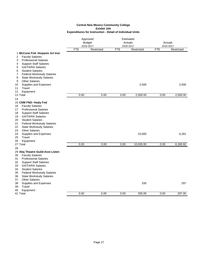|                                                                           |            | Approved<br><b>Budget</b><br>2016-2017 | Estimated<br>Actuals<br>2016-2017 |            | 2016-2017  | Actuals    |
|---------------------------------------------------------------------------|------------|----------------------------------------|-----------------------------------|------------|------------|------------|
|                                                                           | <b>FTE</b> | Restricted                             | <b>FTE</b>                        | Restricted | <b>FTE</b> | Restricted |
| 1 McCune Fnd- Hispanic Art Inst                                           |            |                                        |                                   |            |            |            |
| 2<br><b>Faculty Salaries</b>                                              |            |                                        |                                   |            |            |            |
| <b>Professional Salaries</b><br>3                                         |            |                                        |                                   |            |            |            |
| <b>Support Staff Salaries</b><br>4                                        |            |                                        |                                   |            |            |            |
| <b>GA/TA/RA Salaries</b><br>5                                             |            |                                        |                                   |            |            |            |
| <b>Student Salaries</b><br>6                                              |            |                                        |                                   |            |            |            |
| 7<br><b>Federal Workstudy Salaries</b>                                    |            |                                        |                                   |            |            |            |
| 8<br><b>State Workstudy Salaries</b>                                      |            |                                        |                                   |            |            |            |
| <b>Other Salaries</b><br>9                                                |            |                                        |                                   |            |            |            |
| Supplies and Expenses<br>10<br>Travel<br>11                               |            |                                        |                                   | 2,500      |            | 2,500      |
| 12<br>Equipment                                                           |            |                                        |                                   |            |            |            |
| 13 Total                                                                  | 0.00       | 0.00                                   | 0.00                              | 2,500.00   | 0.00       | 2,500.00   |
| 14                                                                        |            |                                        |                                   |            |            |            |
| 15 CNM FND- Healy Fnd                                                     |            |                                        |                                   |            |            |            |
| <b>Faculty Salaries</b><br>16                                             |            |                                        |                                   |            |            |            |
| <b>Professional Salaries</b><br>17                                        |            |                                        |                                   |            |            |            |
| <b>Support Staff Salaries</b><br>18                                       |            |                                        |                                   |            |            |            |
| <b>GA/TA/RA Salaries</b><br>19                                            |            |                                        |                                   |            |            |            |
| <b>Student Salaries</b><br>20                                             |            |                                        |                                   |            |            |            |
| 21<br><b>Federal Workstudy Salaries</b>                                   |            |                                        |                                   |            |            |            |
| 22<br><b>State Workstudy Salaries</b>                                     |            |                                        |                                   |            |            |            |
| <b>Other Salaries</b><br>23                                               |            |                                        |                                   |            |            |            |
| 24<br>Supplies and Expenses                                               |            |                                        |                                   | 10,000     |            | 6,281      |
| Travel<br>25                                                              |            |                                        |                                   |            |            |            |
| 26<br>Equipment                                                           |            |                                        |                                   |            |            |            |
| 27 Total                                                                  | 0.00       | 0.00                                   | 0.00                              | 10,000.00  | 0.00       | 6,280.92   |
| 28                                                                        |            |                                        |                                   |            |            |            |
| 29 Abq Theatre Guild-Asst Listen                                          |            |                                        |                                   |            |            |            |
| 30<br><b>Faculty Salaries</b>                                             |            |                                        |                                   |            |            |            |
| <b>Professional Salaries</b><br>31<br><b>Support Staff Salaries</b><br>32 |            |                                        |                                   |            |            |            |
| <b>GA/TA/RA Salaries</b><br>33                                            |            |                                        |                                   |            |            |            |
| 34<br><b>Student Salaries</b>                                             |            |                                        |                                   |            |            |            |
| 35<br><b>Federal Workstudy Salaries</b>                                   |            |                                        |                                   |            |            |            |
| <b>State Workstudy Salaries</b><br>36                                     |            |                                        |                                   |            |            |            |
| <b>Other Salaries</b><br>37                                               |            |                                        |                                   |            |            |            |
| Supplies and Expenses<br>38                                               |            |                                        |                                   | 335        |            | 297        |
| Travel<br>39                                                              |            |                                        |                                   |            |            |            |
| Equipment<br>40                                                           |            |                                        |                                   |            |            |            |
| 41 Total                                                                  | 0.00       | 0.00                                   | 0.00                              | 335.00     | 0.00       | 297.00     |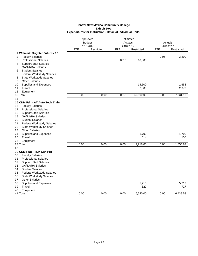|                                                                 |            | Approved                |                         | Estimated  |                         |            |
|-----------------------------------------------------------------|------------|-------------------------|-------------------------|------------|-------------------------|------------|
|                                                                 |            | <b>Budget</b>           | Actuals                 |            | Actuals                 |            |
|                                                                 | <b>FTE</b> | 2016-2017<br>Restricted | 2016-2017<br><b>FTE</b> | Restricted | 2016-2017<br><b>FTE</b> | Restricted |
|                                                                 |            |                         |                         |            |                         |            |
| 1 Walmart: Brighter Futures 3.0<br><b>Faculty Salaries</b><br>2 |            |                         |                         |            | 0.05                    | 3,200      |
| 3<br><b>Professional Salaries</b>                               |            |                         | 0.27                    | 18,000     |                         |            |
| <b>Support Staff Salaries</b><br>4                              |            |                         |                         |            |                         |            |
| <b>GA/TA/RA Salaries</b><br>5                                   |            |                         |                         |            |                         |            |
| <b>Student Salaries</b><br>6                                    |            |                         |                         |            |                         |            |
| <b>Federal Workstudy Salaries</b><br>7                          |            |                         |                         |            |                         |            |
| 8<br><b>State Workstudy Salaries</b>                            |            |                         |                         |            |                         |            |
| <b>Other Salaries</b><br>9                                      |            |                         |                         |            |                         |            |
| Supplies and Expenses<br>10                                     |            |                         |                         | 14,500     |                         | 1,653      |
| Travel<br>11                                                    |            |                         |                         | 7,000      |                         | 2,379      |
| Equipment<br>12                                                 |            |                         |                         |            |                         |            |
| 13 Total                                                        | 0.00       | 0.00                    | 0.27                    | 39,500.00  | 0.05                    | 7,231.16   |
| 14                                                              |            |                         |                         |            |                         |            |
| 15 CNM Fdn - AT Auto Tech Train                                 |            |                         |                         |            |                         |            |
| <b>Faculty Salaries</b><br>16                                   |            |                         |                         |            |                         |            |
| <b>Professional Salaries</b><br>17                              |            |                         |                         |            |                         |            |
| <b>Support Staff Salaries</b><br>18                             |            |                         |                         |            |                         |            |
| 19<br><b>GA/TA/RA Salaries</b>                                  |            |                         |                         |            |                         |            |
| <b>Student Salaries</b><br>20                                   |            |                         |                         |            |                         |            |
| <b>Federal Workstudy Salaries</b><br>21                         |            |                         |                         |            |                         |            |
| <b>State Workstudy Salaries</b><br>22                           |            |                         |                         |            |                         |            |
| <b>Other Salaries</b><br>23                                     |            |                         |                         |            |                         |            |
| Supplies and Expenses<br>24                                     |            |                         |                         | 1,702      |                         | 1,700      |
| Travel<br>25                                                    |            |                         |                         | 514        |                         | 156        |
| 26<br>Equipment                                                 |            |                         |                         |            |                         |            |
| 27 Total                                                        | 0.00       | 0.00                    | 0.00                    | 2,216.00   | 0.00                    | 1,855.87   |
| 28                                                              |            |                         |                         |            |                         |            |
| 29 CNM FND- FILM Gen Prg                                        |            |                         |                         |            |                         |            |
| 30<br><b>Faculty Salaries</b>                                   |            |                         |                         |            |                         |            |
| <b>Professional Salaries</b><br>31                              |            |                         |                         |            |                         |            |
| <b>Support Staff Salaries</b><br>32                             |            |                         |                         |            |                         |            |
| <b>GA/TA/RA Salaries</b><br>33                                  |            |                         |                         |            |                         |            |
| <b>Student Salaries</b><br>34                                   |            |                         |                         |            |                         |            |
| 35<br><b>Federal Workstudy Salaries</b>                         |            |                         |                         |            |                         |            |
| <b>State Workstudy Salaries</b><br>36                           |            |                         |                         |            |                         |            |
| <b>Other Salaries</b><br>37                                     |            |                         |                         |            |                         |            |
| Supplies and Expenses<br>38                                     |            |                         |                         | 5,713      |                         | 5,713      |
| 39<br>Travel                                                    |            |                         |                         | 827        |                         | 727        |
| 40<br>Equipment<br>41 Total                                     | 0.00       | 0.00                    | 0.00                    | 6,540.00   | 0.00                    | 6,439.58   |
|                                                                 |            |                         |                         |            |                         |            |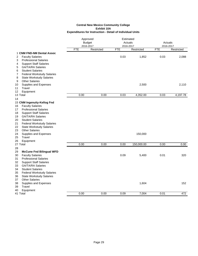|                                                                  |            | Approved<br><b>Budget</b><br>2016-2017 | Estimated<br>Actuals<br>2016-2017 |            | Actuals<br>2016-2017 |            |
|------------------------------------------------------------------|------------|----------------------------------------|-----------------------------------|------------|----------------------|------------|
|                                                                  | <b>FTE</b> | Restricted                             | <b>FTE</b>                        | Restricted | <b>FTE</b>           | Restricted |
| 1 CNM FND-NM Dental Assoc                                        |            |                                        |                                   |            |                      |            |
| 2<br><b>Faculty Salaries</b>                                     |            |                                        | 0.03                              | 1,852      | 0.03                 | 2,088      |
| 3<br><b>Professional Salaries</b>                                |            |                                        |                                   |            |                      |            |
| <b>Support Staff Salaries</b><br>4                               |            |                                        |                                   |            |                      |            |
| 5<br><b>GA/TA/RA Salaries</b>                                    |            |                                        |                                   |            |                      |            |
| <b>Student Salaries</b><br>6                                     |            |                                        |                                   |            |                      |            |
| 7<br><b>Federal Workstudy Salaries</b>                           |            |                                        |                                   |            |                      |            |
| 8<br><b>State Workstudy Salaries</b>                             |            |                                        |                                   |            |                      |            |
| <b>Other Salaries</b><br>9<br>10                                 |            |                                        |                                   | 2,500      |                      | 2,110      |
| Supplies and Expenses<br>Travel<br>11                            |            |                                        |                                   |            |                      |            |
| Equipment<br>12                                                  |            |                                        |                                   |            |                      |            |
| 13 Total                                                         | 0.00       | 0.00                                   | 0.03                              | 4,352.00   | 0.03                 | 4,197.78   |
| 14                                                               |            |                                        |                                   |            |                      |            |
| 15 CNM Ingenuity-Kellog Fnd                                      |            |                                        |                                   |            |                      |            |
| <b>Faculty Salaries</b><br>16                                    |            |                                        |                                   |            |                      |            |
| <b>Professional Salaries</b><br>17                               |            |                                        |                                   |            |                      |            |
| <b>Support Staff Salaries</b><br>18                              |            |                                        |                                   |            |                      |            |
| <b>GA/TA/RA Salaries</b><br>19                                   |            |                                        |                                   |            |                      |            |
| <b>Student Salaries</b><br>20                                    |            |                                        |                                   |            |                      |            |
| <b>Federal Workstudy Salaries</b><br>21                          |            |                                        |                                   |            |                      |            |
| 22<br><b>State Workstudy Salaries</b>                            |            |                                        |                                   |            |                      |            |
| <b>Other Salaries</b><br>23                                      |            |                                        |                                   |            |                      |            |
| 24<br>Supplies and Expenses                                      |            |                                        |                                   | 150,000    |                      |            |
| Travel<br>25                                                     |            |                                        |                                   |            |                      |            |
| 26<br>Equipment                                                  |            |                                        |                                   |            |                      |            |
| 27 Total                                                         | 0.00       | 0.00                                   | 0.00                              | 150,000.00 | 0.00                 | 0.00       |
| 28                                                               |            |                                        |                                   |            |                      |            |
| <b>McCune Fnd Bilingual WFD</b><br>29<br><b>Faculty Salaries</b> |            |                                        | 0.09                              | 5,400      | 0.01                 | 320        |
| 30<br>31<br><b>Professional Salaries</b>                         |            |                                        |                                   |            |                      |            |
| 32<br><b>Support Staff Salaries</b>                              |            |                                        |                                   |            |                      |            |
| 33<br><b>GA/TA/RA Salaries</b>                                   |            |                                        |                                   |            |                      |            |
| <b>Student Salaries</b><br>34                                    |            |                                        |                                   |            |                      |            |
| 35<br><b>Federal Workstudy Salaries</b>                          |            |                                        |                                   |            |                      |            |
| 36<br><b>State Workstudy Salaries</b>                            |            |                                        |                                   |            |                      |            |
| <b>Other Salaries</b><br>37                                      |            |                                        |                                   |            |                      |            |
| 38<br>Supplies and Expenses                                      |            |                                        |                                   | 1,604      |                      | 152        |
| Travel<br>39                                                     |            |                                        |                                   |            |                      |            |
| Equipment<br>40                                                  |            |                                        |                                   |            |                      |            |
| 41 Total                                                         | 0.00       | 0.00                                   | 0.09                              | 7,004      | 0.01                 | 472        |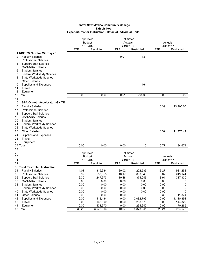#### **Expenditures for Instruction - Detail of Individual Units Central New Mexico Community College Exhibit 10A**

|                                            |            | Approved      | Estimated  |            |            |            |
|--------------------------------------------|------------|---------------|------------|------------|------------|------------|
|                                            |            | <b>Budget</b> | Actuals    |            | Actuals    |            |
|                                            |            | 2016-2017     | 2016-2017  |            | 2016-2017  |            |
|                                            | <b>FTE</b> | Restricted    | <b>FTE</b> | Restricted | <b>FTE</b> | Restricted |
| 1 NSF SW Cntr for Microsys Ed              |            |               |            |            |            |            |
| <b>Faculty Salaries</b><br>2               |            |               | 0.01       | 131        |            |            |
| 3<br><b>Professional Salaries</b>          |            |               |            |            |            |            |
| <b>Support Staff Salaries</b><br>4         |            |               |            |            |            |            |
| <b>GA/TA/RA Salaries</b><br>5              |            |               |            |            |            |            |
| 6<br><b>Student Salaries</b>               |            |               |            |            |            |            |
| 7<br><b>Federal Workstudy Salaries</b>     |            |               |            |            |            |            |
| 8<br><b>State Workstudy Salaries</b>       |            |               |            |            |            |            |
| <b>Other Salaries</b><br>9                 |            |               |            |            |            |            |
| 10<br>Supplies and Expenses                |            |               |            | 164        |            |            |
| 11<br>Travel                               |            |               |            |            |            |            |
| 12<br>Equipment                            |            |               |            |            |            |            |
| 13 Total                                   | 0.00       | 0.00          | 0.01       | 295.00     | 0.00       | 0.00       |
| 14                                         |            |               |            |            |            |            |
|                                            |            |               |            |            |            |            |
| 15<br><b>SBA-Growth Accelerator-IGNITE</b> |            |               |            |            |            |            |
| <b>Faculty Salaries</b><br>16              |            |               |            |            | 0.39       | 23,300.00  |
| 17<br><b>Professional Salaries</b>         |            |               |            |            |            |            |
| <b>Support Staff Salaries</b><br>18        |            |               |            |            |            |            |
| 19<br><b>GA/TA/RA Salaries</b>             |            |               |            |            |            |            |
| 20<br><b>Student Salaries</b>              |            |               |            |            |            |            |
| 21<br><b>Federal Workstudy Salaries</b>    |            |               |            |            |            |            |
| 22<br><b>State Workstudy Salaries</b>      |            |               |            |            |            |            |
| 23<br><b>Other Salaries</b>                |            |               |            |            | 0.39       | 11,374.42  |
| 24<br>Supplies and Expenses                |            |               |            |            |            |            |
| Travel<br>25                               |            |               |            |            |            |            |
| Equipment<br>26                            |            |               |            |            |            |            |
| 27 Total                                   | 0.00       | 0.00          | 0.00       | 0          | 0.77       | 34,674     |
| 28                                         |            |               |            |            |            |            |
| 29                                         |            | Approved      | Estimated  |            |            |            |
| 30                                         |            | <b>Budget</b> | Actuals    |            | Actuals    |            |
| 31                                         |            | 2016-2017     | 2016-2017  |            | 2016-2017  |            |
| 32                                         | <b>FTE</b> | Restricted    | <b>FTE</b> | Restricted | <b>FTE</b> | Restricted |
| 33 Total Restricted Instruction            |            |               |            |            |            |            |
| 34<br><b>Faculty Salaries</b>              | 14.01      | 819,384       | 20.02      | 1,202,535  | 16.27      | 981,253    |
| <b>Professional Salaries</b><br>35         | 9.92       | 593,055       | 10.17      | 690,543    | 3.67       | 249,144    |
| 36<br><b>Support Staff Salaries</b>        | 6.30       | 247,973       | 10.48      | 374,046    | 8.91       | 317,930    |
| 37<br><b>GA/TA/RA Salaries</b>             | 0.00       | 0.00          | 0.00       | 0.00       | 0.00       | 0          |
| 38<br><b>Student Salaries</b>              |            | 0.00          |            | 0.00       |            |            |
|                                            | 0.00       |               | 0.00       |            | 0.00       | 0          |
| 39<br><b>Federal Workstudy Salaries</b>    | 0.00       | 0.00          | 0.00       | 0.00       | 0.00       | 0          |
| 40<br><b>State Workstudy Salaries</b>      | 0.00       | 0.00          | 0.00       | 0.00       | 0.00       | 0          |
| <b>Other Salaries</b><br>41                | 0.00       | 0.00          | 0.00       | 0          | 0.39       | 11,374     |
| 42<br>Supplies and Expenses                | 0.00       | 1,418,434     | 0.00       | 2,082,799  | 0.00       | 1,110,391  |
| 43<br>Travel                               | 0.00       | 168,600       | 0.00       | 288,678    | 0.00       | 144,320    |
| 44<br>Equipment                            | 0.00       | 431,370       | 0.00       | 234,640    | 0.00       | 170,265    |
| 45 Total                                   | 30.22      | 3,678,816     | 40.67      | 4,873,241  | 29.24      | 2,984,678  |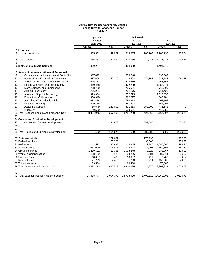#### **Central New Mexico Community College Expenditures for Academic Support Exhibit 11**

|                                                  | Approved<br><b>Budget</b><br>2016-2017 |           | Estimated<br>Actuals<br>2016-2017 |           |            | Actuals<br>2016-2017 |
|--------------------------------------------------|----------------------------------------|-----------|-----------------------------------|-----------|------------|----------------------|
|                                                  | Unrest.                                | Rest.     | Unrest.                           | Rest.     | Unrest.    | Rest.                |
| 1 Libraries                                      |                                        |           |                                   |           |            |                      |
| <b>All Locations</b><br>2<br>3                   | 1,355,351                              | 142,092   | 1,313,065                         | 280,287   | 1,288,232  | 143,854              |
| 4 Total Libraries<br>5                           | 1,355,351                              | 142,092   | 1,313,065                         | 280,287   | 1,288,232  | 143,854              |
| 6 Instructional Media Services<br>$\overline{7}$ | 1,320,207                              |           | 1,424,099                         |           | 1,404,643  |                      |
| 8 Academic Administration and Personnel          |                                        |           |                                   |           |            |                      |
| 9<br>Communication, Humanities, & Social Sci     | 917,092                                |           | 950,248                           |           | 893,669    |                      |
| <b>Business and Information Technology</b><br>10 | 987,694                                | 247,100   | 1,002,498                         | 274,863   | 948,145    | 294,078              |
| School of Adult and General Education<br>11      | 675,171                                |           | 534,489                           |           | 468,365    |                      |
| 12<br>Health, Wellness, and Public Safety        | 1,460,478                              |           | 1,402,209                         |           | 1,358,844  |                      |
| 13<br>Math, Science, and Engineering             | 718,780                                |           | 736,531                           |           | 716,309    |                      |
| 14<br><b>Applied Technology</b>                  | 766,231                                |           | 731,176                           |           | 711,426    |                      |
| 15<br><b>Academic Support Technology</b>         | 329,934                                |           | 532,773                           |           | 1,620,858  |                      |
| <b>Educational Collaboration</b><br>16           | 358,948                                |           | 362,217                           |           | 343,981    |                      |
| 17<br>Associate VP Academic Affairs              | 682,354                                |           | 750,912                           |           | 707,506    |                      |
| 19<br>Distance Learning                          | 599,156                                |           | 587,203                           |           | 552,007    |                      |
| Academic Support<br>20                           | 735,549                                | 150,000   | 631,853                           | 150,000   | 435,841    | $\mathbf 0$          |
| 21<br>Ingenuity                                  | 90,560                                 |           | 529,621                           |           | 410,656    |                      |
| 22 Total Academic Admin and Personnel Devl       | 8,321,946                              | 397,100   | 8,751,730                         | 424,863   | 9,167,607  | 294,078              |
| 23                                               |                                        |           |                                   |           |            |                      |
| 24 Course and Curriculum Development             |                                        |           |                                   |           |            |                      |
| Career and Course Development<br>25<br>26<br>27  |                                        | 134,678   |                                   | 289,685   |            | 207,082              |
| 28 Total Course and Curriculum Development       | 0.00                                   | 134,678   | 0.00                              | 289,685   | 0.00       | 207,082              |
| 29                                               |                                        |           |                                   |           |            |                      |
| 30 State Workstudy                               |                                        | 222,692   |                                   | 273,195   |            | 248.385              |
| 31 Federal Workstudy                             |                                        | 120,308   |                                   | 90,508    |            | 95,677               |
| 32 Retirement                                    | 1,212,521                              | 30,692    | 1,124,945                         | 22,340    | 1,080,060  | 29,694               |
| 33 Social Security                               | 637,099                                | 16,415    | 702,823                           | 12,003    | 569,397    | 16,380               |
| 34 Group Insurance                               | 1,279,591                              | 22,366    | 1,098,248                         | 9,220     | 938,767    | 10,693               |
| 35 Worker's Compensation                         | 118,182                                | 3,125     | 133,206                           | 3,384     | 80,514     | 2,280                |
| 36 Unemployment                                  | 18,607                                 | 489       | 18,607                            | 411       | 9,767      | 277                  |
| 37 Retiree Health                                | 171,709                                | 4,416     | 171,733                           | 3,214     | 152,905    | 4,273                |
| <b>38 Tuition Waivers</b>                        | 53,564                                 |           | 60,464                            |           | 70,809     |                      |
| 39 Total Items not Included in 11A's<br>40<br>41 | 3,491,273                              | 420,503   | 3,310,026                         | 414,275   | 2,902,219  | 407,658              |
| 42 Total Expenditures for Academic Support       | 14,488,777                             | 1,094,373 | 14,798,920                        | 1,409,110 | 14,762,701 | 1,052,672            |
|                                                  |                                        |           |                                   |           |            |                      |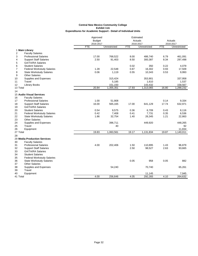|                                                     | Approved      |              |            | Estimated    |            |              |
|-----------------------------------------------------|---------------|--------------|------------|--------------|------------|--------------|
|                                                     | <b>Budget</b> |              |            | Actuals      |            | Actuals      |
|                                                     | 2016-2017     |              |            | 2016-2017    |            | 2016-2017    |
|                                                     | <b>FTE</b>    | Unrestricted | <b>FTE</b> | Unrestricted | <b>FTE</b> | Unrestricted |
| 1 Main Library                                      |               |              |            |              |            |              |
| $\overline{2}$<br><b>Faculty Salaries</b>           |               |              |            |              |            |              |
| 3<br><b>Professional Salaries</b>                   | 17.00         | 768,522      | 8.00       | 486,740      | 6.79       | 461,091      |
| <b>Support Staff Salaries</b><br>4                  | 2.50          | 91,403       | 8.50       | 300,387      | 8.34       | 297,498      |
| <b>GA/TA/RA Salaries</b><br>5                       |               |              |            |              |            |              |
| <b>Student Salaries</b><br>6                        |               |              | 0.02       | 350          | 0.22       | 4,079        |
| $\overline{7}$<br><b>Federal Workstudy Salaries</b> | 1.28          | 22,548       | 0.87       | 16,302       | 0.93       | 17,509       |
| 8<br><b>State Workstudy Salaries</b>                | 0.06          | 1,119        | 0.55       | 10,343       | 0.53       | 9,993        |
| <b>Other Salaries</b><br>9                          |               |              |            |              |            |              |
| Supplies and Expenses<br>10                         |               | 315,424      |            | 353,901      |            | 337,958      |
| 11<br>Travel                                        |               | 5,185        |            | 1,610        |            | 1,537        |
| 12<br><b>Library Books</b>                          |               | 151,150      |            | 143,432      |            | 158,567      |
| 13 Total                                            | 20.84         | 1,355,351    | 17.93      | 1,313,065    | 16.80      | 1,288,232    |
| 14                                                  |               |              |            |              |            |              |
| 15 Audio Visual Services                            |               |              |            |              |            |              |
| <b>Faculty Salaries</b><br>16                       |               |              |            |              |            |              |
| 17<br><b>Professional Salaries</b>                  | 1.00          | 51,908       |            |              | 0.14       | 9,334        |
| 18<br><b>Support Staff Salaries</b>                 | 16.00         | 565,165      | 17.00      | 641,129      | 17.74      | 632,971      |
| 19<br><b>GA/TA/RA Salaries</b>                      |               |              |            |              |            |              |
| <b>Student Salaries</b>                             | 0.54          |              | 0.36       |              | 0.43       |              |
| 20<br>21                                            | 0.42          | 9,575        |            | 6,709        |            | 8,116        |
| <b>Federal Workstudy Salaries</b>                   |               | 7,408        | 0.41       | 7,731        | 0.35       | 6,536        |
| 22<br><b>State Workstudy Salaries</b>               | 1.86          | 32,754       | 1.40       | 26,345       | 1.21       | 22,863       |
| 23<br><b>Other Salaries</b>                         |               |              |            |              |            |              |
| 24<br>Supplies and Expenses                         |               | 396,711      |            | 449,920      |            | 448,265      |
| Travel<br>25                                        |               | 40           |            |              |            | 92           |
| 26<br>Equipment                                     |               |              |            |              |            | 11,834       |
| 27 Total                                            | 19.83         | 1,063,561    | 19.17      | 1,131,834    | 19.87      | 1,140,011    |
| 28                                                  |               |              |            |              |            |              |
| 29 Media Production Services                        |               |              |            |              |            |              |
| 30<br><b>Faculty Salaries</b>                       |               |              |            |              |            |              |
| 31<br><b>Professional Salaries</b>                  | 4.00          | 202,406      | 1.50       | 110,895      | 1.43       | 96,879       |
| 32<br><b>Support Staff Salaries</b>                 |               |              | 2.50       | 98,527       | 2.63       | 93,665       |
| 33<br><b>GA/TA/RA Salaries</b>                      |               |              |            |              |            |              |
| 34<br><b>Student Salaries</b>                       |               |              |            |              |            |              |
| 35<br><b>Federal Workstudy Salaries</b>             |               |              |            |              |            |              |
| 36<br><b>State Workstudy Salaries</b>               |               |              | 0.05       | 958          | 0.05       | 882          |
| <b>Other Salaries</b><br>37                         |               |              |            |              |            |              |
| Supplies and Expenses<br>38                         |               | 54,240       |            | 70,740       |            | 65,261       |
| 39<br>Travel                                        |               |              |            |              |            |              |
| 40<br>Equipment                                     |               |              |            | 11,145       |            | 7,945        |
| 41 Total                                            | 4.00          | 256,646      | 4.05       | 292,265      | 4.10       | 264,632      |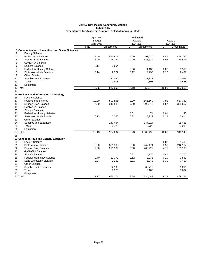|                |                                                  | Approved      |              | Estimated  |              |            |              |
|----------------|--------------------------------------------------|---------------|--------------|------------|--------------|------------|--------------|
|                |                                                  | <b>Budget</b> |              |            | Actuals      |            | Actuals      |
|                |                                                  | 2016-2017     |              |            | 2016-2017    |            | 2016-2017    |
|                |                                                  | FTE           | Unrestricted | <b>FTE</b> | Unrestricted | <b>FTE</b> | Unrestricted |
|                | 1 Communication, Humanities, and Social Sciences |               |              |            |              |            |              |
| $\overline{2}$ | <b>Faculty Salaries</b>                          |               |              |            |              |            |              |
| 3              | <b>Professional Salaries</b>                     | 9.00          | 573,679      | 6.00       | 493,010      | 6.87       | 466,342      |
| 4              | <b>Support Staff Salaries</b>                    | 6.00          | 215,194      | 10.00      | 325,729      | 8.96       | 319,593      |
| 5              | <b>GA/TA/RA Salaries</b>                         |               |              |            |              |            |              |
| 6              | <b>Student Salaries</b>                          | 0.11          | 2,004        |            |              |            |              |
| $\overline{7}$ | <b>Federal Workstudy Salaries</b>                |               |              | 0.06       | 1,136        | 0.08       | 1,513        |
| 8              | <b>State Workstudy Salaries</b>                  | 0.14          | 2,387        | 0.12       | 2,237        | 0.13       | 2,469        |
| 9              | <b>Other Salaries</b>                            |               |              |            |              |            |              |
| 10             | Supplies and Expenses                            |               | 121,020      |            | 123,828      |            | 100,064      |
| 11             | Travel                                           |               | 2,808        |            | 4,308        |            | 3,688        |
| 12             | Equipment                                        |               |              |            |              |            |              |
| 13 Total       |                                                  | 15.25         | 917,092      | 16.18      | 950,248      | 16.03      | 893,669      |
| 14             |                                                  |               |              |            |              |            |              |
|                | 15 Business and Information Technology           |               |              |            |              |            |              |
| 16             | <b>Faculty Salaries</b>                          |               |              |            |              |            |              |
| 17             | <b>Professional Salaries</b>                     | 10.00         | 592,556      | 9.00       | 555,669      | 7.91       | 537,350      |
| 18             | <b>Support Staff Salaries</b>                    | 7.00          | 242,588      | 7.00       | 292,610      | 8.57       | 305,667      |
| 19             | <b>GA/TA/RA Salaries</b>                         |               |              |            |              |            |              |
| 20             | <b>Student Salaries</b>                          |               |              |            |              |            |              |
| 21             | <b>Federal Workstudy Salaries</b>                |               |              | 0.01       | 71           | 0.01       | 45           |
| 22             | <b>State Workstudy Salaries</b>                  | 0.13          | 2,366        | 0.22       | 4,214        | 0.18       | 3,414        |
| 23             | <b>Other Salaries</b>                            |               |              |            |              |            |              |
| 24             | Supplies and Expenses                            |               | 147,464      |            | 147,214      |            | 98,451       |
| 25             | Travel                                           |               | 2,720        |            | 2,720        |            | 3,218        |
| 26             | Equipment                                        |               |              |            |              |            |              |
| 27 Total       |                                                  | 17.13         | 987,694      | 16.23      | 1,002,498    | 16.67      | 948,145      |
| 28             |                                                  |               |              |            |              |            |              |
|                | 29 School of Adult and General Education         |               |              |            |              |            |              |
| 30             | <b>Faculty Salaries</b>                          |               |              |            |              | 0.02       | 1,403        |
| 31             | <b>Professional Salaries</b>                     | 6.00          | 361,505      | 3.00       | 247,174      | 3.57       | 242,187      |
| 32             | <b>Support Staff Salaries</b>                    | 7.00          | 211,509      | 6.00       | 200,227      | 4.71       | 168,198      |
| 33             | <b>GA/TA/RA Salaries</b>                         |               |              |            |              |            |              |
| 34             | <b>Student Salaries</b>                          |               |              | 0.22       | 4,170        | 0.41       | 7,700        |
| 35             | <b>Federal Workstudy Salaries</b>                | 0.70          | 12,379       | 0.12       | 2,231        | 0.19       | 3,552        |
| 36             | <b>State Workstudy Salaries</b>                  | 0.07          | 1,260        | 0.31       | 5,870        | 0.39       | 7,417        |
| 37             | <b>Other Salaries</b>                            |               |              |            |              |            |              |
| 38             | Supplies and Expenses                            |               | 82,193       |            | 68,717       |            | 36,216       |
| 39             | Travel                                           |               | 6,325        |            | 6,100        |            | 1,692        |
| 40             | Equipment                                        |               |              |            |              |            |              |
| 41 Total       |                                                  | 13.77         | 675,171      | 9.65       | 534,489      | 9.29       | 468,365      |
|                |                                                  |               |              |            |              |            |              |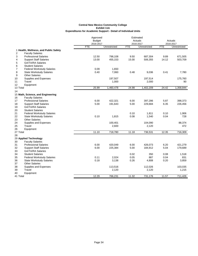|                |                                       | Approved      |              | Estimated  |              |            |              |
|----------------|---------------------------------------|---------------|--------------|------------|--------------|------------|--------------|
|                |                                       | <b>Budget</b> |              |            | Actuals      |            | Actuals      |
|                |                                       | 2016-2017     |              |            | 2016-2017    |            | 2016-2017    |
|                |                                       | <b>FTE</b>    | Unrestricted | <b>FTE</b> | Unrestricted | <b>FTE</b> | Unrestricted |
|                | 1 Health, Wellness, and Public Safety |               |              |            |              |            |              |
| $\overline{2}$ | <b>Faculty Salaries</b>               |               |              |            |              |            |              |
| 3              | <b>Professional Salaries</b>          | 12.50         | 798,108      | 9.50       | 687,304      | 9.89       | 671,505      |
| 4              | <b>Support Staff Salaries</b>         | 13.00         | 455,153      | 15.00      | 506,355      | 14.12      | 503,709      |
| 5              | <b>GA/TA/RA Salaries</b>              |               |              |            |              |            |              |
| 6              | <b>Student Salaries</b>               |               |              |            |              |            |              |
| $\overline{7}$ | <b>Federal Workstudy Salaries</b>     | 0.09          | 1,650        |            |              |            |              |
| 8              | <b>State Workstudy Salaries</b>       | 0.40          | 7,060        | 0.48       | 9,036        | 0.41       | 7,780        |
| 9              | <b>Other Salaries</b>                 |               |              |            |              |            |              |
| 10             | Supplies and Expenses                 |               | 197,507      |            | 197,514      |            | 175,760      |
| 11             | Travel                                |               | 1,000        |            | 2,000        |            | 90           |
| 12             | Equipment                             |               |              |            |              |            |              |
| 13 Total       |                                       | 25.99         | 1,460,478    | 24.98      | 1,402,209    | 24.42      | 1,358,844    |
| 14             |                                       |               |              |            |              |            |              |
|                | 15 Math, Science, and Engineering     |               |              |            |              |            |              |
| 16             | <b>Faculty Salaries</b>               |               |              |            |              |            |              |
| 17             | <b>Professional Salaries</b>          | 6.00          | 422,321      | 6.00       | 397,286      | 5.87       | 398,373      |
| 18             | <b>Support Staff Salaries</b>         | 5.00          | 191,643      | 5.00       | 229,684      | 6.35       | 226,456      |
| 19             | <b>GA/TA/RA Salaries</b>              |               |              |            |              |            |              |
| 20             | <b>Student Salaries</b>               |               |              |            |              |            |              |
| 21             | <b>Federal Workstudy Salaries</b>     |               |              | 0.10       | 1,811        | 0.10       | 1,906        |
| 22             | <b>State Workstudy Salaries</b>       | 0.10          | 1,815        | 0.08       | 1,540        | 0.04       | 728          |
| 23             | <b>Other Salaries</b>                 |               |              |            |              |            |              |
| 24             | Supplies and Expenses                 |               | 100,401      |            | 104,090      |            | 88,374       |
| 25             | Travel                                |               | 2,600        |            | 2,120        |            | 472          |
| 26             | Equipment                             |               |              |            |              |            |              |
| 27 Total       |                                       | 11.10         | 718,780      | 11.18      | 736,531      | 12.35      | 716,309      |
| 28             |                                       |               |              |            |              |            |              |
|                | 29 Applied Technology                 |               |              |            |              |            |              |
| 30             | <b>Faculty Salaries</b>               |               |              |            |              |            |              |
| 31             | <b>Professional Salaries</b>          | 6.00          | 420,049      | 6.00       | 426,073      | 6.20       | 421,279      |
| 32             | <b>Support Staff Salaries</b>         | 6.00          | 225,384      | 5.00       | 184,912      | 5.04       | 179,689      |
| 33             | <b>GA/TA/RA Salaries</b>              |               |              |            |              |            |              |
| 34             | <b>Student Salaries</b>               |               |              | 0.02       | 350          | 0.08       | 1,518        |
| 35             | <b>Federal Workstudy Salaries</b>     | 0.11          | 2,024        | 0.05       | 887          | 0.04       | 831          |
| 36             | <b>State Workstudy Salaries</b>       | 0.18          | 3,138        | 0.26       | 4,808        | 0.20       | 3,859        |
| 37             | <b>Other Salaries</b>                 |               |              |            |              |            |              |
| 38             | Supplies and Expenses                 |               | 113,516      |            | 112,026      |            | 103,035      |
| 39             | Travel                                |               | 2,120        |            | 2,120        |            | 1,215        |
| 40             |                                       |               |              |            |              |            |              |
| 41 Total       | Equipment                             | 12.29         | 766,231      | 11.32      | 731,176      | 11.57      | 711,426      |
|                |                                       |               |              |            |              |            |              |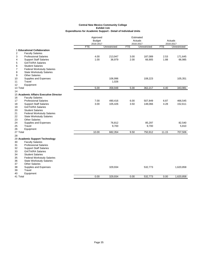|                                                     |               | Approved     |            | Estimated    |            |              |
|-----------------------------------------------------|---------------|--------------|------------|--------------|------------|--------------|
|                                                     | <b>Budget</b> |              |            | Actuals      | Actuals    |              |
|                                                     | 2016-2017     |              |            | 2016-2017    |            | 2016-2017    |
|                                                     | FTE           | Unrestricted | <b>FTE</b> | Unrestricted | <b>FTE</b> | Unrestricted |
| 1 Educational Collaboration                         |               |              |            |              |            |              |
| $\overline{2}$<br><b>Faculty Salaries</b>           |               |              |            |              |            |              |
| 3<br><b>Professional Salaries</b>                   | 4.00          | 213,947      | 3.00       | 187,089      | 2.53       | 171,645      |
| <b>Support Staff Salaries</b><br>4                  | 1.00          | 36,979       | 2.00       | 66,905       | 1.88       | 66,985       |
| 5<br><b>GA/TA/RA Salaries</b>                       |               |              |            |              |            |              |
| <b>Student Salaries</b><br>6                        |               |              |            |              |            |              |
| $\overline{7}$<br><b>Federal Workstudy Salaries</b> |               |              |            |              |            |              |
| 8<br><b>State Workstudy Salaries</b>                |               |              |            |              |            |              |
| <b>Other Salaries</b><br>9                          |               |              |            |              |            |              |
| Supplies and Expenses<br>10                         |               | 106,996      |            | 108,223      |            | 105,351      |
| 11<br>Travel                                        |               | 1,026        |            |              |            |              |
| Equipment<br>12                                     |               |              |            |              |            |              |
| 13 Total                                            | 5.00          | 358,948      | 5.00       | 362,217      | 4.40       | 343,981      |
| 14                                                  |               |              |            |              |            |              |
| 15 Academic Affairs Executive Director              |               |              |            |              |            |              |
| 16<br><b>Faculty Salaries</b>                       |               |              |            |              |            |              |
| 17<br><b>Professional Salaries</b>                  | 7.00          | 490,416      | 6.00       | 507,849      | 6.87       | 466,545      |
| <b>Support Staff Salaries</b><br>18                 | 3.00          | 105,426      | 3.50       | 148,066      | 4.28       | 152,611      |
| 19<br><b>GA/TA/RA Salaries</b>                      |               |              |            |              |            |              |
| <b>Student Salaries</b><br>20                       |               |              |            |              |            |              |
| 21<br><b>Federal Workstudy Salaries</b>             |               |              |            |              |            |              |
| 22<br><b>State Workstudy Salaries</b>               |               |              |            |              |            |              |
| 23<br><b>Other Salaries</b>                         |               |              |            |              |            |              |
| 24<br>Supplies and Expenses                         |               | 76,812       |            | 85,297       |            | 82,540       |
| Travel<br>25                                        |               | 9,700        |            | 9,700        |            | 5,810        |
| 26<br>Equipment                                     |               |              |            |              |            |              |
| 27 Total                                            | 10.00         | 682,354      | 9.50       | 750,912      | 11.15      | 707,506      |
| 28                                                  |               |              |            |              |            |              |
| 29 Academic Support Technology                      |               |              |            |              |            |              |
| <b>Faculty Salaries</b><br>30                       |               |              |            |              |            |              |
| <b>Professional Salaries</b><br>31                  |               |              |            |              |            |              |
| 32<br><b>Support Staff Salaries</b>                 |               |              |            |              |            |              |
| 33<br><b>GA/TA/RA Salaries</b>                      |               |              |            |              |            |              |
| 34<br><b>Student Salaries</b>                       |               |              |            |              |            |              |
| 35<br><b>Federal Workstudy Salaries</b>             |               |              |            |              |            |              |
| <b>State Workstudy Salaries</b><br>36               |               |              |            |              |            |              |
| 37<br><b>Other Salaries</b>                         |               |              |            |              |            |              |
| 38<br>Supplies and Expenses                         |               | 329,934      |            | 532,773      |            | 1,620,858    |
| Travel<br>39                                        |               |              |            |              |            |              |
| 40<br>Equipment                                     |               |              |            |              |            |              |
| 41 Total                                            | 0.00          | 329,934      | 0.00       | 532,773      | 0.00       | 1,620,858    |
|                                                     |               |              |            |              |            |              |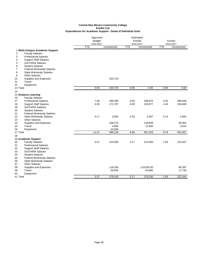|                                                           | Approved                |              |            | Estimated                 |                      |              |
|-----------------------------------------------------------|-------------------------|--------------|------------|---------------------------|----------------------|--------------|
|                                                           | <b>Budget</b>           |              |            | Actuals                   | Actuals<br>2016-2017 |              |
|                                                           | 2016-2017<br><b>FTE</b> | Unrestricted | <b>FTE</b> | 2016-2017<br>Unrestricted | <b>FTE</b>           | Unrestricted |
| 1 Multi-Campus Academic Support                           |                         |              |            |                           |                      |              |
| 2<br><b>Faculty Salaries</b>                              |                         |              |            |                           |                      |              |
| 3<br><b>Professional Salaries</b>                         |                         |              |            |                           |                      |              |
| <b>Support Staff Salaries</b><br>4                        |                         |              |            |                           |                      |              |
| 5<br><b>GA/TA/RA Salaries</b>                             |                         |              |            |                           |                      |              |
| 6<br><b>Student Salaries</b>                              |                         |              |            |                           |                      |              |
| <b>Federal Workstudy Salaries</b><br>7                    |                         |              |            |                           |                      |              |
| 8<br><b>State Workstudy Salaries</b>                      |                         |              |            |                           |                      |              |
| 9<br><b>Other Salaries</b>                                |                         |              |            |                           |                      |              |
| Supplies and Expenses<br>10                               |                         | 100,725      |            |                           |                      |              |
| Travel<br>11                                              |                         |              |            |                           |                      |              |
| 12<br>Equipment                                           |                         |              |            |                           |                      |              |
| 13 Total                                                  | 0.00                    | 100,725      | 0.00       | 0.00                      | 0.00                 | 0.00         |
| 14                                                        |                         |              |            |                           |                      |              |
| 15 Distance Learning                                      |                         |              |            |                           |                      |              |
| 16<br><b>Faculty Salaries</b>                             |                         |              |            |                           |                      |              |
| 17<br><b>Professional Salaries</b>                        | 7.00                    | 299,395      | 5.50       | 296,970                   | 4.25                 | 288,508      |
| 18<br><b>Support Staff Salaries</b>                       | 4.50                    | 172,787      | 4.00       | 155,877                   | 4.40                 | 156,940      |
| 19<br><b>GA/TA/RA Salaries</b>                            |                         |              |            |                           |                      |              |
| <b>Student Salaries</b><br>20                             |                         |              |            |                           |                      |              |
| 21<br><b>Federal Workstudy Salaries</b>                   |                         |              |            |                           |                      |              |
| 22<br><b>State Workstudy Salaries</b>                     | 0.17                    | 3,005        | 0.16       | 2,947                     | 0.14                 | 2,692        |
| <b>Other Salaries</b><br>23                               |                         |              |            |                           |                      |              |
| 24<br>Supplies and Expenses                               |                         | 109,275      |            | 118,809                   |                      | 99,952       |
| 25<br>Travel                                              |                         | 4,600        |            | 12,600                    |                      | 3,915        |
| 26<br>Equipment                                           |                         | 10,094       |            |                           |                      |              |
| 27 Total                                                  | 11.67                   | 599,156      | 9.66       | 587,203                   | 8.79                 | 552,007      |
| 28                                                        |                         |              |            |                           |                      |              |
| 29 Academic Support                                       |                         |              |            |                           |                      |              |
| 30<br><b>Faculty Salaries</b>                             | 3.57                    | 215,000      | 3.17       | 215,000                   | 1.83                 | 124,307      |
| 31<br><b>Professional Salaries</b>                        |                         |              |            |                           |                      |              |
| 32<br><b>Support Staff Salaries</b>                       |                         |              |            |                           |                      |              |
| 33<br><b>GA/TA/RA Salaries</b><br><b>Student Salaries</b> |                         |              |            |                           |                      |              |
| 34<br>35<br><b>Federal Workstudy Salaries</b>             |                         |              |            |                           |                      |              |
| 36<br><b>State Workstudy Salaries</b>                     |                         |              |            |                           |                      |              |
| <b>Other Salaries</b><br>37                               |                         |              |            |                           |                      |              |
| Supplies and Expenses<br>38                               |                         | 118,240      |            | 119,555.00                |                      | 80,397       |
| 39<br>Travel                                              |                         | 46,000       |            | 44,685                    |                      | 17,740       |
| Equipment<br>40                                           |                         |              |            |                           |                      |              |
| 41 Total                                                  | 3.57                    | 379,240      | 3.17       | 379,240                   | 1.83                 | 222.444      |
|                                                           |                         |              |            |                           |                      |              |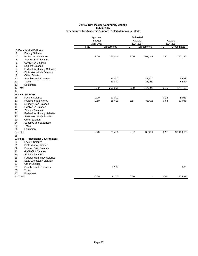|    |                                   | Approved      |              |            | Estimated    |            |              |
|----|-----------------------------------|---------------|--------------|------------|--------------|------------|--------------|
|    |                                   | <b>Budget</b> |              |            | Actuals      |            | Actuals      |
|    |                                   | 2016-2017     |              |            | 2016-2017    |            | 2016-2017    |
|    |                                   | FTE           | Unrestricted | <b>FTE</b> | Unrestricted | <b>FTE</b> | Unrestricted |
|    | 1 Presidential Fellows            |               |              |            |              |            |              |
| 2  | <b>Faculty Salaries</b>           |               |              |            |              |            |              |
| 3  | <b>Professional Salaries</b>      | 2.00          | 163,001      | 2.00       | 167,482      | 2.40       | 163,147      |
| 4  | <b>Support Staff Salaries</b>     |               |              |            |              |            |              |
| 5  | <b>GA/TA/RA Salaries</b>          |               |              |            |              |            |              |
| 6  | <b>Student Salaries</b>           |               |              |            |              |            |              |
| 7  | <b>Federal Workstudy Salaries</b> |               |              |            |              |            |              |
| 8  | <b>State Workstudy Salaries</b>   |               |              |            |              |            |              |
| 9  | <b>Other Salaries</b>             |               |              |            |              |            |              |
| 10 | Supplies and Expenses             |               | 23,000       |            | 23,720       |            | 4,668        |
| 11 | Travel                            |               | 23,000       |            | 23,000       |            | 6,647        |
| 12 | Equipment                         | 2.00          | 209,001      | 2.00       |              | 2.40       |              |
|    | 13 Total                          |               |              |            | 214,202      |            | 174,462      |
| 14 | <b>15 DOL-NM ITAP</b>             |               |              |            |              |            |              |
| 16 | <b>Faculty Salaries</b>           | 0.20          | 10,000       |            |              | 0.12       | 8,061        |
| 17 | <b>Professional Salaries</b>      | 0.50          | 28,411       | 0.57       | 38,411       | 0.84       | 30,048       |
| 18 | <b>Support Staff Salaries</b>     |               |              |            |              |            |              |
| 19 | <b>GA/TA/RA Salaries</b>          |               |              |            |              |            |              |
| 20 | <b>Student Salaries</b>           |               |              |            |              |            |              |
| 21 | <b>Federal Workstudy Salaries</b> |               |              |            |              |            |              |
| 22 | <b>State Workstudy Salaries</b>   |               |              |            |              |            |              |
| 23 | <b>Other Salaries</b>             |               |              |            |              |            |              |
| 24 | Supplies and Expenses             |               |              |            |              |            |              |
| 25 | Travel                            |               |              |            |              |            |              |
| 26 | Equipment                         |               |              |            |              |            |              |
|    | 27 Total                          | 0.70          | 38,411       | 0.57       | 38,411       | 0.96       | 38,109.00    |
| 28 |                                   |               |              |            |              |            |              |
|    | 29 Pepsi Professional Development |               |              |            |              |            |              |
| 30 | <b>Faculty Salaries</b>           |               |              |            |              |            |              |
| 31 | <b>Professional Salaries</b>      |               |              |            |              |            |              |
| 32 | <b>Support Staff Salaries</b>     |               |              |            |              |            |              |
| 33 | GA/TA/RA Salaries                 |               |              |            |              |            |              |
| 34 | <b>Student Salaries</b>           |               |              |            |              |            |              |
| 35 | <b>Federal Workstudy Salaries</b> |               |              |            |              |            |              |
| 36 | <b>State Workstudy Salaries</b>   |               |              |            |              |            |              |
| 37 | <b>Other Salaries</b>             |               |              |            |              |            |              |
| 38 | Supplies and Expenses             |               | 8,172        |            |              |            | 826          |
| 39 | Travel                            |               |              |            |              |            |              |
| 40 | Equipment                         |               |              |            |              |            |              |
|    | 41 Total                          | 0.00          | 8,172        | 0.00       | $\mathbf 0$  | 0.00       | 825.88       |
|    |                                   |               |              |            |              |            |              |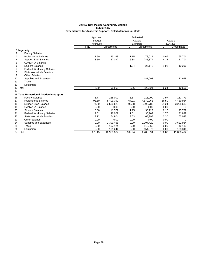|          |                                        |            | Approved      |              |            | Estimated    |            |              |
|----------|----------------------------------------|------------|---------------|--------------|------------|--------------|------------|--------------|
|          |                                        |            | <b>Budget</b> |              |            | Actuals      |            | Actuals      |
|          |                                        |            | Approved      |              |            | Estimated    |            | 2016-2017    |
|          |                                        | <b>FTE</b> |               | Unrestricted | <b>FTE</b> | Unrestricted | <b>FTE</b> | Unrestricted |
|          | 1 Ingenuity                            |            |               |              |            |              |            |              |
| 2        | <b>Faculty Salaries</b>                |            |               |              |            |              |            |              |
| 3        | <b>Professional Salaries</b>           |            | 1.50          | 23,168       | 1.15       | 78,011       | 0.97       | 65,701       |
| 4        | <b>Support Staff Salaries</b>          |            | 3.50          | 67,392       | 6.88       | 245,374      | 4.25       | 151,701      |
| 5        | <b>GA/TA/RA Salaries</b>               |            |               |              |            |              |            |              |
| 6        | <b>Student Salaries</b>                |            |               |              | 1.34       | 25,143       | 1.02       | 19,296       |
| 7        | <b>Federal Workstudy Salaries</b>      |            |               |              |            |              |            |              |
| 8        | <b>State Workstudy Salaries</b>        |            |               |              |            |              |            |              |
| 9        | <b>Other Salaries</b>                  |            |               |              |            |              |            |              |
| 10       | Supplies and Expenses                  |            |               |              |            | 181,093      |            | 173,958      |
| 11       | Travel                                 |            |               |              |            |              |            |              |
| 12       | Equipment                              |            |               |              |            |              |            |              |
| 13 Total |                                        |            | 5.00          | 90,560       | 9.36       | 529,621      | 6.24       | 410,656      |
| 14       |                                        |            |               |              |            |              |            |              |
|          | 15 Total Unrestricted Academic Support |            |               |              |            |              |            |              |
| 16       | <b>Faculty Salaries</b>                |            | 3.77          | 225,000      | 3.17       | 215,000      | 1.97       | 133,771      |
| 17       | <b>Professional Salaries</b>           |            | 93.50         | 5,409,392    | 67.21      | 4,679,963    | 66.50      | 4,489,934    |
| 18       | <b>Support Staff Salaries</b>          |            | 74.50         | 2,580,623    | 92.38      | 3,395,782    | 91.24      | 3,255,683    |
| 19       | <b>GA/TA/RA Salaries</b>               |            | 0.00          | 0.00         | 0.00       | 0.00         | 0.00       | $\Omega$     |
| 20       | <b>Student Salaries</b>                |            | 0.66          | 11,579       | 1.95       | 36,722       | 2.16       | 40,709       |
| 21       | <b>Federal Workstudy Salaries</b>      |            | 2.61          | 46,009       | 1.61       | 30,169       | 1.70       | 31,892       |
| 22       | <b>State Workstudy Salaries</b>        |            | 3.12          | 54,904       | 3.63       | 68,298       | 3.30       | 62,097       |
| 23       | <b>Other Salaries</b>                  |            | 0.00          | 0.00         | 0.00       | 0.00         | 0.00       | 0            |
| 24       | Supplies and Expenses                  |            | 0.00          | 2,393,458    | 0.00       | 2,797,420    | 0.00       | 3,621,934    |
| 25       | Travel                                 |            | 0.00          | 107,124      | 0.00       | 110,963      | 0.00       | 46,116       |
| 26       | Equipment                              |            | 0.00          | 161,244      | 0.00       | 154,577      | 0.00       | 178,346      |
| 27 Total |                                        |            | 178.15        | 10,989,332   | 169.94     | 11,488,894   | 166.88     | 11,860,482   |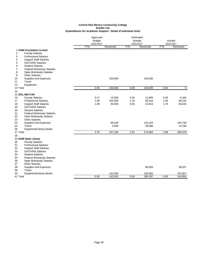|                                                                 | Approved<br><b>Budget</b><br>2016-2017 |            |            | Estimated<br>Actuals<br>2016-2017 |            | Actuals<br>2016-2017 |
|-----------------------------------------------------------------|----------------------------------------|------------|------------|-----------------------------------|------------|----------------------|
|                                                                 | <b>FTE</b>                             | Restricted | <b>FTE</b> | Restricted                        | <b>FTE</b> | Restricted           |
| 1 CNM Foundation In-kind                                        |                                        |            |            |                                   |            |                      |
| $\overline{2}$<br><b>Faculty Salaries</b>                       |                                        |            |            |                                   |            |                      |
| 3<br><b>Professional Salaries</b>                               |                                        |            |            |                                   |            |                      |
| <b>Support Staff Salaries</b><br>4                              |                                        |            |            |                                   |            |                      |
| <b>GA/TA/RA Salaries</b><br>5                                   |                                        |            |            |                                   |            |                      |
| 6<br><b>Student Salaries</b>                                    |                                        |            |            |                                   |            |                      |
| 7<br><b>Federal Workstudy Salaries</b>                          |                                        |            |            |                                   |            |                      |
| 8<br><b>State Workstudy Salaries</b>                            |                                        |            |            |                                   |            |                      |
| 9<br><b>Other Salaries</b>                                      |                                        |            |            |                                   |            |                      |
| 10<br>Supplies and Expenses                                     |                                        | 150,000    |            | 150,000                           |            |                      |
| Travel<br>11                                                    |                                        |            |            |                                   |            |                      |
| 12<br>Equipment                                                 |                                        |            |            |                                   |            |                      |
| 13 Total                                                        | 0.00                                   | 150,000    | 0.00       | 150,000                           | 0.00       | 0                    |
| 14                                                              |                                        |            |            |                                   |            |                      |
| <b>15 DOL-NM ITAP</b>                                           |                                        |            |            |                                   |            |                      |
| 16<br><b>Faculty Salaries</b>                                   | 0.17                                   | 10,000     | 0.20       | 11,800                            | 0.09       | 5,344                |
| 17<br><b>Professional Salaries</b>                              | 1.69                                   | 102,000    | 1.18       | 80,416                            | 1.00       | 68,181               |
| 18<br><b>Support Staff Salaries</b>                             | 1.89                                   | 65,000     | 0.64       | 22,813                            | 1.78       | 63,633               |
| 19<br><b>GA/TA/RA Salaries</b><br><b>Student Salaries</b><br>20 |                                        |            |            |                                   |            |                      |
| 21<br><b>Federal Workstudy Salaries</b>                         |                                        |            |            |                                   |            |                      |
| 22<br><b>State Workstudy Salaries</b>                           |                                        |            |            |                                   |            |                      |
| 23<br><b>Other Salaries</b>                                     |                                        |            |            |                                   |            |                      |
| 24<br>Supplies and Expenses                                     |                                        | 68,100     |            | 131,254                           |            | 144,730              |
| 25<br>Travel                                                    |                                        | 2,000      |            | 28,580                            |            | 12,190               |
| 26<br>Equipment/Library Books                                   |                                        |            |            |                                   |            |                      |
| 27 Total                                                        | 3.76                                   | 247,100    | 2.02       | 274,863                           | 2.88       | 294,078              |
| 28                                                              |                                        |            |            |                                   |            |                      |
| 29 GOB State Library                                            |                                        |            |            |                                   |            |                      |
| 30<br><b>Faculty Salaries</b>                                   |                                        |            |            |                                   |            |                      |
| 31<br><b>Professional Salaries</b>                              |                                        |            |            |                                   |            |                      |
| 32<br><b>Support Staff Salaries</b>                             |                                        |            |            |                                   |            |                      |
| 33<br><b>GA/TA/RA Salaries</b>                                  |                                        |            |            |                                   |            |                      |
| 34<br><b>Student Salaries</b>                                   |                                        |            |            |                                   |            |                      |
| 35<br><b>Federal Workstudy Salaries</b>                         |                                        |            |            |                                   |            |                      |
| 36<br><b>State Workstudy Salaries</b>                           |                                        |            |            |                                   |            |                      |
| <b>Other Salaries</b><br>37                                     |                                        |            |            |                                   |            |                      |
| 38<br>Supplies and Expenses                                     |                                        |            |            | 86,905                            |            | 36,027               |
| Travel<br>39                                                    |                                        |            |            |                                   |            |                      |
| <b>Equipment/Library Books</b><br>40                            |                                        | 142,092    |            | 193,382                           |            | 107,827              |
| 41 Total                                                        | 0.00                                   | 142,092    | 0.00       | 280,287                           | 0.00       | 143,854              |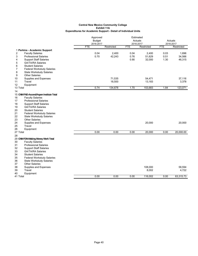|                                           |                            | Approved   |            | Estimated<br>Actuals |            |                      |
|-------------------------------------------|----------------------------|------------|------------|----------------------|------------|----------------------|
|                                           | <b>Budget</b><br>2016-2017 |            |            | 2016-2017            |            | Actuals<br>2016-2017 |
|                                           | <b>FTE</b>                 | Restricted | <b>FTE</b> | Restricted           | <b>FTE</b> | Restricted           |
| 1 Perkins - Academic Support              |                            |            |            |                      |            |                      |
| $\overline{2}$<br><b>Faculty Salaries</b> | 0.04                       | 2,400      | 0.04       | 2,400                | 0.03       | 1,696                |
| 3<br><b>Professional Salaries</b>         | 0.70                       | 42,243     | 0.76       | 51,629               | 0.51       | 34,566               |
| <b>Support Staff Salaries</b><br>4        |                            |            | 0.90       | 32,000               | 1.30       | 46,315               |
| 5<br><b>GA/TA/RA Salaries</b>             |                            |            |            |                      |            |                      |
| 6<br><b>Student Salaries</b>              |                            |            |            |                      |            |                      |
| 7<br>Federal Workstudy Salaries           |                            |            |            |                      |            |                      |
| 8<br><b>State Workstudy Salaries</b>      |                            |            |            |                      |            |                      |
| 9<br><b>Other Salaries</b>                |                            |            |            |                      |            |                      |
| 10<br>Supplies and Expenses               |                            | 71,535     |            | 54,471               |            | 37,116               |
| Travel<br>11                              |                            | 18,500     |            | 13,183               |            | 3,378                |
| 12<br>Equipment                           |                            |            |            |                      |            |                      |
| 13 Total                                  | 0.74                       | 134,678    | 1.70       | 153,683              | 1.84       | 123,071              |
| 14                                        |                            |            |            |                      |            |                      |
| 15 CNM FND-Ascend/Aspen Institute Total   |                            |            |            |                      |            |                      |
| <b>Faculty Salaries</b><br>16             |                            |            |            |                      |            |                      |
| <b>Professional Salaries</b><br>17        |                            |            |            |                      |            |                      |
| 18<br><b>Support Staff Salaries</b>       |                            |            |            |                      |            |                      |
| 19<br><b>GA/TA/RA Salaries</b>            |                            |            |            |                      |            |                      |
| 20<br><b>Student Salaries</b>             |                            |            |            |                      |            |                      |
| 21<br><b>Federal Workstudy Salaries</b>   |                            |            |            |                      |            |                      |
| 22<br><b>State Workstudy Salaries</b>     |                            |            |            |                      |            |                      |
| 23<br><b>Other Salaries</b>               |                            |            |            |                      |            |                      |
| 24<br>Supplies and Expenses               |                            |            |            | 20,000               |            | 20,000               |
| 25<br>Travel                              |                            |            |            |                      |            |                      |
| 26<br>Equipment                           |                            |            |            |                      |            |                      |
| 27 Total                                  | 0.00                       | 0.00       | 0.00       | 20,000               | 0.00       | 20,000.00            |
| 28                                        |                            |            |            |                      |            |                      |
| 29 CNM FDN-Making Money Work Total        |                            |            |            |                      |            |                      |
| 30<br><b>Faculty Salaries</b>             |                            |            |            |                      |            |                      |
| 31<br><b>Professional Salaries</b>        |                            |            |            |                      |            |                      |
| 32<br><b>Support Staff Salaries</b>       |                            |            |            |                      |            |                      |
| 33<br><b>GA/TA/RA Salaries</b>            |                            |            |            |                      |            |                      |
| 34<br><b>Student Salaries</b>             |                            |            |            |                      |            |                      |
| 35<br>Federal Workstudy Salaries          |                            |            |            |                      |            |                      |
| 36<br><b>State Workstudy Salaries</b>     |                            |            |            |                      |            |                      |
| 37<br><b>Other Salaries</b>               |                            |            |            |                      |            |                      |
| Supplies and Expenses<br>38               |                            |            |            | 108,000              |            | 58,594               |
| 39<br>Travel                              |                            |            |            | 8,002                |            | 4,722                |
| 40<br>Equipment                           |                            |            |            |                      |            |                      |
| 41 Total                                  | 0.00                       | 0.00       | 0.00       | 116,002              | 0.00       | 63,315.73            |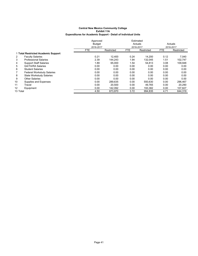|          |                                     | Approved      |            |            | Estimated  |      |            |
|----------|-------------------------------------|---------------|------------|------------|------------|------|------------|
|          |                                     | <b>Budget</b> |            |            | Actuals    |      | Actuals    |
|          |                                     | 2016-2017     |            |            | 2016-2017  |      | 2016-2017  |
|          |                                     | <b>FTE</b>    | Restricted | <b>FTE</b> | Restricted | FTE  | Restricted |
|          | 1 Total Restricted Academic Support |               |            |            |            |      |            |
| 2        | <b>Faculty Salaries</b>             | 0.21          | 12.400     | 0.24       | 14.200     | 0.12 | 7,040      |
| 3        | <b>Professional Salaries</b>        | 2.39          | 144.243    | 1.94       | 132,045    | 1.51 | 102,747    |
| 4        | <b>Support Staff Salaries</b>       | 1.89          | 65,000     | 1.54       | 54,813     | 3.08 | 109,948    |
| 5        | <b>GA/TA/RA Salaries</b>            | 0.00          | 0.00       | 0.00       | 0.00       | 0.00 | 0.00       |
| 6        | <b>Student Salaries</b>             | 0.00          | 0.00       | 0.00       | 0.00       | 0.00 | 0.00       |
|          | <b>Federal Workstudy Salaries</b>   | 0.00          | 0.00       | 0.00       | 0.00       | 0.00 | 0.00       |
| 8        | State Workstudy Salaries            | 0.00          | 0.00       | 0.00       | 0.00       | 0.00 | 0.00       |
| 9        | <b>Other Salaries</b>               | 0.00          | 0.00       | 0.00       | 0.00       | 0.00 | 0.00       |
| 10       | Supplies and Expenses               | 0.00          | 289,635    | 0.00       | 550,630    | 0.00 | 296,467    |
| 11       | Travel                              | 0.00          | 20,500     | 0.00       | 49.765     | 0.00 | 20,290     |
| 12       | Equipment                           | 0.00          | 142,092    | 0.00       | 193,382    | 0.00 | 107,827    |
| 13 Total |                                     | 4.50          | 673.870    | 3.72       | 994.835    | 4.71 | 644.319    |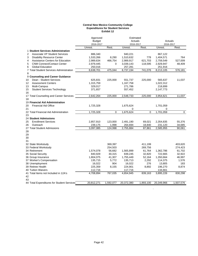#### **Central New Mexico Community College Expenditures for Student Services Exhibit 12**

|                                              | Approved      |           | Estimated  |           |            |           |
|----------------------------------------------|---------------|-----------|------------|-----------|------------|-----------|
|                                              | <b>Budget</b> |           | Actuals    |           | Actuals    |           |
|                                              | 2016-2017     |           | 2016-2017  |           | 2016-2017  |           |
|                                              | Unrest.       | Rest.     | Unrest.    | Rest.     | Unrest.    | Rest.     |
| 1 Student Services Administration            |               |           |            |           |            |           |
| <b>Associate VP Student Services</b><br>2    | 886,340       |           | 940,221    |           | 867,122    |           |
| <b>Disability Resource Center</b><br>3       | 1,533,266     | 8,290     | 1,510,632  | 778       | 1,404,571  | 764       |
| Assistance Centers for Education<br>4        | 2,989,634     | 466.754   | 2,989,917  | 621,703   | 2,759,549  | 527,009   |
| 5<br><b>CNM Connect/Contact Center</b>       | 2,979,445     | 0         | 3,039,143  | 118,595   | 2,929,947  | 48,409    |
| 6<br><b>Global Education</b>                 | 250,016       |           | 257,281    |           | 251,916    |           |
| 7 Total Student Services Administration<br>8 | 8,638,701     | 475,044   | 8,737,194  | 741,076   | 8,213,105  | 576,181   |
| 9 Counseling and Career Guidance             |               |           |            |           |            |           |
| Dean - Student Services<br>10                | 625,831       | 225,000   | 551,737    | 225,000   | 565,637    | 11,037    |
| 12<br><b>Assessment Centers</b>              | 1,315,759     |           | 1,167,758  |           | 1,022,312  |           |
| Multi-Campus<br>13                           | 329,017       |           | 271,786    |           | 218,899    |           |
| 15<br><b>Student Services Technology</b>     | 371,657       |           | 557,452    |           | 2,147,773  |           |
| 16                                           |               |           |            |           |            |           |
| 17 Total Counseling and Career Services      | 2,642,264     | 225,000   | 2,548,733  | 225,000   | 3,954,621  | 11,037    |
| 18                                           |               |           |            |           |            |           |
| 19 Financial Aid Administration              |               |           |            |           |            |           |
| <b>Financial Aid Office</b><br>20            | 1,725,328     |           | 1,675,624  |           | 1,701,059  |           |
| 21                                           |               |           | 0          |           | 0          |           |
| 22 Total Financial Aid Administration        | 1,725,328     | 0         | 1,675,624  | 0         | 1,701,059  | 0         |
| 23                                           |               |           |            |           |            |           |
| <b>24 Student Admissions</b>                 |               |           |            |           |            |           |
| <b>Enrollment Services</b><br>25             | 2,857,910     | 123,000   | 2,491,190  | 69,021    | 2,354,835  | 55,376    |
| Outreach<br>26                               | 239,175       | 1,998     | 264,694    | 18,840    | 231,120    | 34,685    |
| 27 Total Student Admissions                  | 3,097,085     | 124,998   | 2,755,884  | 87,861    | 2,585,955  | 90,061    |
| 28                                           |               |           |            |           |            |           |
| 29                                           |               |           |            |           |            |           |
| 30                                           |               |           |            |           |            |           |
| 31                                           |               |           |            |           |            |           |
| 32 State Workstudy                           |               | 369,397   |            | 411,199   |            | 403,620   |
| 33 Federal Workstudy                         |               | 254,503   |            | 269,756   |            | 274,423   |
| 34 Retirement                                | 1,574,078     | 56,682    | 1,565,899  | 61,764    | 1,362,786  | 61,702    |
| 35 Social Security                           | 840,929       | 30,315    | 839,245    | 32,820    | 722,665    | 32,922    |
| 36 Group Insurance                           | 1,804,075     | 41,307    | 1,755,449  | 52,164    | 1,350,664  | 46,997    |
| 37 Worker's Compensation                     | 135,715       | 5,772     | 135,713    | 2,292     | 114,375    | 1,576     |
| 38 Unemployment                              | 16,022        | 904       | 16,022     | 276       | 13,805     | 183       |
| 39 Retiree Health                            | 225,359       | 8,155     | 224,901    | 8,892     | 196,270    | 8,874     |
| 40 Tuition Waivers                           | 112,716       |           | 117,716    |           | 134,661    |           |
| 41 Total Items not Included in 12A's         | 4,708,894     | 767,035   | 4,654,945  | 839,163   | 3,895,226  | 830,298   |
| 42                                           |               |           |            |           |            |           |
| 43                                           |               |           |            |           |            |           |
| 44 Total Expenditures for Student Services   | 20,812,271    | 1,592,077 | 20,372,380 | 1,893,100 | 20,349,966 | 1,507,576 |

 $\ddot{\phantom{0}}$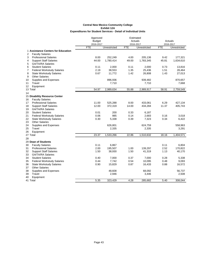| <b>Budget</b><br>Actuals<br>Actuals<br>2016-2017<br>2016-2017<br>2016-2017<br><b>FTE</b><br>Unrestricted<br><b>FTE</b><br><b>FTE</b><br>Unrestricted<br>Unrestricted<br>1 Assistance Centers for Education<br>2<br><b>Faculty Salaries</b><br>3<br>8.00<br>252,249<br>4.00<br>177,321<br><b>Professional Salaries</b><br>205,136<br>9.42<br>44.00<br>1,780,414<br>49.00<br>1,783,345<br>45.81<br>1,634,610<br>4<br><b>Support Staff Salaries</b><br>5<br><b>GA/TA/RA Salaries</b><br>6<br>0.11<br>2,000<br>0.11<br>2,000<br>0.73<br>13,816<br><b>Student Salaries</b><br>2.19<br>38,553<br>1.35<br>7<br><b>Federal Workstudy Salaries</b><br>25,436<br>1.51<br>28,464<br>8<br>0.67<br>1.42<br>1.43<br>11,772<br>26,808<br>27,013<br><b>State Workstudy Salaries</b><br>9<br><b>Other Salaries</b><br>896,936<br>870,657<br>10<br>Supplies and Expenses<br>939,482<br>Travel<br>11<br>7,710<br>7,710<br>7,668<br>12<br>Equipment<br>54.97<br>2,989,634<br>55.88<br>2,989,917<br>58.91<br>2,759,549<br>13 Total<br>14<br>15 Disability Resource Center<br><b>Faculty Salaries</b><br>16<br>525,288<br>433,061<br>6.29<br>427,134<br><b>Professional Salaries</b><br>11.00<br>8.00<br>17<br><b>Support Staff Salaries</b><br>12.00<br>372,319<br>14.00<br>434,284<br>11.37<br>405,743<br>18<br><b>GA/TA/RA Salaries</b><br>19<br><b>Student Salaries</b><br>20<br>0.01<br>200<br>0.33<br>6,187<br>985<br>21<br>0.06<br>0.14<br>2,683<br>0.16<br>3,018<br><b>Federal Workstudy Salaries</b><br>22<br><b>State Workstudy Salaries</b><br>0.30<br>5,338<br>0.39<br>7,323<br>0.34<br>6,422<br>23<br><b>Other Salaries</b><br>24<br>Supplies and Expenses<br>626,801<br>624,759<br>558,963<br>25<br>Travel<br>2,335<br>2,335<br>3,291<br>26<br>Equipment<br>23.37<br>1,533,266<br>22.86<br>1,510,632<br>18.16<br>1,404,571<br>27 Total<br>28<br>29 Dean of Students<br>0.11<br>6,867<br>0.11<br>6,804<br>30<br><b>Faculty Salaries</b><br>2.00<br>2.52<br>195,507<br>1.00<br>139,297<br>170,822<br>31<br><b>Professional Salaries</b><br>1.50<br>38,930<br>1.50<br>1.13<br>40,170<br>32<br><b>Support Staff Salaries</b><br>41,319<br>33<br><b>GA/TA/RA Salaries</b><br>34<br><b>Student Salaries</b><br>0.40<br>7,000<br>0.37<br>7,000<br>0.28<br>5,338<br>0.44<br>7,742<br>0.54<br><b>Federal Workstudy Salaries</b><br>10,095<br>0.48<br>9,093<br>35<br>36<br>0.87<br><b>State Workstudy Salaries</b><br>0.90<br>15,829<br>16,433<br>0.88<br>16,572<br>37<br><b>Other Salaries</b><br>38<br>Supplies and Expenses<br>48,608<br>68,092<br>56,737<br>39<br>2,508<br>Travel<br>2,946<br>3,446 |    |           | Approved |  | Estimated |  |
|---------------------------------------------------------------------------------------------------------------------------------------------------------------------------------------------------------------------------------------------------------------------------------------------------------------------------------------------------------------------------------------------------------------------------------------------------------------------------------------------------------------------------------------------------------------------------------------------------------------------------------------------------------------------------------------------------------------------------------------------------------------------------------------------------------------------------------------------------------------------------------------------------------------------------------------------------------------------------------------------------------------------------------------------------------------------------------------------------------------------------------------------------------------------------------------------------------------------------------------------------------------------------------------------------------------------------------------------------------------------------------------------------------------------------------------------------------------------------------------------------------------------------------------------------------------------------------------------------------------------------------------------------------------------------------------------------------------------------------------------------------------------------------------------------------------------------------------------------------------------------------------------------------------------------------------------------------------------------------------------------------------------------------------------------------------------------------------------------------------------------------------------------------------------------------------------------------------------------------------------------------------------------------------------------------------------------------------------------------------------------------------------------------------------------------------------------------------------------------------------------------------------------------------------------------------------------------------|----|-----------|----------|--|-----------|--|
|                                                                                                                                                                                                                                                                                                                                                                                                                                                                                                                                                                                                                                                                                                                                                                                                                                                                                                                                                                                                                                                                                                                                                                                                                                                                                                                                                                                                                                                                                                                                                                                                                                                                                                                                                                                                                                                                                                                                                                                                                                                                                                                                                                                                                                                                                                                                                                                                                                                                                                                                                                                       |    |           |          |  |           |  |
|                                                                                                                                                                                                                                                                                                                                                                                                                                                                                                                                                                                                                                                                                                                                                                                                                                                                                                                                                                                                                                                                                                                                                                                                                                                                                                                                                                                                                                                                                                                                                                                                                                                                                                                                                                                                                                                                                                                                                                                                                                                                                                                                                                                                                                                                                                                                                                                                                                                                                                                                                                                       |    |           |          |  |           |  |
|                                                                                                                                                                                                                                                                                                                                                                                                                                                                                                                                                                                                                                                                                                                                                                                                                                                                                                                                                                                                                                                                                                                                                                                                                                                                                                                                                                                                                                                                                                                                                                                                                                                                                                                                                                                                                                                                                                                                                                                                                                                                                                                                                                                                                                                                                                                                                                                                                                                                                                                                                                                       |    |           |          |  |           |  |
|                                                                                                                                                                                                                                                                                                                                                                                                                                                                                                                                                                                                                                                                                                                                                                                                                                                                                                                                                                                                                                                                                                                                                                                                                                                                                                                                                                                                                                                                                                                                                                                                                                                                                                                                                                                                                                                                                                                                                                                                                                                                                                                                                                                                                                                                                                                                                                                                                                                                                                                                                                                       |    |           |          |  |           |  |
|                                                                                                                                                                                                                                                                                                                                                                                                                                                                                                                                                                                                                                                                                                                                                                                                                                                                                                                                                                                                                                                                                                                                                                                                                                                                                                                                                                                                                                                                                                                                                                                                                                                                                                                                                                                                                                                                                                                                                                                                                                                                                                                                                                                                                                                                                                                                                                                                                                                                                                                                                                                       |    |           |          |  |           |  |
|                                                                                                                                                                                                                                                                                                                                                                                                                                                                                                                                                                                                                                                                                                                                                                                                                                                                                                                                                                                                                                                                                                                                                                                                                                                                                                                                                                                                                                                                                                                                                                                                                                                                                                                                                                                                                                                                                                                                                                                                                                                                                                                                                                                                                                                                                                                                                                                                                                                                                                                                                                                       |    |           |          |  |           |  |
|                                                                                                                                                                                                                                                                                                                                                                                                                                                                                                                                                                                                                                                                                                                                                                                                                                                                                                                                                                                                                                                                                                                                                                                                                                                                                                                                                                                                                                                                                                                                                                                                                                                                                                                                                                                                                                                                                                                                                                                                                                                                                                                                                                                                                                                                                                                                                                                                                                                                                                                                                                                       |    |           |          |  |           |  |
|                                                                                                                                                                                                                                                                                                                                                                                                                                                                                                                                                                                                                                                                                                                                                                                                                                                                                                                                                                                                                                                                                                                                                                                                                                                                                                                                                                                                                                                                                                                                                                                                                                                                                                                                                                                                                                                                                                                                                                                                                                                                                                                                                                                                                                                                                                                                                                                                                                                                                                                                                                                       |    |           |          |  |           |  |
|                                                                                                                                                                                                                                                                                                                                                                                                                                                                                                                                                                                                                                                                                                                                                                                                                                                                                                                                                                                                                                                                                                                                                                                                                                                                                                                                                                                                                                                                                                                                                                                                                                                                                                                                                                                                                                                                                                                                                                                                                                                                                                                                                                                                                                                                                                                                                                                                                                                                                                                                                                                       |    |           |          |  |           |  |
|                                                                                                                                                                                                                                                                                                                                                                                                                                                                                                                                                                                                                                                                                                                                                                                                                                                                                                                                                                                                                                                                                                                                                                                                                                                                                                                                                                                                                                                                                                                                                                                                                                                                                                                                                                                                                                                                                                                                                                                                                                                                                                                                                                                                                                                                                                                                                                                                                                                                                                                                                                                       |    |           |          |  |           |  |
|                                                                                                                                                                                                                                                                                                                                                                                                                                                                                                                                                                                                                                                                                                                                                                                                                                                                                                                                                                                                                                                                                                                                                                                                                                                                                                                                                                                                                                                                                                                                                                                                                                                                                                                                                                                                                                                                                                                                                                                                                                                                                                                                                                                                                                                                                                                                                                                                                                                                                                                                                                                       |    |           |          |  |           |  |
|                                                                                                                                                                                                                                                                                                                                                                                                                                                                                                                                                                                                                                                                                                                                                                                                                                                                                                                                                                                                                                                                                                                                                                                                                                                                                                                                                                                                                                                                                                                                                                                                                                                                                                                                                                                                                                                                                                                                                                                                                                                                                                                                                                                                                                                                                                                                                                                                                                                                                                                                                                                       |    |           |          |  |           |  |
|                                                                                                                                                                                                                                                                                                                                                                                                                                                                                                                                                                                                                                                                                                                                                                                                                                                                                                                                                                                                                                                                                                                                                                                                                                                                                                                                                                                                                                                                                                                                                                                                                                                                                                                                                                                                                                                                                                                                                                                                                                                                                                                                                                                                                                                                                                                                                                                                                                                                                                                                                                                       |    |           |          |  |           |  |
|                                                                                                                                                                                                                                                                                                                                                                                                                                                                                                                                                                                                                                                                                                                                                                                                                                                                                                                                                                                                                                                                                                                                                                                                                                                                                                                                                                                                                                                                                                                                                                                                                                                                                                                                                                                                                                                                                                                                                                                                                                                                                                                                                                                                                                                                                                                                                                                                                                                                                                                                                                                       |    |           |          |  |           |  |
|                                                                                                                                                                                                                                                                                                                                                                                                                                                                                                                                                                                                                                                                                                                                                                                                                                                                                                                                                                                                                                                                                                                                                                                                                                                                                                                                                                                                                                                                                                                                                                                                                                                                                                                                                                                                                                                                                                                                                                                                                                                                                                                                                                                                                                                                                                                                                                                                                                                                                                                                                                                       |    |           |          |  |           |  |
|                                                                                                                                                                                                                                                                                                                                                                                                                                                                                                                                                                                                                                                                                                                                                                                                                                                                                                                                                                                                                                                                                                                                                                                                                                                                                                                                                                                                                                                                                                                                                                                                                                                                                                                                                                                                                                                                                                                                                                                                                                                                                                                                                                                                                                                                                                                                                                                                                                                                                                                                                                                       |    |           |          |  |           |  |
|                                                                                                                                                                                                                                                                                                                                                                                                                                                                                                                                                                                                                                                                                                                                                                                                                                                                                                                                                                                                                                                                                                                                                                                                                                                                                                                                                                                                                                                                                                                                                                                                                                                                                                                                                                                                                                                                                                                                                                                                                                                                                                                                                                                                                                                                                                                                                                                                                                                                                                                                                                                       |    |           |          |  |           |  |
|                                                                                                                                                                                                                                                                                                                                                                                                                                                                                                                                                                                                                                                                                                                                                                                                                                                                                                                                                                                                                                                                                                                                                                                                                                                                                                                                                                                                                                                                                                                                                                                                                                                                                                                                                                                                                                                                                                                                                                                                                                                                                                                                                                                                                                                                                                                                                                                                                                                                                                                                                                                       |    |           |          |  |           |  |
|                                                                                                                                                                                                                                                                                                                                                                                                                                                                                                                                                                                                                                                                                                                                                                                                                                                                                                                                                                                                                                                                                                                                                                                                                                                                                                                                                                                                                                                                                                                                                                                                                                                                                                                                                                                                                                                                                                                                                                                                                                                                                                                                                                                                                                                                                                                                                                                                                                                                                                                                                                                       |    |           |          |  |           |  |
|                                                                                                                                                                                                                                                                                                                                                                                                                                                                                                                                                                                                                                                                                                                                                                                                                                                                                                                                                                                                                                                                                                                                                                                                                                                                                                                                                                                                                                                                                                                                                                                                                                                                                                                                                                                                                                                                                                                                                                                                                                                                                                                                                                                                                                                                                                                                                                                                                                                                                                                                                                                       |    |           |          |  |           |  |
|                                                                                                                                                                                                                                                                                                                                                                                                                                                                                                                                                                                                                                                                                                                                                                                                                                                                                                                                                                                                                                                                                                                                                                                                                                                                                                                                                                                                                                                                                                                                                                                                                                                                                                                                                                                                                                                                                                                                                                                                                                                                                                                                                                                                                                                                                                                                                                                                                                                                                                                                                                                       |    |           |          |  |           |  |
|                                                                                                                                                                                                                                                                                                                                                                                                                                                                                                                                                                                                                                                                                                                                                                                                                                                                                                                                                                                                                                                                                                                                                                                                                                                                                                                                                                                                                                                                                                                                                                                                                                                                                                                                                                                                                                                                                                                                                                                                                                                                                                                                                                                                                                                                                                                                                                                                                                                                                                                                                                                       |    |           |          |  |           |  |
|                                                                                                                                                                                                                                                                                                                                                                                                                                                                                                                                                                                                                                                                                                                                                                                                                                                                                                                                                                                                                                                                                                                                                                                                                                                                                                                                                                                                                                                                                                                                                                                                                                                                                                                                                                                                                                                                                                                                                                                                                                                                                                                                                                                                                                                                                                                                                                                                                                                                                                                                                                                       |    |           |          |  |           |  |
|                                                                                                                                                                                                                                                                                                                                                                                                                                                                                                                                                                                                                                                                                                                                                                                                                                                                                                                                                                                                                                                                                                                                                                                                                                                                                                                                                                                                                                                                                                                                                                                                                                                                                                                                                                                                                                                                                                                                                                                                                                                                                                                                                                                                                                                                                                                                                                                                                                                                                                                                                                                       |    |           |          |  |           |  |
|                                                                                                                                                                                                                                                                                                                                                                                                                                                                                                                                                                                                                                                                                                                                                                                                                                                                                                                                                                                                                                                                                                                                                                                                                                                                                                                                                                                                                                                                                                                                                                                                                                                                                                                                                                                                                                                                                                                                                                                                                                                                                                                                                                                                                                                                                                                                                                                                                                                                                                                                                                                       |    |           |          |  |           |  |
|                                                                                                                                                                                                                                                                                                                                                                                                                                                                                                                                                                                                                                                                                                                                                                                                                                                                                                                                                                                                                                                                                                                                                                                                                                                                                                                                                                                                                                                                                                                                                                                                                                                                                                                                                                                                                                                                                                                                                                                                                                                                                                                                                                                                                                                                                                                                                                                                                                                                                                                                                                                       |    |           |          |  |           |  |
|                                                                                                                                                                                                                                                                                                                                                                                                                                                                                                                                                                                                                                                                                                                                                                                                                                                                                                                                                                                                                                                                                                                                                                                                                                                                                                                                                                                                                                                                                                                                                                                                                                                                                                                                                                                                                                                                                                                                                                                                                                                                                                                                                                                                                                                                                                                                                                                                                                                                                                                                                                                       |    |           |          |  |           |  |
|                                                                                                                                                                                                                                                                                                                                                                                                                                                                                                                                                                                                                                                                                                                                                                                                                                                                                                                                                                                                                                                                                                                                                                                                                                                                                                                                                                                                                                                                                                                                                                                                                                                                                                                                                                                                                                                                                                                                                                                                                                                                                                                                                                                                                                                                                                                                                                                                                                                                                                                                                                                       |    |           |          |  |           |  |
|                                                                                                                                                                                                                                                                                                                                                                                                                                                                                                                                                                                                                                                                                                                                                                                                                                                                                                                                                                                                                                                                                                                                                                                                                                                                                                                                                                                                                                                                                                                                                                                                                                                                                                                                                                                                                                                                                                                                                                                                                                                                                                                                                                                                                                                                                                                                                                                                                                                                                                                                                                                       |    |           |          |  |           |  |
|                                                                                                                                                                                                                                                                                                                                                                                                                                                                                                                                                                                                                                                                                                                                                                                                                                                                                                                                                                                                                                                                                                                                                                                                                                                                                                                                                                                                                                                                                                                                                                                                                                                                                                                                                                                                                                                                                                                                                                                                                                                                                                                                                                                                                                                                                                                                                                                                                                                                                                                                                                                       |    |           |          |  |           |  |
|                                                                                                                                                                                                                                                                                                                                                                                                                                                                                                                                                                                                                                                                                                                                                                                                                                                                                                                                                                                                                                                                                                                                                                                                                                                                                                                                                                                                                                                                                                                                                                                                                                                                                                                                                                                                                                                                                                                                                                                                                                                                                                                                                                                                                                                                                                                                                                                                                                                                                                                                                                                       |    |           |          |  |           |  |
|                                                                                                                                                                                                                                                                                                                                                                                                                                                                                                                                                                                                                                                                                                                                                                                                                                                                                                                                                                                                                                                                                                                                                                                                                                                                                                                                                                                                                                                                                                                                                                                                                                                                                                                                                                                                                                                                                                                                                                                                                                                                                                                                                                                                                                                                                                                                                                                                                                                                                                                                                                                       |    |           |          |  |           |  |
|                                                                                                                                                                                                                                                                                                                                                                                                                                                                                                                                                                                                                                                                                                                                                                                                                                                                                                                                                                                                                                                                                                                                                                                                                                                                                                                                                                                                                                                                                                                                                                                                                                                                                                                                                                                                                                                                                                                                                                                                                                                                                                                                                                                                                                                                                                                                                                                                                                                                                                                                                                                       |    |           |          |  |           |  |
|                                                                                                                                                                                                                                                                                                                                                                                                                                                                                                                                                                                                                                                                                                                                                                                                                                                                                                                                                                                                                                                                                                                                                                                                                                                                                                                                                                                                                                                                                                                                                                                                                                                                                                                                                                                                                                                                                                                                                                                                                                                                                                                                                                                                                                                                                                                                                                                                                                                                                                                                                                                       |    |           |          |  |           |  |
|                                                                                                                                                                                                                                                                                                                                                                                                                                                                                                                                                                                                                                                                                                                                                                                                                                                                                                                                                                                                                                                                                                                                                                                                                                                                                                                                                                                                                                                                                                                                                                                                                                                                                                                                                                                                                                                                                                                                                                                                                                                                                                                                                                                                                                                                                                                                                                                                                                                                                                                                                                                       |    |           |          |  |           |  |
|                                                                                                                                                                                                                                                                                                                                                                                                                                                                                                                                                                                                                                                                                                                                                                                                                                                                                                                                                                                                                                                                                                                                                                                                                                                                                                                                                                                                                                                                                                                                                                                                                                                                                                                                                                                                                                                                                                                                                                                                                                                                                                                                                                                                                                                                                                                                                                                                                                                                                                                                                                                       |    |           |          |  |           |  |
|                                                                                                                                                                                                                                                                                                                                                                                                                                                                                                                                                                                                                                                                                                                                                                                                                                                                                                                                                                                                                                                                                                                                                                                                                                                                                                                                                                                                                                                                                                                                                                                                                                                                                                                                                                                                                                                                                                                                                                                                                                                                                                                                                                                                                                                                                                                                                                                                                                                                                                                                                                                       |    |           |          |  |           |  |
|                                                                                                                                                                                                                                                                                                                                                                                                                                                                                                                                                                                                                                                                                                                                                                                                                                                                                                                                                                                                                                                                                                                                                                                                                                                                                                                                                                                                                                                                                                                                                                                                                                                                                                                                                                                                                                                                                                                                                                                                                                                                                                                                                                                                                                                                                                                                                                                                                                                                                                                                                                                       |    |           |          |  |           |  |
|                                                                                                                                                                                                                                                                                                                                                                                                                                                                                                                                                                                                                                                                                                                                                                                                                                                                                                                                                                                                                                                                                                                                                                                                                                                                                                                                                                                                                                                                                                                                                                                                                                                                                                                                                                                                                                                                                                                                                                                                                                                                                                                                                                                                                                                                                                                                                                                                                                                                                                                                                                                       |    |           |          |  |           |  |
|                                                                                                                                                                                                                                                                                                                                                                                                                                                                                                                                                                                                                                                                                                                                                                                                                                                                                                                                                                                                                                                                                                                                                                                                                                                                                                                                                                                                                                                                                                                                                                                                                                                                                                                                                                                                                                                                                                                                                                                                                                                                                                                                                                                                                                                                                                                                                                                                                                                                                                                                                                                       |    |           |          |  |           |  |
|                                                                                                                                                                                                                                                                                                                                                                                                                                                                                                                                                                                                                                                                                                                                                                                                                                                                                                                                                                                                                                                                                                                                                                                                                                                                                                                                                                                                                                                                                                                                                                                                                                                                                                                                                                                                                                                                                                                                                                                                                                                                                                                                                                                                                                                                                                                                                                                                                                                                                                                                                                                       |    |           |          |  |           |  |
|                                                                                                                                                                                                                                                                                                                                                                                                                                                                                                                                                                                                                                                                                                                                                                                                                                                                                                                                                                                                                                                                                                                                                                                                                                                                                                                                                                                                                                                                                                                                                                                                                                                                                                                                                                                                                                                                                                                                                                                                                                                                                                                                                                                                                                                                                                                                                                                                                                                                                                                                                                                       |    |           |          |  |           |  |
|                                                                                                                                                                                                                                                                                                                                                                                                                                                                                                                                                                                                                                                                                                                                                                                                                                                                                                                                                                                                                                                                                                                                                                                                                                                                                                                                                                                                                                                                                                                                                                                                                                                                                                                                                                                                                                                                                                                                                                                                                                                                                                                                                                                                                                                                                                                                                                                                                                                                                                                                                                                       | 40 | Equipment |          |  |           |  |
| 5.35<br>4.28<br>41 Total<br>323,429<br>285,682<br>5.40<br>308,044                                                                                                                                                                                                                                                                                                                                                                                                                                                                                                                                                                                                                                                                                                                                                                                                                                                                                                                                                                                                                                                                                                                                                                                                                                                                                                                                                                                                                                                                                                                                                                                                                                                                                                                                                                                                                                                                                                                                                                                                                                                                                                                                                                                                                                                                                                                                                                                                                                                                                                                     |    |           |          |  |           |  |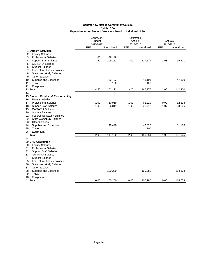|                                         | Approved      |              | Estimated  |              |            |              |
|-----------------------------------------|---------------|--------------|------------|--------------|------------|--------------|
|                                         | <b>Budget</b> |              |            | Actuals      |            | Actuals      |
|                                         | 2016-2017     |              |            | 2016-2017    |            | 2016-2017    |
|                                         | <b>FTE</b>    | Unrestricted | <b>FTE</b> | Unrestricted | <b>FTE</b> | Unrestricted |
| 1 Student Activities                    |               |              |            |              |            |              |
| <b>Faculty Salaries</b><br>2            |               |              |            |              |            |              |
| 3<br><b>Professional Salaries</b>       | 1.00          | 39,148       |            |              |            |              |
| <b>Support Staff Salaries</b><br>4      | 3.50          | 109,151      | 3.00       | 117,574      | 2.68       | 95,611       |
| <b>GA/TA/RA Salaries</b><br>5           |               |              |            |              |            |              |
| 6<br><b>Student Salaries</b>            |               |              |            |              |            |              |
| <b>Federal Workstudy Salaries</b><br>7  |               |              |            |              |            |              |
| 8<br><b>State Workstudy Salaries</b>    |               |              |            |              |            |              |
| <b>Other Salaries</b><br>9              |               |              |            |              |            |              |
| Supplies and Expenses<br>10             |               | 53,723       |            | 48,101       |            | 47,309       |
| 11<br>Travel                            |               | 100          |            | 100          |            |              |
| Equipment<br>12                         |               |              |            |              |            |              |
| 13 Total                                | 4.50          | 202,122      | 3.00       | 165,775      | 2.68       | 142,920      |
| 14                                      |               |              |            |              |            |              |
| 15 Student Conduct & Responsibility     |               |              |            |              |            |              |
| <b>Faculty Salaries</b><br>16           |               |              |            |              |            |              |
| <b>Professional Salaries</b><br>17      | 1.00          | 60,919       | 1.00       | 62,819       | 0.92       | 62,513       |
| <b>Support Staff Salaries</b><br>18     | 1.00          | 36,811       | 1.00       | 38,712       | 1.07       | 38,226       |
| <b>GA/TA/RA Salaries</b><br>19          |               |              |            |              |            |              |
| <b>Student Salaries</b><br>20           |               |              |            |              |            |              |
| 21<br><b>Federal Workstudy Salaries</b> |               |              |            |              |            |              |
| 22<br><b>State Workstudy Salaries</b>   |               |              |            |              |            |              |
| 23<br><b>Other Salaries</b>             |               |              |            |              |            |              |
| 24<br>Supplies and Expenses             |               | 49,420       |            | 49,320       |            | 51,186       |
| 25<br>Travel                            |               |              |            | 100          |            |              |
| 26<br>Equipment                         |               |              |            |              |            |              |
| 27 Total                                | 2.00          | 147,150      | 2.00       | 150,951      | 1.99       | 151,925      |
| 28                                      |               |              |            |              |            |              |
| 29 CNM Graduation                       |               |              |            |              |            |              |
| 30<br><b>Faculty Salaries</b>           |               |              |            |              |            |              |
| 31<br><b>Professional Salaries</b>      |               |              |            |              |            |              |
| <b>Support Staff Salaries</b><br>32     |               |              |            |              |            |              |
| 33<br><b>GA/TA/RA Salaries</b>          |               |              |            |              |            |              |
| 34<br><b>Student Salaries</b>           |               |              |            |              |            |              |
| <b>Federal Workstudy Salaries</b><br>35 |               |              |            |              |            |              |
| 36<br><b>State Workstudy Salaries</b>   |               |              |            |              |            |              |
| <b>Other Salaries</b><br>37             |               |              |            |              |            |              |
| Supplies and Expenses<br>38             |               | 100,280      |            | 100,280      |            | 114,673      |
| Travel<br>39                            |               |              |            |              |            |              |
| Equipment<br>40                         | 0.00          | 100,280      | 0.00       | 100,280      | 0.00       | 114,673      |
| 41 Total                                |               |              |            |              |            |              |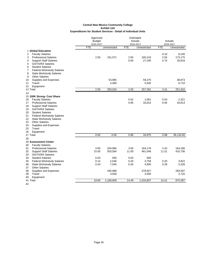|                                                                                | Approved      |                    | Estimated     |                    |               |                    |
|--------------------------------------------------------------------------------|---------------|--------------------|---------------|--------------------|---------------|--------------------|
|                                                                                | <b>Budget</b> |                    |               | Actuals            |               | Actuals            |
|                                                                                | 2016-2017     |                    |               | 2016-2017          |               | 2016-2017          |
|                                                                                | <b>FTE</b>    | Unrestricted       | <b>FTE</b>    | Unrestricted       | <b>FTE</b>    | Unrestricted       |
| 1 Global Education                                                             |               |                    |               |                    |               |                    |
| <b>Faculty Salaries</b><br>2                                                   |               |                    |               |                    | 0.10          | 6,240              |
| 3<br><b>Professional Salaries</b>                                              | 2.00          | 191,571            | 2.00          | 165,216            | 2.55          | 173,175            |
| 4<br><b>Support Staff Salaries</b>                                             |               |                    | 0.50          | 27,245             | 0.75          | 26,918             |
| 5<br><b>GA/TA/RA Salaries</b>                                                  |               |                    |               |                    |               |                    |
| 6<br><b>Student Salaries</b>                                                   |               |                    |               |                    |               |                    |
| 7<br><b>Federal Workstudy Salaries</b><br>8<br><b>State Workstudy Salaries</b> |               |                    |               |                    |               |                    |
| 9<br><b>Other Salaries</b>                                                     |               |                    |               |                    |               |                    |
| Supplies and Expenses<br>10                                                    |               | 53,985             |               | 59,275             |               | 38,873             |
| 11<br>Travel                                                                   |               | 4,460              |               | 5,545              |               | 6,710              |
| 12<br>Equipment                                                                |               |                    |               |                    |               |                    |
| 13 Total                                                                       | 2.00          | 250,016            | 2.50          | 257,281            | 3.41          | 251,916            |
| 14                                                                             |               |                    |               |                    |               |                    |
| 15 100K Strong- Cost Share                                                     |               |                    |               |                    |               |                    |
| <b>Faculty Salaries</b><br>16                                                  |               |                    | 0.02          | 1,061              | 0.03          | 2,321              |
| <b>Professional Salaries</b><br>17                                             |               |                    | 0.95          | 33,814             | 0.95          | 33,813             |
| <b>Support Staff Salaries</b><br>18                                            |               |                    |               |                    |               |                    |
| <b>GA/TA/RA Salaries</b><br>19                                                 |               |                    |               |                    |               |                    |
| 20<br><b>Student Salaries</b>                                                  |               |                    |               |                    |               |                    |
| 21<br><b>Federal Workstudy Salaries</b>                                        |               |                    |               |                    |               |                    |
| 22<br><b>State Workstudy Salaries</b>                                          |               |                    |               |                    |               |                    |
| 23<br><b>Other Salaries</b>                                                    |               |                    |               |                    |               |                    |
| 24<br>Supplies and Expenses                                                    |               |                    |               |                    |               |                    |
| 25<br>Travel                                                                   |               |                    |               |                    |               |                    |
| 26<br>Equipment                                                                |               |                    |               |                    |               |                    |
| 27 Total                                                                       | 0.00          | 0.00               | 0.96          | 34,875             | 0.98          | 36,134.00          |
| 28                                                                             |               |                    |               |                    |               |                    |
| 29 Assessment Center                                                           |               |                    |               |                    |               |                    |
| 30<br><b>Faculty Salaries</b>                                                  |               |                    |               |                    |               |                    |
| 31<br><b>Professional Salaries</b><br>32<br><b>Support Staff Salaries</b>      | 4.00<br>15.00 | 204,965<br>503,564 | 3.00<br>11.00 | 164,176<br>461,046 | 2.42<br>11.51 | 164,186<br>410,736 |
| <b>GA/TA/RA Salaries</b><br>33                                                 |               |                    |               |                    |               |                    |
| 34<br><b>Student Salaries</b>                                                  | 0.03          | 500                | 0.03          | 500                |               |                    |
| 35<br><b>Federal Workstudy Salaries</b>                                        | 0.14          | 2,546              | 0.20          | 3,758              | 0.20          | 3,822              |
| 36<br><b>State Workstudy Salaries</b>                                          | 0.43          | 7,545              | 0.26          | 4,900              | 0.28          | 5,326              |
| <b>Other Salaries</b><br>37                                                    |               |                    |               |                    |               |                    |
| 38<br>Supplies and Expenses                                                    |               | 445,989            |               | 378,927            |               | 283,597            |
| 39<br>Travel                                                                   |               | 3,500              |               | 3,500              |               | 2,720              |
| 40<br>Equipment                                                                |               |                    |               |                    |               |                    |
| 41 Total                                                                       | 19.60         | 1,168,609          | 14.49         | 1,016,807          | 14.41         | 870,387            |
| $\sim$                                                                         |               |                    |               |                    |               |                    |

42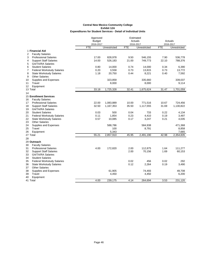|    |                                   | Approved      |              |            | Estimated    |            |              |
|----|-----------------------------------|---------------|--------------|------------|--------------|------------|--------------|
|    |                                   | <b>Budget</b> |              |            | Actuals      |            | Actuals      |
|    |                                   | 2016-2017     |              |            | 2016-2017    |            | 2016-2017    |
|    |                                   | <b>FTE</b>    | Unrestricted | <b>FTE</b> | Unrestricted | <b>FTE</b> | Unrestricted |
|    | 1 Financial Aid                   |               |              |            |              |            |              |
| 2  | <b>Faculty Salaries</b>           |               |              |            |              |            |              |
| 3  | <b>Professional Salaries</b>      | 17.00         | 828,978      | 9.50       | 546,155      | 7.90       | 536,778      |
| 4  | <b>Support Staff Salaries</b>     | 14.00         | 526,183      | 21.00      | 749,773      | 22.10      | 788,376      |
| 5  | <b>GA/TA/RA Salaries</b>          |               |              |            |              |            |              |
| 6  | <b>Student Salaries</b>           | 0.80          | 14,000       | 0.74       | 14,000       | 0.34       | 6,390        |
| 7  | <b>Federal Workstudy Salaries</b> | 0.20          | 3,558        | 0.73       | 13,815       | 0.73       | 13,772       |
| 8  | <b>State Workstudy Salaries</b>   | 1.18          | 20,750       | 0.44       | 8,221        | 0.40       | 7,592        |
| 9  | <b>Other Salaries</b>             |               |              |            |              |            |              |
| 10 | Supplies and Expenses             |               | 323,859      |            | 335,660      |            | 339,037      |
| 11 | Travel                            |               | 8,000        |            | 8,000        |            | 9,114        |
| 12 | Equipment                         |               |              |            |              |            |              |
|    | 13 Total                          | 33.18         | 1,725,328    | 32.41      | 1,675,624    | 31.47      | 1,701,059    |
| 14 |                                   |               |              |            |              |            |              |
|    | <b>15 Enrollment Services</b>     |               |              |            |              |            |              |
| 16 | <b>Faculty Salaries</b>           |               |              |            |              |            |              |
| 17 | <b>Professional Salaries</b>      | 22.00         | 1,083,889    | 10.00      | 771,516      | 10.67      | 724,456      |
| 18 | <b>Support Staff Salaries</b>     | 32.50         | 1,167,353    | 35.50      | 1,117,555    | 31.69      | 1,130,822    |
| 19 | <b>GA/TA/RA Salaries</b>          |               |              |            |              |            |              |
| 20 | <b>Student Salaries</b>           | 0.03          | 500          | 0.04       | 733          | 0.22       | 4,134        |
| 21 | <b>Federal Workstudy Salaries</b> | 0.11          | 1,854        | 0.23       | 4,410        | 0.19       | 3,497        |
| 22 | <b>State Workstudy Salaries</b>   | 0.57          | 10,085       | 0.17       | 3,247        | 0.21       | 4,035        |
| 23 | <b>Other Salaries</b>             |               |              |            |              |            |              |
| 24 | Supplies and Expenses             |               | 588,786      |            | 584,938      |            | 471,368      |
| 25 | Travel                            |               | 100          |            | 8,791        |            | 8,858        |
|    |                                   |               |              |            |              |            |              |
| 26 | Equipment                         |               | 5,343        | 45.95      |              |            | 7,665        |
|    | 27 Total                          | 55.21         | 2,857,910    |            | 2,491,190    | 42.98      | 2,354,835    |
| 28 |                                   |               |              |            |              |            |              |
|    | 29 Outreach                       |               |              |            |              |            |              |
| 30 | <b>Faculty Salaries</b>           |               |              |            |              |            |              |
| 31 | <b>Professional Salaries</b>      | 4.00          | 172,820      | 2.00       | 112,875      | 1.64       | 111,277      |
| 32 | <b>Support Staff Salaries</b>     |               |              | 2.00       | 70,156       | 1.69       | 60,153       |
| 33 | <b>GA/TA/RA Salaries</b>          |               |              |            |              |            |              |
| 34 | <b>Student Salaries</b>           |               |              |            |              |            |              |
| 35 | <b>Federal Workstudy Salaries</b> |               |              | 0.02       | 456          | 0.02       | 292          |
| 36 | <b>State Workstudy Salaries</b>   |               |              | 0.12       | 2,264        | 0.19       | 3,490        |
| 37 | <b>Other Salaries</b>             |               |              |            |              |            |              |
| 38 | Supplies and Expenses             |               | 61,905       |            | 74,493       |            | 49,708       |
| 39 | Travel                            |               | 4,450        |            | 4,450        |            | 6,200        |
| 40 | Equipment                         |               |              |            |              |            |              |
|    | 41 Total                          | 4.00          | 239,175      | 4.14       | 264,694      | 3.53       | 231.120      |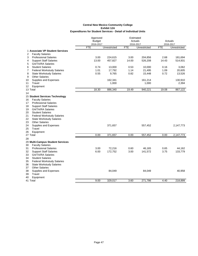|                                         | Approved      |              | Estimated  |              |            |              |
|-----------------------------------------|---------------|--------------|------------|--------------|------------|--------------|
|                                         | <b>Budget</b> |              |            | Actuals      |            | Actuals      |
|                                         | 2016-2017     |              |            | 2016-2017    |            | 2016-2017    |
|                                         | <b>FTE</b>    | Unrestricted | <b>FTE</b> | Unrestricted | <b>FTE</b> | Unrestricted |
| 1 Associate VP Student Services         |               |              |            |              |            |              |
| <b>Faculty Salaries</b><br>2            |               |              |            |              |            |              |
| 3<br><b>Professional Salaries</b>       | 3.00          | 224,615      | 3.00       | 204,856      | 2.68       | 181,694      |
| <b>Support Staff Salaries</b><br>4      | 13.00         | 457,827      | 14.00      | 526,208      | 14.43      | 514,931      |
| 5<br><b>GA/TA/RA Salaries</b>           |               |              |            |              |            |              |
| 6<br><b>Student Salaries</b>            | 0.74          | 13,000       | 0.53       | 10,000       | 0.16       | 3,062        |
| 7<br><b>Federal Workstudy Salaries</b>  | 1.01          | 17,792       | 1.14       | 21,495       | 1.09       | 20,605       |
| 8<br><b>State Workstudy Salaries</b>    | 0.55          | 9,765        | 0.82       | 15,448       | 0.72       | 13,526       |
| <b>Other Salaries</b><br>9              |               |              |            |              |            |              |
| 10<br>Supplies and Expenses             |               | 162,341      |            | 161,214      |            | 130,910      |
| Travel<br>11                            |               | 1,000        |            | 1,000        |            | 2,394        |
| 12<br>Equipment                         |               |              |            |              |            |              |
| 13 Total                                | 18.30         | 886,340      | 19.49      | 940,221      | 19.08      | 867,122      |
| 14                                      |               |              |            |              |            |              |
| 15 Student Services Technology          |               |              |            |              |            |              |
| <b>Faculty Salaries</b><br>16           |               |              |            |              |            |              |
| <b>Professional Salaries</b><br>17      |               |              |            |              |            |              |
| <b>Support Staff Salaries</b><br>18     |               |              |            |              |            |              |
| <b>GA/TA/RA Salaries</b><br>19          |               |              |            |              |            |              |
| <b>Student Salaries</b><br>20           |               |              |            |              |            |              |
| 21                                      |               |              |            |              |            |              |
| <b>Federal Workstudy Salaries</b><br>22 |               |              |            |              |            |              |
| <b>State Workstudy Salaries</b>         |               |              |            |              |            |              |
| 23<br><b>Other Salaries</b>             |               |              |            |              |            |              |
| 24<br>Supplies and Expenses             |               | 371,657      |            | 557,452      |            | 2,147,773    |
| 25<br>Travel                            |               |              |            |              |            |              |
| 26<br>Equipment                         |               |              |            |              |            |              |
| 27 Total                                | 0.00          | 371,657      | 0.00       | 557,452      | 0.00       | 2,147,773    |
| 28                                      |               |              |            |              |            |              |
| 29 Multi-Campus Student Services        |               |              |            |              |            |              |
| 30<br><b>Faculty Salaries</b>           |               |              |            |              |            |              |
| 31<br><b>Professional Salaries</b>      | 3.00          | 72,216       | 0.60       | 46,165       | 0.65       | 44,162       |
| 32<br><b>Support Staff Salaries</b>     | 6.00          | 172,752      | 3.00       | 141,572      | 3.75       | 133,779      |
| <b>GA/TA/RA Salaries</b><br>33          |               |              |            |              |            |              |
| 34<br><b>Student Salaries</b>           |               |              |            |              |            |              |
| <b>Federal Workstudy Salaries</b><br>35 |               |              |            |              |            |              |
| <b>State Workstudy Salaries</b><br>36   |               |              |            |              |            |              |
| <b>Other Salaries</b><br>37             |               |              |            |              |            |              |
| 38<br>Supplies and Expenses             |               | 84,049       |            | 84,049       |            | 40,958       |
| 39<br>Travel                            |               |              |            |              |            |              |
| Equipment<br>40                         |               |              |            |              |            |              |
| 41 Total                                | 9.00          | 329,017      | 3.60       | 271,786      | 4.40       | 218.899      |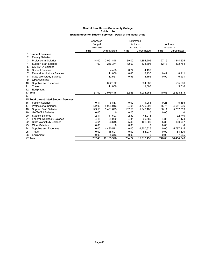|                |                                        | Approved<br><b>Budget</b><br>2016-2017 |              |            | Estimated<br>Actuals<br>2016-2017 |            | Actuals<br>2016-2017 |
|----------------|----------------------------------------|----------------------------------------|--------------|------------|-----------------------------------|------------|----------------------|
|                |                                        | <b>FTE</b>                             | Unrestricted | <b>FTE</b> | Unrestricted                      | <b>FTE</b> | Unrestricted         |
|                | 1 Connect Services                     |                                        |              |            |                                   |            |                      |
| $\overline{2}$ | <b>Faculty Salaries</b>                |                                        |              |            |                                   |            |                      |
| 3              | <b>Professional Salaries</b>           | 44.00                                  | 2,051,848    | 39.00      | 1,894,206                         | 27.16      | 1,844,605            |
| 4              | <b>Support Staff Salaries</b>          | 7.00                                   | 266,371      | 12.00      | 433,393                           | 12.13      | 432,784              |
| 5              | <b>GA/TA/RA Salaries</b>               |                                        |              |            |                                   |            |                      |
| 6              | <b>Student Salaries</b>                |                                        | 4.493        | 0.24       | 4,493                             |            |                      |
| 7              | <b>Federal Workstudy Salaries</b>      |                                        | 11.000       | 0.45       | 8,437                             | 0.47       | 8,911                |
| 8              | <b>State Workstudy Salaries</b>        |                                        | 12,561       | 0.96       | 18,156                            | 0.90       | 16,931               |
| 9              | <b>Other Salaries</b>                  |                                        |              |            |                                   |            |                      |
| 10             | Supplies and Expenses                  |                                        | 622,172      |            | 634,583                           |            | 585,566              |
| 11             | Travel                                 |                                        | 11,000       |            | 11,000                            |            | 5,016                |
| 12             | Equipment                              |                                        |              |            |                                   |            |                      |
|                | 13 Total                               | 51.00                                  | 2,979,445    | 52.65      | 3,004,268                         | 40.66      | 2,893,813            |
| 14             |                                        |                                        |              |            |                                   |            |                      |
|                | 15 Total Unrestricted Student Services |                                        |              |            |                                   |            |                      |
| 16             | <b>Faculty Salaries</b>                | 0.11                                   | 6,867        | 0.02       | 1,061                             | 0.25       | 15,365               |
| 17             | <b>Professional Salaries</b>           | 122.00                                 | 5,904,013    | 84.05      | 4,779,292                         | 75.75      | 4,651,936            |
| 18             | <b>Support Staff Salaries</b>          | 149.50                                 | 5,431,675    | 167.50     | 5,942,182                         | 160.11     | 5,712,859            |
| 19             | <b>GA/TA/RA Salaries</b>               | 0.00                                   | $\Omega$     | 0.00       | 0                                 | 0.00       | $\Omega$             |
| 20             | <b>Student Salaries</b>                | 2.11                                   | 41,693       | 2.39       | 44,913                            | 1.74       | 32,740               |
| 21             | <b>Federal Workstudy Salaries</b>      | 4.15                                   | 84,030       | 4.81       | 90.585                            | 4.86       | 91,474               |
| 22             | <b>State Workstudy Salaries</b>        | 4.61                                   | 93,645       | 5.46       | 102,800                           | 5.36       | 100,907              |
| 23             | <b>Other Salaries</b>                  | 0.00                                   | 0            | 0.00       | 0                                 | 0.00       | $\Omega$             |
| 24             | Supplies and Expenses                  | 0.00                                   | 4,490,511    | 0.00       | 4,700,625                         | 0.00       | 5,787,315            |
| 25             | Travel                                 | 0.00                                   | 45,601       | 0.00       | 55,977                            | 0.00       | 54,479               |
| 26             | Equipment                              | 0.00                                   | 5,343        | 0.00       | 0                                 | 0.00       | 7,665                |
|                | 27 Total                               | 282.48                                 | 16,103,378   | 264.22     | 15,717,435                        | 248.06     | 16,454,740           |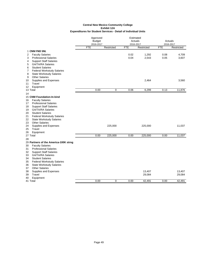|                                                                     | Approved      |            | Estimated  |            |            |            |  |
|---------------------------------------------------------------------|---------------|------------|------------|------------|------------|------------|--|
|                                                                     | <b>Budget</b> |            |            | Actuals    |            | Actuals    |  |
|                                                                     | 2016-2017     |            | 2016-2017  |            |            | 2016-2017  |  |
|                                                                     | <b>FTE</b>    | Restricted | <b>FTE</b> | Restricted | <b>FTE</b> | Restricted |  |
| 1 CNM FND SNL                                                       |               |            |            |            |            |            |  |
| <b>Faculty Salaries</b><br>2                                        |               |            | 0.02       | 1,292      | 0.08       | 4,709      |  |
| <b>Professional Salaries</b><br>3                                   |               |            | 0.04       | 2,543      | 0.05       | 3,607      |  |
| <b>Support Staff Salaries</b><br>4<br><b>GA/TA/RA Salaries</b><br>5 |               |            |            |            |            |            |  |
| <b>Student Salaries</b><br>6                                        |               |            |            |            |            |            |  |
| $\overline{7}$<br><b>Federal Workstudy Salaries</b>                 |               |            |            |            |            |            |  |
| 8<br><b>State Workstudy Salaries</b>                                |               |            |            |            |            |            |  |
| <b>Other Salaries</b><br>9                                          |               |            |            |            |            |            |  |
| Supplies and Expenses<br>10                                         |               |            |            | 2,464      |            | 3,560      |  |
| Travel<br>11                                                        |               |            |            |            |            |            |  |
| 12<br>Equipment                                                     |               |            |            |            |            |            |  |
| 13 Total                                                            | 0.00          | 0          | 0.06       | 6,299      | 0.13       | 11,876     |  |
| 14                                                                  |               |            |            |            |            |            |  |
| 15 CNM Foundation-In-kind                                           |               |            |            |            |            |            |  |
| <b>Faculty Salaries</b><br>16                                       |               |            |            |            |            |            |  |
| <b>Professional Salaries</b><br>17                                  |               |            |            |            |            |            |  |
| <b>Support Staff Salaries</b><br>18                                 |               |            |            |            |            |            |  |
| <b>GA/TA/RA Salaries</b><br>19                                      |               |            |            |            |            |            |  |
| <b>Student Salaries</b><br>20                                       |               |            |            |            |            |            |  |
| 21<br><b>Federal Workstudy Salaries</b>                             |               |            |            |            |            |            |  |
| 22<br><b>State Workstudy Salaries</b>                               |               |            |            |            |            |            |  |
| <b>Other Salaries</b><br>23                                         |               |            |            |            |            |            |  |
| Supplies and Expenses<br>24<br>25<br>Travel                         |               | 225,000    |            | 225,000    |            | 11,037     |  |
| Equipment<br>26                                                     |               |            |            |            |            |            |  |
| 27 Total                                                            | 0.00          | 225,000    | 0.00       | 225,000    | 0.00       | 11,037     |  |
| 28                                                                  |               |            |            |            |            |            |  |
| 29 Partners of the America-100K strng                               |               |            |            |            |            |            |  |
| <b>Faculty Salaries</b><br>30                                       |               |            |            |            |            |            |  |
| 31<br><b>Professional Salaries</b>                                  |               |            |            |            |            |            |  |
| 32<br><b>Support Staff Salaries</b>                                 |               |            |            |            |            |            |  |
| 33<br><b>GA/TA/RA Salaries</b>                                      |               |            |            |            |            |            |  |
| <b>Student Salaries</b><br>34                                       |               |            |            |            |            |            |  |
| 35<br><b>Federal Workstudy Salaries</b>                             |               |            |            |            |            |            |  |
| <b>State Workstudy Salaries</b><br>36                               |               |            |            |            |            |            |  |
| <b>Other Salaries</b><br>37                                         |               |            |            |            |            |            |  |
| Supplies and Expenses<br>38                                         |               |            |            | 13,407     |            | 13,407     |  |
| Travel<br>39                                                        |               |            |            | 29,084     |            | 29,084     |  |
| Equipment<br>40                                                     |               |            |            |            |            |            |  |
| 41 Total                                                            | 0.00          | $\Omega$   | 0.00       | 42,491     | 0.00       | 42,491     |  |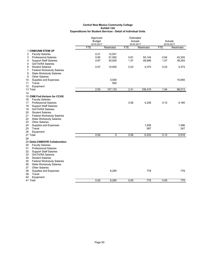|                                         | Approved                   |            | Estimated  |                  |            |                  |
|-----------------------------------------|----------------------------|------------|------------|------------------|------------|------------------|
|                                         | <b>Budget</b><br>2016-2017 |            | Actuals    |                  |            | Actuals          |
|                                         |                            |            | 2016-2017  |                  | 2016-2017  |                  |
|                                         | <b>FTE</b>                 | Restricted | <b>FTE</b> | Restricted       | <b>FTE</b> | Restricted       |
| <b>1 CNM/UNM STEM UP</b>                |                            |            |            |                  |            |                  |
| 2<br><b>Faculty Salaries</b>            | 0.21                       | 12,551     |            |                  |            |                  |
| 3<br><b>Professional Salaries</b>       | 0.85                       | 51,082     | 0.81       | 55,144           | 0.64       | 43,320           |
| <b>Support Staff Salaries</b><br>4      | 0.87                       | 30,000     | 1.37       | 48,898           | 1.07       | 38,254           |
| <b>GA/TA/RA Salaries</b><br>5           |                            |            |            |                  |            |                  |
| 6<br><b>Student Salaries</b>            | 0.57                       | 10,000     | 0.23       | 4,374            | 0.23       | 4,374            |
| 7<br><b>Federal Workstudy Salaries</b>  |                            |            |            |                  |            |                  |
| 8<br><b>State Workstudy Salaries</b>    |                            |            |            |                  |            |                  |
| <b>Other Salaries</b><br>9              |                            |            |            |                  |            |                  |
| Supplies and Expenses<br>10             |                            | 3,000      |            |                  |            | 10,065           |
| Travel<br>11                            |                            | 500        |            |                  |            |                  |
| 12<br>Equipment                         |                            |            |            |                  |            |                  |
| 13 Total                                | 2.50                       | 107,133    | 2.41       | 108,416          | 1.94       | 96,013           |
| 14                                      |                            |            |            |                  |            |                  |
| 15 CNM Fnd-Verizon for CCHS             |                            |            |            |                  |            |                  |
| <b>Faculty Salaries</b><br>16           |                            |            |            |                  |            |                  |
| <b>Professional Salaries</b><br>17      |                            |            | 0.06       | 4,238            | 0.12       | 4,185            |
| <b>Support Staff Salaries</b><br>18     |                            |            |            |                  |            |                  |
| <b>GA/TA/RA Salaries</b><br>19          |                            |            |            |                  |            |                  |
| <b>Student Salaries</b><br>20           |                            |            |            |                  |            |                  |
| 21<br><b>Federal Workstudy Salaries</b> |                            |            |            |                  |            |                  |
| 22<br><b>State Workstudy Salaries</b>   |                            |            |            |                  |            |                  |
| 23<br><b>Other Salaries</b>             |                            |            |            |                  |            |                  |
| 24<br>Supplies and Expenses             |                            |            |            | 1,508            |            | 1,486            |
| 25<br>Travel                            |                            |            |            | 587              |            | 247              |
| Equipment<br>26                         |                            |            |            |                  |            |                  |
| 27 Total                                | 0.00                       | 0          | 0.06       | 6,333            | 0.12       | 5,918            |
| 28                                      |                            |            |            |                  |            |                  |
| 29 Delta-CNM/DVR Collaboration          |                            |            |            |                  |            |                  |
| 30<br><b>Faculty Salaries</b>           |                            |            |            |                  |            |                  |
| <b>Professional Salaries</b><br>31      |                            |            |            |                  |            |                  |
| 32<br><b>Support Staff Salaries</b>     |                            |            |            |                  |            |                  |
| 33<br><b>GA/TA/RA Salaries</b>          |                            |            |            |                  |            |                  |
| 34<br><b>Student Salaries</b>           |                            |            |            |                  |            |                  |
| 35<br><b>Federal Workstudy Salaries</b> |                            |            |            |                  |            |                  |
| <b>State Workstudy Salaries</b><br>36   |                            |            |            |                  |            |                  |
| 37<br><b>Other Salaries</b>             |                            |            |            |                  |            |                  |
| 38<br>Supplies and Expenses             |                            | 8,290      |            | 778              |            | 778              |
| 39<br>Travel                            |                            |            |            |                  |            |                  |
| Equipment<br>40                         |                            |            |            |                  |            |                  |
| 41 Total                                | 0.00                       | 8.290      | 0.00       | $\overline{778}$ | 0.00       | $\overline{778}$ |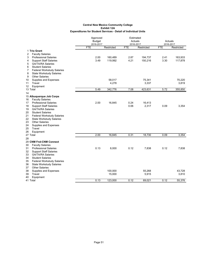|                                         | Approved      |            | Estimated  |            |            |            |
|-----------------------------------------|---------------|------------|------------|------------|------------|------------|
|                                         | <b>Budget</b> |            | Actuals    |            |            | Actuals    |
|                                         | 2016-2017     |            | 2016-2017  |            | 2016-2017  |            |
|                                         | <b>FTE</b>    | Restricted | <b>FTE</b> | Restricted | <b>FTE</b> | Restricted |
| 1 Trio Grant                            |               |            |            |            |            |            |
| 2<br><b>Faculty Salaries</b>            |               |            |            |            |            |            |
| 3<br><b>Professional Salaries</b>       | 2.00          | 160,489    | 2.87       | 194,737    | 2.41       | 163,933    |
| <b>Support Staff Salaries</b><br>4      | 3.49          | 119,992    | 4.21       | 150,216    | 3.30       | 117,878    |
| <b>GA/TA/RA Salaries</b><br>5           |               |            |            |            |            |            |
| 6<br><b>Student Salaries</b>            |               |            |            |            |            |            |
| 7<br><b>Federal Workstudy Salaries</b>  |               |            |            |            |            |            |
| 8<br><b>State Workstudy Salaries</b>    |               |            |            |            |            |            |
| 9<br><b>Other Salaries</b>              |               |            |            |            |            |            |
| 10<br>Supplies and Expenses             |               | 58,017     |            | 75,341     |            | 70,220     |
| Travel<br>11                            |               | 4,278      |            | 3,337      |            | 3,819      |
| 12<br>Equipment                         |               |            |            |            |            |            |
| 13 Total                                | 5.49          | 342,776    | 7.08       | 423,631    | 5.72       | 355,850    |
| 14                                      |               |            |            |            |            |            |
| 15 Albuquerque Job Corps                |               |            |            |            |            |            |
| <b>Faculty Salaries</b><br>16           |               |            |            |            |            |            |
| <b>Professional Salaries</b><br>17      | 2.00          | 16,845     | 0.24       | 16,413     |            |            |
| <b>Support Staff Salaries</b><br>18     |               |            | 0.06       | 2,317      | 0.09       | 3,354      |
| 19<br><b>GA/TA/RA Salaries</b>          |               |            |            |            |            |            |
| 20<br><b>Student Salaries</b>           |               |            |            |            |            |            |
|                                         |               |            |            |            |            |            |
| 21<br><b>Federal Workstudy Salaries</b> |               |            |            |            |            |            |
| 22<br><b>State Workstudy Salaries</b>   |               |            |            |            |            |            |
| 23<br><b>Other Salaries</b>             |               |            |            |            |            |            |
| 24<br>Supplies and Expenses             |               |            |            |            |            |            |
| 25<br>Travel                            |               |            |            |            |            |            |
| Equipment<br>26                         |               |            |            |            |            |            |
| 27 Total                                | 2.00          | 16,845     | 0.31       | 18,730     | 0.09       | 3,354      |
| 28                                      |               |            |            |            |            |            |
| 29 CNM Fnd-CNM Connect                  |               |            |            |            |            |            |
| 30<br><b>Faculty Salaries</b>           |               |            |            |            |            |            |
| 31<br><b>Professional Salaries</b>      | 0.13          | 8,000      | 0.12       | 7,838      | 0.12       | 7,838      |
| 32<br><b>Support Staff Salaries</b>     |               |            |            |            |            |            |
| 33<br><b>GA/TA/RA Salaries</b>          |               |            |            |            |            |            |
| 34<br><b>Student Salaries</b>           |               |            |            |            |            |            |
| 35<br><b>Federal Workstudy Salaries</b> |               |            |            |            |            |            |
| 36<br><b>State Workstudy Salaries</b>   |               |            |            |            |            |            |
| 37<br><b>Other Salaries</b>             |               |            |            |            |            |            |
| 38<br>Supplies and Expenses             |               | 100,000    |            | 55,268     |            | 43.728     |
| 39<br>Travel                            |               | 15,000     |            | 5,915      |            | 3,810      |
| 40<br>Equipment                         |               |            |            |            |            |            |
| 41 Total                                | 0.13          | 123,000    | 0.12       | 69,021     | 0.12       | 55.376     |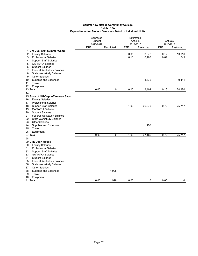|                                                                                                                                                                                                    | Approved<br><b>Budget</b><br>2016-2017 |            | Estimated<br>Actuals<br>2016-2017 |                | Actuals<br>2016-2017 |               |
|----------------------------------------------------------------------------------------------------------------------------------------------------------------------------------------------------|----------------------------------------|------------|-----------------------------------|----------------|----------------------|---------------|
|                                                                                                                                                                                                    | <b>FTE</b>                             | Restricted | <b>FTE</b>                        | Restricted     | <b>FTE</b>           | Restricted    |
| 1 UW Dual Crdt Summer Camp<br>2<br><b>Faculty Salaries</b><br>3<br><b>Professional Salaries</b>                                                                                                    |                                        |            | 0.05<br>0.10                      | 3,072<br>6,465 | 0.17<br>0.01         | 10,016<br>743 |
| <b>Support Staff Salaries</b><br>4<br>5<br><b>GA/TA/RA Salaries</b><br>6<br><b>Student Salaries</b><br>$\overline{7}$<br><b>Federal Workstudy Salaries</b><br>8<br><b>State Workstudy Salaries</b> |                                        |            |                                   |                |                      |               |
| <b>Other Salaries</b><br>9<br>Supplies and Expenses<br>10<br>11<br>Travel<br>12<br>Equipment                                                                                                       |                                        |            |                                   | 3,872          |                      | 9,411         |
| 13 Total                                                                                                                                                                                           | 0.00                                   | 0          | 0.15                              | 13,409         | 0.18                 | 20,170        |
| 14                                                                                                                                                                                                 |                                        |            |                                   |                |                      |               |
| 15 State of NM-Dept of Veteran Svcs<br><b>Faculty Salaries</b><br>16<br><b>Professional Salaries</b><br>17<br><b>Support Staff Salaries</b><br>18<br>19<br><b>GA/TA/RA Salaries</b>                |                                        |            | 1.03                              | 36,670         | 0.72                 | 25,717        |
| <b>Student Salaries</b><br>20<br>21<br><b>Federal Workstudy Salaries</b><br>22<br><b>State Workstudy Salaries</b><br>23<br><b>Other Salaries</b><br>24<br>Supplies and Expenses                    |                                        |            |                                   | 495            |                      |               |
| 25<br>Travel                                                                                                                                                                                       |                                        |            |                                   |                |                      |               |
| 26<br>Equipment<br>27 Total                                                                                                                                                                        | 0.00                                   | 0          | 1.03                              | 37,165         | 0.72                 | 25,717        |
| 28                                                                                                                                                                                                 |                                        |            |                                   |                |                      |               |
| 29 CTE Open House<br>30<br><b>Faculty Salaries</b><br><b>Professional Salaries</b><br>31<br>32<br><b>Support Staff Salaries</b><br><b>GA/TA/RA Salaries</b><br>33                                  |                                        |            |                                   |                |                      |               |
| <b>Student Salaries</b><br>34<br><b>Federal Workstudy Salaries</b><br>35<br>36<br><b>State Workstudy Salaries</b><br><b>Other Salaries</b><br>37<br>38<br>Supplies and Expenses<br>39<br>Travel    |                                        | 1,998      |                                   |                |                      |               |
| 40<br>Equipment<br>41 Total                                                                                                                                                                        | 0.00                                   | 1.998      | 0.00                              | 0              | 0.00                 | 0             |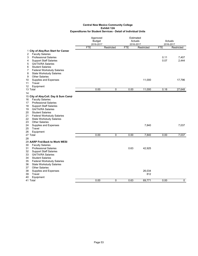|                                         |               | Approved    |      | Estimated  |            |            |
|-----------------------------------------|---------------|-------------|------|------------|------------|------------|
|                                         | <b>Budget</b> |             |      | Actuals    | Actuals    |            |
|                                         | 2016-2017     |             |      | 2016-2017  |            | 2016-2017  |
|                                         | <b>FTE</b>    | Restricted  | FTE  | Restricted | <b>FTE</b> | Restricted |
| 1 City of Abq-Run Start for Career      |               |             |      |            |            |            |
| <b>Faculty Salaries</b><br>2            |               |             |      |            |            |            |
| 3<br><b>Professional Salaries</b>       |               |             |      |            | 0.11       | 7,407      |
| <b>Support Staff Salaries</b><br>4      |               |             |      |            | 0.07       | 2,444      |
| 5<br><b>GA/TA/RA Salaries</b>           |               |             |      |            |            |            |
| 6<br><b>Student Salaries</b>            |               |             |      |            |            |            |
| 7<br><b>Federal Workstudy Salaries</b>  |               |             |      |            |            |            |
| 8<br><b>State Workstudy Salaries</b>    |               |             |      |            |            |            |
| <b>Other Salaries</b><br>9              |               |             |      |            |            |            |
| 10<br>Supplies and Expenses             |               |             |      | 11,000     |            | 17,796     |
| Travel<br>11                            |               |             |      |            |            |            |
| Equipment<br>12                         |               |             |      |            |            |            |
| 13 Total                                | 0.00          | 0           | 0.00 | 11,000     | 0.18       | 27,648     |
| 14                                      |               |             |      |            |            |            |
| 15 City of Abq-Coll. Day & Sum Camp     |               |             |      |            |            |            |
| <b>Faculty Salaries</b><br>16           |               |             |      |            |            |            |
| <b>Professional Salaries</b><br>17      |               |             |      |            |            |            |
| <b>Support Staff Salaries</b><br>18     |               |             |      |            |            |            |
| 19<br><b>GA/TA/RA Salaries</b>          |               |             |      |            |            |            |
| <b>Student Salaries</b><br>20           |               |             |      |            |            |            |
| <b>Federal Workstudy Salaries</b><br>21 |               |             |      |            |            |            |
| 22<br><b>State Workstudy Salaries</b>   |               |             |      |            |            |            |
| <b>Other Salaries</b><br>23             |               |             |      |            |            |            |
| Supplies and Expenses<br>24             |               |             |      | 7,840      |            | 7,037      |
| 25<br>Travel                            |               |             |      |            |            |            |
| Equipment<br>26                         |               |             |      |            |            |            |
| 27 Total                                | 0.00          | $\mathbf 0$ | 0.00 | 7,840      | 0.00       | 7,037      |
| 28                                      |               |             |      |            |            |            |
| 29 AARP Fnd-Back to Work WESI           |               |             |      |            |            |            |
| 30<br><b>Faculty Salaries</b>           |               |             |      |            |            |            |
| <b>Professional Salaries</b><br>31      |               |             | 0.63 | 42,925     |            |            |
| 32<br><b>Support Staff Salaries</b>     |               |             |      |            |            |            |
| 33<br><b>GA/TA/RA Salaries</b>          |               |             |      |            |            |            |
| <b>Student Salaries</b><br>34           |               |             |      |            |            |            |
| <b>Federal Workstudy Salaries</b><br>35 |               |             |      |            |            |            |
| <b>State Workstudy Salaries</b><br>36   |               |             |      |            |            |            |
| 37<br><b>Other Salaries</b>             |               |             |      |            |            |            |
| 38<br>Supplies and Expenses             |               |             |      | 26,034     |            |            |
| 39<br>Travel                            |               |             |      | 812        |            |            |
| Equipment<br>40                         |               |             |      |            |            |            |
| 41 Total                                | 0.00          | $\mathbf 0$ | 0.63 | 69,771     | 0.00       | 0          |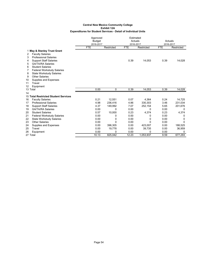|    |                                      | Approved      |              | Estimated  |            |            |            |  |
|----|--------------------------------------|---------------|--------------|------------|------------|------------|------------|--|
|    |                                      | <b>Budget</b> |              |            | Actuals    |            | Actuals    |  |
|    |                                      | 2016-2017     |              |            | 2016-2017  |            | 2016-2017  |  |
|    |                                      | <b>FTE</b>    | Restricted   | <b>FTE</b> | Restricted | <b>FTE</b> | Restricted |  |
|    | 1 May & Stanley Trust Grant          |               |              |            |            |            |            |  |
| 2  | <b>Faculty Salaries</b>              |               |              |            |            |            |            |  |
| 3  | <b>Professional Salaries</b>         |               |              |            |            |            |            |  |
| 4  | <b>Support Staff Salaries</b>        |               |              | 0.39       | 14,053     | 0.39       | 14,028     |  |
| 5  | <b>GA/TA/RA Salaries</b>             |               |              |            |            |            |            |  |
| 6  | <b>Student Salaries</b>              |               |              |            |            |            |            |  |
| 7  | <b>Federal Workstudy Salaries</b>    |               |              |            |            |            |            |  |
| 8  | <b>State Workstudy Salaries</b>      |               |              |            |            |            |            |  |
| 9  | <b>Other Salaries</b>                |               |              |            |            |            |            |  |
| 10 | Supplies and Expenses                |               |              |            |            |            |            |  |
| 11 | Travel                               |               |              |            |            |            |            |  |
| 12 | Equipment                            |               |              |            |            |            |            |  |
|    | 13 Total                             | 0.00          | 0            | 0.39       | 14,053     | 0.39       | 14,028     |  |
| 14 |                                      |               |              |            |            |            |            |  |
|    | 15 Total Restricted Student Services |               |              |            |            |            |            |  |
| 16 | <b>Faculty Salaries</b>              | 0.21          | 12.551       | 0.07       | 4.364      | 0.24       | 14,725     |  |
| 17 | <b>Professional Salaries</b>         | 4.98          | 236,416      | 4.86       | 330.303    | 3.46       | 231,034    |  |
| 18 | <b>Support Staff Salaries</b>        | 4.37          | 149,992      | 7.07       | 252,154    | 5.65       | 201,676    |  |
| 19 | <b>GA/TA/RA Salaries</b>             | 0.00          | $\Omega$     | 0.00       | $\Omega$   | 0.00       | 0          |  |
| 20 | <b>Student Salaries</b>              | 0.57          | 10,000       | 0.23       | 4,374      | 0.23       | 4,374      |  |
| 21 | <b>Federal Workstudy Salaries</b>    | 0.00          | 0            | 0.00       | 0          | 0.00       | 0          |  |
| 22 | <b>State Workstudy Salaries</b>      | 0.00          | 0            | 0.00       | 0          | 0.00       | 0          |  |
| 23 | <b>Other Salaries</b>                | 0.00          | $\mathbf{0}$ | 0.00       | $\Omega$   | 0.00       | $\Omega$   |  |
| 24 | Supplies and Expenses                | 0.00          | 396,305      | 0.00       | 423,007    | 0.00       | 188,525    |  |
| 25 | Travel                               | 0.00          | 19,778       | 0.00       | 39,735     | 0.00       | 36,959     |  |
| 26 | Equipment                            | 0.00          | 0            | 0.00       | 0          | 0.00       |            |  |
|    | 27 Total                             | 10.13         | 825,042      | 12.23      | 1,053,937  | 9.59       | 677,293    |  |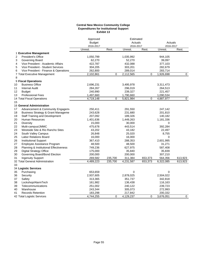### **Central New Mexico Community College Expenditures for Institutional Support Exhibit 13**

|                                                     | Approved      |             | Estimated |             |             |             |
|-----------------------------------------------------|---------------|-------------|-----------|-------------|-------------|-------------|
|                                                     | <b>Budget</b> |             | Actuals   |             | Actuals     |             |
|                                                     | 2016-2017     |             | 2016-2017 |             | 2016-2017   |             |
|                                                     | Unrest.       | Rest.       | Unrest.   | Rest.       | Unrest.     | Rest.       |
| 1 Executive Management                              |               |             |           |             |             |             |
| 2<br><b>President's Office</b>                      | 1,050,799     |             | 1,035,992 |             | 944,105     |             |
| 3<br>Governing Board                                | 62,270        |             | 52,270    |             | 39,097      |             |
| Vice President - Academic Affairs<br>4              | 422,787       |             | 432,088   |             | 377,103     |             |
| 5<br>Vice President - Student Services              | 304,205       |             | 303,201   |             | 282,679     |             |
| 6<br>Vice President - Finance & Operations          | 262,800       |             | 289,014   |             | 283,714     |             |
| 7 Total Executive Management                        | 2,102,861     | $\Omega$    | 2,112,565 | $\Omega$    | 1,926,698   | $\mathbf 0$ |
| 8                                                   |               |             |           |             |             |             |
| 9 Fiscal Operations                                 |               |             |           |             |             |             |
| <b>Business Office</b><br>10                        | 2,696,231     |             | 3,495,978 |             | 3,311,473   |             |
| 11<br><b>Internal Audit</b>                         | 284,267       |             | 296,019   |             | 264,513     |             |
| 12<br><b>Budget</b>                                 | 240,990       |             | 239,327   |             | 221,457     |             |
| 13<br><b>Professional Fees</b>                      | 1,497,660     |             | 1,790,660 |             | 1,090,534   |             |
| 14 Total Fiscal Operations                          | 4,719,148     | $\Omega$    | 5,821,984 | $\Omega$    | 4,887,977   | 0           |
| 15                                                  |               |             |           |             |             |             |
| 16 General Administration                           |               |             |           |             |             |             |
| 17<br>Advancement & Community Engagem               | 250,411       |             | 291,550   |             | 247,142     |             |
| 18<br><b>Business Strategy &amp; Grant Manageme</b> | 243,628       |             | 231,680   |             | 201,810     |             |
| 19<br><b>Staff Training and Development</b>         | 207,092       |             | 189,326   |             | 140,182     |             |
| 20<br><b>Human Resources</b>                        | 1,401,636     |             | 1,449,263 |             | 1,181,336   |             |
| 21<br><b>Diversity</b>                              | 15,000        |             | 30,000    |             | 0           |             |
| 22<br>Multi-campus/JMMC                             | 475,678       |             | 443,514   |             | 392,284     |             |
| 23<br>Westside Site & Rio Rancho Sites              | 43,202        |             | 43,182    |             | 22,497      |             |
| 24<br>South Valley Campus                           | 26,848        |             | 25,020    |             | 8,755       |             |
| 25<br><b>Labor Relations Board</b>                  | 16,000        |             | 16,000    |             | 0           |             |
| 26<br><b>Institutional Support</b>                  | 367,410       |             | 288,353   |             | 2,601,995   |             |
| 27<br>Employee Assistance Program                   | 48,500        |             | 48,500    |             | 31,271      |             |
| Planning & Institutional Effectiveness<br>28        | 749,236       |             | 627,975   |             | 587,408     |             |
| <b>Digital Strategy Office</b><br>29                | 175,000       |             | 35,840    |             | 35,839      |             |
| 30<br>Governing Board/Bond Election                 | 200,000       |             | 200,000   |             | 307,210     |             |
| <b>Ingenuity Support</b><br>31                      | 269,582       | 235,700     | 311,384   | 653,373     | 564,356     | 613,923     |
| 32 Total General Administration                     | 4,489,223     | 235,700     | 4,231,587 | 653,373     | 6,322,085   | 613,923     |
| 33                                                  |               |             |           |             |             |             |
| 34 Logistic Services                                |               |             |           |             |             |             |
| 35<br>Purchasing                                    | 653,659       |             | 0         |             | $\mathbf 0$ |             |
| 36<br>Security                                      | 2,937,605     |             | 2,878,025 |             | 2,504,022   |             |
| 37<br>Safety                                        | 313,365       |             | 351,737   |             | 342,818     |             |
| 38<br>Lockshop/AlarmTech                            | 161,982       |             | 136,438   |             | 116,163     |             |
| Telecommunications<br>39                            | 251,002       |             | 240,122   |             | 239,723     |             |
| 40<br>Warehouse                                     | 243,344       |             | 305,073   |             | 272,993     |             |
| <b>Records Retention</b><br>41                      | 183,298       |             | 217,842   |             | 200,332     |             |
| 42 Total Logistic Services                          | 4,744,255     | $\mathbf 0$ | 4,129,237 | $\mathbf 0$ | 3,676,051   | $\Omega$    |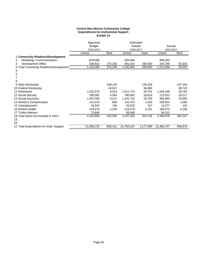### **Central New Mexico Community College Expenditures for Institutional Support Exhibit 13**

|                                           | Approved      |         | Estimated  |           |            |           |
|-------------------------------------------|---------------|---------|------------|-----------|------------|-----------|
|                                           | <b>Budget</b> |         | Actuals    |           | Actuals    |           |
|                                           | 2016-2017     |         |            | 2016-2017 |            | 2016-2017 |
|                                           | Unrest.       | Rest.   | Unrest.    | Rest.     | Unrest.    | Rest.     |
| 1 Community Relations/Development         |               |         |            |           |            |           |
| Marketing / Communications<br>2           | 879,568       |         | 939,480    |           | 896,260    |           |
| 3<br>Development Office                   | 538,822       | 275,236 | 391,014    | 200,000   | 324,798    | 50,503    |
| 4 Total Community Relations/Development   | 1,418,390     | 275,236 | 1,330,494  | 200,000   | 1,221,058  | 50,503    |
| 5                                         |               |         |            |           |            |           |
| 6                                         |               |         |            |           |            |           |
| 7                                         |               |         |            |           |            |           |
| 8                                         |               |         |            |           |            |           |
| 9 State Workstudy                         |               | 249,125 |            | 178,329   |            | 147,159   |
| 10 Federal Workstudy                      |               | 44,557  |            | 69,080    |            | 59,723    |
| 11 Retirement                             | 1,532,576     | 8,523   | 1,511,774  | 28,724    | 1,344,188  | 30,760    |
| 12 Social Security                        | 786,092       | 4,559   | 786,092    | 18,619    | 713,013    | 19,217    |
| 13 Group Insurance                        | 1,387,266     | 6,211   | 1,341,732  | 23,756    | 982,693    | 20,000    |
| 14 Worker's Compensation                  | 141,070       | 868     | 141,070    | 1,320     | 109,923    | 1,064     |
| 15 Unemployment                           | 43,525        | 136     | 43,525     | 157       | 13,377     | 125       |
| 16 Retiree Health                         | 219,479       | 1,226   | 219,479    | 4,131     | 189,372    | 4,198     |
| <b>17 Tuition Waivers</b>                 | 72,848        |         | 93,648     |           | 94,312     |           |
| 18 Total Items not Included in 13A's      | 4,182,856     | 315,205 | 4,137,320  | 324,116   | 3,446,878  | 282,247   |
| 19                                        |               |         |            |           |            |           |
| 20                                        |               |         |            |           |            |           |
| 21 Total Expenditures for Instit. Support | 21,656,733    | 826,141 | 21,763,187 | 1,177,489 | 21,480,747 | 946,673   |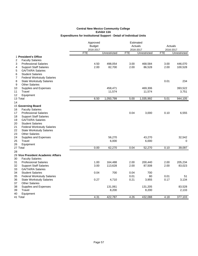# **Expenditures for Institutional Support - Detail of Individual Units Central New Mexico Community College Exhibit 13A**

|                                         | Approved                   |              |            | Estimated<br>Actuals |            | Actuals      |  |
|-----------------------------------------|----------------------------|--------------|------------|----------------------|------------|--------------|--|
|                                         | <b>Budget</b><br>2016-2017 |              |            | 2016-2017            |            | 2016-2017    |  |
|                                         | <b>FTE</b>                 | Unrestricted | <b>FTE</b> | Unrestricted         | <b>FTE</b> | Unrestricted |  |
| 1 President's Office                    |                            |              |            |                      |            |              |  |
| 2<br><b>Faculty Salaries</b>            |                            |              |            |                      |            |              |  |
| 3<br><b>Professional Salaries</b>       | 4.50                       | 498,054      | 3.00       | 468,584              | 3.00       | 446,070      |  |
| <b>Support Staff Salaries</b><br>4      | 2.00                       | 82,700       | 2.00       | 86,528               | 2.00       | 100,528      |  |
| <b>GA/TA/RA Salaries</b><br>5           |                            |              |            |                      |            |              |  |
| 6<br><b>Student Salaries</b>            |                            |              |            |                      |            |              |  |
| 7<br><b>Federal Workstudy Salaries</b>  |                            |              |            |                      |            |              |  |
| 8<br><b>State Workstudy Salaries</b>    |                            |              |            |                      | 0.01       | 234          |  |
| <b>Other Salaries</b><br>9              |                            |              |            |                      |            |              |  |
| 10<br>Supplies and Expenses             |                            | 458,471      |            | 469,306              |            | 393,522      |  |
| 11<br>Travel                            |                            | 11,574       |            | 11,574               |            | 3,751        |  |
| 12<br>Equipment                         |                            |              |            |                      |            |              |  |
| 13 Total                                | 6.50                       | 1,050,799    | 5.00       | 1,035,992            | 5.01       | 944,105      |  |
| 14                                      |                            |              |            |                      |            |              |  |
| 15 Governing Board                      |                            |              |            |                      |            |              |  |
| 16<br><b>Faculty Salaries</b>           |                            |              |            |                      |            |              |  |
| 17<br><b>Professional Salaries</b>      |                            |              | 0.04       | 3,000                | 0.10       | 6,555        |  |
| 18<br><b>Support Staff Salaries</b>     |                            |              |            |                      |            |              |  |
| 19<br><b>GA/TA/RA Salaries</b>          |                            |              |            |                      |            |              |  |
| 20<br><b>Student Salaries</b>           |                            |              |            |                      |            |              |  |
| 21<br><b>Federal Workstudy Salaries</b> |                            |              |            |                      |            |              |  |
| 22<br><b>State Workstudy Salaries</b>   |                            |              |            |                      |            |              |  |
| 23<br><b>Other Salaries</b>             |                            |              |            |                      |            |              |  |
| 24<br>Supplies and Expenses<br>Travel   |                            | 56,270       |            | 43,270               |            | 32,542       |  |
| 25<br>26<br>Equipment                   |                            | 6,000        |            | 6,000                |            | $\Omega$     |  |
| 27 Total                                | 0.00                       | 62,270       | 0.04       | 52,270               | 0.10       | 39,097       |  |
| 28                                      |                            |              |            |                      |            |              |  |
| 29 Vice President Academic Affairs      |                            |              |            |                      |            |              |  |
| 30<br><b>Faculty Salaries</b>           |                            |              |            |                      |            |              |  |
| 31<br><b>Professional Salaries</b>      | 1.00                       | 164,488      | 2.00       | 200,440              | 2.00       | 205,234      |  |
| 32<br><b>Support Staff Salaries</b>     | 3.00                       | 113,628      | 2.00       | 87,508               | 2.00       | 83,023       |  |
| 33<br><b>GA/TA/RA Salaries</b>          |                            |              |            |                      |            |              |  |
| 34<br><b>Student Salaries</b>           | 0.04                       | 700          | 0.04       | 700                  |            |              |  |
| 35<br><b>Federal Workstudy Salaries</b> |                            |              | 0.01       | 80                   | 0.01       | 51           |  |
| <b>State Workstudy Salaries</b><br>36   | 0.27                       | 4,710        | 0.21       | 3,955                | 0.17       | 3,134        |  |
| <b>Other Salaries</b><br>37             |                            |              |            |                      |            |              |  |
| 38<br>Supplies and Expenses             |                            | 131,061      |            | 131,205              |            | 83,528       |  |
| 39<br>Travel                            |                            | 8,200        |            | 8,200                |            | 2,133        |  |
| 40<br>Equipment                         |                            |              |            |                      |            |              |  |
| 41 Total                                | 4.31                       | 422,787      | 4.26       | 432,088              | 4.18       | 377,103      |  |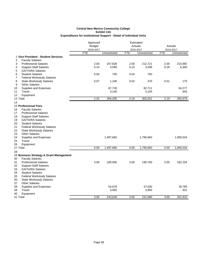|                                                                    | Approved      |              |            | Estimated    |            |              |
|--------------------------------------------------------------------|---------------|--------------|------------|--------------|------------|--------------|
|                                                                    | <b>Budget</b> |              |            | Actuals      |            | Actuals      |
|                                                                    | 2016-2017     |              |            | 2016-2017    | 2016-2017  |              |
|                                                                    | <b>FTE</b>    | Unrestricted | <b>FTE</b> | Unrestricted | <b>FTE</b> | Unrestricted |
| 1 Vice President - Student Services                                |               |              |            |              |            |              |
| <b>Faculty Salaries</b><br>2                                       |               |              |            |              |            |              |
| 3<br><b>Professional Salaries</b>                                  | 2.00          | 207,828      | 2.00       | 212,721      | 2.00       | 210,982      |
| <b>Support Staff Salaries</b><br>4                                 | 0.10          | 3,599        | 0.10       | 3,599        | 0.18       | 6,300        |
| 5<br><b>GA/TA/RA Salaries</b>                                      |               |              |            |              |            |              |
| <b>Student Salaries</b><br>6                                       | 0.04          | 700          | 0.04       | 700          |            |              |
| <b>Federal Workstudy Salaries</b><br>7                             |               |              |            |              |            |              |
| 8<br><b>State Workstudy Salaries</b>                               | 0.07          | 1,248        | 0.02       | 370          | 0.01       | 175          |
| 9<br><b>Other Salaries</b>                                         |               |              |            |              |            |              |
| 10<br>Supplies and Expenses                                        |               | 87,730       |            | 82,711       |            | 64,277       |
| Travel<br>11                                                       |               | 3,100        |            | 3,100        |            | 945          |
| Equipment<br>12                                                    |               |              |            |              |            |              |
| 13 Total                                                           | 2.22          | 304,205      | 2.16       | 303,201      | 2.19       | 282,679      |
| 14                                                                 |               |              |            |              |            |              |
| 15 Professional Fees                                               |               |              |            |              |            |              |
| <b>Faculty Salaries</b><br>16                                      |               |              |            |              |            |              |
| 17<br><b>Professional Salaries</b>                                 |               |              |            |              |            |              |
| <b>Support Staff Salaries</b><br>18                                |               |              |            |              |            |              |
| 19<br><b>GA/TA/RA Salaries</b>                                     |               |              |            |              |            |              |
| <b>Student Salaries</b><br>20                                      |               |              |            |              |            |              |
| 21<br><b>Federal Workstudy Salaries</b>                            |               |              |            |              |            |              |
| 22<br><b>State Workstudy Salaries</b>                              |               |              |            |              |            |              |
| <b>Other Salaries</b><br>23                                        |               |              |            |              |            |              |
| 24<br>Supplies and Expenses                                        |               | 1,497,660    |            | 1,790,660    |            | 1,090,534    |
| 25<br>Travel                                                       |               |              |            |              |            |              |
| 26<br>Equipment                                                    |               |              |            |              |            |              |
| 27 Total                                                           | 0.00          | 1,497,660    | 0.00       | 1,790,660    | 0.00       | 1,090,534    |
| 28                                                                 |               |              |            |              |            |              |
|                                                                    |               |              |            |              |            |              |
| 29 Business Strategy & Grant Management<br><b>Faculty Salaries</b> |               |              |            |              |            |              |
| 30                                                                 | 3.00          |              |            |              |            |              |
| 31<br><b>Professional Salaries</b>                                 |               | 185,000      | 3.00       | 190,700      | 3.00       | 182,104      |
| 32<br><b>Support Staff Salaries</b>                                |               |              |            |              |            |              |
| 33<br><b>GA/TA/RA Salaries</b>                                     |               |              |            |              |            |              |
| 34<br><b>Student Salaries</b>                                      |               |              |            |              |            |              |
| 35<br><b>Federal Workstudy Salaries</b>                            |               |              |            |              |            |              |
| 36<br><b>State Workstudy Salaries</b>                              |               |              |            |              |            |              |
| <b>Other Salaries</b><br>37                                        |               |              |            |              |            |              |
| 38<br>Supplies and Expenses                                        |               | 54,678       |            | 37,030       |            | 18,785       |
| 39<br>Travel                                                       |               | 3,950        |            | 3,950        |            | 921          |
| Equipment<br>40                                                    |               |              |            |              |            |              |
| 41 Total                                                           | 3.00          | 243,628      | 3.00       | 231,680      | 3.00       | 201,810      |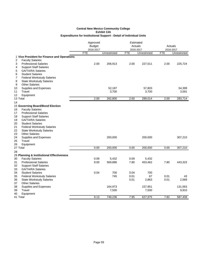|                                             | Approved   |               |            | Estimated    |            |              |
|---------------------------------------------|------------|---------------|------------|--------------|------------|--------------|
|                                             |            | <b>Budget</b> |            | Actuals      |            | Actuals      |
|                                             | 2016-2017  |               |            | 2016-2017    |            | 2016-2017    |
|                                             | <b>FTE</b> | Unrestricted  | <b>FTE</b> | Unrestricted | <b>FTE</b> | Unrestricted |
| 1 Vice President for Finance and Operations |            |               |            |              |            |              |
| <b>Faculty Salaries</b><br>2                |            |               |            |              |            |              |
| <b>Professional Salaries</b><br>3           | 2.00       | 206,913       | 2.00       | 227,511      | 2.00       | 225,724      |
| <b>Support Staff Salaries</b><br>4          |            |               |            |              |            |              |
| <b>GA/TA/RA Salaries</b><br>5               |            |               |            |              |            |              |
| <b>Student Salaries</b><br>6                |            |               |            |              |            |              |
| <b>Federal Workstudy Salaries</b><br>7      |            |               |            |              |            |              |
| 8<br><b>State Workstudy Salaries</b>        |            |               |            |              |            |              |
| <b>Other Salaries</b><br>9                  |            |               |            |              |            |              |
| Supplies and Expenses<br>10                 |            | 52,187        |            | 57,803       |            | 54,399       |
| 11<br>Travel                                |            | 3,700         |            | 3,700        |            | 3,591        |
| 12<br>Equipment                             |            |               |            |              |            |              |
| 13 Total                                    | 2.00       | 262,800       | 2.00       | 289,014      | 2.00       | 283,714      |
| 14                                          |            |               |            |              |            |              |
| 15 Governing Board/Bond Election            |            |               |            |              |            |              |
| <b>Faculty Salaries</b><br>16               |            |               |            |              |            |              |
| 17<br><b>Professional Salaries</b>          |            |               |            |              |            |              |
| 18<br><b>Support Staff Salaries</b>         |            |               |            |              |            |              |
| 19<br><b>GA/TA/RA Salaries</b>              |            |               |            |              |            |              |
| 20<br><b>Student Salaries</b>               |            |               |            |              |            |              |
| 21<br><b>Federal Workstudy Salaries</b>     |            |               |            |              |            |              |
| 22<br><b>State Workstudy Salaries</b>       |            |               |            |              |            |              |
| 23<br><b>Other Salaries</b>                 |            |               |            |              |            |              |
| 24<br>Supplies and Expenses                 |            | 200,000       |            | 200,000      |            | 307,210      |
| Travel<br>25                                |            |               |            |              |            |              |
| 26<br>Equipment                             |            |               |            |              |            |              |
| 27 Total                                    | 0.00       | 200,000       | 0.00       | 200,000      | 0.00       | 307,210      |
| 28                                          |            |               |            |              |            |              |
| 29 Planning & Institutional Effectiveness   |            |               |            |              |            |              |
| 30<br><b>Faculty Salaries</b>               | 0.09       | 5,432         | 0.09       | 5,432        |            |              |
| <b>Professional Salaries</b><br>31          | 9.00       | 569,886       | 7.80       | 453,462      | 7.80       | 443,323      |
| 32<br><b>Support Staff Salaries</b>         |            |               |            |              |            |              |
| 33<br><b>GA/TA/RA Salaries</b>              |            |               |            |              |            |              |
| 34<br><b>Student Salaries</b>               | 0.04       | 700           | 0.04       | 700          |            |              |
| 35<br><b>Federal Workstudy Salaries</b>     |            | 745           | 0.01       | 67           | 0.01       | 43           |
| <b>State Workstudy Salaries</b><br>36       |            |               | 0.01       | 2,863        | 0.01       | 2,569        |
| 37<br><b>Other Salaries</b>                 |            |               |            |              |            |              |
| 38<br>Supplies and Expenses                 |            | 164,973       |            | 157,951      |            | 131,563      |
| 39<br>Travel                                |            | 7,500         |            | 7,500        |            | 9,910        |
| 40<br>Equipment                             |            |               |            |              |            |              |
| 41 Total                                    | 9.13       | 749,236       | 7.95       | 627,975      | 7.82       | 587,408      |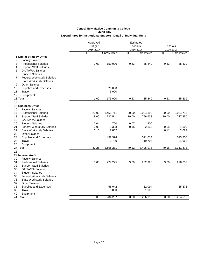|                                                                           | Approved      | Estimated    |            |              |            |              |
|---------------------------------------------------------------------------|---------------|--------------|------------|--------------|------------|--------------|
|                                                                           | <b>Budget</b> |              |            | Actuals      |            | Actuals      |
|                                                                           | 2016-2017     |              |            | 2016-2017    |            | 2016-2017    |
|                                                                           | <b>FTE</b>    | Unrestricted | <b>FTE</b> | Unrestricted | <b>FTE</b> | Unrestricted |
| 1 Digital Strategy Office                                                 |               |              |            |              |            |              |
| <b>Faculty Salaries</b><br>2                                              |               |              |            |              |            |              |
| 3<br><b>Professional Salaries</b>                                         | 1.00          | 150,000      | 0.53       | 35,840       | 0.53       | 35,839       |
| <b>Support Staff Salaries</b><br>4                                        |               |              |            |              |            |              |
| <b>GA/TA/RA Salaries</b><br>5<br><b>Student Salaries</b>                  |               |              |            |              |            |              |
| 6<br>7                                                                    |               |              |            |              |            |              |
| <b>Federal Workstudy Salaries</b><br>8<br><b>State Workstudy Salaries</b> |               |              |            |              |            |              |
| <b>Other Salaries</b><br>9                                                |               |              |            |              |            |              |
| 10<br>Supplies and Expenses                                               |               | 20,000       |            |              |            |              |
| 11<br>Travel                                                              |               | 5,000        |            |              |            |              |
| 12<br>Equipment                                                           |               |              |            |              |            |              |
| 13 Total                                                                  | 1.00          | 175,000      | 0.53       | 35,840       | 0.53       | 35,839       |
| 14                                                                        |               |              |            |              |            |              |
| 15 Business Office                                                        |               |              |            |              |            |              |
| 16<br><b>Faculty Salaries</b>                                             |               |              |            |              |            |              |
| 17<br><b>Professional Salaries</b>                                        | 21.00         | 1,455,711    | 30.00      | 2,084,390    | 30.00      | 2,024,713    |
| 18<br><b>Support Staff Salaries</b>                                       | 18.00         | 737,541      | 19.00      | 796,638      | 19.00      | 737,850      |
| 19<br><b>GA/TA/RA Salaries</b>                                            |               |              |            |              |            |              |
| <b>Student Salaries</b><br>20                                             | 0.04          | 700          | 0.07       | 1,400        |            |              |
| 21<br><b>Federal Workstudy Salaries</b>                                   | 0.08          | 1,333        | 0.15       | 2,830        | 0.05       | 1,000        |
| 22<br><b>State Workstudy Salaries</b>                                     | 0.16          | 2,852        |            |              | 0.11       | 2,087        |
| 23<br><b>Other Salaries</b>                                               |               |              |            |              |            |              |
| 24<br>Supplies and Expenses                                               |               | 492,394      |            | 591,014      |            | 523,858      |
| 25<br>Travel                                                              |               | 5,700        |            | 19,706       |            | 21,965       |
| 26<br>Equipment                                                           |               |              |            |              |            |              |
| 27 Total                                                                  | 39.28         | 2,696,231    | 49.22      | 3,495,978    | 49.16      | 3,311,473    |
| 28                                                                        |               |              |            |              |            |              |
| 29 Internal Audit                                                         |               |              |            |              |            |              |
| 30<br><b>Faculty Salaries</b>                                             |               |              |            |              |            |              |
| 31<br><b>Professional Salaries</b>                                        | 3.00          | 227,225      | 3.00       | 232,925      | 3.00       | 228,637      |
| 32<br><b>Support Staff Salaries</b>                                       |               |              |            |              |            |              |
| 33<br><b>GA/TA/RA Salaries</b>                                            |               |              |            |              |            |              |
| 34<br><b>Student Salaries</b>                                             |               |              |            |              |            |              |
| 35<br><b>Federal Workstudy Salaries</b>                                   |               |              |            |              |            |              |
| 36<br><b>State Workstudy Salaries</b>                                     |               |              |            |              |            |              |
| <b>Other Salaries</b><br>37                                               |               |              |            |              |            |              |
| 38<br>Supplies and Expenses                                               |               | 56,042       |            | 62,094       |            | 35,876       |
| 39<br>Travel                                                              |               | 1,000        |            | 1,000        |            |              |
| 40<br>Equipment                                                           |               |              |            |              |            |              |
| 41 Total                                                                  | 3.00          | 284,267      | 3.00       | 296,019      | 3.00       | 264,513      |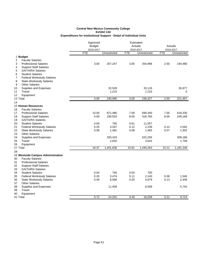|                                         | Approved<br>Estimated |              |            |              |            |              |
|-----------------------------------------|-----------------------|--------------|------------|--------------|------------|--------------|
|                                         | <b>Budget</b>         |              | Actuals    |              | Actuals    |              |
|                                         | 2016-2017             |              | 2016-2017  |              | 2016-2017  |              |
|                                         | <b>FTE</b>            | Unrestricted | <b>FTE</b> | Unrestricted | <b>FTE</b> | Unrestricted |
| 1 Budget                                |                       |              |            |              |            |              |
| 2<br><b>Faculty Salaries</b>            |                       |              |            |              |            |              |
| <b>Professional Salaries</b><br>3       | 3.00                  | 207,247      | 3.00       | 204,996      | 2.50       | 194,480      |
| <b>Support Staff Salaries</b><br>4      |                       |              |            |              |            |              |
| <b>GA/TA/RA Salaries</b><br>5           |                       |              |            |              |            |              |
| 6<br><b>Student Salaries</b>            |                       |              |            |              |            |              |
| <b>Federal Workstudy Salaries</b><br>7  |                       |              |            |              |            |              |
| 8<br><b>State Workstudy Salaries</b>    |                       |              |            |              |            |              |
| 9<br><b>Other Salaries</b>              |                       |              |            |              |            |              |
| Supplies and Expenses<br>10             |                       | 32,528       |            | 33,116       |            | 26,977       |
| 11<br>Travel                            |                       | 1,215        |            | 1,215        |            | 0            |
| 12<br>Equipment                         |                       |              |            |              |            |              |
| 13 Total                                | 3.00                  | 240,990      | 3.00       | 239,327      | 2.50       | 221,457      |
| 14                                      |                       |              |            |              |            |              |
| 15 Human Resources                      |                       |              |            |              |            |              |
| 16<br><b>Faculty Salaries</b>           |                       |              |            |              |            |              |
| <b>Professional Salaries</b><br>17      | 13.00                 | 871,480      | 7.00       | 590,340      | 7.00       | 618,330      |
| 18<br><b>Support Staff Salaries</b>     | 5.00                  | 190,553      | 8.00       | 316,765      | 8.00       | 249,168      |
| 19<br><b>GA/TA/RA Salaries</b>          |                       |              |            |              |            |              |
| 20<br><b>Student Salaries</b>           | 0.04                  | 700          | 0.61       | 11,557       |            |              |
| 21<br><b>Federal Workstudy Salaries</b> | 0.25                  | 4,347        | 0.12       | 2,239        | 0.14       | 2,592        |
| 22<br><b>State Workstudy Salaries</b>   | 0.08                  | 1,481        | 0.08       | 1,465        | 0.07       | 1,302        |
| 23<br><b>Other Salaries</b>             |                       |              |            |              |            |              |
| 24<br>Supplies and Expenses             |                       | 330,433      |            | 522,255      |            | 308,186      |
| 25<br>Travel                            |                       | 2,642        |            | 4,642        |            | 1,758        |
| 26<br>Equipment                         |                       |              |            |              |            |              |
| 27 Total                                | 18.37                 | 1,401,636    | 15.81      | 1,449,263    | 15.21      | 1,181,336    |
| 28                                      |                       |              |            |              |            |              |
| 29 Westside Campus Administration       |                       |              |            |              |            |              |
| 30<br><b>Faculty Salaries</b>           |                       |              |            |              |            |              |
| 31<br><b>Professional Salaries</b>      |                       |              |            |              |            |              |
| 32<br><b>Support Staff Salaries</b>     |                       |              |            |              |            |              |
| 33<br><b>GA/TA/RA Salaries</b>          |                       |              |            |              |            |              |
| 34<br><b>Student Salaries</b>           | 0.04                  | 700          | 0.04       | 700          |            |              |
| 35<br><b>Federal Workstudy Salaries</b> | 0.20                  | 3,474        | 0.11       | 2,140        | 0.08       | 1,545        |
| 36<br><b>State Workstudy Salaries</b>   | 0.49                  | 8,568        | 0.25       | 4,679        | 0.13       | 2,436        |
| <b>Other Salaries</b><br>37             |                       |              |            |              |            |              |
| 38<br>Supplies and Expenses             |                       | 11,459       |            | 8,509        |            | 5,742        |
| 39<br>Travel                            |                       |              |            |              |            |              |
| 40<br>Equipment                         |                       |              |            |              |            |              |
| 41 Total                                | 0.72                  | 24,201       | 0.40       | 16,028       | 0.21       | 9,723        |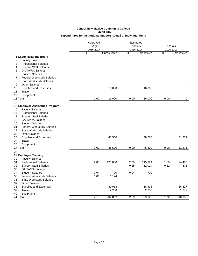|                                         | Approved<br><b>Budget</b> |              | Estimated<br>Actuals<br>2016-2017 |              | Actuals<br>2016-2017 |              |
|-----------------------------------------|---------------------------|--------------|-----------------------------------|--------------|----------------------|--------------|
|                                         | 2016-2017<br><b>FTE</b>   | Unrestricted | <b>FTE</b>                        | Unrestricted | <b>FTE</b>           | Unrestricted |
| 1 Labor Relations Board                 |                           |              |                                   |              |                      |              |
| <b>Faculty Salaries</b><br>2            |                           |              |                                   |              |                      |              |
| 3<br><b>Professional Salaries</b>       |                           |              |                                   |              |                      |              |
| <b>Support Staff Salaries</b><br>4      |                           |              |                                   |              |                      |              |
| 5<br><b>GA/TA/RA Salaries</b>           |                           |              |                                   |              |                      |              |
| <b>Student Salaries</b><br>6            |                           |              |                                   |              |                      |              |
| <b>Federal Workstudy Salaries</b><br>7  |                           |              |                                   |              |                      |              |
| 8<br><b>State Workstudy Salaries</b>    |                           |              |                                   |              |                      |              |
| <b>Other Salaries</b><br>9              |                           |              |                                   |              |                      |              |
| 10<br>Supplies and Expenses             |                           | 16,000       |                                   | 16,000       |                      | $\mathbf 0$  |
| Travel<br>11                            |                           |              |                                   |              |                      |              |
| 12<br>Equipment                         |                           |              |                                   |              |                      |              |
| 13 Total                                | 0.00                      | 16,000       | 0.00                              | 16,000       | 0.00                 | 0            |
| 14                                      |                           |              |                                   |              |                      |              |
| 15 Employee Assistance Program          |                           |              |                                   |              |                      |              |
| <b>Faculty Salaries</b><br>16           |                           |              |                                   |              |                      |              |
| 17<br><b>Professional Salaries</b>      |                           |              |                                   |              |                      |              |
| 18<br><b>Support Staff Salaries</b>     |                           |              |                                   |              |                      |              |
| 19<br><b>GA/TA/RA Salaries</b>          |                           |              |                                   |              |                      |              |
| 20<br><b>Student Salaries</b>           |                           |              |                                   |              |                      |              |
| 21<br><b>Federal Workstudy Salaries</b> |                           |              |                                   |              |                      |              |
| 22<br><b>State Workstudy Salaries</b>   |                           |              |                                   |              |                      |              |
| 23<br><b>Other Salaries</b>             |                           |              |                                   |              |                      |              |
| 24<br>Supplies and Expenses             |                           | 48,500       |                                   | 48,500       |                      | 31,271       |
| 25<br>Travel<br>26                      |                           |              |                                   |              |                      |              |
| Equipment<br>27 Total                   | 0.00                      | 48,500       | 0.00                              | 48,500       | 0.00                 | 31,271       |
| 28                                      |                           |              |                                   |              |                      |              |
| 29 Employee Training                    |                           |              |                                   |              |                      |              |
| 30<br><b>Faculty Salaries</b>           |                           |              |                                   |              |                      |              |
| 31<br><b>Professional Salaries</b>      | 2.00                      | 123,000      | 2.00                              | 115,924      | 1.50                 | 94,403       |
| <b>Support Staff Salaries</b><br>32     |                           |              | 0.25                              | 12,014       | 0.22                 | 7,673        |
| 33<br><b>GA/TA/RA Salaries</b>          |                           |              |                                   |              |                      |              |
| 34<br><b>Student Salaries</b>           | 0.04                      | 700          | 0.04                              | 700          |                      |              |
| 35<br><b>Federal Workstudy Salaries</b> | 0.06                      | 1,124        |                                   |              |                      |              |
| 36<br><b>State Workstudy Salaries</b>   |                           |              |                                   |              |                      |              |
| <b>Other Salaries</b><br>37             |                           |              |                                   |              |                      |              |
| 38<br>Supplies and Expenses             |                           | 80,018       |                                   | 58,438       |                      | 36,827       |
| 39<br>Travel                            |                           | 2,250        |                                   | 2,250        |                      | 1,279        |
| 40<br>Equipment                         |                           |              |                                   |              |                      |              |
| 41 Total                                | 2.10                      | 207,092      | 2.29                              | 189,326      | 1.72                 | 140,182      |
|                                         |                           |              |                                   |              |                      |              |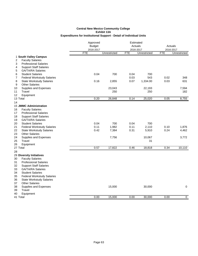|                                                                                                                                                                                                                                                                                                                                    | Approved<br><b>Budget</b><br>2016-2017 |                | Estimated<br>Actuals<br>2016-2017 |                        | Actuals<br>2016-2017 |                |
|------------------------------------------------------------------------------------------------------------------------------------------------------------------------------------------------------------------------------------------------------------------------------------------------------------------------------------|----------------------------------------|----------------|-----------------------------------|------------------------|----------------------|----------------|
|                                                                                                                                                                                                                                                                                                                                    | <b>FTE</b>                             | Unrestricted   | <b>FTE</b>                        | Unrestricted           | <b>FTE</b>           | Unrestricted   |
| 1 South Valley Campus<br><b>Faculty Salaries</b><br>2<br>3<br><b>Professional Salaries</b><br><b>Support Staff Salaries</b><br>4<br><b>GA/TA/RA Salaries</b><br>5                                                                                                                                                                  |                                        |                |                                   |                        |                      |                |
| <b>Student Salaries</b><br>6<br>7<br><b>Federal Workstudy Salaries</b><br><b>State Workstudy Salaries</b><br>8                                                                                                                                                                                                                     | 0.04<br>0.16                           | 700<br>2,855   | 0.04<br>0.03<br>0.07              | 700<br>543<br>1,334.00 | 0.02<br>0.03         | 348<br>631     |
| <b>Other Salaries</b><br>9<br>10<br>Supplies and Expenses<br><b>Travel</b><br>11                                                                                                                                                                                                                                                   |                                        | 23,043<br>250  |                                   | 22,193<br>250          |                      | 7,594<br>182   |
| 12<br>Equipment<br>13 Total                                                                                                                                                                                                                                                                                                        | 0.20                                   | 26,848         | 0.14                              | 25,020                 | 0.05                 | 8,755          |
| 14                                                                                                                                                                                                                                                                                                                                 |                                        |                |                                   |                        |                      |                |
| <b>15 JMMC Administration</b><br>16<br><b>Faculty Salaries</b><br>17<br><b>Professional Salaries</b><br>18<br><b>Support Staff Salaries</b><br>19<br><b>GA/TA/RA Salaries</b><br>20<br><b>Student Salaries</b>                                                                                                                     | 0.04                                   | 700            | 0.04                              | 700                    |                      |                |
| 21<br><b>Federal Workstudy Salaries</b><br>22<br><b>State Workstudy Salaries</b><br>23<br><b>Other Salaries</b>                                                                                                                                                                                                                    | 0.11<br>0.42                           | 1,982<br>7,384 | 0.11<br>0.31                      | 2,110<br>5,910         | 0.10<br>0.24         | 1,876<br>4,462 |
| 24<br>Supplies and Expenses<br>25<br>Travel<br>Equipment<br>26                                                                                                                                                                                                                                                                     |                                        | 7,756          |                                   | 10,067<br>31           |                      | 3,772          |
| 27 Total                                                                                                                                                                                                                                                                                                                           | 0.57                                   | 17,822         | 0.46                              | 18,818                 | 0.34                 | 10,110         |
| 28<br>29 Diversity Initiatives<br>30<br><b>Faculty Salaries</b><br>31<br><b>Professional Salaries</b><br>32<br><b>Support Staff Salaries</b><br>33<br><b>GA/TA/RA Salaries</b><br>34<br><b>Student Salaries</b><br>35<br><b>Federal Workstudy Salaries</b><br><b>State Workstudy Salaries</b><br>36<br>37<br><b>Other Salaries</b> |                                        |                |                                   |                        |                      |                |
| Supplies and Expenses<br>38<br>Travel<br>39<br>40<br>Equipment                                                                                                                                                                                                                                                                     |                                        | 15,000         |                                   | 30,000                 |                      | 0              |
| 41 Total                                                                                                                                                                                                                                                                                                                           | 0.00                                   | 15,000         | 0.00                              | 30,000                 | 0.00                 | $\mathbf 0$    |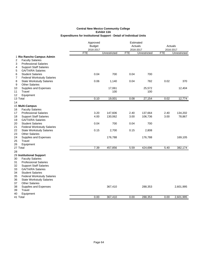|                                                               | Approved<br><b>Budget</b><br>2016-2017 | Estimated<br>Actuals<br>2016-2017 |            |              | Actuals<br>2016-2017 |              |  |
|---------------------------------------------------------------|----------------------------------------|-----------------------------------|------------|--------------|----------------------|--------------|--|
|                                                               | <b>FTE</b>                             | Unrestricted                      | <b>FTE</b> | Unrestricted | <b>FTE</b>           | Unrestricted |  |
| 1 Rio Rancho Campus Admin                                     |                                        |                                   |            |              |                      |              |  |
| <b>Faculty Salaries</b><br>2                                  |                                        |                                   |            |              |                      |              |  |
| 3<br><b>Professional Salaries</b>                             |                                        |                                   |            |              |                      |              |  |
| <b>Support Staff Salaries</b><br>4                            |                                        |                                   |            |              |                      |              |  |
| <b>GA/TA/RA Salaries</b><br>5                                 |                                        |                                   |            |              |                      |              |  |
| <b>Student Salaries</b><br>6                                  | 0.04                                   | 700                               | 0.04       | 700          |                      |              |  |
| 7<br><b>Federal Workstudy Salaries</b>                        |                                        |                                   |            |              |                      |              |  |
| <b>State Workstudy Salaries</b><br>8<br><b>Other Salaries</b> | 0.06                                   | 1,140                             | 0.04       | 782          | 0.02                 | 370          |  |
| 9                                                             |                                        | 17,061                            |            | 25,572       |                      |              |  |
| Supplies and Expenses<br>10<br>11<br>Travel                   |                                        | 100                               |            | 100          |                      | 12,404       |  |
| 12<br>Equipment                                               |                                        |                                   |            |              |                      |              |  |
| 13 Total                                                      | 0.10                                   | 19,001                            | 0.08       | 27,154       | 0.02                 | 12,774       |  |
| 14                                                            |                                        |                                   |            |              |                      |              |  |
| 15 Multi-Campus                                               |                                        |                                   |            |              |                      |              |  |
| 16<br><b>Faculty Salaries</b>                                 |                                        |                                   |            |              |                      |              |  |
| 17<br><b>Professional Salaries</b>                            | 3.20                                   | 147,606                           | 2.40       | 137,664      | 2.40                 | 134,202      |  |
| 18<br><b>Support Staff Salaries</b>                           | 4.00                                   | 130,062                           | 3.00       | 106,736      | 3.00                 | 78,867       |  |
| <b>GA/TA/RA Salaries</b><br>19                                |                                        |                                   |            |              |                      |              |  |
| 20<br><b>Student Salaries</b>                                 | 0.04                                   | 700                               | 0.04       | 700          |                      |              |  |
| 21<br><b>Federal Workstudy Salaries</b>                       |                                        |                                   |            |              |                      |              |  |
| 22<br><b>State Workstudy Salaries</b>                         | 0.15                                   | 2,700                             | 0.15       | 2,808        |                      |              |  |
| <b>Other Salaries</b><br>23                                   |                                        |                                   |            |              |                      |              |  |
| 24<br>Supplies and Expenses                                   |                                        | 176,788                           |            | 176,788      |                      | 169,105      |  |
| 25<br>Travel                                                  |                                        |                                   |            |              |                      |              |  |
| 26<br>Equipment                                               |                                        |                                   |            |              |                      |              |  |
| 27 Total                                                      | 7.39                                   | 457,856                           | 5.59       | 424,696      | 5.40                 | 382,174      |  |
| 28                                                            |                                        |                                   |            |              |                      |              |  |
| 29 Institutional Support                                      |                                        |                                   |            |              |                      |              |  |
| 30<br><b>Faculty Salaries</b>                                 |                                        |                                   |            |              |                      |              |  |
| 31<br><b>Professional Salaries</b>                            |                                        |                                   |            |              |                      |              |  |
| 32<br><b>Support Staff Salaries</b>                           |                                        |                                   |            |              |                      |              |  |
| 33<br><b>GA/TA/RA Salaries</b>                                |                                        |                                   |            |              |                      |              |  |
| 34<br><b>Student Salaries</b>                                 |                                        |                                   |            |              |                      |              |  |
| 35<br><b>Federal Workstudy Salaries</b>                       |                                        |                                   |            |              |                      |              |  |
| 36<br><b>State Workstudy Salaries</b>                         |                                        |                                   |            |              |                      |              |  |
| 37<br><b>Other Salaries</b>                                   |                                        |                                   |            |              |                      |              |  |
| 38<br>Supplies and Expenses                                   |                                        | 367,410                           |            | 288,353      |                      | 2,601,995    |  |
| 39<br>Travel                                                  |                                        |                                   |            |              |                      |              |  |
| 40<br>Equipment                                               |                                        |                                   |            |              |                      |              |  |
| 41 Total                                                      | 0.00                                   | 367,410                           | 0.00       | 288,353      | 0.00                 | 2,601,995    |  |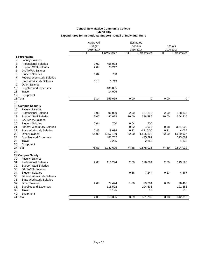|                                         | Approved      |              |            |              |                      |              |
|-----------------------------------------|---------------|--------------|------------|--------------|----------------------|--------------|
|                                         | <b>Budget</b> |              | Actuals    |              | Actuals<br>2016-2017 |              |
|                                         | 2016-2017     |              | 2016-2017  |              |                      |              |
|                                         | <b>FTE</b>    | Unrestricted | <b>FTE</b> | Unrestricted | <b>FTE</b>           | Unrestricted |
| 1 Purchasing                            |               |              |            |              |                      |              |
| 2<br><b>Faculty Salaries</b>            |               |              |            |              |                      |              |
| <b>Professional Salaries</b><br>3       | 7.00          | 455,023      |            |              |                      |              |
| <b>Support Staff Salaries</b><br>4      | 2.00          | 76,212       |            |              |                      |              |
| <b>GA/TA/RA Salaries</b><br>5           |               |              |            |              |                      |              |
| <b>Student Salaries</b><br>6            | 0.04          | 700          |            |              |                      |              |
| <b>Federal Workstudy Salaries</b><br>7  |               |              |            |              |                      |              |
| 8<br><b>State Workstudy Salaries</b>    | 0.10          | 1,713        |            |              |                      |              |
| <b>Other Salaries</b><br>9              |               |              |            |              |                      |              |
| Supplies and Expenses<br>10             |               | 106,005      |            |              |                      |              |
| 11<br>Travel                            |               | 14,006       |            |              |                      |              |
| 12<br>Equipment                         |               |              |            |              |                      |              |
| 13 Total                                | 9.14          | 653,659      | 0.00       | 0            | 0.00                 | 0            |
| 14                                      |               |              |            |              |                      |              |
| 15 Campus Security                      |               |              |            |              |                      |              |
| <b>Faculty Salaries</b><br>16           |               |              |            |              |                      |              |
| <b>Professional Salaries</b><br>17      | 1.00          | 90,000       | 2.00       | 187,215      | 2.00                 | 188,132      |
| 18<br><b>Support Staff Salaries</b>     | 13.00         | 497,073      | 10.00      | 388,389      | 10.00                | 354,416      |
| 19<br><b>GA/TA/RA Salaries</b>          |               |              |            |              |                      |              |
| 20<br><b>Student Salaries</b>           | 0.04          | 700          | 0.04       | 700          |                      |              |
| 21<br><b>Federal Workstudy Salaries</b> |               |              | 0.22       | 4,072        | 0.18                 | 3,313.00     |
| 22<br><b>State Workstudy Salaries</b>   | 0.49          | 8,636        | 0.22       | 4,216.00     | 0.21                 | 4,035        |
| 23<br><b>Other Salaries</b>             | 64.00         | 1,857,159    | 62.00      | 1,855,879    | 62.00                | 1,639,927    |
| 24<br>Supplies and Expenses             |               | 481,782      |            | 435,299      |                      | 313,061      |
| Travel<br>25                            |               | 2,255        |            | 2,255        |                      | 1,138        |
| 26<br>Equipment                         |               |              |            |              |                      |              |
| 27 Total                                | 78.53         | 2,937,605    | 74.48      | 2,878,025    | 74.39                | 2,504,022    |
| 28                                      |               |              |            |              |                      |              |
| 29 Campus Safety                        |               |              |            |              |                      |              |
| 30<br><b>Faculty Salaries</b>           |               |              |            |              |                      |              |
| 31<br><b>Professional Salaries</b>      | 2.00          | 116,294      | 2.00       | 120,094      | 2.00                 | 119,526      |
| 32<br><b>Support Staff Salaries</b>     |               |              |            |              |                      |              |
| 33<br><b>GA/TA/RA Salaries</b>          |               |              |            |              |                      |              |
| 34<br><b>Student Salaries</b>           |               |              | 0.38       | 7,244        | 0.23                 | 4,367        |
| 35<br><b>Federal Workstudy Salaries</b> |               |              |            |              |                      |              |
| 36<br><b>State Workstudy Salaries</b>   |               |              |            |              |                      |              |
| 37<br><b>Other Salaries</b>             | 2.00          | 77,424       | 1.00       | 29,664       | 0.90                 | 26,460       |
| 38<br>Supplies and Expenses             |               | 118,522      |            | 194,636      |                      | 191,853      |
| 39<br>Travel                            |               | 1,125        |            | 99           |                      | 612          |
| 40<br>Equipment                         |               |              |            |              |                      |              |
| 41 Total                                | 4.00          | 313,365      | 3.39       | 351,737      | 3.13                 | 342,818      |
|                                         |               |              |            |              |                      |              |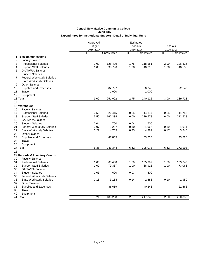|                                                                      | Approved                | Estimated    |            |                           |                      |              |
|----------------------------------------------------------------------|-------------------------|--------------|------------|---------------------------|----------------------|--------------|
|                                                                      | <b>Budget</b>           |              |            | Actuals                   | Actuals<br>2016-2017 |              |
|                                                                      | 2016-2017<br><b>FTE</b> | Unrestricted | <b>FTE</b> | 2016-2017<br>Unrestricted | <b>FTE</b>           | Unrestricted |
| 1 Telecommunications                                                 |                         |              |            |                           |                      |              |
| 2<br><b>Faculty Salaries</b>                                         |                         |              |            |                           |                      |              |
| 3<br><b>Professional Salaries</b>                                    | 2.00                    | 128,409      | 1.75       | 118,181                   | 2.00                 | 126,626      |
| 4<br><b>Support Staff Salaries</b>                                   | 1.00                    | 38,796       | 1.00       | 40,696                    | 1.00                 | 40,555       |
| <b>GA/TA/RA Salaries</b><br>5                                        |                         |              |            |                           |                      |              |
| 6<br><b>Student Salaries</b>                                         |                         |              |            |                           |                      |              |
| 7<br><b>Federal Workstudy Salaries</b>                               |                         |              |            |                           |                      |              |
| 8<br><b>State Workstudy Salaries</b>                                 |                         |              |            |                           |                      |              |
| 9<br><b>Other Salaries</b>                                           |                         |              |            |                           |                      |              |
| Supplies and Expenses<br>10                                          |                         | 82,797       |            | 80,245                    |                      | 72,542       |
| Travel<br>11                                                         |                         | 1,000        |            | 1,000                     |                      |              |
| 12<br>Equipment                                                      |                         |              |            |                           |                      |              |
| 13 Total                                                             | 3.00                    | 251,002      | 2.75       | 240,122                   | 3.00                 | 239,723      |
| 14                                                                   |                         |              |            |                           |                      |              |
| 15 Warehouse                                                         |                         |              |            |                           |                      |              |
| 16<br><b>Faculty Salaries</b>                                        |                         |              |            |                           |                      |              |
| 17<br><b>Professional Salaries</b>                                   | 0.50                    | 26,415       | 0.25       | 14,814                    | 0.25                 | 11,788       |
| 18<br><b>Support Staff Salaries</b>                                  | 5.50                    | 162,334      | 6.00       | 229,578                   | 6.00                 | 212,528      |
| 19<br><b>GA/TA/RA Salaries</b>                                       |                         |              |            |                           |                      |              |
| 20<br><b>Student Salaries</b>                                        | 0.04                    | 700          | 0.04       | 700                       |                      |              |
| 21<br><b>Federal Workstudy Salaries</b>                              | 0.07                    | 1,267        | 0.10       | 1,966                     | 0.10                 | 1,911        |
| 22<br><b>State Workstudy Salaries</b>                                | 0.27                    | 4,759        | 0.23       | 4,382                     | 0.17                 | 3,240        |
| 23<br><b>Other Salaries</b>                                          |                         |              |            |                           |                      |              |
| 24<br>Supplies and Expenses                                          |                         | 47,869       |            | 53,633                    |                      | 43,526       |
| Travel<br>25                                                         |                         |              |            |                           |                      |              |
| 26<br>Equipment                                                      |                         |              |            |                           |                      |              |
| 27 Total                                                             | 6.38                    | 243,344      | 6.62       | 305,073                   | 6.52                 | 272,993      |
| 28                                                                   |                         |              |            |                           |                      |              |
| 29 Records & Inventory Control                                       |                         |              |            |                           |                      |              |
| 30<br><b>Faculty Salaries</b>                                        |                         |              |            |                           |                      |              |
| 31<br><b>Professional Salaries</b>                                   | 1.00                    | 63,488       | 1.50       | 105,387                   | 1.50                 | 103,648      |
| 32<br><b>Support Staff Salaries</b>                                  | 2.00                    | 79,387       | 1.00       | 68,923                    | 1.00                 | 73,066       |
| 33<br><b>GA/TA/RA Salaries</b>                                       |                         |              |            |                           |                      |              |
| 34<br><b>Student Salaries</b>                                        | 0.03                    | 600          | 0.03       | 600                       |                      |              |
| 35<br><b>Federal Workstudy Salaries</b>                              |                         |              |            |                           |                      |              |
| 36<br><b>State Workstudy Salaries</b><br><b>Other Salaries</b><br>37 | 0.18                    | 3,164        | 0.14       | 2,686                     | 0.10                 | 1,950        |
| 38                                                                   |                         |              |            |                           |                      |              |
| Supplies and Expenses<br>Travel<br>39                                |                         | 36,659       |            | 40,246                    |                      | 21,668       |
| 40<br>Equipment                                                      |                         |              |            |                           |                      |              |
| 41 Total                                                             | 3.21                    | 183,298      | 2.67       | 217,842                   | 2.60                 | 200,332      |
|                                                                      |                         |              |            |                           |                      |              |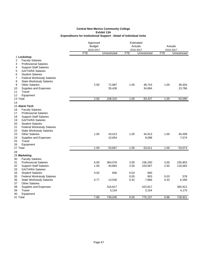| <b>FTE</b><br><b>FTE</b><br>FTE<br>Unrestricted<br>Unrestricted<br>Unrestricted<br>1 Lockshop<br><b>Faculty Salaries</b><br>2<br><b>Professional Salaries</b><br>3<br><b>Support Staff Salaries</b><br>4<br><b>GA/TA/RA Salaries</b><br>5<br>6<br><b>Student Salaries</b><br>7<br><b>Federal Workstudy Salaries</b><br>8<br><b>State Workstudy Salaries</b><br><b>Other Salaries</b><br>39,304<br>9<br>2.00<br>72,887<br>1.00<br>48,743<br>1.00<br>Supplies and Expenses<br>23,786<br>10<br>35,428<br>34,684<br>Travel<br>11<br>12<br>Equipment<br>2.00<br>108,315<br>1.00<br>83,427<br>1.00<br>63,090<br>13 Total<br>14<br>15 Alarm Tech<br>16<br><b>Faculty Salaries</b><br>17<br><b>Professional Salaries</b><br>18<br><b>Support Staff Salaries</b><br><b>GA/TA/RA Salaries</b><br><b>Student Salaries</b><br><b>Federal Workstudy Salaries</b><br><b>State Workstudy Salaries</b><br><b>Other Salaries</b><br>1.00<br>43,013<br>1.00<br>44,913<br>1.00<br>45,499<br>10,654<br>8,098<br>7,574<br>Supplies and Expenses<br>25<br>Travel<br>26<br>Equipment<br>1.00<br>53,667<br>53,073<br>27 Total<br>1.00<br>53,011<br>1.00<br>28<br>29 Marketing<br>30<br><b>Faculty Salaries</b><br>31<br><b>Professional Salaries</b><br>6.00<br>364,076<br>3.00<br>236,250<br>3.00<br>235,903<br>1.00<br>2.50<br>2.50<br>116,063<br>32<br><b>Support Staff Salaries</b><br>40,863<br>103,567<br>33<br><b>GA/TA/RA Salaries</b><br>34<br><b>Student Salaries</b><br>0.03<br>0.03<br>600<br>600<br>0.05<br>903<br>35<br>0.03<br><b>Federal Workstudy Salaries</b><br>578<br>0.77<br>0.33<br>36<br><b>State Workstudy Salaries</b><br>13,535<br>0.42<br>7,866<br>6,290<br><b>Other Salaries</b><br>37<br>38<br>Supplies and Expenses<br>316,817<br>422,817<br>365,912<br>39<br>Travel<br>4,175<br>3,154<br>3,154<br>40<br>Equipment<br>41 Total<br>7.80<br>739,045<br>6.00<br>775,157<br>5.86<br>728,921 |    | Approved<br><b>Budget</b><br>2016-2017 |  |  | Estimated<br>Actuals<br>2016-2017 |  | Actuals<br>2016-2017 |  |
|-----------------------------------------------------------------------------------------------------------------------------------------------------------------------------------------------------------------------------------------------------------------------------------------------------------------------------------------------------------------------------------------------------------------------------------------------------------------------------------------------------------------------------------------------------------------------------------------------------------------------------------------------------------------------------------------------------------------------------------------------------------------------------------------------------------------------------------------------------------------------------------------------------------------------------------------------------------------------------------------------------------------------------------------------------------------------------------------------------------------------------------------------------------------------------------------------------------------------------------------------------------------------------------------------------------------------------------------------------------------------------------------------------------------------------------------------------------------------------------------------------------------------------------------------------------------------------------------------------------------------------------------------------------------------------------------------------------------------------------------------------------------------------------------------------------------------------------------------------------------------------------------------|----|----------------------------------------|--|--|-----------------------------------|--|----------------------|--|
|                                                                                                                                                                                                                                                                                                                                                                                                                                                                                                                                                                                                                                                                                                                                                                                                                                                                                                                                                                                                                                                                                                                                                                                                                                                                                                                                                                                                                                                                                                                                                                                                                                                                                                                                                                                                                                                                                               |    |                                        |  |  |                                   |  |                      |  |
|                                                                                                                                                                                                                                                                                                                                                                                                                                                                                                                                                                                                                                                                                                                                                                                                                                                                                                                                                                                                                                                                                                                                                                                                                                                                                                                                                                                                                                                                                                                                                                                                                                                                                                                                                                                                                                                                                               |    |                                        |  |  |                                   |  |                      |  |
|                                                                                                                                                                                                                                                                                                                                                                                                                                                                                                                                                                                                                                                                                                                                                                                                                                                                                                                                                                                                                                                                                                                                                                                                                                                                                                                                                                                                                                                                                                                                                                                                                                                                                                                                                                                                                                                                                               |    |                                        |  |  |                                   |  |                      |  |
|                                                                                                                                                                                                                                                                                                                                                                                                                                                                                                                                                                                                                                                                                                                                                                                                                                                                                                                                                                                                                                                                                                                                                                                                                                                                                                                                                                                                                                                                                                                                                                                                                                                                                                                                                                                                                                                                                               |    |                                        |  |  |                                   |  |                      |  |
|                                                                                                                                                                                                                                                                                                                                                                                                                                                                                                                                                                                                                                                                                                                                                                                                                                                                                                                                                                                                                                                                                                                                                                                                                                                                                                                                                                                                                                                                                                                                                                                                                                                                                                                                                                                                                                                                                               |    |                                        |  |  |                                   |  |                      |  |
|                                                                                                                                                                                                                                                                                                                                                                                                                                                                                                                                                                                                                                                                                                                                                                                                                                                                                                                                                                                                                                                                                                                                                                                                                                                                                                                                                                                                                                                                                                                                                                                                                                                                                                                                                                                                                                                                                               |    |                                        |  |  |                                   |  |                      |  |
|                                                                                                                                                                                                                                                                                                                                                                                                                                                                                                                                                                                                                                                                                                                                                                                                                                                                                                                                                                                                                                                                                                                                                                                                                                                                                                                                                                                                                                                                                                                                                                                                                                                                                                                                                                                                                                                                                               |    |                                        |  |  |                                   |  |                      |  |
|                                                                                                                                                                                                                                                                                                                                                                                                                                                                                                                                                                                                                                                                                                                                                                                                                                                                                                                                                                                                                                                                                                                                                                                                                                                                                                                                                                                                                                                                                                                                                                                                                                                                                                                                                                                                                                                                                               |    |                                        |  |  |                                   |  |                      |  |
|                                                                                                                                                                                                                                                                                                                                                                                                                                                                                                                                                                                                                                                                                                                                                                                                                                                                                                                                                                                                                                                                                                                                                                                                                                                                                                                                                                                                                                                                                                                                                                                                                                                                                                                                                                                                                                                                                               |    |                                        |  |  |                                   |  |                      |  |
|                                                                                                                                                                                                                                                                                                                                                                                                                                                                                                                                                                                                                                                                                                                                                                                                                                                                                                                                                                                                                                                                                                                                                                                                                                                                                                                                                                                                                                                                                                                                                                                                                                                                                                                                                                                                                                                                                               |    |                                        |  |  |                                   |  |                      |  |
|                                                                                                                                                                                                                                                                                                                                                                                                                                                                                                                                                                                                                                                                                                                                                                                                                                                                                                                                                                                                                                                                                                                                                                                                                                                                                                                                                                                                                                                                                                                                                                                                                                                                                                                                                                                                                                                                                               |    |                                        |  |  |                                   |  |                      |  |
|                                                                                                                                                                                                                                                                                                                                                                                                                                                                                                                                                                                                                                                                                                                                                                                                                                                                                                                                                                                                                                                                                                                                                                                                                                                                                                                                                                                                                                                                                                                                                                                                                                                                                                                                                                                                                                                                                               |    |                                        |  |  |                                   |  |                      |  |
|                                                                                                                                                                                                                                                                                                                                                                                                                                                                                                                                                                                                                                                                                                                                                                                                                                                                                                                                                                                                                                                                                                                                                                                                                                                                                                                                                                                                                                                                                                                                                                                                                                                                                                                                                                                                                                                                                               |    |                                        |  |  |                                   |  |                      |  |
|                                                                                                                                                                                                                                                                                                                                                                                                                                                                                                                                                                                                                                                                                                                                                                                                                                                                                                                                                                                                                                                                                                                                                                                                                                                                                                                                                                                                                                                                                                                                                                                                                                                                                                                                                                                                                                                                                               |    |                                        |  |  |                                   |  |                      |  |
|                                                                                                                                                                                                                                                                                                                                                                                                                                                                                                                                                                                                                                                                                                                                                                                                                                                                                                                                                                                                                                                                                                                                                                                                                                                                                                                                                                                                                                                                                                                                                                                                                                                                                                                                                                                                                                                                                               |    |                                        |  |  |                                   |  |                      |  |
|                                                                                                                                                                                                                                                                                                                                                                                                                                                                                                                                                                                                                                                                                                                                                                                                                                                                                                                                                                                                                                                                                                                                                                                                                                                                                                                                                                                                                                                                                                                                                                                                                                                                                                                                                                                                                                                                                               |    |                                        |  |  |                                   |  |                      |  |
|                                                                                                                                                                                                                                                                                                                                                                                                                                                                                                                                                                                                                                                                                                                                                                                                                                                                                                                                                                                                                                                                                                                                                                                                                                                                                                                                                                                                                                                                                                                                                                                                                                                                                                                                                                                                                                                                                               |    |                                        |  |  |                                   |  |                      |  |
|                                                                                                                                                                                                                                                                                                                                                                                                                                                                                                                                                                                                                                                                                                                                                                                                                                                                                                                                                                                                                                                                                                                                                                                                                                                                                                                                                                                                                                                                                                                                                                                                                                                                                                                                                                                                                                                                                               |    |                                        |  |  |                                   |  |                      |  |
|                                                                                                                                                                                                                                                                                                                                                                                                                                                                                                                                                                                                                                                                                                                                                                                                                                                                                                                                                                                                                                                                                                                                                                                                                                                                                                                                                                                                                                                                                                                                                                                                                                                                                                                                                                                                                                                                                               | 19 |                                        |  |  |                                   |  |                      |  |
|                                                                                                                                                                                                                                                                                                                                                                                                                                                                                                                                                                                                                                                                                                                                                                                                                                                                                                                                                                                                                                                                                                                                                                                                                                                                                                                                                                                                                                                                                                                                                                                                                                                                                                                                                                                                                                                                                               | 20 |                                        |  |  |                                   |  |                      |  |
|                                                                                                                                                                                                                                                                                                                                                                                                                                                                                                                                                                                                                                                                                                                                                                                                                                                                                                                                                                                                                                                                                                                                                                                                                                                                                                                                                                                                                                                                                                                                                                                                                                                                                                                                                                                                                                                                                               | 21 |                                        |  |  |                                   |  |                      |  |
|                                                                                                                                                                                                                                                                                                                                                                                                                                                                                                                                                                                                                                                                                                                                                                                                                                                                                                                                                                                                                                                                                                                                                                                                                                                                                                                                                                                                                                                                                                                                                                                                                                                                                                                                                                                                                                                                                               | 22 |                                        |  |  |                                   |  |                      |  |
|                                                                                                                                                                                                                                                                                                                                                                                                                                                                                                                                                                                                                                                                                                                                                                                                                                                                                                                                                                                                                                                                                                                                                                                                                                                                                                                                                                                                                                                                                                                                                                                                                                                                                                                                                                                                                                                                                               | 23 |                                        |  |  |                                   |  |                      |  |
|                                                                                                                                                                                                                                                                                                                                                                                                                                                                                                                                                                                                                                                                                                                                                                                                                                                                                                                                                                                                                                                                                                                                                                                                                                                                                                                                                                                                                                                                                                                                                                                                                                                                                                                                                                                                                                                                                               | 24 |                                        |  |  |                                   |  |                      |  |
|                                                                                                                                                                                                                                                                                                                                                                                                                                                                                                                                                                                                                                                                                                                                                                                                                                                                                                                                                                                                                                                                                                                                                                                                                                                                                                                                                                                                                                                                                                                                                                                                                                                                                                                                                                                                                                                                                               |    |                                        |  |  |                                   |  |                      |  |
|                                                                                                                                                                                                                                                                                                                                                                                                                                                                                                                                                                                                                                                                                                                                                                                                                                                                                                                                                                                                                                                                                                                                                                                                                                                                                                                                                                                                                                                                                                                                                                                                                                                                                                                                                                                                                                                                                               |    |                                        |  |  |                                   |  |                      |  |
|                                                                                                                                                                                                                                                                                                                                                                                                                                                                                                                                                                                                                                                                                                                                                                                                                                                                                                                                                                                                                                                                                                                                                                                                                                                                                                                                                                                                                                                                                                                                                                                                                                                                                                                                                                                                                                                                                               |    |                                        |  |  |                                   |  |                      |  |
|                                                                                                                                                                                                                                                                                                                                                                                                                                                                                                                                                                                                                                                                                                                                                                                                                                                                                                                                                                                                                                                                                                                                                                                                                                                                                                                                                                                                                                                                                                                                                                                                                                                                                                                                                                                                                                                                                               |    |                                        |  |  |                                   |  |                      |  |
|                                                                                                                                                                                                                                                                                                                                                                                                                                                                                                                                                                                                                                                                                                                                                                                                                                                                                                                                                                                                                                                                                                                                                                                                                                                                                                                                                                                                                                                                                                                                                                                                                                                                                                                                                                                                                                                                                               |    |                                        |  |  |                                   |  |                      |  |
|                                                                                                                                                                                                                                                                                                                                                                                                                                                                                                                                                                                                                                                                                                                                                                                                                                                                                                                                                                                                                                                                                                                                                                                                                                                                                                                                                                                                                                                                                                                                                                                                                                                                                                                                                                                                                                                                                               |    |                                        |  |  |                                   |  |                      |  |
|                                                                                                                                                                                                                                                                                                                                                                                                                                                                                                                                                                                                                                                                                                                                                                                                                                                                                                                                                                                                                                                                                                                                                                                                                                                                                                                                                                                                                                                                                                                                                                                                                                                                                                                                                                                                                                                                                               |    |                                        |  |  |                                   |  |                      |  |
|                                                                                                                                                                                                                                                                                                                                                                                                                                                                                                                                                                                                                                                                                                                                                                                                                                                                                                                                                                                                                                                                                                                                                                                                                                                                                                                                                                                                                                                                                                                                                                                                                                                                                                                                                                                                                                                                                               |    |                                        |  |  |                                   |  |                      |  |
|                                                                                                                                                                                                                                                                                                                                                                                                                                                                                                                                                                                                                                                                                                                                                                                                                                                                                                                                                                                                                                                                                                                                                                                                                                                                                                                                                                                                                                                                                                                                                                                                                                                                                                                                                                                                                                                                                               |    |                                        |  |  |                                   |  |                      |  |
|                                                                                                                                                                                                                                                                                                                                                                                                                                                                                                                                                                                                                                                                                                                                                                                                                                                                                                                                                                                                                                                                                                                                                                                                                                                                                                                                                                                                                                                                                                                                                                                                                                                                                                                                                                                                                                                                                               |    |                                        |  |  |                                   |  |                      |  |
|                                                                                                                                                                                                                                                                                                                                                                                                                                                                                                                                                                                                                                                                                                                                                                                                                                                                                                                                                                                                                                                                                                                                                                                                                                                                                                                                                                                                                                                                                                                                                                                                                                                                                                                                                                                                                                                                                               |    |                                        |  |  |                                   |  |                      |  |
|                                                                                                                                                                                                                                                                                                                                                                                                                                                                                                                                                                                                                                                                                                                                                                                                                                                                                                                                                                                                                                                                                                                                                                                                                                                                                                                                                                                                                                                                                                                                                                                                                                                                                                                                                                                                                                                                                               |    |                                        |  |  |                                   |  |                      |  |
|                                                                                                                                                                                                                                                                                                                                                                                                                                                                                                                                                                                                                                                                                                                                                                                                                                                                                                                                                                                                                                                                                                                                                                                                                                                                                                                                                                                                                                                                                                                                                                                                                                                                                                                                                                                                                                                                                               |    |                                        |  |  |                                   |  |                      |  |
|                                                                                                                                                                                                                                                                                                                                                                                                                                                                                                                                                                                                                                                                                                                                                                                                                                                                                                                                                                                                                                                                                                                                                                                                                                                                                                                                                                                                                                                                                                                                                                                                                                                                                                                                                                                                                                                                                               |    |                                        |  |  |                                   |  |                      |  |
|                                                                                                                                                                                                                                                                                                                                                                                                                                                                                                                                                                                                                                                                                                                                                                                                                                                                                                                                                                                                                                                                                                                                                                                                                                                                                                                                                                                                                                                                                                                                                                                                                                                                                                                                                                                                                                                                                               |    |                                        |  |  |                                   |  |                      |  |
|                                                                                                                                                                                                                                                                                                                                                                                                                                                                                                                                                                                                                                                                                                                                                                                                                                                                                                                                                                                                                                                                                                                                                                                                                                                                                                                                                                                                                                                                                                                                                                                                                                                                                                                                                                                                                                                                                               |    |                                        |  |  |                                   |  |                      |  |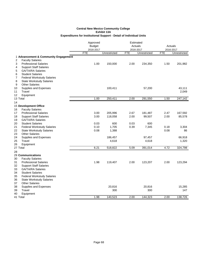|                                         | Approved      |              |            | Estimated    |            |              |
|-----------------------------------------|---------------|--------------|------------|--------------|------------|--------------|
|                                         | <b>Budget</b> |              |            | Actuals      |            | Actuals      |
|                                         | 2016-2017     |              |            | 2016-2017    |            | 2016-2017    |
|                                         | <b>FTE</b>    | Unrestricted | <b>FTE</b> | Unrestricted | <b>FTE</b> | Unrestricted |
| 1 Advancement & Community Engagement    |               |              |            |              |            |              |
| 2<br><b>Faculty Salaries</b>            |               |              |            |              |            |              |
| 3<br><b>Professional Salaries</b>       | 1.00          | 150,000      | 2.00       | 234,350      | 1.50       | 201,982      |
| 4<br><b>Support Staff Salaries</b>      |               |              |            |              |            |              |
| 5<br><b>GA/TA/RA Salaries</b>           |               |              |            |              |            |              |
| 6<br><b>Student Salaries</b>            |               |              |            |              |            |              |
| <b>Federal Workstudy Salaries</b><br>7  |               |              |            |              |            |              |
| 8<br><b>State Workstudy Salaries</b>    |               |              |            |              |            |              |
| <b>Other Salaries</b><br>9              |               |              |            |              |            |              |
| 10<br>Supplies and Expenses             |               | 100,411      |            | 57,200       |            | 43,111       |
| 11<br>Travel                            |               |              |            |              |            | 2,049        |
| 12<br>Equipment                         |               |              |            |              |            |              |
| 13 Total                                | 1.00          | 250,411      | 2.00       | 291,550      | 1.50       | 247,142      |
| 14                                      |               |              |            |              |            |              |
| 15 Development Office                   |               |              |            |              |            |              |
| <b>Faculty Salaries</b><br>16           |               |              |            |              |            |              |
| 17<br><b>Professional Salaries</b>      | 3.00          | 205,996      | 2.67       | 181,487      | 2.47       | 167,592      |
| 18<br><b>Support Staff Salaries</b>     | 3.00          | 118,058      | 2.00       | 99,507       | 2.00       | 85,578       |
| 19<br><b>GA/TA/RA Salaries</b>          |               |              |            |              |            |              |
| <b>Student Salaries</b><br>20           | 0.03          | 600          | 0.03       | 600          |            |              |
| 21<br><b>Federal Workstudy Salaries</b> | 0.10          | 1,705        | 0.39       | 7,345        | 0.18       | 3,304        |
| 22<br><b>State Workstudy Salaries</b>   | 0.08          | 1,388        |            |              | 0.08       | 86           |
| <b>Other Salaries</b><br>23             |               |              |            |              |            |              |
| 24<br>Supplies and Expenses             |               | 186,457      |            | 97,457       |            | 66,918       |
| 25<br>Travel                            |               | 4,618        |            | 4,618        |            | 1,320        |
| 26<br>Equipment                         |               |              |            |              |            |              |
| 27 Total                                | 6.21          | 518,822      | 5.09       | 391,014      | 4.72       | 324,798      |
| 28                                      |               |              |            |              |            |              |
| 29 Communications                       |               |              |            |              |            |              |
| 30<br><b>Faculty Salaries</b>           |               |              |            |              |            |              |
| 31<br><b>Professional Salaries</b>      | 1.98          | 119,407      | 2.00       | 123,207      | 2.00       | 123,294      |
| 32<br><b>Support Staff Salaries</b>     |               |              |            |              |            |              |
| 33<br><b>GA/TA/RA Salaries</b>          |               |              |            |              |            |              |
| 34<br><b>Student Salaries</b>           |               |              |            |              |            |              |
| 35<br><b>Federal Workstudy Salaries</b> |               |              |            |              |            |              |
| 36<br><b>State Workstudy Salaries</b>   |               |              |            |              |            |              |
| 37<br><b>Other Salaries</b>             |               |              |            |              |            |              |
| 38<br>Supplies and Expenses             |               | 20,816       |            | 20,816       |            | 15,285       |
| 39<br>Travel                            |               | 300          |            | 300          |            | 147          |
| 40<br>Equipment                         |               |              |            |              |            |              |
| 41 Total                                | 1.98          | 140,523      | 2.00       | 144,323      | 2.00       | 138,726      |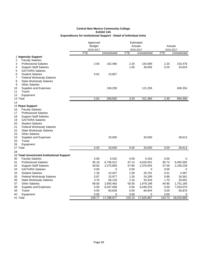|                                                                | Approved      | Estimated    |            |              |            |              |  |
|----------------------------------------------------------------|---------------|--------------|------------|--------------|------------|--------------|--|
|                                                                | <b>Budget</b> |              | Actuals    |              | Actuals    |              |  |
|                                                                | 2016-2017     |              | 2016-2017  |              | 2016-2017  |              |  |
|                                                                | <b>FTE</b>    | Unrestricted | <b>FTE</b> | Unrestricted | <b>FTE</b> | Unrestricted |  |
| 1 Ingenuity Support                                            |               |              |            |              |            |              |  |
| <b>Faculty Salaries</b><br>2                                   |               |              |            |              |            |              |  |
| 3<br><b>Professional Salaries</b>                              | 2.00          | 152,466      | 2.20       | 154,069      | 2.20       | 153,478      |  |
| <b>Support Staff Salaries</b><br>4                             |               |              | 1.00       | 36,056       | 0.20       | 10,624       |  |
| <b>GA/TA/RA Salaries</b><br>5                                  |               |              |            |              |            |              |  |
| 6<br><b>Student Salaries</b>                                   | 0.62          | 10,857       |            |              |            |              |  |
| <b>Federal Workstudy Salaries</b><br>7                         |               |              |            |              |            |              |  |
| 8<br><b>State Workstudy Salaries</b>                           |               |              |            |              |            |              |  |
| <b>Other Salaries</b><br>9                                     |               |              |            |              |            |              |  |
| 10<br>Supplies and Expenses                                    |               | 106,259      |            | 121,259      |            | 400,254      |  |
| 11<br>Travel                                                   |               |              |            |              |            |              |  |
| Equipment<br>12                                                |               |              |            |              |            |              |  |
| 13 Total                                                       | 2.62          | 269,582      | 3.20       | 311,384      | 2.40       | 564,356      |  |
| 14                                                             |               |              |            |              |            |              |  |
| 15 Pepsi Support                                               |               |              |            |              |            |              |  |
| <b>Faculty Salaries</b><br>16                                  |               |              |            |              |            |              |  |
| 17<br><b>Professional Salaries</b>                             |               |              |            |              |            |              |  |
| 18<br><b>Support Staff Salaries</b>                            |               |              |            |              |            |              |  |
| 19<br>GA/TA/RA Salaries                                        |               |              |            |              |            |              |  |
| 20<br><b>Student Salaries</b><br>21                            |               |              |            |              |            |              |  |
| <b>Federal Workstudy Salaries</b><br>22                        |               |              |            |              |            |              |  |
| <b>State Workstudy Salaries</b><br>23<br><b>Other Salaries</b> |               |              |            |              |            |              |  |
| 24<br>Supplies and Expenses                                    |               | 20,000       |            | 20,000       |            | 28,613       |  |
| Travel<br>25                                                   |               |              |            |              |            |              |  |
| 26<br>Equipment                                                |               |              |            |              |            |              |  |
| 27 Total                                                       | 0.00          | 20,000       | 0.00       | 20,000       | 0.00       | 28,613       |  |
| 28                                                             |               |              |            |              |            |              |  |
| 29 Total Unrestricted Institutional Support                    |               |              |            |              |            |              |  |
| 30<br><b>Faculty Salaries</b>                                  | 0.09          | 5,432        | 0.09       | 5,432        | 0.00       | 0            |  |
| 31<br><b>Professional Salaries</b>                             | 95.18         | 6,736,012    | 87.14      | 6,633,551    | 85.74      | 6,482,565    |  |
| 32<br><b>Support Staff Salaries</b>                            | 59.60         | 2,270,806    | 57.85      | 2,376,504    | 57.09      | 2,156,239    |  |
| 33<br><b>GA/TA/RA Salaries</b>                                 | 0.00          | 0            | 0.00       | 0            | 0.00       | 0            |  |
| 34<br><b>Student Salaries</b>                                  | 1.28          | 22,457       | 1.58       | 29,701       | 0.41       | 4,367        |  |
| 35<br><b>Federal Workstudy Salaries</b>                        | 0.87          | 15,977       | 1.30       | 24,295       | 0.89       | 16,561       |  |
| 36<br><b>State Workstudy Salaries</b>                          | 3.76          | 66,133       | 2.16       | 43,316       | 1.70       | 33,001       |  |
| <b>Other Salaries</b><br>37                                    | 69.00         | 2,050,483    | 65.00      | 1,979,199    | 64.90      | 1,751,190    |  |
| 38<br>Supplies and Expenses                                    | 0.00          | 6,047,938    | 0.00       | 6,449,225    | 0.00       | 7,534,070    |  |
| Travel<br>39                                                   | 0.00          | 83,639       | 0.00       | 84,644       | 0.00       | 55,876       |  |
| Equipment<br>40                                                | 0.00          | 0            | 0.00       | 0            | 0.00       | 0            |  |
| 41 Total                                                       | 229.77        | 17,298,877   | 215.13     | 17,625,867   | 210.73     | 18,033,869   |  |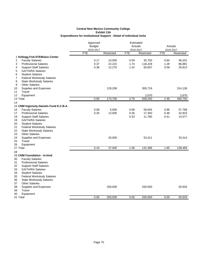|                                         | Approved<br><b>Budget</b><br>2016-2017 | Estimated<br>Actuals<br>2016-2017 |            |            | Actuals<br>2016-2017 |            |
|-----------------------------------------|----------------------------------------|-----------------------------------|------------|------------|----------------------|------------|
|                                         | <b>FTE</b>                             | Restricted                        | <b>FTE</b> | Restricted | <b>FTE</b>           | Restricted |
| 1 Kellogg Fnd-STEMulus Center           |                                        |                                   |            |            |                      |            |
| <b>Faculty Salaries</b><br>2            | 0.17                                   | 10,000                            | 0.59       | 35,750     | 0.60                 | 36,201     |
| <b>Professional Salaries</b><br>3       | 0.37                                   | 22,222                            | 1.74       | 118,228    | 1.28                 | 86,881     |
| <b>Support Staff Salaries</b><br>4      | 0.36                                   | 12,270                            | 1.42       | 50,837     | 0.58                 | 20,813     |
| 5<br><b>GA/TA/RA Salaries</b>           |                                        |                                   |            |            |                      |            |
| 6<br><b>Student Salaries</b>            |                                        |                                   |            |            |                      |            |
| <b>Federal Workstudy Salaries</b><br>7  |                                        |                                   |            |            |                      |            |
| 8<br><b>State Workstudy Salaries</b>    |                                        |                                   |            |            |                      |            |
| <b>Other Salaries</b><br>9              |                                        |                                   |            |            |                      |            |
| Supplies and Expenses<br>10             |                                        | 129,208                           |            | 300,716    |                      | 314,136    |
| Travel<br>11                            |                                        |                                   |            |            |                      |            |
| 12<br>Equipment                         |                                        |                                   |            | 2,670      |                      | 2,670      |
| 13 Total                                | 0.90                                   | 173,700                           | 3.76       | 508,200    | 2.46                 | 460,700    |
| 14                                      |                                        |                                   |            |            |                      |            |
| 15 CNM Ingenuity-Daniels Fund E.C.B.A.  |                                        |                                   |            |            |                      |            |
| <b>Faculty Salaries</b><br>16           | 0.08                                   | 5,000                             | 0.99       | 59,945     | 0.96                 | 57,768     |
| 17<br><b>Professional Salaries</b>      | 0.35                                   | 12,000                            | 0.26       | 17,350     | 0.48                 | 32,823     |
| <b>Support Staff Salaries</b><br>18     |                                        |                                   | 0.33       | 11,780     | 0.41                 | 14,577     |
| 19<br><b>GA/TA/RA Salaries</b>          |                                        |                                   |            |            |                      |            |
| 20<br><b>Student Salaries</b>           |                                        |                                   |            |            |                      |            |
| 21<br><b>Federal Workstudy Salaries</b> |                                        |                                   |            |            |                      |            |
| 22<br><b>State Workstudy Salaries</b>   |                                        |                                   |            |            |                      |            |
| 23<br><b>Other Salaries</b>             |                                        |                                   |            |            |                      |            |
| 24<br>Supplies and Expenses             |                                        | 20,000                            |            | 53,311     |                      | 33,314     |
| 25<br>Travel                            |                                        |                                   |            |            |                      |            |
| Equipment<br>26                         |                                        |                                   |            |            |                      |            |
| 27 Total                                | 0.43                                   | 37,000                            | 1.58       | 142,386    | 1.85                 | 138,483    |
| 28                                      |                                        |                                   |            |            |                      |            |
| 29 CNM Foundation - In-kind             |                                        |                                   |            |            |                      |            |
| <b>Faculty Salaries</b><br>30           |                                        |                                   |            |            |                      |            |
| 31<br><b>Professional Salaries</b>      |                                        |                                   |            |            |                      |            |
| 32<br><b>Support Staff Salaries</b>     |                                        |                                   |            |            |                      |            |
| 33<br><b>GA/TA/RA Salaries</b>          |                                        |                                   |            |            |                      |            |
| 34<br><b>Student Salaries</b>           |                                        |                                   |            |            |                      |            |
| <b>Federal Workstudy Salaries</b><br>35 |                                        |                                   |            |            |                      |            |
| 36<br><b>State Workstudy Salaries</b>   |                                        |                                   |            |            |                      |            |
| 37<br><b>Other Salaries</b>             |                                        |                                   |            |            |                      |            |
| 38<br>Supplies and Expenses             |                                        | 200,000                           |            | 200,000    |                      | 50,503     |
| 39<br>Travel                            |                                        |                                   |            |            |                      |            |
| Equipment<br>40                         |                                        |                                   |            |            |                      |            |
| 41 Total                                | 0.00                                   | 200,000                           | 0.00       | 200,000    | 0.00                 | 50,503     |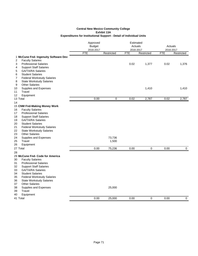|                                                            | Approved      |            |            | Estimated  |            |             |  |
|------------------------------------------------------------|---------------|------------|------------|------------|------------|-------------|--|
|                                                            | <b>Budget</b> |            | Actuals    |            | Actuals    |             |  |
|                                                            | 2016-2017     |            |            | 2016-2017  |            | 2016-2017   |  |
|                                                            | <b>FTE</b>    | Restricted | <b>FTE</b> | Restricted | <b>FTE</b> | Restricted  |  |
| 1 McCune Fnd- Ingenuity Software Dev                       |               |            |            |            |            |             |  |
| <b>Faculty Salaries</b><br>2                               |               |            |            |            |            |             |  |
| 3<br><b>Professional Salaries</b>                          |               |            | 0.02       | 1,377      | 0.02       | 1,376       |  |
| <b>Support Staff Salaries</b><br>4                         |               |            |            |            |            |             |  |
| <b>GA/TA/RA Salaries</b><br>5                              |               |            |            |            |            |             |  |
| <b>Student Salaries</b><br>6                               |               |            |            |            |            |             |  |
| <b>Federal Workstudy Salaries</b><br>7                     |               |            |            |            |            |             |  |
| 8<br><b>State Workstudy Salaries</b>                       |               |            |            |            |            |             |  |
| <b>Other Salaries</b><br>9                                 |               |            |            |            |            |             |  |
| Supplies and Expenses<br>10                                |               |            |            | 1,410      |            | 1,410       |  |
| 11<br>Travel                                               |               |            |            |            |            |             |  |
| 12<br>Equipment                                            |               |            |            |            |            |             |  |
| 13 Total                                                   | 0.00          | $\pmb{0}$  | 0.02       | 2,787      | 0.02       | 2,787       |  |
| 14                                                         |               |            |            |            |            |             |  |
| 15 CNM Fnd-Making Money Work                               |               |            |            |            |            |             |  |
| <b>Faculty Salaries</b><br>16                              |               |            |            |            |            |             |  |
| <b>Professional Salaries</b><br>17                         |               |            |            |            |            |             |  |
| <b>Support Staff Salaries</b><br>18                        |               |            |            |            |            |             |  |
| 19<br><b>GA/TA/RA Salaries</b>                             |               |            |            |            |            |             |  |
| 20<br><b>Student Salaries</b>                              |               |            |            |            |            |             |  |
| 21<br><b>Federal Workstudy Salaries</b>                    |               |            |            |            |            |             |  |
| 22<br><b>State Workstudy Salaries</b>                      |               |            |            |            |            |             |  |
| <b>Other Salaries</b><br>23                                |               |            |            |            |            |             |  |
| 24<br>Supplies and Expenses                                |               | 73,736     |            |            |            |             |  |
| 25<br>Travel                                               |               | 1,500      |            |            |            |             |  |
| 26<br>Equipment                                            |               |            |            |            |            |             |  |
| 27 Total                                                   | 0.00          | 75,236     | 0.00       | 0          | 0.00       | $\mathbf 0$ |  |
|                                                            |               |            |            |            |            |             |  |
| 28                                                         |               |            |            |            |            |             |  |
| 29 McCune Fnd- Code for America<br><b>Faculty Salaries</b> |               |            |            |            |            |             |  |
| 30<br><b>Professional Salaries</b>                         |               |            |            |            |            |             |  |
| 31                                                         |               |            |            |            |            |             |  |
| 32<br><b>Support Staff Salaries</b>                        |               |            |            |            |            |             |  |
| <b>GA/TA/RA Salaries</b><br>33                             |               |            |            |            |            |             |  |
| <b>Student Salaries</b><br>34                              |               |            |            |            |            |             |  |
| 35<br><b>Federal Workstudy Salaries</b>                    |               |            |            |            |            |             |  |
| 36<br><b>State Workstudy Salaries</b>                      |               |            |            |            |            |             |  |
| <b>Other Salaries</b><br>37                                |               |            |            |            |            |             |  |
| 38<br>Supplies and Expenses                                |               | 25,000     |            |            |            |             |  |
| Travel<br>39                                               |               |            |            |            |            |             |  |
| 40<br>Equipment                                            |               |            |            |            |            |             |  |
| 41 Total                                                   | 0.00          | 25,000     | 0.00       | 0          | 0.00       | $\mathbf 0$ |  |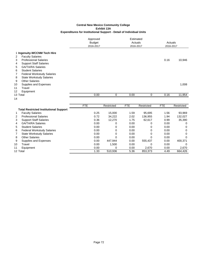|                                               |            | Approved<br><b>Budget</b><br>2016-2017 |            | Estimated<br>Actuals<br>2016-2017 |                             | Actuals<br>2016-2017 |               |
|-----------------------------------------------|------------|----------------------------------------|------------|-----------------------------------|-----------------------------|----------------------|---------------|
| 1 Ingenuity-WCCNM Tech Hire                   |            |                                        |            |                                   |                             |                      |               |
| <b>Faculty Salaries</b><br>2                  |            |                                        |            |                                   |                             |                      |               |
| <b>Professional Salaries</b><br>3             |            |                                        |            |                                   |                             | 0.16                 | 10,946        |
| <b>Support Staff Salaries</b><br>4            |            |                                        |            |                                   |                             |                      |               |
| <b>GA/TA/RA Salaries</b><br>5                 |            |                                        |            |                                   |                             |                      |               |
| <b>Student Salaries</b><br>6                  |            |                                        |            |                                   |                             |                      |               |
| <b>Federal Workstudy Salaries</b><br>7        |            |                                        |            |                                   |                             |                      |               |
| <b>State Workstudy Salaries</b><br>8          |            |                                        |            |                                   |                             |                      |               |
| <b>Other Salaries</b><br>9                    |            |                                        |            |                                   |                             |                      |               |
| 10<br>Supplies and Expenses                   |            |                                        |            |                                   |                             |                      | 1,008         |
| 11<br>Travel                                  |            |                                        |            |                                   |                             |                      |               |
| 12<br>Equipment                               |            |                                        |            |                                   |                             |                      |               |
| 13 Total                                      |            | 0.00                                   | 0          | 0.00                              | 0                           | 0.16                 | 11,954        |
| 14                                            |            |                                        |            |                                   |                             |                      |               |
|                                               | <b>FTE</b> |                                        | Restricted | <b>FTE</b>                        | Restricted                  | <b>FTE</b>           | Restricted    |
| <b>Total Restricted Institutional Support</b> |            |                                        |            |                                   |                             |                      |               |
| — <u>1. a i i</u>                             |            | $\sim$ $\sim$ $\sim$                   | $1 - 000$  | $\sim$ $ \sim$                    | $\sim$ $\sim$ $\sim$ $\sim$ | $\sim$ $\sim$ $\sim$ | $\sim$ $\sim$ |

|          | <b>Faculty Salaries</b>           | 0.25 | 15.000  | 1.59 | 95,695   | l.56 | 93,969   |
|----------|-----------------------------------|------|---------|------|----------|------|----------|
| 2        | <b>Professional Salaries</b>      | 0.72 | 34.222  | 2.02 | 136.955  | 1.94 | 132.027  |
| 3        | <b>Support Staff Salaries</b>     | 0.36 | 12.270  | 1.75 | 62,617   | 0.99 | 35,390   |
| 4        | <b>GA/TA/RA Salaries</b>          | 0.00 | 0       | 0.00 | 0        | 0.00 | 0        |
| 5        | <b>Student Salaries</b>           | 0.00 | 0       | 0.00 | 0        | 0.00 | 0        |
| 6        | <b>Federal Workstudy Salaries</b> | 0.00 | 0       | 0.00 | 0        | 0.00 | $\Omega$ |
|          | <b>State Workstudy Salaries</b>   | 0.00 | 0       | 0.00 | 0        | 0.00 | 0        |
| 8        | <b>Other Salaries</b>             | 0.00 | 0       | 0.00 | 0        | 0.00 | 0        |
| 9        | Supplies and Expenses             | 0.00 | 447.944 | 0.00 | 555.437  | 0.00 | 400.371  |
| 10       | Travel                            | 0.00 | 1.500   | 0.00 | $\Omega$ | 0.00 | $\Omega$ |
| 11       | Equipment                         | 0.00 | 0       | 0.00 | 2,670    | 0.00 | 2,670    |
| 12 Total |                                   | 1.33 | 510.936 | 5.36 | 853,373  | 4.49 | 664.426  |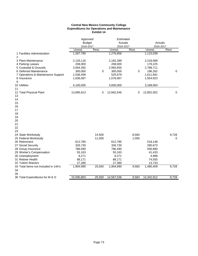#### **Central New Mexico Community College Expenditures for Operations and Maintenance Exhibit 14**

|                                      | Approved<br><b>Budget</b> |        | Estimated<br>Actuals |       | Actuals    |             |
|--------------------------------------|---------------------------|--------|----------------------|-------|------------|-------------|
|                                      | 2016-2017                 |        | 2016-2017            |       | 2016-2017  |             |
|                                      | Unrest.                   | Rest.  | Unrest.              | Rest. | Unrest.    | Rest.       |
| 1 Facilities Administration<br>2     | 1,267,780                 |        | 1,276,856            |       | 1,115,039  |             |
| 3 Plant Maintenance                  | 2,133,116                 |        | 2,182,289            |       | 2,218,589  |             |
| 4 Parking Leases                     | 208,000                   |        | 208,000              |       | 179,225    |             |
| 5 Custodial & Grounds                | 3,004,392                 |        | 2,993,655            |       | 2,788,711  |             |
| 6 Deferred Maintenance               | 300,000                   | 0      | 300,000              | 0     | 196,262    | $\mathbf 0$ |
| 7 Operations & Maintenance Support   | 1,036,458                 |        | 525,679              |       | 1,611,691  |             |
| 8 Insurance                          | 1,636,067                 |        | 1,576,067            |       | 1,554,923  |             |
| 9                                    |                           |        |                      |       |            |             |
| 10 Utilities                         | 4,100,000                 |        | 3,600,000            |       | 3,188,063  |             |
| 11                                   |                           |        |                      |       |            |             |
| 12 Total Physical Plant              | 13,685,813                | 0      | 12,662,546           | 0     | 12,852,502 | $\mathbf 0$ |
| 13                                   |                           |        |                      |       |            |             |
| 14                                   |                           |        |                      |       |            |             |
| 15                                   |                           |        |                      |       |            |             |
| 16                                   |                           |        |                      |       |            |             |
| 17                                   |                           |        |                      |       |            |             |
| 18                                   |                           |        |                      |       |            |             |
| 19                                   |                           |        |                      |       |            |             |
| 20                                   |                           |        |                      |       |            |             |
| 21                                   |                           |        |                      |       |            |             |
| 22                                   |                           |        |                      |       |            |             |
| 23                                   |                           |        |                      |       |            |             |
| 24 State Workstudy                   |                           | 14,500 |                      | 8,583 |            | 9,728       |
| 25 Federal Workstudy                 |                           | 11,000 |                      | 1,000 |            | 0           |
| 26 Retirement                        | 612,785                   |        | 612,785              |       | 518,148    |             |
| 27 Social Security                   | 326,730                   |        | 326,730              |       | 280,673    |             |
| 28 Group Insurance                   | 786,590                   |        | 786,490              |       | 556,880    |             |
| 29 Worker's Compensation             | 55,163                    |        | 55,163               |       | 41,433     |             |
| 30 Unemployment                      | 8,271                     |        | 8,271                |       | 4,988      |             |
| 31 Retiree Health                    | 88,171                    |        | 88,171               |       | 74,555     |             |
| 32 Tuition Waivers                   | 27,280                    |        | 27,380               |       | 13,733     |             |
| 33 Total Items not Included in 14A's | 1,904,990                 | 25,500 | 1,904,990            | 9,583 | 1,490,409  | 9,728       |
| 34                                   |                           |        |                      |       |            |             |
| 35                                   |                           |        |                      |       |            |             |
| 36 Total Expenditures for M & O      | 15,590,803                | 25,500 | 14,567,536           | 9,583 | 14,342,912 | 9,728       |
|                                      |                           |        |                      |       |            |             |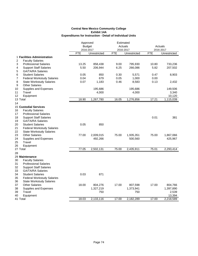|                                         | Approved   |               |            | Estimated    |       |              |
|-----------------------------------------|------------|---------------|------------|--------------|-------|--------------|
|                                         |            | <b>Budget</b> |            | Actuals      |       | Actuals      |
|                                         | 2016-2017  |               |            | 2016-2017    |       | 2016-2017    |
|                                         | <b>FTE</b> | Unrestricted  | <b>FTE</b> | Unrestricted | FTE   | Unrestricted |
| 1 Facilities Administration             |            |               |            |              |       |              |
| 2<br><b>Faculty Salaries</b>            |            |               |            |              |       |              |
| 3<br><b>Professional Salaries</b>       | 13.25      | 858,438       | 9.00       | 795,930      | 10.80 | 733,236      |
| 4<br><b>Support Staff Salaries</b>      | 5.50       | 206,944       | 6.25       | 266,086      | 5.82  | 207,502      |
| <b>GA/TA/RA Salaries</b><br>5           |            |               |            |              |       |              |
| 6<br><b>Student Salaries</b>            | 0.05       | 850           | 0.30       | 5,571        | 0.47  | 8,903        |
| 7<br><b>Federal Workstudy Salaries</b>  | 0.04       | 679           | 0.05       | 1,000        | 0.00  |              |
| 8<br><b>State Workstudy Salaries</b>    | 0.07       | 1,183         | 0.46       | 8,583        | 0.13  | 2,432        |
| 9<br><b>Other Salaries</b>              |            |               |            |              |       |              |
| 10<br>Supplies and Expenses             |            | 195,686       |            | 195,686      |       | 149,506      |
| 11<br>Travel                            |            | 4,000         |            | 4,000        |       | 3,340        |
| 12<br>Equipment                         |            |               |            |              |       | 10,120       |
| 13 Total                                | 18.90      | 1,267,780     | 16.05      | 1,276,856    | 17.21 | 1,115,039    |
| 14                                      |            |               |            |              |       |              |
| <b>15 Custodial Services</b>            |            |               |            |              |       |              |
| <b>Faculty Salaries</b><br>16           |            |               |            |              |       |              |
| 17<br><b>Professional Salaries</b>      |            |               |            |              |       |              |
| 18<br><b>Support Staff Salaries</b>     |            |               |            |              | 0.01  | 381          |
|                                         |            |               |            |              |       |              |
| 19<br><b>GA/TA/RA Salaries</b>          |            |               |            |              |       |              |
| 20<br><b>Student Salaries</b>           | 0.05       | 850           |            |              |       |              |
| 21<br><b>Federal Workstudy Salaries</b> |            |               |            |              |       |              |
| 22<br><b>State Workstudy Salaries</b>   |            |               |            |              |       |              |
| 23<br><b>Other Salaries</b>             | 77.00      | 2,009,015     | 75.00      | 1,935,351    | 75.00 | 1,867,066    |
| 24<br>Supplies and Expenses             |            | 492,266       |            | 500,560      |       | 425,967      |
| 25<br>Travel                            |            |               |            |              |       |              |
| 26<br>Equipment                         |            |               |            |              |       |              |
| 27 Total                                | 77.05      | 2,502,131     | 75.00      | 2,435,911    | 75.01 | 2,293,414    |
| 28                                      |            |               |            |              |       |              |
| 29 Maintenance                          |            |               |            |              |       |              |
| 30<br><b>Faculty Salaries</b>           |            |               |            |              |       |              |
| 31<br><b>Professional Salaries</b>      |            |               |            |              |       |              |
| 32<br><b>Support Staff Salaries</b>     |            |               |            |              |       |              |
| 33<br><b>GA/TA/RA Salaries</b>          |            |               |            |              |       |              |
| 34<br><b>Student Salaries</b>           | 0.03       | 871           |            |              |       |              |
| 35<br><b>Federal Workstudy Salaries</b> |            |               |            |              |       |              |
| 36<br><b>State Workstudy Salaries</b>   |            |               |            |              |       |              |
| 37<br><b>Other Salaries</b>             | 18.00      | 804,276       | 17.00      | 807,598      | 17.00 | 804,766      |
| 38<br>Supplies and Expenses             |            | 1,327,219     |            | 1,373,941    |       | 1,397,890    |
| 39<br>Travel                            |            | 750           |            | 750          |       | 2,539        |
| 40<br>Equipment                         |            |               |            |              |       | 13,394       |
| 41 Total                                | 18.03      | 2,133,116     | 17.00      | 2,182,289    | 17.00 | 2,218,589    |
|                                         |            |               |            |              |       |              |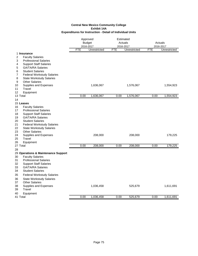|                                             |            | Approved<br><b>Budget</b> | Estimated<br>Actuals |              |            |              |  |
|---------------------------------------------|------------|---------------------------|----------------------|--------------|------------|--------------|--|
|                                             |            |                           |                      |              |            | Actuals      |  |
|                                             |            | 2016-2017                 |                      | 2016-2017    |            | 2016-2017    |  |
|                                             | <b>FTE</b> | Unrestricted              | <b>FTE</b>           | Unrestricted | <b>FTE</b> | Unrestricted |  |
| 1 Insurance<br>2<br><b>Faculty Salaries</b> |            |                           |                      |              |            |              |  |
| <b>Professional Salaries</b><br>3           |            |                           |                      |              |            |              |  |
| 4<br><b>Support Staff Salaries</b>          |            |                           |                      |              |            |              |  |
| <b>GA/TA/RA Salaries</b><br>5               |            |                           |                      |              |            |              |  |
| <b>Student Salaries</b><br>6                |            |                           |                      |              |            |              |  |
| 7<br><b>Federal Workstudy Salaries</b>      |            |                           |                      |              |            |              |  |
| 8<br><b>State Workstudy Salaries</b>        |            |                           |                      |              |            |              |  |
| <b>Other Salaries</b><br>9                  |            |                           |                      |              |            |              |  |
| 10<br>Supplies and Expenses                 |            | 1,636,067                 |                      | 1,576,067    |            | 1,554,923    |  |
| 11<br>Travel                                |            |                           |                      |              |            |              |  |
| 12<br>Equipment                             |            |                           |                      |              |            |              |  |
| 13 Total                                    | 0.00       | 1,636,067                 | 0.00                 | 1,576,067    | 0.00       | 1,554,923    |  |
| 14                                          |            |                           |                      |              |            |              |  |
| 15 Leases                                   |            |                           |                      |              |            |              |  |
| 16<br><b>Faculty Salaries</b>               |            |                           |                      |              |            |              |  |
| 17<br><b>Professional Salaries</b>          |            |                           |                      |              |            |              |  |
| 18<br><b>Support Staff Salaries</b>         |            |                           |                      |              |            |              |  |
| 19<br><b>GA/TA/RA Salaries</b>              |            |                           |                      |              |            |              |  |
| 20<br><b>Student Salaries</b>               |            |                           |                      |              |            |              |  |
| 21<br><b>Federal Workstudy Salaries</b>     |            |                           |                      |              |            |              |  |
| 22<br><b>State Workstudy Salaries</b>       |            |                           |                      |              |            |              |  |
| 23<br><b>Other Salaries</b>                 |            |                           |                      |              |            |              |  |
| 24<br>Supplies and Expenses                 |            | 208,000                   |                      | 208,000      |            | 179,225      |  |
| 25<br>Travel                                |            |                           |                      |              |            |              |  |
| 26<br>Equipment<br>27 Total                 | 0.00       | 208,000                   | 0.00                 | 208,000      | 0.00       | 179,225      |  |
|                                             |            |                           |                      |              |            |              |  |
| 28<br>29 Operations & Maintenance Support   |            |                           |                      |              |            |              |  |
| <b>Faculty Salaries</b><br>30               |            |                           |                      |              |            |              |  |
| <b>Professional Salaries</b><br>31          |            |                           |                      |              |            |              |  |
| 32<br><b>Support Staff Salaries</b>         |            |                           |                      |              |            |              |  |
| 33<br><b>GA/TA/RA Salaries</b>              |            |                           |                      |              |            |              |  |
| 34<br><b>Student Salaries</b>               |            |                           |                      |              |            |              |  |
| 35<br><b>Federal Workstudy Salaries</b>     |            |                           |                      |              |            |              |  |
| 36<br><b>State Workstudy Salaries</b>       |            |                           |                      |              |            |              |  |
| 37<br><b>Other Salaries</b>                 |            |                           |                      |              |            |              |  |
| 38<br>Supplies and Expenses                 |            | 1,036,458                 |                      | 525,679      |            | 1,611,691    |  |
| 39<br>Travel                                |            |                           |                      |              |            |              |  |
| Equipment<br>40                             |            |                           |                      |              |            |              |  |
| 41 Total                                    | 0.00       | 1,036,458                 | 0.00                 | 525,679      | 0.00       | 1,611,691    |  |
|                                             |            |                           |                      |              |            |              |  |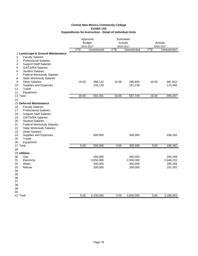|                                                                  | Approved<br><b>Budget</b><br>2016-2017<br>FTE<br>Unrestricted |           | Estimated<br>Actuals<br>2016-2017<br><b>FTE</b><br>Unrestricted |           | Actuals<br>2016-2017 |              |
|------------------------------------------------------------------|---------------------------------------------------------------|-----------|-----------------------------------------------------------------|-----------|----------------------|--------------|
|                                                                  |                                                               |           |                                                                 |           | <b>FTE</b>           | Unrestricted |
| 1 Landscape & Ground Maintenance<br>2<br><b>Faculty Salaries</b> |                                                               |           |                                                                 |           |                      |              |
| <b>Professional Salaries</b><br>3                                |                                                               |           |                                                                 |           |                      |              |
| 4<br><b>Support Staff Salaries</b>                               |                                                               |           |                                                                 |           |                      |              |
| <b>GA/TA/RA Salaries</b><br>5                                    |                                                               |           |                                                                 |           |                      |              |
| <b>Student Salaries</b><br>6                                     |                                                               |           |                                                                 |           |                      |              |
| <b>Federal Workstudy Salaries</b><br>7                           |                                                               |           |                                                                 |           |                      |              |
| 8<br><b>State Workstudy Salaries</b>                             |                                                               |           |                                                                 |           |                      |              |
| 9<br><b>Other Salaries</b>                                       | 16.00                                                         | 368,122   | 16.00                                                           | 396,605   | 16.00                | 381,831      |
| 10<br>Supplies and Expenses                                      |                                                               | 134,139   |                                                                 | 161,139   |                      | 113,466      |
| 11<br>Travel                                                     |                                                               |           |                                                                 |           |                      |              |
| 12<br>Equipment                                                  |                                                               |           |                                                                 |           |                      |              |
| 13 Total                                                         | 16.00                                                         | 502,261   | 16.00                                                           | 557,744   | 16.00                | 495,297      |
| 14                                                               |                                                               |           |                                                                 |           |                      |              |
| 15 Deferred Maintenance                                          |                                                               |           |                                                                 |           |                      |              |
| <b>Faculty Salaries</b><br>16                                    |                                                               |           |                                                                 |           |                      |              |
| 17<br><b>Professional Salaries</b>                               |                                                               |           |                                                                 |           |                      |              |
| 18<br><b>Support Staff Salaries</b>                              |                                                               |           |                                                                 |           |                      |              |
| 19<br><b>GA/TA/RA Salaries</b>                                   |                                                               |           |                                                                 |           |                      |              |
| 20<br><b>Student Salaries</b>                                    |                                                               |           |                                                                 |           |                      |              |
| 21<br><b>Federal Workstudy Salaries</b>                          |                                                               |           |                                                                 |           |                      |              |
| 22<br><b>State Workstudy Salaries</b>                            |                                                               |           |                                                                 |           |                      |              |
| 23<br><b>Other Salaries</b>                                      |                                                               |           |                                                                 |           |                      |              |
| 24<br>Supplies and Expenses                                      |                                                               | 300,000   |                                                                 | 300,000   |                      | 196,262      |
| 25<br>Travel                                                     |                                                               |           |                                                                 |           |                      |              |
| 26<br>Equipment                                                  |                                                               |           |                                                                 |           |                      |              |
| 27 Total                                                         | 0.00                                                          | 300,000   | 0.00                                                            | 300,000   | 0.00                 | 196,262      |
| 28                                                               |                                                               |           |                                                                 |           |                      |              |
| 29 Utilities                                                     |                                                               |           |                                                                 |           |                      |              |
| Gas<br>30                                                        |                                                               | 450,000   |                                                                 | 450,000   |                      | 294,209      |
| 31<br>Electricity                                                |                                                               | 3,050,000 |                                                                 | 2,550,000 |                      | 2,446,222    |
| Water<br>32                                                      |                                                               | 400,000   |                                                                 | 400,000   |                      | 295,349      |
| 33<br>Refuse                                                     |                                                               | 200,000   |                                                                 | 200,000   |                      | 152,282      |
| 34                                                               |                                                               |           |                                                                 |           |                      |              |
| 35                                                               |                                                               |           |                                                                 |           |                      |              |
| 36                                                               |                                                               |           |                                                                 |           |                      |              |
| 37                                                               |                                                               |           |                                                                 |           |                      |              |
| 38                                                               |                                                               |           |                                                                 |           |                      |              |
| 39                                                               |                                                               |           |                                                                 |           |                      |              |
| 40                                                               |                                                               |           |                                                                 |           |                      |              |
| 41 Total                                                         | 0.00                                                          | 4,100,000 | 0.00                                                            | 3,600,000 | 0.00                 | 3,188,063    |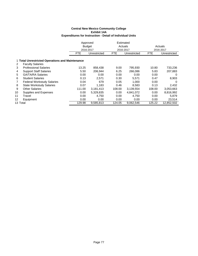|          |                                                 | Approved      |              |        | Estimated    |            |              |
|----------|-------------------------------------------------|---------------|--------------|--------|--------------|------------|--------------|
|          |                                                 | <b>Budget</b> |              |        | Actuals      |            | Actuals      |
|          |                                                 | 2016-2017     |              |        | 2016-2017    |            | 2016-2017    |
|          |                                                 | FTE.          | Unrestricted |        | Unrestricted | <b>FTE</b> | Unrestricted |
|          | 1 Total Unrestricted Operations and Maintenance |               |              |        |              |            |              |
| 2        | <b>Faculty Salaries</b>                         |               |              |        |              |            |              |
| 3        | <b>Professional Salaries</b>                    | 13.25         | 858,438      | 9.00   | 795,930      | 10.80      | 733,236      |
| 4        | <b>Support Staff Salaries</b>                   | 5.50          | 206,944      | 6.25   | 266,086      | 5.83       | 207,883      |
| 5        | <b>GA/TA/RA Salaries</b>                        | 0.00          | 0.00         | 0.00   | 0.00         | 0.00       | 0            |
| 6        | <b>Student Salaries</b>                         | 0.13          | 2.571        | 0.30   | 5,571        | 0.47       | 8,903        |
|          | <b>Federal Workstudy Salaries</b>               | 0.04          | 679          | 0.05   | 1,000        | 0.00       | $\Omega$     |
| 8        | <b>State Workstudy Salaries</b>                 | 0.07          | 1.183        | 0.46   | 8,583        | 0.13       | 2,432        |
| 9        | <b>Other Salaries</b>                           | 111.00        | 3,181,413    | 108.00 | 3,139,554    | 108.00     | 3,053,663    |
| 10       | Supplies and Expenses                           | 0.00          | 5,329,835    | 0.00   | 4,841,072    | 0.00       | 8,816,992    |
| 11       | Travel                                          | 0.00          | 4.750        | 0.00   | 4,750        | 0.00       | 5,879        |
| 12       | Equipment                                       | 0.00          | 0.00         | 0.00   | 0.00         | 0.00       | 23,514       |
| 13 Total |                                                 | 129.98        | 9,585,813    | 124.05 | 9,062,546    | 125.22     | 12,852,502   |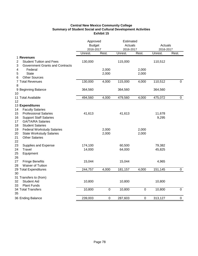# **Central New Mexico Community College Summary of Student Social and Cultural Development Activities Exhibit 15**

|                                                                                                                 |         | Approved<br><b>Budget</b><br>2016-2017 |         | Estimated<br>Actuals<br>2016-2017 |                 | Actuals<br>2016-2017 |
|-----------------------------------------------------------------------------------------------------------------|---------|----------------------------------------|---------|-----------------------------------|-----------------|----------------------|
|                                                                                                                 | Unrest. | Rest.                                  | Unrest. | Rest.                             | Unrest.         | Rest.                |
| 1 Revenues<br><b>Student Tuition and Fees</b><br>$\overline{2}$<br>3<br><b>Government Grants and Contracts</b>  | 130,000 |                                        | 115,000 |                                   | 110,512         |                      |
| 4<br>Federal                                                                                                    |         | 2,000                                  |         | 2,000                             |                 |                      |
| 5<br><b>State</b>                                                                                               |         | 2,000                                  |         | 2,000                             |                 |                      |
| 6<br><b>Other Sources</b><br>7 Total Revenues                                                                   | 130,000 | 4,000                                  | 115,000 | 4,000                             | 110,512         | $\mathbf 0$          |
| 8                                                                                                               |         |                                        |         |                                   |                 |                      |
| 9 Beginning Balance<br>10                                                                                       | 364,560 |                                        | 364,560 |                                   | 364,560         |                      |
| 11 Total Available                                                                                              | 494,560 | 4,000                                  | 479,560 | 4,000                             | 475,072         | $\pmb{0}$            |
| 12                                                                                                              |         |                                        |         |                                   |                 |                      |
| 13 Expenditures<br><b>Faculty Salaries</b><br>14                                                                |         |                                        |         |                                   |                 |                      |
| <b>Professional Salaries</b><br>15<br>16<br><b>Support Staff Salaries</b><br><b>GA/TA/RA Salaries</b><br>17     | 41,613  |                                        | 41,613  |                                   | 11,678<br>9,295 |                      |
| 18<br><b>Student Salaries</b>                                                                                   |         |                                        |         |                                   |                 |                      |
| 19<br><b>Federal Workstudy Salaries</b><br>20<br><b>State Workstudy Salaries</b><br>21<br><b>Other Salaries</b> |         | 2,000<br>2,000                         |         | 2,000<br>2,000                    |                 |                      |
| 22<br>23<br>Supplies and Expense                                                                                | 174,100 |                                        | 60,500  |                                   | 79,382          |                      |
| Travel<br>24<br>25<br>Equipment<br>26                                                                           | 14,000  |                                        | 64,000  |                                   | 45,825          |                      |
| 27<br><b>Fringe Benefits</b><br>Waiver of Tuition<br>28                                                         | 15,044  |                                        | 15,044  |                                   | 4,965           |                      |
| 29 Total Expenditures                                                                                           | 244,757 | 4,000                                  | 181,157 | 4,000                             | 151,145         | $\pmb{0}$            |
| 30                                                                                                              |         |                                        |         |                                   |                 |                      |
| 31 Transfers to (from)<br>32<br><b>Student Aid</b><br>33<br><b>Plant Funds</b>                                  | 10,800  |                                        | 10,800  |                                   | 10,800          |                      |
| 34 Total Transfers<br>35                                                                                        | 10,800  | $\boldsymbol{0}$                       | 10,800  | $\mathbf 0$                       | 10,800          | $\mathbf 0$          |
| 36 Ending Balance                                                                                               | 239,003 | $\boldsymbol{0}$                       | 287,603 | $\mathbf 0$                       | 313,127         | $\pmb{0}$            |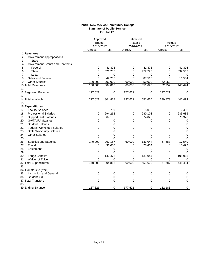#### **Central New Mexico Community College Summary of Public Service Exhibit 17**

|                                                     | Approved<br><b>Budget</b><br>2016-2017 |                | Estimated<br>Actuals<br>2016-2017 |              | Actuals<br>2016-2017 |                |
|-----------------------------------------------------|----------------------------------------|----------------|-----------------------------------|--------------|----------------------|----------------|
|                                                     | Unrest.                                | Rest.          | Unrest.                           | Rest.        | Unrest.              | Rest.          |
| 1 Revenues                                          |                                        |                |                                   |              |                      |                |
| 2<br><b>Government Appropriations</b><br>3<br>State |                                        |                |                                   |              |                      |                |
| 4<br>Government Grants and Contracts                |                                        |                |                                   |              |                      |                |
| 5<br>Federal                                        | 0                                      | 41,378         | 0                                 | 41,378       | 0                    | 41,376         |
| 6<br><b>State</b>                                   | 0                                      | 521,235        | 0                                 | 472,726      | 0                    | 392,563        |
| 7<br>Local                                          | 0                                      | 0              | 0                                 | 0            | 0                    | 0              |
| Sales and Service<br>8                              | $\Omega$                               | 42,205         | $\Omega$                          | 87,516       | $\Omega$             | 11,554         |
| <b>Other Sources</b><br>9                           | 100,000                                | 200,000        | 60,000                            | 50,000       | 62,252               | 0              |
| 10 Total Revenues<br>11                             | 100,000                                | 804,818        | 60,000                            | 651,620      | 62,252               | 445,494        |
| 12 Beginning Balance                                | 177,621                                | 0              | 177,621                           | 0            | 177,621              | $\mathbf 0$    |
| 13                                                  |                                        |                |                                   |              |                      |                |
| 14 Total Available                                  | 277,621                                | 804,818        | 237,621                           | 651,620      | 239,873              | 445,494        |
| 15                                                  |                                        |                |                                   |              |                      |                |
| 16 Expenditures                                     |                                        |                |                                   |              |                      |                |
| <b>Faculty Salaries</b><br>17                       | 0                                      | 5,780          | 0                                 | 5,000        | 0                    | 2,486          |
| <b>Professional Salaries</b><br>18                  | 0                                      | 294,268        | $\mathbf 0$                       | 280,103      | 0                    | 233,685        |
| 19<br><b>Support Staff Salaries</b>                 | 0                                      | 67,135         | 0                                 | 74,025       | 0                    | 70,326         |
| 20<br><b>GA/TA/RA Salaries</b>                      | 0                                      | 0              | 0                                 | 0            | 0                    | 0              |
| 21<br><b>Student Salaries</b>                       | 0                                      | 0              | 0                                 | 0            | 0                    | 0              |
| 22<br><b>Federal Workstudy Salaries</b>             | $\Omega$                               | 0              | $\mathbf 0$                       | $\mathbf{0}$ | 0                    | 0              |
| 23<br><b>State Workstudy Salaries</b>               | $\Omega$                               | 0              | 0                                 | 0            | 0                    | $\mathbf 0$    |
| 24<br><b>Other Salaries</b>                         | 0                                      | 0              | 0                                 | 0            | 0                    | 0              |
| 25                                                  | $\Omega$                               | $\Omega$       | $\Omega$                          | $\mathbf{0}$ | $\Omega$             | $\Omega$       |
| 26<br>Supplies and Expense                          | 140,000                                | 260,157        | 60,000                            | 133,044      | 57,687               | 17,540         |
| 27<br>Travel                                        | 0                                      | 31,000         | 0                                 | 28,404       | 0                    | 15,492         |
| 28<br>Equipment                                     | 0                                      | 0              | 0                                 | 0            | 0                    | 0              |
| 29                                                  | 0                                      | $\Omega$       | 0                                 | $\Omega$     | 0                    | 0              |
| 30<br><b>Fringe Benefits</b>                        | 0                                      | 146,478        | 0                                 | 131,044      | 0                    | 105,965        |
| Waiver of Tuition<br>31                             | 0                                      | 0              | 0                                 | 0            | 0                    | 0              |
| 32 Total Expenditures                               | 140,000                                | 804,818        | 60,000                            | 651,620      | 57,687               | 445,494        |
| 33                                                  |                                        |                |                                   |              |                      |                |
| 34 Transfers to (from)                              |                                        |                |                                   |              |                      |                |
| Instruction and General<br>35                       | 0                                      | $\mathbf 0$    | 0                                 | 0            | 0                    | $\mathbf 0$    |
| 36<br><b>Student Aid</b>                            | 0                                      | 0              | 0                                 | 0            | 0                    | 0              |
| 37 Total Transfers                                  | 0                                      | $\overline{0}$ | $\Omega$                          | 0            | 0                    | $\overline{0}$ |
| 38                                                  |                                        |                |                                   |              |                      |                |
| 39 Ending Balance                                   | 137,621                                | 0              | 177,621                           | $\Omega$     | 182,186              | $\overline{0}$ |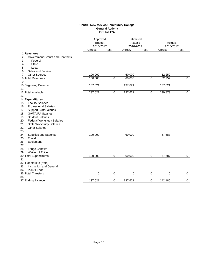#### **Central New Mexico Community College General Activity Exhibit 17A**

|                                                                                                                                                                                                                                                                                                                                 | Approved<br><b>Budget</b><br>2016-2017 |                | Estimated<br>Actuals<br>2016-2017 |                | Actuals<br>2016-2017 |                |
|---------------------------------------------------------------------------------------------------------------------------------------------------------------------------------------------------------------------------------------------------------------------------------------------------------------------------------|----------------------------------------|----------------|-----------------------------------|----------------|----------------------|----------------|
|                                                                                                                                                                                                                                                                                                                                 | Unrest.                                | Rest.          | Unrest.                           | Rest.          | Unrest.              | Rest.          |
| 1 Revenues<br><b>Government Grants and Contracts</b><br>2<br>3<br>Federal<br><b>State</b><br>4<br>Local<br>5                                                                                                                                                                                                                    |                                        |                |                                   |                |                      |                |
| Sales and Service<br>6<br><b>Other Sources</b><br>7                                                                                                                                                                                                                                                                             | 100.000                                |                | 60,000                            |                | 62,252               |                |
| 8 Total Revenues<br>9                                                                                                                                                                                                                                                                                                           | 100,000                                | $\overline{0}$ | 60,000                            | $\overline{0}$ | 62,252               | $\overline{0}$ |
| 10 Beginning Balance<br>11                                                                                                                                                                                                                                                                                                      | 137,621                                |                | 137,621                           |                | 137,621              |                |
| 12 Total Available<br>13                                                                                                                                                                                                                                                                                                        | 237,621                                | $\mathbf 0$    | 197,621                           | 0              | 199,873              | $\mathbf 0$    |
| 14 Expenditures<br><b>Faculty Salaries</b><br>15<br><b>Professional Salaries</b><br>16<br><b>Support Staff Salaries</b><br>17<br><b>GA/TA/RA Salaries</b><br>18<br><b>Student Salaries</b><br>19<br><b>Federal Workstudy Salaries</b><br>20<br>21<br><b>State Workstudy Salaries</b><br><b>Other Salaries</b><br>22<br>23<br>24 | 100,000                                |                | 60,000                            |                | 57,687               |                |
| Supplies and Expense<br>Travel<br>25<br>26<br>Equipment<br>27<br>28<br><b>Fringe Benefits</b><br>Waiver of Tuition<br>29                                                                                                                                                                                                        |                                        |                |                                   |                |                      |                |
| 30 Total Expenditures                                                                                                                                                                                                                                                                                                           | 100,000                                | 0              | 60,000                            | $\mathbf 0$    | 57,687               | $\mathbf 0$    |
| 31<br>32 Transfers to (from)<br>33<br>Instruction and General<br><b>Plant Funds</b><br>34                                                                                                                                                                                                                                       |                                        |                |                                   |                |                      |                |
| 35 Total Transfers<br>36                                                                                                                                                                                                                                                                                                        | $\pmb{0}$                              | 0              | $\mathbf 0$                       | $\mathbf 0$    | $\mathbf 0$          | $\mathbf 0$    |
| 37 Ending Balance                                                                                                                                                                                                                                                                                                               | 137,621                                | 0              | 137,621                           | 0              | 142,186              | 0              |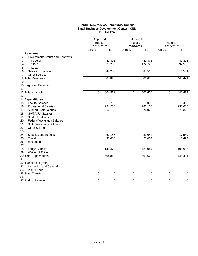#### **Central New Mexico Community College Small Business Development Center - CNM Exhibit 17A**

|                                             | Approved<br><b>Budget</b><br>2016-2017 |             | Estimated<br>Actuals<br>2016-2017 |             | Actuals<br>2016-2017 |                |
|---------------------------------------------|----------------------------------------|-------------|-----------------------------------|-------------|----------------------|----------------|
|                                             | Unrest.                                | Rest.       | Unrest.                           | Rest.       | Unrest.              | Rest.          |
| 1 Revenues                                  |                                        |             |                                   |             |                      |                |
| 2<br><b>Government Grants and Contracts</b> |                                        |             |                                   |             |                      |                |
| 3<br>Federal                                |                                        | 41,378      |                                   | 41,378      |                      | 41,376         |
| 4<br><b>State</b>                           |                                        | 521,235     |                                   | 472,726     |                      | 392,563        |
| 5<br>Local                                  |                                        |             |                                   |             |                      |                |
| 6<br>Sales and Service                      |                                        | 42,205      |                                   | 87,516      |                      | 11,554         |
| <b>Other Sources</b><br>7                   |                                        |             |                                   |             |                      |                |
| 8 Total Revenues                            | 0                                      | 604,818     | 0                                 | 601,620     | $\mathbf 0$          | 445,494        |
| 9                                           |                                        |             |                                   |             |                      |                |
| 10 Beginning Balance                        |                                        |             |                                   |             |                      |                |
| 11<br>12 Total Available                    |                                        |             |                                   | 601,620     | $\pmb{0}$            | 445,494        |
| 13                                          | 0                                      | 604,818     | $\,0\,$                           |             |                      |                |
| 14 Expenditures                             |                                        |             |                                   |             |                      |                |
| <b>Faculty Salaries</b><br>15               |                                        | 5,780       |                                   | 5,000       |                      | 2,486          |
| <b>Professional Salaries</b><br>16          |                                        | 294,268     |                                   | 280,103     |                      | 233,685        |
| 17<br><b>Support Staff Salaries</b>         |                                        | 67,135      |                                   | 74,025      |                      | 70,326         |
| 18<br><b>GA/TA/RA Salaries</b>              |                                        |             |                                   |             |                      |                |
| <b>Student Salaries</b><br>19               |                                        |             |                                   |             |                      |                |
| 20<br><b>Federal Workstudy Salaries</b>     |                                        |             |                                   |             |                      |                |
| 21<br><b>State Workstudy Salaries</b>       |                                        |             |                                   |             |                      |                |
| 22<br><b>Other Salaries</b>                 |                                        |             |                                   |             |                      |                |
| 23                                          |                                        |             |                                   |             |                      |                |
| Supplies and Expense<br>24                  |                                        | 60,157      |                                   | 83,044      |                      | 17,540         |
| 25<br>Travel                                |                                        | 31,000      |                                   | 28,404      |                      | 15,492         |
| 26<br>Equipment                             |                                        |             |                                   |             |                      |                |
| 27                                          |                                        |             |                                   |             |                      |                |
| 28<br><b>Fringe Benefits</b>                |                                        | 146,478     |                                   | 131,044     |                      | 105,965        |
| Waiver of Tuition<br>29                     |                                        |             |                                   |             |                      |                |
| 30 Total Expenditures                       | $\mathbf 0$                            | 604,818     | $\mathbf 0$                       | 601,620     | $\mathbf 0$          | 445,494        |
| 31                                          |                                        |             |                                   |             |                      |                |
| 32 Transfers to (from)                      |                                        |             |                                   |             |                      |                |
| Instruction and General<br>33               |                                        |             |                                   |             |                      |                |
| 34<br><b>Plant Funds</b>                    |                                        |             |                                   |             |                      |                |
| 35 Total Transfers                          | $\mathbf 0$                            | $\mathbf 0$ | $\mathbf 0$                       | $\mathbf 0$ | $\mathbf 0$          | $\overline{0}$ |
| 36                                          |                                        |             |                                   |             |                      |                |
| 37 Ending Balance                           | $\mathbf 0$                            | $\mathbf 0$ | $\mathbf 0$                       | $\mathbf 0$ | $\mathbf 0$          | $\mathbf 0$    |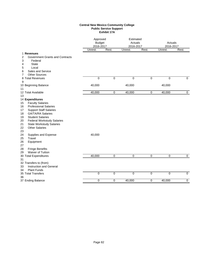#### **Central New Mexico Community College Public Service Support Exhibit 17A**

|                                                                                                                                                                                                                                                                                                                           | Approved<br><b>Budget</b><br>2016-2017 |             | Estimated<br>Actuals<br>2016-2017 |             | Actuals<br>2016-2017 |                |
|---------------------------------------------------------------------------------------------------------------------------------------------------------------------------------------------------------------------------------------------------------------------------------------------------------------------------|----------------------------------------|-------------|-----------------------------------|-------------|----------------------|----------------|
|                                                                                                                                                                                                                                                                                                                           | Unrest.                                | Rest.       | Unrest.                           | Rest.       | Unrest.              | Rest.          |
| 1 Revenues<br><b>Government Grants and Contracts</b><br>2<br>3<br>Federal<br><b>State</b><br>4<br>5<br>Local<br>Sales and Service<br>6                                                                                                                                                                                    |                                        |             |                                   |             |                      |                |
| <b>Other Sources</b><br>7<br>8 Total Revenues                                                                                                                                                                                                                                                                             | $\mathbf 0$                            | $\mathbf 0$ | $\mathbf 0$                       | $\mathbf 0$ | $\mathbf 0$          | $\Omega$       |
| 9<br>10 Beginning Balance<br>11                                                                                                                                                                                                                                                                                           | 40,000                                 |             | 40,000                            |             | 40,000               |                |
| 12 Total Available<br>13                                                                                                                                                                                                                                                                                                  | 40,000                                 | 0           | 40,000                            | $\pmb{0}$   | 40,000               | $\mathbf 0$    |
| 14 Expenditures<br><b>Faculty Salaries</b><br>15<br><b>Professional Salaries</b><br>16<br><b>Support Staff Salaries</b><br>17<br><b>GA/TA/RA Salaries</b><br>18<br><b>Student Salaries</b><br>19<br><b>Federal Workstudy Salaries</b><br>20<br>21<br><b>State Workstudy Salaries</b><br>22<br><b>Other Salaries</b><br>23 |                                        |             |                                   |             |                      |                |
| 24<br>Supplies and Expense<br>25<br>Travel<br>26<br>Equipment<br>27<br><b>Fringe Benefits</b><br>28<br>Waiver of Tuition<br>29                                                                                                                                                                                            | 40,000                                 |             |                                   |             |                      |                |
| 30 Total Expenditures<br>31                                                                                                                                                                                                                                                                                               | 40,000                                 | 0           | $\mathbf 0$                       | 0           | 0                    | $\mathbf 0$    |
| 32 Transfers to (from)<br>Instruction and General<br>33<br><b>Plant Funds</b><br>34                                                                                                                                                                                                                                       |                                        |             |                                   |             |                      |                |
| 35 Total Transfers<br>36                                                                                                                                                                                                                                                                                                  | $\mathbf 0$                            | $\mathbf 0$ | 0                                 | 0           | 0                    | $\mathbf 0$    |
| 37 Ending Balance                                                                                                                                                                                                                                                                                                         | $\mathbf 0$                            | $\mathbf 0$ | 40,000                            | 0           | 40,000               | $\overline{0}$ |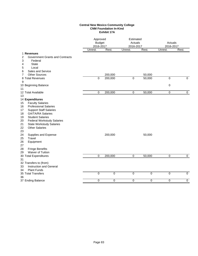#### **Central New Mexico Community College CNM Foundation In-Kind Exhibit 17A**

| Unrest.<br>Rest.<br>Unrest.<br>Rest.<br>Unrest.<br>Rest.<br>1 Revenues<br>2<br><b>Government Grants and Contracts</b><br>3<br>Federal<br>4<br><b>State</b><br>5<br>Local<br>Sales and Service<br>6<br><b>Other Sources</b><br>200,000<br>50,000<br>7<br>$\Omega$<br>200,000<br>$\mathbf 0$<br>50,000<br>$\mathbf 0$<br>$\Omega$<br>8 Total Revenues<br>9<br>0<br>10 Beginning Balance<br>11<br>12 Total Available<br>$\mathbf 0$<br>200,000<br>$\mathbf 0$<br>50,000<br>$\mathbf 0$<br>$\mathbf 0$<br>13<br>14 Expenditures<br><b>Faculty Salaries</b><br>15<br><b>Professional Salaries</b><br>16<br><b>Support Staff Salaries</b><br>17<br><b>GA/TA/RA Salaries</b><br>18<br><b>Student Salaries</b><br>19<br><b>Federal Workstudy Salaries</b><br>20<br>21<br><b>State Workstudy Salaries</b><br>22<br><b>Other Salaries</b><br>23<br>24<br>50,000<br>Supplies and Expense<br>200,000<br>25<br>Travel<br>Equipment<br>27<br><b>Fringe Benefits</b><br>28<br>Waiver of Tuition<br>29<br>$\mathbf 0$<br>200,000<br>$\overline{0}$<br>50,000<br>30 Total Expenditures<br>0<br>0<br>31<br>32 Transfers to (from)<br>Instruction and General<br>33<br><b>Plant Funds</b><br>34<br>$\mathbf 0$<br>$\mathbf 0$<br>$\mathbf 0$<br>$\mathbf 0$<br>$\mathbf 0$<br>$\mathbf 0$<br>35 Total Transfers<br>36<br>$\mathbf 0$<br>$\mathbf 0$<br>0<br>0<br>0<br>0 |                   | Approved<br><b>Budget</b><br>2016-2017 |  | Estimated<br>Actuals<br>2016-2017 |  | Actuals<br>2016-2017 |  |
|------------------------------------------------------------------------------------------------------------------------------------------------------------------------------------------------------------------------------------------------------------------------------------------------------------------------------------------------------------------------------------------------------------------------------------------------------------------------------------------------------------------------------------------------------------------------------------------------------------------------------------------------------------------------------------------------------------------------------------------------------------------------------------------------------------------------------------------------------------------------------------------------------------------------------------------------------------------------------------------------------------------------------------------------------------------------------------------------------------------------------------------------------------------------------------------------------------------------------------------------------------------------------------------------------------------------------------------------------|-------------------|----------------------------------------|--|-----------------------------------|--|----------------------|--|
|                                                                                                                                                                                                                                                                                                                                                                                                                                                                                                                                                                                                                                                                                                                                                                                                                                                                                                                                                                                                                                                                                                                                                                                                                                                                                                                                                      |                   |                                        |  |                                   |  |                      |  |
|                                                                                                                                                                                                                                                                                                                                                                                                                                                                                                                                                                                                                                                                                                                                                                                                                                                                                                                                                                                                                                                                                                                                                                                                                                                                                                                                                      |                   |                                        |  |                                   |  |                      |  |
|                                                                                                                                                                                                                                                                                                                                                                                                                                                                                                                                                                                                                                                                                                                                                                                                                                                                                                                                                                                                                                                                                                                                                                                                                                                                                                                                                      |                   |                                        |  |                                   |  |                      |  |
|                                                                                                                                                                                                                                                                                                                                                                                                                                                                                                                                                                                                                                                                                                                                                                                                                                                                                                                                                                                                                                                                                                                                                                                                                                                                                                                                                      |                   |                                        |  |                                   |  |                      |  |
|                                                                                                                                                                                                                                                                                                                                                                                                                                                                                                                                                                                                                                                                                                                                                                                                                                                                                                                                                                                                                                                                                                                                                                                                                                                                                                                                                      |                   |                                        |  |                                   |  |                      |  |
|                                                                                                                                                                                                                                                                                                                                                                                                                                                                                                                                                                                                                                                                                                                                                                                                                                                                                                                                                                                                                                                                                                                                                                                                                                                                                                                                                      |                   |                                        |  |                                   |  |                      |  |
|                                                                                                                                                                                                                                                                                                                                                                                                                                                                                                                                                                                                                                                                                                                                                                                                                                                                                                                                                                                                                                                                                                                                                                                                                                                                                                                                                      |                   |                                        |  |                                   |  |                      |  |
|                                                                                                                                                                                                                                                                                                                                                                                                                                                                                                                                                                                                                                                                                                                                                                                                                                                                                                                                                                                                                                                                                                                                                                                                                                                                                                                                                      |                   |                                        |  |                                   |  |                      |  |
|                                                                                                                                                                                                                                                                                                                                                                                                                                                                                                                                                                                                                                                                                                                                                                                                                                                                                                                                                                                                                                                                                                                                                                                                                                                                                                                                                      |                   |                                        |  |                                   |  |                      |  |
|                                                                                                                                                                                                                                                                                                                                                                                                                                                                                                                                                                                                                                                                                                                                                                                                                                                                                                                                                                                                                                                                                                                                                                                                                                                                                                                                                      |                   |                                        |  |                                   |  |                      |  |
|                                                                                                                                                                                                                                                                                                                                                                                                                                                                                                                                                                                                                                                                                                                                                                                                                                                                                                                                                                                                                                                                                                                                                                                                                                                                                                                                                      |                   |                                        |  |                                   |  |                      |  |
|                                                                                                                                                                                                                                                                                                                                                                                                                                                                                                                                                                                                                                                                                                                                                                                                                                                                                                                                                                                                                                                                                                                                                                                                                                                                                                                                                      |                   |                                        |  |                                   |  |                      |  |
|                                                                                                                                                                                                                                                                                                                                                                                                                                                                                                                                                                                                                                                                                                                                                                                                                                                                                                                                                                                                                                                                                                                                                                                                                                                                                                                                                      |                   |                                        |  |                                   |  |                      |  |
|                                                                                                                                                                                                                                                                                                                                                                                                                                                                                                                                                                                                                                                                                                                                                                                                                                                                                                                                                                                                                                                                                                                                                                                                                                                                                                                                                      |                   |                                        |  |                                   |  |                      |  |
|                                                                                                                                                                                                                                                                                                                                                                                                                                                                                                                                                                                                                                                                                                                                                                                                                                                                                                                                                                                                                                                                                                                                                                                                                                                                                                                                                      |                   |                                        |  |                                   |  |                      |  |
|                                                                                                                                                                                                                                                                                                                                                                                                                                                                                                                                                                                                                                                                                                                                                                                                                                                                                                                                                                                                                                                                                                                                                                                                                                                                                                                                                      |                   |                                        |  |                                   |  |                      |  |
|                                                                                                                                                                                                                                                                                                                                                                                                                                                                                                                                                                                                                                                                                                                                                                                                                                                                                                                                                                                                                                                                                                                                                                                                                                                                                                                                                      |                   |                                        |  |                                   |  |                      |  |
|                                                                                                                                                                                                                                                                                                                                                                                                                                                                                                                                                                                                                                                                                                                                                                                                                                                                                                                                                                                                                                                                                                                                                                                                                                                                                                                                                      |                   |                                        |  |                                   |  |                      |  |
|                                                                                                                                                                                                                                                                                                                                                                                                                                                                                                                                                                                                                                                                                                                                                                                                                                                                                                                                                                                                                                                                                                                                                                                                                                                                                                                                                      |                   |                                        |  |                                   |  |                      |  |
|                                                                                                                                                                                                                                                                                                                                                                                                                                                                                                                                                                                                                                                                                                                                                                                                                                                                                                                                                                                                                                                                                                                                                                                                                                                                                                                                                      |                   |                                        |  |                                   |  |                      |  |
|                                                                                                                                                                                                                                                                                                                                                                                                                                                                                                                                                                                                                                                                                                                                                                                                                                                                                                                                                                                                                                                                                                                                                                                                                                                                                                                                                      |                   |                                        |  |                                   |  |                      |  |
|                                                                                                                                                                                                                                                                                                                                                                                                                                                                                                                                                                                                                                                                                                                                                                                                                                                                                                                                                                                                                                                                                                                                                                                                                                                                                                                                                      |                   |                                        |  |                                   |  |                      |  |
|                                                                                                                                                                                                                                                                                                                                                                                                                                                                                                                                                                                                                                                                                                                                                                                                                                                                                                                                                                                                                                                                                                                                                                                                                                                                                                                                                      |                   |                                        |  |                                   |  |                      |  |
|                                                                                                                                                                                                                                                                                                                                                                                                                                                                                                                                                                                                                                                                                                                                                                                                                                                                                                                                                                                                                                                                                                                                                                                                                                                                                                                                                      |                   |                                        |  |                                   |  |                      |  |
|                                                                                                                                                                                                                                                                                                                                                                                                                                                                                                                                                                                                                                                                                                                                                                                                                                                                                                                                                                                                                                                                                                                                                                                                                                                                                                                                                      | 26                |                                        |  |                                   |  |                      |  |
|                                                                                                                                                                                                                                                                                                                                                                                                                                                                                                                                                                                                                                                                                                                                                                                                                                                                                                                                                                                                                                                                                                                                                                                                                                                                                                                                                      |                   |                                        |  |                                   |  |                      |  |
|                                                                                                                                                                                                                                                                                                                                                                                                                                                                                                                                                                                                                                                                                                                                                                                                                                                                                                                                                                                                                                                                                                                                                                                                                                                                                                                                                      |                   |                                        |  |                                   |  |                      |  |
|                                                                                                                                                                                                                                                                                                                                                                                                                                                                                                                                                                                                                                                                                                                                                                                                                                                                                                                                                                                                                                                                                                                                                                                                                                                                                                                                                      |                   |                                        |  |                                   |  |                      |  |
|                                                                                                                                                                                                                                                                                                                                                                                                                                                                                                                                                                                                                                                                                                                                                                                                                                                                                                                                                                                                                                                                                                                                                                                                                                                                                                                                                      |                   |                                        |  |                                   |  |                      |  |
|                                                                                                                                                                                                                                                                                                                                                                                                                                                                                                                                                                                                                                                                                                                                                                                                                                                                                                                                                                                                                                                                                                                                                                                                                                                                                                                                                      |                   |                                        |  |                                   |  |                      |  |
|                                                                                                                                                                                                                                                                                                                                                                                                                                                                                                                                                                                                                                                                                                                                                                                                                                                                                                                                                                                                                                                                                                                                                                                                                                                                                                                                                      |                   |                                        |  |                                   |  |                      |  |
|                                                                                                                                                                                                                                                                                                                                                                                                                                                                                                                                                                                                                                                                                                                                                                                                                                                                                                                                                                                                                                                                                                                                                                                                                                                                                                                                                      |                   |                                        |  |                                   |  |                      |  |
|                                                                                                                                                                                                                                                                                                                                                                                                                                                                                                                                                                                                                                                                                                                                                                                                                                                                                                                                                                                                                                                                                                                                                                                                                                                                                                                                                      |                   |                                        |  |                                   |  |                      |  |
|                                                                                                                                                                                                                                                                                                                                                                                                                                                                                                                                                                                                                                                                                                                                                                                                                                                                                                                                                                                                                                                                                                                                                                                                                                                                                                                                                      |                   |                                        |  |                                   |  |                      |  |
|                                                                                                                                                                                                                                                                                                                                                                                                                                                                                                                                                                                                                                                                                                                                                                                                                                                                                                                                                                                                                                                                                                                                                                                                                                                                                                                                                      | 37 Ending Balance |                                        |  |                                   |  |                      |  |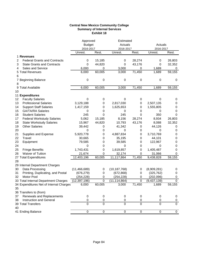### **Central New Mexico Community College Summary of Internal Services Exhibit 18**

|    |                                         | Approved       |                  | Estimated      |                  |             |                |
|----|-----------------------------------------|----------------|------------------|----------------|------------------|-------------|----------------|
|    |                                         | <b>Budget</b>  |                  | Actuals        |                  | Actuals     |                |
|    |                                         | 2016-2017      |                  | 2016-2017      |                  | 2016-2017   |                |
|    |                                         | Unrest.        | Rest.            | Unrest.        | Rest.            | Unrest.     | Rest.          |
|    | 1 Revenues                              |                |                  |                |                  |             |                |
| 2  | <b>Federal Grants and Contracts</b>     | 0              | 15,185           | 0              | 28,274           | 0           | 26,803         |
| 3  | <b>State Grants and Contracts</b>       | 0              | 44,820           | 0              | 43,176           | 0           | 32,352         |
| 4  | Sales and Service                       | 6,000          | 0                | 3,000          | 0                | 1,689       | 0              |
|    | 5 Total Revenues                        | 6,000          | 60,005           | 3,000          | 71,450           | 1,689       | 59,155         |
| 6  |                                         |                |                  |                |                  |             |                |
|    | 7 Beginning Balance                     | 0              | 0                | 0              | 0                | 0           | 0              |
| 8  |                                         |                |                  |                |                  |             |                |
|    | 9 Total Available                       | 6,000          | 60,005           | 3,000          | 71,450           | 1,689       | 59,155         |
| 10 |                                         |                |                  |                |                  |             |                |
|    | 11 Expenditures                         |                |                  |                |                  |             |                |
| 12 | <b>Faculty Salaries</b>                 | 0              | 0                | 0              | 0                | 0           | 0              |
| 13 | <b>Professional Salaries</b>            | 3,129,188      | 0                | 2,817,030      | 0                | 2,507,135   | 0              |
| 14 | <b>Support Staff Salaries</b>           | 1,417,159      | 0                | 1,625,653      | 0                | 1,555,805   | 0              |
| 15 | <b>GA/TA/RA Salaries</b>                | 0              | 0                | 0              | 0                | 0           | 0              |
| 16 | <b>Student Salaries</b>                 | 245            | 0                | 245            | 0                | 350         | 0              |
| 17 | <b>Federal Workstudy Salaries</b>       | 5,062          | 15,185           | 8,156          | 28,274           | 8,934       | 26,803         |
| 18 | <b>State Workstudy Salaries</b>         | 15,967         | 44,820           | 10,793         | 43,176           | 8,088       | 32,352         |
| 19 | <b>Other Salaries</b>                   | 39,442         | 0                | 41,342         | 0                | 44,126      | 0              |
| 20 |                                         | 0              | 0                | 0              | 0                | 0           | 0              |
| 21 | Supplies and Expense                    | 5,920,778      | 0                | 4,887,834      | 0                | 3,710,769   | 0              |
| 22 | Travel                                  | 30,665         | 0                | 35,195         | 0                | 44,101      | 0              |
| 23 | Equipment                               | 79,585         | 0                | 39,585         | 0                | 122,967     | 0              |
| 24 |                                         | 0              | 0                | 0              | 0                | 0           | 0              |
| 25 | <b>Fringe Benefits</b>                  | 1,743,431      | 0                | 1,619,857      | 0                | 1,405,487   | 0              |
| 26 | Waiver of Tuition                       | 21,674         | 0                | 32,174         | 0                | 31,066      | 0              |
|    | 27 Total Expenditures                   | 12,403,196     | 60,005           | 11,117,864     | 71,450           | 9,438,828   | 59,155         |
| 28 |                                         |                |                  |                |                  |             |                |
|    | 29 Internal Department Charges          |                |                  |                |                  |             |                |
| 30 | Data Processing                         | (11, 466, 689) | 0                | (10, 187, 768) | 0                | (8,909,281) | 0              |
| 31 | Printing, Duplicating, and Postal       | (676, 279)     | 0                | (672, 868)     | 0                | (325, 762)  | 0              |
| 32 | Motor Pool                              | (254, 228)     | 0                | (254, 228)     | 0                | (202,096)   | 0              |
|    | 33 Total Internal Department Charges    | (12, 397, 196) | $\pmb{0}$        | (11, 114, 864) | $\boldsymbol{0}$ | (9,437,139) | $\pmb{0}$      |
|    | 34 Expenditures Net of Internal Charges | 6,000          | 60,005           | 3,000          | 71,450           | 1,689       | 59,155         |
| 35 |                                         |                |                  |                |                  |             |                |
|    | 36 Transfers to (from)                  |                |                  |                |                  |             |                |
| 37 | Renewals and Replacements               | 0              | 0                | 0              | 0                | 0           | 0              |
| 38 | Instruction and General                 | $\pmb{0}$      | $\boldsymbol{0}$ | 0              | 0                | 0           | 0              |
|    | 39 Total Transfers                      | 0              | $\overline{0}$   | $\overline{0}$ | $\mathbf 0$      | 0           | $\overline{0}$ |
| 40 |                                         |                |                  |                |                  |             |                |
|    | 41 Ending Balance                       | $\overline{0}$ | $\overline{0}$   | $\overline{0}$ | $\pmb{0}$        | 0           | 0              |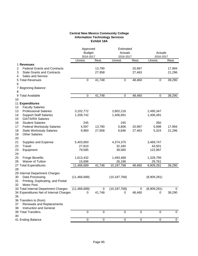### **Central New Mexico Community College Information Technology Services Exhibit 18A**

|             |                                                                                                                    | Approved<br><b>Budget</b><br>2016-2017 |                  | Estimated<br>Actuals<br>2016-2017 |                  | Actuals<br>2016-2017 |                  |
|-------------|--------------------------------------------------------------------------------------------------------------------|----------------------------------------|------------------|-----------------------------------|------------------|----------------------|------------------|
|             |                                                                                                                    | Unrest.                                | Rest.            | Unrest.                           | Rest.            | Unrest.              | Rest.            |
| 2<br>3<br>4 | 1 Revenues<br><b>Federal Grants and Contracts</b><br><b>State Grants and Contracts</b><br><b>Sales and Service</b> |                                        | 13,790<br>27,958 |                                   | 20,997<br>27,463 |                      | 17,994<br>21,296 |
| 5<br>6      | <b>Total Revenues</b>                                                                                              | $\pmb{0}$                              | 41,748           | 0                                 | 48,460           | 0                    | 39,290           |
| 7<br>8      | <b>Beginning Balance</b>                                                                                           |                                        |                  |                                   |                  |                      |                  |
| 9           | <b>Total Available</b>                                                                                             | $\pmb{0}$                              | 41,748           | 0                                 | 48,460           | 0                    | 39,290           |
| 10          |                                                                                                                    |                                        |                  |                                   |                  |                      |                  |
|             | 11 Expenditures                                                                                                    |                                        |                  |                                   |                  |                      |                  |
| 12          | <b>Faculty Salaries</b>                                                                                            |                                        |                  |                                   |                  |                      |                  |
| 13          | <b>Professional Salaries</b>                                                                                       | 3,102,772                              |                  | 2,802,216                         |                  | 2,495,347            |                  |
| 14          | <b>Support Staff Salaries</b>                                                                                      | 1,208,742                              |                  | 1,406,691                         |                  | 1,406,491            |                  |
| 15          | <b>GA/TA/RA Salaries</b>                                                                                           |                                        |                  |                                   |                  |                      |                  |
| 16          | <b>Student Salaries</b>                                                                                            | 245<br>4,597                           |                  | 245                               |                  | 350                  |                  |
| 17<br>18    | <b>Federal Workstudy Salaries</b><br><b>State Workstudy Salaries</b>                                               | 9,960                                  | 13,790<br>27,958 | 5,806<br>6,846                    | 20,997<br>27,463 | 5,998<br>5,324       | 17,994<br>21,296 |
| 19          | <b>Other Salaries</b>                                                                                              |                                        |                  |                                   |                  |                      |                  |
| 20          |                                                                                                                    |                                        |                  |                                   |                  |                      |                  |
| 21          | Supplies and Expense                                                                                               | 5,403,850                              |                  | 4,374,375                         |                  | 3,469,747            |                  |
| 22          | Travel                                                                                                             | 27,810                                 |                  | 32,340                            |                  | 43,501               |                  |
| 23          | Equipment                                                                                                          | 79,585                                 |                  | 39,585                            |                  | 122,967              |                  |
| 24          |                                                                                                                    |                                        |                  |                                   |                  |                      |                  |
| 25          | <b>Fringe Benefits</b>                                                                                             | 1,613,432                              |                  | 1,493,468                         |                  | 1,329,795            |                  |
| 26          | <b>Waiver of Tuition</b>                                                                                           | 15,696                                 |                  | 26,196                            |                  | 29,761               |                  |
|             | 27 Total Expenditures                                                                                              | 11,466,689                             | 41,748           | 10,187,768                        | 48,460           | 8,909,281            | 39,290           |
| 28          |                                                                                                                    |                                        |                  |                                   |                  |                      |                  |
|             | 29 Internal Department Charges                                                                                     |                                        |                  |                                   |                  |                      |                  |
| 30          | Data Processing                                                                                                    | (11, 466, 689)                         |                  | (10, 187, 768)                    |                  | (8,909,281)          |                  |
| 31          | Printing, Duplicating, and Postal                                                                                  |                                        |                  |                                   |                  |                      |                  |
| 32          | Motor Pool                                                                                                         | (11, 466, 689)                         | $\boldsymbol{0}$ | (10, 187, 768)                    | 0                | (8,909,281)          | $\pmb{0}$        |
|             | 33 Total Internal Department Charges<br>34 Expenditures Net of Internal Charges                                    | 0                                      | 41,748           | 0                                 | 48,460           | $\pmb{0}$            | 39,290           |
| 35          |                                                                                                                    |                                        |                  |                                   |                  |                      |                  |
|             | 36 Transfers to (from)                                                                                             |                                        |                  |                                   |                  |                      |                  |
| 37          | Renewals and Replacements                                                                                          |                                        |                  |                                   |                  |                      |                  |
| 38          | Instruction and General                                                                                            |                                        |                  |                                   |                  |                      |                  |
|             | 39 Total Transfers                                                                                                 | $\mathbf 0$                            | $\mathbf 0$      | 0                                 | $\boldsymbol{0}$ | 0                    | 0                |
| 40          |                                                                                                                    |                                        |                  |                                   |                  |                      |                  |
|             | 41 Ending Balance                                                                                                  | $\pmb{0}$                              | $\pmb{0}$        | 0                                 | $\boldsymbol{0}$ | 0                    | $\mathbf 0$      |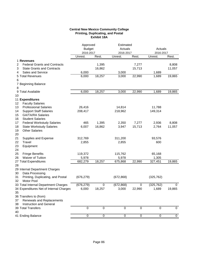### **Central New Mexico Community College Printing, Duplicating, and Postal Exhibit 18A**

| <b>Budget</b><br>Actuals<br>Actuals<br>2016-2017<br>2016-2017<br>2016-2017<br>Rest.<br>Unrest.<br>Unrest.<br>Rest.<br>Unrest.<br>Rest.<br>1 Revenues<br><b>Federal Grants and Contracts</b><br>7,277<br>2<br>1,395<br>8,808<br>3<br>16,862<br>15,713<br>11,057<br><b>State Grants and Contracts</b><br>6,000<br>3,000<br>1,689<br><b>Sales and Service</b><br>4<br>6,000<br>18,257<br>3,000<br>22,990<br>1,689<br>19,865<br>5 Total Revenues<br>6<br>7 Beginning Balance<br>8<br>9 Total Available<br>6,000<br>18,257<br>22,990<br>3,000<br>1,689<br>19,865<br>10<br>11 Expenditures<br><b>Faculty Salaries</b><br>12<br>13<br><b>Professional Salaries</b><br>26,416<br>14,814<br>11,788<br><b>Support Staff Salaries</b><br>208,417<br>218,962<br>149,314<br>14<br>15<br><b>GA/TA/RA Salaries</b><br>16<br><b>Student Salaries</b><br>465<br>7,277<br>8,808<br>17<br><b>Federal Workstudy Salaries</b><br>1,395<br>2,350<br>2,936<br>6,007<br>15,713<br>18<br><b>State Workstudy Salaries</b><br>16,862<br>3,947<br>2,764<br>11,057<br><b>Other Salaries</b><br>19<br>20<br>21<br>Supplies and Expense<br>312,769<br>311,200<br>93,576<br>22<br>Travel<br>2,855<br>2,855<br>600<br>23<br>Equipment<br>24<br>25<br><b>Fringe Benefits</b><br>119,372<br>115,762<br>65,168<br><b>Waiver of Tuition</b><br>26<br>5,978<br>5,978<br>1,305<br>682,279<br>18,257<br>22,990<br>27 Total Expenditures<br>675,868<br>327,451<br>19,865<br>28<br>29 Internal Department Charges<br>Data Processing<br>30<br>Printing, Duplicating, and Postal<br>31<br>(676, 279)<br>(672, 868)<br>(325, 762)<br>Motor Pool<br>32<br>33 Total Internal Department Charges<br>(676, 279)<br>(672, 868)<br>$\boldsymbol{0}$<br>(325, 762)<br>$\pmb{0}$<br>0<br>34 Expenditures Net of Internal Charges<br>6,000<br>18,257<br>3,000<br>22,990<br>1,689<br>19,865<br>35 |  | Approved | Estimated |  |  |  |
|---------------------------------------------------------------------------------------------------------------------------------------------------------------------------------------------------------------------------------------------------------------------------------------------------------------------------------------------------------------------------------------------------------------------------------------------------------------------------------------------------------------------------------------------------------------------------------------------------------------------------------------------------------------------------------------------------------------------------------------------------------------------------------------------------------------------------------------------------------------------------------------------------------------------------------------------------------------------------------------------------------------------------------------------------------------------------------------------------------------------------------------------------------------------------------------------------------------------------------------------------------------------------------------------------------------------------------------------------------------------------------------------------------------------------------------------------------------------------------------------------------------------------------------------------------------------------------------------------------------------------------------------------------------------------------------------------------------------------------------------------------------------------------------------------------------------------------------------|--|----------|-----------|--|--|--|
|                                                                                                                                                                                                                                                                                                                                                                                                                                                                                                                                                                                                                                                                                                                                                                                                                                                                                                                                                                                                                                                                                                                                                                                                                                                                                                                                                                                                                                                                                                                                                                                                                                                                                                                                                                                                                                             |  |          |           |  |  |  |
|                                                                                                                                                                                                                                                                                                                                                                                                                                                                                                                                                                                                                                                                                                                                                                                                                                                                                                                                                                                                                                                                                                                                                                                                                                                                                                                                                                                                                                                                                                                                                                                                                                                                                                                                                                                                                                             |  |          |           |  |  |  |
|                                                                                                                                                                                                                                                                                                                                                                                                                                                                                                                                                                                                                                                                                                                                                                                                                                                                                                                                                                                                                                                                                                                                                                                                                                                                                                                                                                                                                                                                                                                                                                                                                                                                                                                                                                                                                                             |  |          |           |  |  |  |
|                                                                                                                                                                                                                                                                                                                                                                                                                                                                                                                                                                                                                                                                                                                                                                                                                                                                                                                                                                                                                                                                                                                                                                                                                                                                                                                                                                                                                                                                                                                                                                                                                                                                                                                                                                                                                                             |  |          |           |  |  |  |
|                                                                                                                                                                                                                                                                                                                                                                                                                                                                                                                                                                                                                                                                                                                                                                                                                                                                                                                                                                                                                                                                                                                                                                                                                                                                                                                                                                                                                                                                                                                                                                                                                                                                                                                                                                                                                                             |  |          |           |  |  |  |
|                                                                                                                                                                                                                                                                                                                                                                                                                                                                                                                                                                                                                                                                                                                                                                                                                                                                                                                                                                                                                                                                                                                                                                                                                                                                                                                                                                                                                                                                                                                                                                                                                                                                                                                                                                                                                                             |  |          |           |  |  |  |
|                                                                                                                                                                                                                                                                                                                                                                                                                                                                                                                                                                                                                                                                                                                                                                                                                                                                                                                                                                                                                                                                                                                                                                                                                                                                                                                                                                                                                                                                                                                                                                                                                                                                                                                                                                                                                                             |  |          |           |  |  |  |
|                                                                                                                                                                                                                                                                                                                                                                                                                                                                                                                                                                                                                                                                                                                                                                                                                                                                                                                                                                                                                                                                                                                                                                                                                                                                                                                                                                                                                                                                                                                                                                                                                                                                                                                                                                                                                                             |  |          |           |  |  |  |
|                                                                                                                                                                                                                                                                                                                                                                                                                                                                                                                                                                                                                                                                                                                                                                                                                                                                                                                                                                                                                                                                                                                                                                                                                                                                                                                                                                                                                                                                                                                                                                                                                                                                                                                                                                                                                                             |  |          |           |  |  |  |
|                                                                                                                                                                                                                                                                                                                                                                                                                                                                                                                                                                                                                                                                                                                                                                                                                                                                                                                                                                                                                                                                                                                                                                                                                                                                                                                                                                                                                                                                                                                                                                                                                                                                                                                                                                                                                                             |  |          |           |  |  |  |
|                                                                                                                                                                                                                                                                                                                                                                                                                                                                                                                                                                                                                                                                                                                                                                                                                                                                                                                                                                                                                                                                                                                                                                                                                                                                                                                                                                                                                                                                                                                                                                                                                                                                                                                                                                                                                                             |  |          |           |  |  |  |
|                                                                                                                                                                                                                                                                                                                                                                                                                                                                                                                                                                                                                                                                                                                                                                                                                                                                                                                                                                                                                                                                                                                                                                                                                                                                                                                                                                                                                                                                                                                                                                                                                                                                                                                                                                                                                                             |  |          |           |  |  |  |
|                                                                                                                                                                                                                                                                                                                                                                                                                                                                                                                                                                                                                                                                                                                                                                                                                                                                                                                                                                                                                                                                                                                                                                                                                                                                                                                                                                                                                                                                                                                                                                                                                                                                                                                                                                                                                                             |  |          |           |  |  |  |
|                                                                                                                                                                                                                                                                                                                                                                                                                                                                                                                                                                                                                                                                                                                                                                                                                                                                                                                                                                                                                                                                                                                                                                                                                                                                                                                                                                                                                                                                                                                                                                                                                                                                                                                                                                                                                                             |  |          |           |  |  |  |
|                                                                                                                                                                                                                                                                                                                                                                                                                                                                                                                                                                                                                                                                                                                                                                                                                                                                                                                                                                                                                                                                                                                                                                                                                                                                                                                                                                                                                                                                                                                                                                                                                                                                                                                                                                                                                                             |  |          |           |  |  |  |
|                                                                                                                                                                                                                                                                                                                                                                                                                                                                                                                                                                                                                                                                                                                                                                                                                                                                                                                                                                                                                                                                                                                                                                                                                                                                                                                                                                                                                                                                                                                                                                                                                                                                                                                                                                                                                                             |  |          |           |  |  |  |
|                                                                                                                                                                                                                                                                                                                                                                                                                                                                                                                                                                                                                                                                                                                                                                                                                                                                                                                                                                                                                                                                                                                                                                                                                                                                                                                                                                                                                                                                                                                                                                                                                                                                                                                                                                                                                                             |  |          |           |  |  |  |
|                                                                                                                                                                                                                                                                                                                                                                                                                                                                                                                                                                                                                                                                                                                                                                                                                                                                                                                                                                                                                                                                                                                                                                                                                                                                                                                                                                                                                                                                                                                                                                                                                                                                                                                                                                                                                                             |  |          |           |  |  |  |
|                                                                                                                                                                                                                                                                                                                                                                                                                                                                                                                                                                                                                                                                                                                                                                                                                                                                                                                                                                                                                                                                                                                                                                                                                                                                                                                                                                                                                                                                                                                                                                                                                                                                                                                                                                                                                                             |  |          |           |  |  |  |
|                                                                                                                                                                                                                                                                                                                                                                                                                                                                                                                                                                                                                                                                                                                                                                                                                                                                                                                                                                                                                                                                                                                                                                                                                                                                                                                                                                                                                                                                                                                                                                                                                                                                                                                                                                                                                                             |  |          |           |  |  |  |
|                                                                                                                                                                                                                                                                                                                                                                                                                                                                                                                                                                                                                                                                                                                                                                                                                                                                                                                                                                                                                                                                                                                                                                                                                                                                                                                                                                                                                                                                                                                                                                                                                                                                                                                                                                                                                                             |  |          |           |  |  |  |
|                                                                                                                                                                                                                                                                                                                                                                                                                                                                                                                                                                                                                                                                                                                                                                                                                                                                                                                                                                                                                                                                                                                                                                                                                                                                                                                                                                                                                                                                                                                                                                                                                                                                                                                                                                                                                                             |  |          |           |  |  |  |
|                                                                                                                                                                                                                                                                                                                                                                                                                                                                                                                                                                                                                                                                                                                                                                                                                                                                                                                                                                                                                                                                                                                                                                                                                                                                                                                                                                                                                                                                                                                                                                                                                                                                                                                                                                                                                                             |  |          |           |  |  |  |
|                                                                                                                                                                                                                                                                                                                                                                                                                                                                                                                                                                                                                                                                                                                                                                                                                                                                                                                                                                                                                                                                                                                                                                                                                                                                                                                                                                                                                                                                                                                                                                                                                                                                                                                                                                                                                                             |  |          |           |  |  |  |
|                                                                                                                                                                                                                                                                                                                                                                                                                                                                                                                                                                                                                                                                                                                                                                                                                                                                                                                                                                                                                                                                                                                                                                                                                                                                                                                                                                                                                                                                                                                                                                                                                                                                                                                                                                                                                                             |  |          |           |  |  |  |
|                                                                                                                                                                                                                                                                                                                                                                                                                                                                                                                                                                                                                                                                                                                                                                                                                                                                                                                                                                                                                                                                                                                                                                                                                                                                                                                                                                                                                                                                                                                                                                                                                                                                                                                                                                                                                                             |  |          |           |  |  |  |
|                                                                                                                                                                                                                                                                                                                                                                                                                                                                                                                                                                                                                                                                                                                                                                                                                                                                                                                                                                                                                                                                                                                                                                                                                                                                                                                                                                                                                                                                                                                                                                                                                                                                                                                                                                                                                                             |  |          |           |  |  |  |
|                                                                                                                                                                                                                                                                                                                                                                                                                                                                                                                                                                                                                                                                                                                                                                                                                                                                                                                                                                                                                                                                                                                                                                                                                                                                                                                                                                                                                                                                                                                                                                                                                                                                                                                                                                                                                                             |  |          |           |  |  |  |
|                                                                                                                                                                                                                                                                                                                                                                                                                                                                                                                                                                                                                                                                                                                                                                                                                                                                                                                                                                                                                                                                                                                                                                                                                                                                                                                                                                                                                                                                                                                                                                                                                                                                                                                                                                                                                                             |  |          |           |  |  |  |
|                                                                                                                                                                                                                                                                                                                                                                                                                                                                                                                                                                                                                                                                                                                                                                                                                                                                                                                                                                                                                                                                                                                                                                                                                                                                                                                                                                                                                                                                                                                                                                                                                                                                                                                                                                                                                                             |  |          |           |  |  |  |
|                                                                                                                                                                                                                                                                                                                                                                                                                                                                                                                                                                                                                                                                                                                                                                                                                                                                                                                                                                                                                                                                                                                                                                                                                                                                                                                                                                                                                                                                                                                                                                                                                                                                                                                                                                                                                                             |  |          |           |  |  |  |
|                                                                                                                                                                                                                                                                                                                                                                                                                                                                                                                                                                                                                                                                                                                                                                                                                                                                                                                                                                                                                                                                                                                                                                                                                                                                                                                                                                                                                                                                                                                                                                                                                                                                                                                                                                                                                                             |  |          |           |  |  |  |
|                                                                                                                                                                                                                                                                                                                                                                                                                                                                                                                                                                                                                                                                                                                                                                                                                                                                                                                                                                                                                                                                                                                                                                                                                                                                                                                                                                                                                                                                                                                                                                                                                                                                                                                                                                                                                                             |  |          |           |  |  |  |
|                                                                                                                                                                                                                                                                                                                                                                                                                                                                                                                                                                                                                                                                                                                                                                                                                                                                                                                                                                                                                                                                                                                                                                                                                                                                                                                                                                                                                                                                                                                                                                                                                                                                                                                                                                                                                                             |  |          |           |  |  |  |
|                                                                                                                                                                                                                                                                                                                                                                                                                                                                                                                                                                                                                                                                                                                                                                                                                                                                                                                                                                                                                                                                                                                                                                                                                                                                                                                                                                                                                                                                                                                                                                                                                                                                                                                                                                                                                                             |  |          |           |  |  |  |
|                                                                                                                                                                                                                                                                                                                                                                                                                                                                                                                                                                                                                                                                                                                                                                                                                                                                                                                                                                                                                                                                                                                                                                                                                                                                                                                                                                                                                                                                                                                                                                                                                                                                                                                                                                                                                                             |  |          |           |  |  |  |
|                                                                                                                                                                                                                                                                                                                                                                                                                                                                                                                                                                                                                                                                                                                                                                                                                                                                                                                                                                                                                                                                                                                                                                                                                                                                                                                                                                                                                                                                                                                                                                                                                                                                                                                                                                                                                                             |  |          |           |  |  |  |
| 36 Transfers to (from)<br>Renewals and Replacements                                                                                                                                                                                                                                                                                                                                                                                                                                                                                                                                                                                                                                                                                                                                                                                                                                                                                                                                                                                                                                                                                                                                                                                                                                                                                                                                                                                                                                                                                                                                                                                                                                                                                                                                                                                         |  |          |           |  |  |  |
| 37<br>Instruction and General<br>38                                                                                                                                                                                                                                                                                                                                                                                                                                                                                                                                                                                                                                                                                                                                                                                                                                                                                                                                                                                                                                                                                                                                                                                                                                                                                                                                                                                                                                                                                                                                                                                                                                                                                                                                                                                                         |  |          |           |  |  |  |
| 39 Total Transfers<br>$\pmb{0}$<br>$\pmb{0}$<br>$\pmb{0}$<br>$\boldsymbol{0}$<br>$\boldsymbol{0}$<br>$\mathbf 0$                                                                                                                                                                                                                                                                                                                                                                                                                                                                                                                                                                                                                                                                                                                                                                                                                                                                                                                                                                                                                                                                                                                                                                                                                                                                                                                                                                                                                                                                                                                                                                                                                                                                                                                            |  |          |           |  |  |  |
| 40                                                                                                                                                                                                                                                                                                                                                                                                                                                                                                                                                                                                                                                                                                                                                                                                                                                                                                                                                                                                                                                                                                                                                                                                                                                                                                                                                                                                                                                                                                                                                                                                                                                                                                                                                                                                                                          |  |          |           |  |  |  |
| 41 Ending Balance<br>$\overline{0}$<br>$\overline{0}$<br>$\pmb{0}$<br>$\boldsymbol{0}$<br>$\boldsymbol{0}$<br>$\mathbf 0$                                                                                                                                                                                                                                                                                                                                                                                                                                                                                                                                                                                                                                                                                                                                                                                                                                                                                                                                                                                                                                                                                                                                                                                                                                                                                                                                                                                                                                                                                                                                                                                                                                                                                                                   |  |          |           |  |  |  |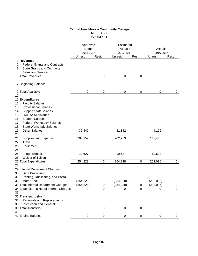# **Central New Mexico Community College Motor Pool Exhibit 18A**

|                                                   | Approved<br><b>Budget</b><br>2016-2017 |           |                  | Estimated<br>Actuals<br>2016-2017 |            | Actuals<br>2016-2017 |  |
|---------------------------------------------------|----------------------------------------|-----------|------------------|-----------------------------------|------------|----------------------|--|
|                                                   | Unrest.                                | Rest.     | Unrest.          | Rest.                             | Unrest.    | Rest.                |  |
| 1 Revenues                                        |                                        |           |                  |                                   |            |                      |  |
| <b>Federal Grants and Contracts</b><br>2          |                                        |           |                  |                                   |            |                      |  |
| <b>State Grants and Contracts</b><br>3            |                                        |           |                  |                                   |            |                      |  |
| <b>Sales and Service</b><br>4<br>5 Total Revenues | $\boldsymbol{0}$                       | 0         | $\boldsymbol{0}$ | 0                                 | 0          | $\mathbf 0$          |  |
| 6                                                 |                                        |           |                  |                                   |            |                      |  |
| 7 Beginning Balance                               |                                        |           |                  |                                   |            |                      |  |
| 8                                                 |                                        |           |                  |                                   |            |                      |  |
| 9 Total Available                                 | 0                                      | 0         | 0                | 0                                 | 0          | 0                    |  |
| 10                                                |                                        |           |                  |                                   |            |                      |  |
| 11 Expenditures                                   |                                        |           |                  |                                   |            |                      |  |
| <b>Faculty Salaries</b><br>12                     |                                        |           |                  |                                   |            |                      |  |
| 13<br><b>Professional Salaries</b>                |                                        |           |                  |                                   |            |                      |  |
| <b>Support Staff Salaries</b><br>14               |                                        |           |                  |                                   |            |                      |  |
| 15<br><b>GA/TA/RA Salaries</b>                    |                                        |           |                  |                                   |            |                      |  |
| <b>Student Salaries</b><br>16                     |                                        |           |                  |                                   |            |                      |  |
| 17<br><b>Federal Workstudy Salaries</b>           |                                        |           |                  |                                   |            |                      |  |
| 18<br><b>State Workstudy Salaries</b>             |                                        |           |                  |                                   |            |                      |  |
| 19<br><b>Other Salaries</b>                       | 39,442                                 |           | 41,342           |                                   | 44,126     |                      |  |
| 20                                                |                                        |           |                  |                                   |            |                      |  |
| 21<br>Supplies and Expense                        | 204,159                                |           | 202,259          |                                   | 147,446    |                      |  |
| 22<br>Travel                                      |                                        |           |                  |                                   |            |                      |  |
| 23<br>Equipment                                   |                                        |           |                  |                                   |            |                      |  |
| 24                                                |                                        |           |                  |                                   |            |                      |  |
| 25<br><b>Fringe Benefits</b>                      | 10,627                                 |           | 10,627           |                                   | 10,524     |                      |  |
| 26<br><b>Waiver of Tuition</b>                    |                                        |           |                  |                                   |            |                      |  |
| 27 Total Expenditures                             | 254,228                                | 0         | 254,228          | 0                                 | 202,096    | 0                    |  |
| 28<br>29 Internal Department Charges              |                                        |           |                  |                                   |            |                      |  |
| 30<br>Data Processing                             |                                        |           |                  |                                   |            |                      |  |
| 31<br>Printing, Duplicating, and Postal           |                                        |           |                  |                                   |            |                      |  |
| Motor Pool<br>32                                  | (254, 228)                             |           | (254, 228)       |                                   | (202, 096) |                      |  |
| 33 Total Internal Department Charges              | (254, 228)                             | $\,0\,$   | (254, 228)       | $\boldsymbol{0}$                  | (202, 096) | $\pmb{0}$            |  |
| 34 Expenditures Net of Internal Charges           | 0                                      | $\pmb{0}$ | $\boldsymbol{0}$ | $\boldsymbol{0}$                  | 0          | $\mathbf 0$          |  |
| 35                                                |                                        |           |                  |                                   |            |                      |  |
| 36 Transfers to (from)                            |                                        |           |                  |                                   |            |                      |  |
| 37<br>Renewals and Replacements                   |                                        |           |                  |                                   |            |                      |  |
| 38<br>Instruction and General                     |                                        |           |                  |                                   |            |                      |  |
| 39 Total Transfers                                | $\mathbf 0$                            | $\pmb{0}$ | $\mathbf 0$      | $\boldsymbol{0}$                  | 0          | 0                    |  |
| 40                                                |                                        |           |                  |                                   |            |                      |  |
| 41 Ending Balance                                 | $\boldsymbol{0}$                       | $\pmb{0}$ | $\pmb{0}$        | 0                                 | 0          | 0                    |  |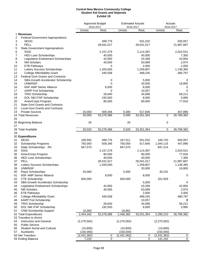#### **Central New Mexico Community College Student Aid Grants and Stipends Exhibit 19**

|                                                 |             | Approved Budget<br>2016-2017 | <b>Estimated Actuals</b><br>2016-2017 |            | Actuals<br>2016-2017 |            |
|-------------------------------------------------|-------------|------------------------------|---------------------------------------|------------|----------------------|------------|
|                                                 | Unrest.     | Rest.                        | Unrest.                               | Rest.      | Unrest.              | Rest.      |
| 1 Revenues                                      |             |                              |                                       |            |                      |            |
| 2<br><b>Federal Government Appropriations</b>   |             |                              |                                       |            |                      |            |
| 3<br><b>SEOG</b>                                |             | 499,776                      |                                       | 501,032    |                      | 500,057    |
| <b>PELL</b><br>4                                |             | 28,041,017                   |                                       | 28,041,017 |                      | 21,987,687 |
| <b>State Government Appropriations</b><br>5     |             |                              |                                       |            |                      |            |
| <b>SSIG</b><br>6                                |             | 2,157,279                    |                                       | 2,114,397  |                      | 2,024,531  |
| <b>HED Loan Scholarships</b><br>7               |             | 40,000                       |                                       | 40,000     |                      | 7,300      |
| Legislative Endowment Scholarships<br>8         |             | 42,850                       |                                       | 43,358     |                      | 42,850     |
| 9<br><b>NM Scholars</b>                         |             | 40,000                       |                                       | 63,899     |                      | 2,974      |
| <b>ETB Pathways</b><br>10                       |             | 0                            |                                       | 2,000      |                      | 2,000      |
| 11<br>Lottery Success Scholarships              |             | 1,200,000                    |                                       | 1,259,807  |                      | 1,136,365  |
| 12<br><b>College Affordability Grant</b>        |             | 440,558                      |                                       | 489,245    |                      | 480,797    |
| 13<br><b>Federal Govt Grants and Contracts</b>  |             |                              |                                       |            |                      |            |
| 14<br><b>SBA-Growth Accelerator Scholarship</b> |             | 0                            |                                       | 5,000      |                      | 0          |
| 15<br>UNM/NSF                                   |             | 0                            |                                       | 33,000     |                      | 16,800     |
| 16<br><b>NSF AMP Senior Alliance</b>            |             | 8,000                        |                                       | 8,000      |                      | 0          |
| 17<br>AARP Fnd Scholarship                      |             | 0                            |                                       | 10,057     |                      | 0          |
| 18<br><b>TRIO Scholarship</b>                   |             | 26,640                       |                                       | 34,696     |                      | 58,212     |
| 19<br>DOL NM ITAP Scholarship                   |             | 192,920                      |                                       | 8,000      |                      | 3,995      |
| AmeriCorps Program<br>20                        |             | 80,000                       |                                       | 80,000     |                      | 77,918     |
| <b>State Govt Grants and Contracts</b><br>21    |             |                              |                                       |            |                      |            |
| 22<br><b>Local Govt Grants and Contracts</b>    |             |                              |                                       |            |                      |            |
| 23<br><b>Private Sources</b>                    | 20,000      | 509,346                      | 5,000                                 | 517,846    |                      | 447,896    |
| 24 Total Revenues                               | 20,000      | 33,278,386                   | 5,000                                 | 33,251,354 | 0                    | 26,789,382 |
| 25                                              |             |                              |                                       |            |                      |            |
| 26 Beginning Balance                            | 20          |                              | 20                                    |            | 0                    |            |
| 27                                              |             |                              |                                       |            |                      |            |
| 28 Total Available                              | 20,020      | 33,278,386                   | 5,020                                 | 33,251,354 | 0                    | 26,789,382 |
| 29                                              |             |                              |                                       |            |                      |            |
| 30 Expenditures                                 |             |                              |                                       |            |                      |            |
| <b>SEOG</b><br>31                               | 166,592     | 499,776                      | 167,011                               | 501,032    | 166,720              | 500,057    |
| 32<br>Scholarship Programs                      | 750,000     | 509,346                      | 750,000                               | 517,846    | 1,044,116            | 447,896    |
| 33<br>State Scholarships - 3%                   | 847,570     |                              | 847,570                               |            | 847,214              |            |
| <b>SSIG</b><br>34                               |             | 2,157,279                    |                                       | 2,114,397  |                      | 2,024,531  |
| 35<br>AmeriCorps Program                        |             | 80,000                       |                                       | 80,000     |                      | 77,918     |
| 36<br><b>HED Loan Scholarships</b>              |             | 40,000                       |                                       | 40,000     |                      | 7,300      |
| 37<br>PELL                                      |             | 28,041,017                   |                                       | 28,041,017 |                      | 21,987,687 |
| 38<br>Lottery Success Scholarships              |             | 1,200,000                    |                                       | 1,259,807  |                      | 1,136,365  |
| UNM/NSF<br>39                                   |             |                              |                                       | 33,000     |                      | 16,800     |
| Pepsi Scholarships<br>40                        | 20,000      |                              | 5,000                                 |            | 30,231               |            |
| NSF AMP Senior Alliance<br>41                   |             | 8,000                        |                                       | 8,000      |                      | 0          |
| <b>CTE Scholarship</b><br>42                    | 650,000     |                              | 650,000                               |            | 201,929              |            |
| 43<br>SBA-Growth Accelerator Scholarship        |             |                              |                                       | 5,000      |                      | 0          |
| 44<br>Legislative Endowment Scholarships        |             | 42,850                       |                                       | 43,358     |                      | 42,850     |
| <b>NM Scholars</b><br>45                        |             | 40,000                       |                                       | 63,899     |                      | 2,974      |
| <b>ETB Pathways</b><br>46                       |             |                              |                                       | 2,000      |                      | 2,000      |
| <b>College Affordability Grant</b><br>47        |             | 440,558                      |                                       | 489,245    |                      | 480,797    |
| <b>AARP Fnd Scholarship</b><br>48               |             |                              |                                       | 10,057     |                      | 0          |
| <b>TRIO Scholarship</b><br>49                   |             | 26,640                       |                                       | 34,696     |                      | 58,212     |
| DOL NM ITAP Scholarship<br>50                   |             | 192,920                      |                                       | 8,000      |                      | 3,995      |
| 51<br><b>CNM Scholarship Support</b>            | 10,000      |                              | 16,801                                |            |                      |            |
| 52 Total Expenditures                           | 2,444,162   | 33,278,386                   | 2,436,382                             | 33,251,354 | 2,290,210            | 26,789,382 |
| 53 Transfers to (from)                          |             |                              |                                       |            |                      |            |
| Instruction and General<br>54                   | (2,270,562) |                              | (2,270,562)                           |            | (2,270,562)          |            |
| <b>Public Service</b><br>55                     |             |                              |                                       |            |                      |            |
| 56<br><b>Student Social and Cultural</b>        | (10, 800)   |                              | (10, 800)                             |            | (10, 800)            |            |
| Auxiliaries<br>57                               | (150,000)   |                              | (150,000)                             |            | (150,000)            |            |
| 58 Net Transfers                                | (2,431,362) | 0                            | (2,431,362)                           | 0          | (2,431,362)          | 0          |
| 59 Ending Balance                               | 7,220       | 0                            | 0                                     | 0          | 141,152              | 0          |
|                                                 |             |                              |                                       |            |                      |            |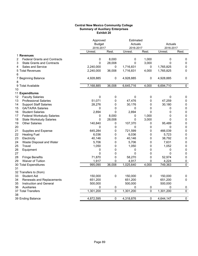### **Central New Mexico Community College Summary of Auxiliary Enterprises Exhibit 20**

|                                          | Approved      |           | Estimated |       |           |                |
|------------------------------------------|---------------|-----------|-----------|-------|-----------|----------------|
|                                          | <b>Budget</b> |           | Actuals   |       | Actuals   |                |
|                                          | 2016-2017     |           | 2016-2017 |       | 2016-2017 |                |
|                                          | Unrest.       | Rest.     | Unrest.   | Rest. | Unrest.   | Rest.          |
| 1 Revenues                               |               |           |           |       |           |                |
| 2<br><b>Federal Grants and Contracts</b> | 0             | 8,000     | 0         | 1,000 | 0         | 0              |
| 3<br><b>State Grants and Contracts</b>   | 0             | 28,008    | 0         | 3,000 | 0         | 0              |
| <b>Sales and Service</b><br>4            | 2,240,000     | 0         | 1,716,831 | 0     | 1,765,825 | 0              |
| 5 Total Revenues                         | 2,240,000     | 36,008    | 1,716,831 | 4,000 | 1,765,825 | 0              |
| 6                                        |               |           |           |       |           |                |
| 7 Beginning Balance                      | 4,928,885     | 0         | 4,928,885 | 0     | 4,928,885 | 0              |
| 8                                        |               |           |           |       |           |                |
| 9 Total Available                        | 7,168,885     | 36,008    | 6,645,716 | 4,000 | 6,694,710 | $\mathbf 0$    |
| 10                                       |               |           |           |       |           |                |
| 11 Expenditures                          |               |           |           |       |           |                |
| <b>Faculty Salaries</b><br>12            | 0             | $\pmb{0}$ | 0         | 0     | 0         | 0              |
| 13<br><b>Professional Salaries</b>       | 51,071        | 0         | 47,476    | 0     | 47,259    | $\pmb{0}$      |
| <b>Support Staff Salaries</b><br>14      | 28,276        | 0         | 30,176    | 0     | 30,180    | $\pmb{0}$      |
| 15<br><b>GA/TA/RA Salaries</b>           | 0             | 0         | 0         | 0     | 0         | $\pmb{0}$      |
| 16<br><b>Student Salaries</b>            | 2,894         | 0         | 2,894     | 0     | 0         | $\pmb{0}$      |
| 17<br><b>Federal Workstudy Salaries</b>  | 0             | 8,000     | 0         | 1,000 | 0         | $\pmb{0}$      |
| <b>State Workstudy Salaries</b><br>18    | 0             | 28,008    | 0         | 3,000 | 0         | $\pmb{0}$      |
| 19<br><b>Other Salaries</b>              | 140,840       | 0         | 107,370   | 0     | 95,489    | $\pmb{0}$      |
| 20                                       | 0             | 0         | 0         | 0     | 0         | $\pmb{0}$      |
| 21<br>Supplies and Expense               | 645,284       | 0         | 721,599   | 0     | 466,039   | $\pmb{0}$      |
| 22<br><b>Heating Fuel</b>                | 6,036         | 0         | 6,036     | 0     | 5,723     | $\pmb{0}$      |
| 23<br>Electricity                        | 40,146        | 0         | 40,146    | 0     | 38,792    | 0              |
| 24<br>Waste Disposal and Water           | 5,706         | 0         | 5,706     | 0     | 7,631     | 0              |
| 25<br>Travel                             | 1,050         | 0         | 1,050     | 0     | 1,052     | 0              |
| 26<br>Equipment                          | 0             | 0         | 0         | 0     | 0         | 0              |
| 27                                       | 0             | 0         | 0         | 0     | 0         | $\pmb{0}$      |
| 28<br><b>Fringe Benefits</b>             | 71,870        | 0         | 58,270    | 0     | 52,974    | 0              |
| Waiver of Tuition<br>29                  | 1,917         | 0         | 4,917     | 0     | 4,224     | 0              |
| 30 Total Expenditures                    | 995,090       | 36,008    | 1,025,640 | 4,000 | 749,363   | $\overline{0}$ |
| 31                                       |               |           |           |       |           |                |
| 32 Transfers to (from)                   |               |           |           |       |           |                |
| <b>Student Aid</b><br>33                 | 150,000       | 0         | 150,000   | 0     | 150,000   | 0              |
| 34<br>Renewals and Replacements          | 651,200       |           | 651,200   |       | 651,200   | 0              |
| 35<br>Instruction and General            | 500,000       |           | 500,000   |       | 500,000   |                |
| Auxiliaries<br>36                        | 0             | 0         | 0         | 0     | 0         | 0              |
| 37 Total Transfers                       | 1,301,200     | 0         | 1,301,200 | 0     | 1,301,200 | $\pmb{0}$      |
| 38                                       |               |           |           |       |           |                |
| 39 Ending Balance                        | 4,872,595     | 0         | 4,318,876 | 0     | 4,644,147 | $\overline{0}$ |
|                                          |               |           |           |       |           |                |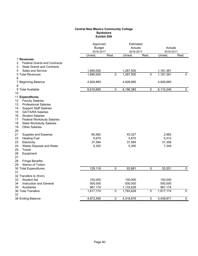# **Central New Mexico Community College Bookstore Exhibit 20A**

|                                          | 2016-2017 | Approved<br><b>Budget</b> |           | Estimated<br>Actuals<br>2016-2017 |           | Actuals<br>2016-2017 |
|------------------------------------------|-----------|---------------------------|-----------|-----------------------------------|-----------|----------------------|
|                                          | Unrest.   | Rest.                     | Unrest.   | Rest.                             | Unrest.   | Rest.                |
| 1 Revenues                               |           |                           |           |                                   |           |                      |
| 2<br><b>Federal Grants and Contracts</b> |           |                           |           |                                   |           |                      |
| <b>State Grants and Contracts</b><br>3   |           |                           |           |                                   |           |                      |
| Sales and Service<br>4                   | 1,690,000 |                           | 1,267,500 |                                   | 1,181,361 |                      |
| 5 Total Revenues                         | 1,690,000 | $\mathbf{0}$              | 1,267,500 | $\pmb{0}$                         | 1,181,361 | $\mathbf{0}$         |
| 6                                        |           |                           |           |                                   |           |                      |
| 7 Beginning Balance                      | 4,928,885 |                           | 4,928,885 |                                   | 4,928,885 |                      |
| 8                                        |           |                           |           |                                   |           |                      |
| 9 Total Available                        | 6,618,885 | 0                         | 6,196,385 | 0                                 | 6,110,246 | $\mathbf 0$          |
| 10                                       |           |                           |           |                                   |           |                      |
| 11 Expenditures                          |           |                           |           |                                   |           |                      |
| <b>Faculty Salaries</b><br>12            |           |                           |           |                                   |           |                      |
| 13<br><b>Professional Salaries</b>       |           |                           |           |                                   |           |                      |
| 14<br><b>Support Staff Salaries</b>      |           |                           |           |                                   |           |                      |
| 15<br><b>GA/TA/RA Salaries</b>           |           |                           |           |                                   |           |                      |
| 16<br><b>Student Salaries</b>            |           |                           |           |                                   |           |                      |
| 17<br><b>Federal Workstudy Salaries</b>  |           |                           |           |                                   |           |                      |
| 18<br><b>State Workstudy Salaries</b>    |           |                           |           |                                   |           |                      |
| <b>Other Salaries</b><br>19              |           |                           |           |                                   |           |                      |
| 20                                       |           |                           |           |                                   |           |                      |
| 21<br>Supplies and Expense               | 80,562    |                           | 45,327    |                                   | 2,982     |                      |
| 22<br><b>Heating Fuel</b>                | 5,670     |                           | 5,670     |                                   | 5,512     |                      |
| 23<br>Electricity                        | 37,584    |                           | 37,584    |                                   | 37,358    |                      |
| 24<br>Waste Disposal and Water           | 5,300     |                           | 5,300     |                                   | 7,349     |                      |
| 25<br>Travel                             |           |                           |           |                                   |           |                      |
| 26<br>Equipment                          |           |                           |           |                                   |           |                      |
| 27                                       |           |                           |           |                                   |           |                      |
| 28<br><b>Fringe Benefits</b>             |           |                           |           |                                   |           |                      |
| Waiver of Tuition<br>29                  |           |                           |           |                                   |           |                      |
| 30 Total Expenditures                    | 129,116   | $\pmb{0}$                 | 93,881    | 0                                 | 53,201    | $\mathbf{0}$         |
| 31                                       |           |                           |           |                                   |           |                      |
| 32 Transfers to (from)                   |           |                           |           |                                   |           |                      |
| <b>Student Aid</b><br>33                 | 150,000   |                           | 150,000   |                                   | 150,000   |                      |
| 34<br><b>Instruction and General</b>     | 500,000   |                           | 500,000   |                                   | 500,000   |                      |
| 35<br>Auxiliaries                        | 967,174   |                           | 1,133,628 |                                   | 967,174   |                      |
| 36 Total Transfers                       | 1,617,174 | 0                         | 1,783,628 | 0                                 | 1,617,174 | $\overline{0}$       |
| 37<br>38 Ending Balance                  | 4,872,595 | 0                         | 4,318,876 | 0                                 | 4,439,871 | $\mathbf 0$          |
|                                          |           |                           |           |                                   |           |                      |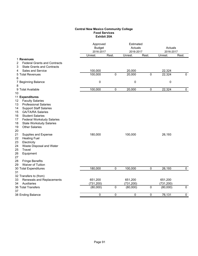# **Central New Mexico Community College Food Services Exhibit 20A**

|                                          | Approved<br><b>Budget</b><br>2016-2017 |                | Estimated<br>Actuals<br>2016-2017 |                | Actuals<br>2016-2017 |              |
|------------------------------------------|----------------------------------------|----------------|-----------------------------------|----------------|----------------------|--------------|
|                                          | Unrest.                                | Rest.          | Unrest.                           | Rest.          | Unrest.              | Rest.        |
| 1 Revenues                               |                                        |                |                                   |                |                      |              |
| <b>Federal Grants and Contracts</b><br>2 |                                        |                |                                   |                |                      |              |
| <b>State Grants and Contracts</b><br>3   |                                        |                |                                   |                |                      |              |
| Sales and Service<br>4                   | 100,000                                |                | 20,000                            |                | 22,324               |              |
| 5 Total Revenues                         | 100,000                                | $\overline{0}$ | 20,000                            | $\overline{0}$ | 22,324               | $\mathbf{0}$ |
| 6                                        |                                        |                |                                   |                |                      |              |
| 7 Beginning Balance                      | 0                                      |                | 0                                 |                | $\pmb{0}$            |              |
| 8                                        |                                        |                |                                   |                |                      |              |
| 9 Total Available                        | 100,000                                | 0              | 20,000                            | 0              | 22,324               | $\mathbf 0$  |
| 10                                       |                                        |                |                                   |                |                      |              |
| 11 Expenditures                          |                                        |                |                                   |                |                      |              |
| <b>Faculty Salaries</b><br>12            |                                        |                |                                   |                |                      |              |
| <b>Professional Salaries</b><br>13       |                                        |                |                                   |                |                      |              |
| <b>Support Staff Salaries</b><br>14      |                                        |                |                                   |                |                      |              |
| 15<br><b>GA/TA/RA Salaries</b>           |                                        |                |                                   |                |                      |              |
| <b>Student Salaries</b><br>16            |                                        |                |                                   |                |                      |              |
| 17<br><b>Federal Workstudy Salaries</b>  |                                        |                |                                   |                |                      |              |
| 18<br><b>State Workstudy Salaries</b>    |                                        |                |                                   |                |                      |              |
| <b>Other Salaries</b><br>19              |                                        |                |                                   |                |                      |              |
| 20                                       |                                        |                |                                   |                |                      |              |
| 21<br>Supplies and Expense               | 180,000                                |                | 100,000                           |                | 26,193               |              |
| 22<br><b>Heating Fuel</b>                |                                        |                |                                   |                |                      |              |
| 23<br>Electricity                        |                                        |                |                                   |                |                      |              |
| 24<br>Waste Disposal and Water           |                                        |                |                                   |                |                      |              |
| 25<br>Travel                             |                                        |                |                                   |                |                      |              |
| 26<br>Equipment                          |                                        |                |                                   |                |                      |              |
| 27                                       |                                        |                |                                   |                |                      |              |
| 28<br><b>Fringe Benefits</b>             |                                        |                |                                   |                |                      |              |
| Waiver of Tuition<br>29                  |                                        |                |                                   |                |                      |              |
| 30 Total Expenditures                    | 180,000                                | $\mathbf 0$    | 100,000                           | $\pmb{0}$      | 26,193               | $\mathbf 0$  |
| 31                                       |                                        |                |                                   |                |                      |              |
| 32 Transfers to (from)                   |                                        |                |                                   |                |                      |              |
| Renewals and Replacements<br>33          | 651,200                                |                | 651,200                           |                | 651,200              |              |
| 34<br>Auxiliaries                        | (731, 200)                             |                | (731, 200)                        |                | (731, 200)           |              |
| <b>36 Total Transfers</b>                | (80,000)                               | 0              | (80,000)                          | 0              | (80,000)             | $\mathbf 0$  |
| 37                                       |                                        |                |                                   |                |                      |              |
| 38 Ending Balance                        | 0                                      | 0              | 0                                 | 0              | 76,131               | 0            |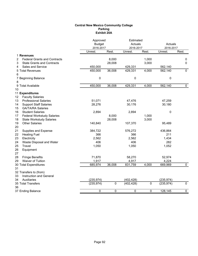### **Central New Mexico Community College Parking Exhibit 20A**

|                                          | Approved<br><b>Budget</b><br>2016-2017 |             | Estimated<br>Actuals<br>2016-2017 |       | Actuals<br>2016-2017 |                |
|------------------------------------------|----------------------------------------|-------------|-----------------------------------|-------|----------------------|----------------|
|                                          | Unrest.                                | Rest.       | Unrest.                           | Rest. | Unrest.              | Rest.          |
| 1 Revenues                               |                                        |             |                                   |       |                      |                |
| <b>Federal Grants and Contracts</b><br>2 |                                        | 8,000       |                                   | 1,000 |                      | 0              |
| <b>State Grants and Contracts</b><br>3   |                                        | 28,008      |                                   | 3,000 |                      | 0              |
| Sales and Service<br>4                   | 450,000                                |             | 429,331                           |       | 562,140              |                |
| 5 Total Revenues                         | 450,000                                | 36,008      | 429,331                           | 4,000 | 562,140              | $\mathbf{0}$   |
| 6                                        |                                        |             |                                   |       |                      |                |
| 7 Beginning Balance                      | 0                                      |             | 0                                 |       | 0                    |                |
| 8                                        |                                        |             |                                   |       |                      |                |
| 9 Total Available                        | 450,000                                | 36,008      | 429,331                           | 4,000 | 562,140              | $\mathbf 0$    |
| 10                                       |                                        |             |                                   |       |                      |                |
| 11 Expenditures                          |                                        |             |                                   |       |                      |                |
| <b>Faculty Salaries</b><br>12            |                                        |             |                                   |       |                      |                |
| <b>Professional Salaries</b><br>13       | 51,071                                 |             | 47,476                            |       | 47,259               |                |
| <b>Support Staff Salaries</b><br>14      | 28,276                                 |             | 30,176                            |       | 30,180               |                |
| 15<br><b>GA/TA/RA Salaries</b>           |                                        |             |                                   |       |                      |                |
| 16<br><b>Student Salaries</b>            | 2,894                                  |             | 2,894                             |       | 0                    |                |
| 17<br><b>Federal Workstudy Salaries</b>  |                                        | 8,000       |                                   | 1,000 |                      |                |
| 18<br><b>State Workstudy Salaries</b>    |                                        | 28,008      |                                   | 3,000 |                      |                |
| <b>Other Salaries</b><br>19              | 140,840                                |             | 107,370                           |       | 95,489               |                |
| 20                                       |                                        |             |                                   |       |                      |                |
| 21<br>Supplies and Expense               | 384,722                                |             | 576,272                           |       | 436,864              |                |
| 22<br><b>Heating Fuel</b>                | 366                                    |             | 366                               |       | 211                  |                |
| 23<br>Electricity                        | 2,562                                  |             | 2,562                             |       | 1,434                |                |
| 24<br>Waste Disposal and Water           | 406                                    |             | 406                               |       | 282                  |                |
| 25<br>Travel                             | 1,050                                  |             | 1,050                             |       | 1,052                |                |
| 26<br>Equipment                          |                                        |             |                                   |       |                      |                |
| 27                                       |                                        |             |                                   |       |                      |                |
| 28<br><b>Fringe Benefits</b>             | 71,870                                 |             | 58,270                            |       | 52,974               |                |
| Waiver of Tuition<br>29                  | 1,917                                  |             | 4,917                             |       | 4,224                |                |
| 30 Total Expenditures                    | 685,974                                | 36,008      | 831,759                           | 4,000 | 669,969              | $\mathbf 0$    |
| 31                                       |                                        |             |                                   |       |                      |                |
| 32 Transfers to (from)                   |                                        |             |                                   |       |                      |                |
| 33<br>Instruction and General            |                                        |             |                                   |       |                      |                |
| 34<br>Auxiliaries                        | (235, 974)                             |             | (402, 428)                        |       | (235, 974)           |                |
| 35 Total Transfers                       | (235, 974)                             | $\mathbf 0$ | (402, 428)                        | 0     | (235, 974)           | $\overline{0}$ |
| 36                                       |                                        |             |                                   |       |                      |                |
| 37 Ending Balance                        | 0                                      | 0           | 0                                 | 0     | 128,145              | $\mathbf 0$    |
|                                          |                                        |             |                                   |       |                      |                |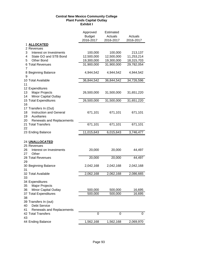## **Central New Mexico Community College Plant Funds Capital Outlay Exhibit I**

|                                                | Approved<br><b>Budget</b><br>2016-2017 | Estimated<br>Actuals<br>2016-2017 | Actuals<br>2016-2017 |
|------------------------------------------------|----------------------------------------|-----------------------------------|----------------------|
| 1 ALLOCATED                                    |                                        |                                   |                      |
| 2 Revenues                                     |                                        |                                   |                      |
| Interest on Investments<br>3                   | 100,000                                | 100,000                           | 213,137              |
| 4<br>State GO and STB Bond                     | 12,500,000                             | 12,500,000                        | 11,253,214           |
| 5<br><b>Other Bond</b>                         | 19,300,000                             | 19,300,000                        | 18,315,703           |
| 6 Total Revenues<br>7                          | 31,900,000                             | 31,900,000                        | 29,782,054           |
| 8 Beginning Balance<br>9                       | 4,944,542                              | 4,944,542                         | 4,944,542            |
| 10 Total Available                             | 36,844,542                             | 36,844,542                        | 34,726,596           |
| 11                                             |                                        |                                   |                      |
| 12 Expenditures<br><b>Major Projects</b><br>13 | 26,500,000                             | 31,500,000                        |                      |
| Minor Capital Outlay<br>14                     |                                        |                                   | 31,651,220           |
| 15 Total Expenditures                          | 26,500,000                             | 31,500,000                        | 31,651,220           |
| 16                                             |                                        |                                   |                      |
| 17 Transfers In (Out)                          |                                        |                                   |                      |
| <b>Instruction and General</b><br>18           | 671,101                                | 671,101                           | 671,101              |
| 19<br>Auxiliaries                              |                                        |                                   |                      |
| Renewals and Replacements<br>20                |                                        |                                   |                      |
| 21 Total Transfers                             | 671,101                                | 671,101                           | 671,101              |
| 22                                             |                                        |                                   |                      |
| 23 Ending Balance                              | 11,015,643                             | 6,015,643                         | 3,746,477            |
|                                                |                                        |                                   |                      |
| 24 UNALLOCATED                                 |                                        |                                   |                      |
| 25 Revenues                                    |                                        |                                   |                      |
| 26<br>Interest on Investments                  | 20,000                                 | 20,000                            | 44,497               |
| Other<br>27                                    |                                        |                                   |                      |
| 28 Total Revenues                              | 20,000                                 | 20,000                            | 44,497               |
| 29                                             |                                        |                                   |                      |
| 30 Beginning Balance                           | 2,042,168                              | 2,042,168                         | 2,042,168            |
| 31                                             |                                        |                                   |                      |
| 32 Total Available                             | 2,062,168                              | 2,062,168                         | 2,086,665            |
| 33                                             |                                        |                                   |                      |
| 34 Expenditures                                |                                        |                                   |                      |
| Major Projects<br>35                           |                                        |                                   |                      |
| <b>Minor Capital Outlay</b><br>36              | 500,000                                | 500,000                           | 16,695               |
| 37 Total Expenditures                          | 500,000                                | 500,000                           | 16,695               |
| 38                                             |                                        |                                   |                      |
| 39 Transfers In (out)                          |                                        |                                   |                      |
| Debt Service<br>40                             |                                        |                                   |                      |
| 41<br>Renewals and Replacements                |                                        |                                   |                      |
| 42 Total Transfers                             | 0                                      | 0                                 | 0                    |
| 43                                             |                                        |                                   |                      |
| 44 Ending Balance                              | 1,562,168                              | 1,562,168                         | 2,069,970            |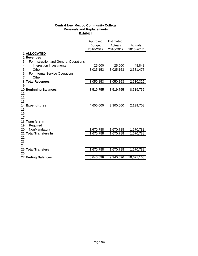# **Central New Mexico Community College Renewals and Replacements Exhibit II**

|                                             | Approved  | Estimated |            |
|---------------------------------------------|-----------|-----------|------------|
|                                             | Budget    | Actuals   | Actuals    |
|                                             | 2016-2017 | 2016-2017 | 2016-2017  |
| 1 ALLOCATED                                 |           |           |            |
| 2 Revenues                                  |           |           |            |
| 3<br>For Instruction and General Operations |           |           |            |
| Interest on Investments<br>4                | 25,000    | 25,000    | 48,848     |
| 5<br>Other                                  | 3,025,153 | 3,025,153 | 2,581,477  |
| 6<br>For Internal Service Operations        |           |           |            |
| $\overline{7}$<br>Other                     |           |           |            |
| 8 Total Revenues                            | 3,050,153 | 3,050,153 | 2,630,325  |
| 9                                           |           |           |            |
| 10 Beginning Balances                       | 8,519,755 | 8,519,755 | 8,519,755  |
| 11                                          |           |           |            |
| 12                                          |           |           |            |
| 13                                          |           |           |            |
| 14 Expenditures                             | 4,600,000 | 3,300,000 | 2,199,708  |
| 15                                          |           |           |            |
| 16                                          |           |           |            |
| 17                                          |           |           |            |
| 18 Transfers In                             |           |           |            |
| 19<br>Required                              |           |           |            |
| NonMandatory<br>20                          | 1,670,788 | 1,670,788 | 1,670,788  |
| 21 Total Transfers In                       | 1,670,788 | 1,670,788 | 1,670,788  |
| 22                                          |           |           |            |
| 23                                          |           |           |            |
| 24                                          |           |           |            |
| 25 Total Transfers                          | 1,670,788 | 1,670,788 | 1,670,788  |
| 26                                          |           |           |            |
| 27 Ending Balances                          | 8,640,696 | 9,940,696 | 10,621,160 |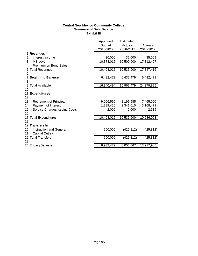# **Central New Mexico Community College Summary of Debt Service Exhibit III**

|                                      | Approved<br><b>Budget</b><br>2016-2017 | Estimated<br>Actuals<br>2016-2017 | Actuals<br>2016-2017 |
|--------------------------------------|----------------------------------------|-----------------------------------|----------------------|
| <b>Revenues</b>                      |                                        |                                   |                      |
| Interest Income<br>2                 | 30,000                                 | 35,000                            | 35,009               |
| 3<br>Mill Levy                       | 10,378,015                             | 10,500,000                        | 17,812,407           |
| Premium on Bond Sales<br>4           |                                        |                                   |                      |
| 5 Total Revenues                     | 10,408,015                             | 10,535,000                        | 17,847,416           |
| 6                                    |                                        |                                   |                      |
| <b>Beginning Balance</b><br>7        | 6,432,479                              | 6,432,479                         | 6,432,479            |
| 8                                    |                                        |                                   |                      |
| 9 Total Available                    | 16,840,494                             | 16,967,479                        | 24,279,895           |
| 10                                   |                                        |                                   |                      |
| 11<br><b>Expenditures</b>            |                                        |                                   |                      |
| 12                                   |                                        |                                   |                      |
| 13<br><b>Retirement of Principal</b> | 9,066,590                              | 8,191,985                         | 7,465,000            |
| Payment of Interest<br>14            | 1,339,425                              | 2,341,015                         | 3,168,479            |
| Service Charges/Issuing Costs<br>15  | 2,000                                  | 2,000                             | 2,619                |
| 16                                   |                                        |                                   |                      |
| 17 Total Expenditures                | 10,408,015                             | 10,535,000                        | 10,636,098           |
| 18                                   |                                        |                                   |                      |
| 19 Transfers In                      |                                        |                                   |                      |
| <b>Instruction and General</b><br>20 | 500,000                                | (425, 812)                        | (425, 812)           |
| <b>Capital Outlay</b><br>21          |                                        |                                   |                      |
| 22 Total Transfers                   | 500,000                                | (425, 812)                        | (425, 812)           |
| 23                                   |                                        |                                   |                      |
| 24 Ending Balance                    | 6,932,479                              | 6,006,667                         | 13,217,985           |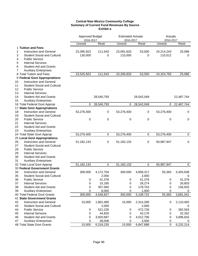### **Central New Mexico Community College Summary of Current Fund Revenues By Source Exhibit a**

|                                                | <b>Approved Budget</b> |             | <b>Estimated Actuals</b><br>2016-2017 |                        | Actuals              |             |
|------------------------------------------------|------------------------|-------------|---------------------------------------|------------------------|----------------------|-------------|
|                                                | 2016-2017<br>Unrestr   | Restr       | <b>Unrestr</b>                        | Restr                  | 2016-2017<br>Unrestr | Restr       |
| 1 Tuition and Fees                             |                        |             |                                       |                        |                      |             |
| 2<br><b>Instruction and General</b>            | 23,395,923             | 111,543     | 23,091,833                            | 53,500                 | 24,214,243           | 25,086      |
| 3<br><b>Student Social and Cultural</b>        | 130,000                | 0           | 115,000                               | 0                      | 110,512              | 0           |
| <b>Public Service</b><br>4                     |                        |             |                                       |                        |                      |             |
| <b>Internal Services</b><br>5                  |                        |             |                                       |                        |                      |             |
| <b>Student Aid and Grants</b><br>6             |                        |             |                                       |                        |                      |             |
| $\overline{7}$<br><b>Auxiliary Enterprises</b> |                        |             |                                       |                        |                      |             |
| 8 Total Tuition and Fees                       | 23,525,923             | 111,543     | 23,206,833                            | 53,500                 | 24,324,755           | 25,086      |
| 9 Federal Govt Appropriations                  |                        |             |                                       |                        |                      |             |
| <b>Instruction and General</b><br>10           |                        |             |                                       |                        |                      |             |
| <b>Student Social and Cultural</b><br>11       |                        |             |                                       |                        |                      |             |
| <b>Public Service</b><br>12                    |                        |             |                                       |                        |                      |             |
| <b>Internal Services</b><br>13                 |                        |             |                                       |                        |                      |             |
| 14<br><b>Student Aid and Grants</b>            |                        | 28,540,793  |                                       | 28,542,049             |                      | 22,487,744  |
| <b>Auxiliary Enterprises</b><br>15             |                        |             |                                       |                        |                      |             |
| 16 Total Federal Govt Approp                   | 0                      | 28,540,793  | 0                                     | 28,542,049             | 0                    | 22,487,744  |
| 17 State Govt Appropriations                   |                        |             |                                       |                        |                      |             |
| <b>Instruction and General</b><br>18           | 53,276,400             | 0           | 53,276,400                            | 0                      | 53,276,400           | 0           |
| <b>Student Social and Cultural</b><br>19       |                        |             |                                       |                        |                      |             |
| 20<br><b>Public Service</b>                    | 0                      | 0           | 0                                     | 0                      | 0                    | 0           |
| 21<br><b>Internal Services</b>                 |                        |             |                                       |                        |                      |             |
| 22<br><b>Student Aid and Grants</b>            |                        |             |                                       |                        |                      |             |
| 23<br><b>Auxiliary Enterprises</b>             |                        |             |                                       |                        |                      |             |
| 24 Total State Govt Approp                     | 53,276,400             | $\mathbf 0$ | 53,276,400                            | 0                      | 53,276,400           | 0           |
| <b>25 Local Govt Appropriations</b>            |                        |             |                                       |                        |                      |             |
| 26<br><b>Instruction and General</b>           | 51,182,133             | 0           | 51,182,133                            | 0                      | 50,987,947           | 0           |
| 27<br><b>Student Social and Cultural</b>       |                        |             |                                       |                        |                      |             |
| <b>Public Service</b><br>28                    |                        |             |                                       |                        |                      |             |
| 29<br><b>Internal Services</b>                 |                        |             |                                       |                        |                      |             |
| <b>Student Aid and Grants</b><br>30            |                        |             |                                       |                        |                      |             |
| 31<br><b>Auxiliary Enterprises</b>             |                        |             |                                       |                        |                      |             |
| 32 Total Local Govt Approp                     | 51,182,133             | $\mathbf 0$ | 51,182,133                            | 0                      | 50,987,947           | $\mathbf 0$ |
| 33 Federal Government Grants                   |                        |             |                                       |                        |                      |             |
| 34<br><b>Instruction and General</b>           | 300,000                | 4,172,704   | 300,000                               | 4,858,317              | 55,383               | 3,455,938   |
| 35<br><b>Student Social and Cultural</b>       |                        | 2,000       |                                       | 2,000                  |                      | 0           |
| <b>Public Service</b><br>36                    | 0                      | 41,378      | 0                                     | 41,378                 | 0                    | 41,376      |
| 37<br><b>Internal Services</b>                 | 0                      | 15,185      | 0                                     | 28,274                 | 0                    | 26,803      |
| <b>Student Aid and Grants</b><br>38            | 0                      | 307,560     | 0                                     | 178,753                | 0                    | 156,925     |
| 39<br><b>Auxiliary Enterprises</b>             | 0                      | 8,000       | 0                                     | 1,000                  | 0                    | 0           |
| 40 Total Federal Govt Grants                   | 300,000                | 4,546,827   | 300,000                               | $\overline{5,}109,722$ | 55,383               | 3,681,041   |
| <b>41 State Government Grants</b>              |                        |             |                                       |                        |                      |             |
| 42<br><b>Instruction and General</b>           | 15,000                 | 1,801,485   | 15,000                                | 2,314,280              | 0                    | 2,110,483   |
| 43<br><b>Student Social and Cultural</b>       |                        | 2,000       |                                       | 2,000                  |                      | 0           |
| <b>Public Service</b><br>44                    | 0                      | 521,235     | 0                                     | 472,726                | 0                    | 392,563     |
| 45<br><b>Internal Services</b>                 | 0                      | 44,820      | 0                                     | 43,176                 | 0                    | 32,352      |
| <b>Student Aid and Grants</b><br>46            | 0                      | 3,920,687   | 0                                     | 4,012,706              | 0                    | 3,696,816   |
| <b>Auxiliary Enterprises</b><br>47             | 0                      | 28,008      | 0                                     | 3,000                  | 0                    | 0           |
| 48 Total State Govt Grants                     | 15,000                 | 6,318,235   | 15,000                                | 6,847,888              | $\pmb{0}$            | 6,232,214   |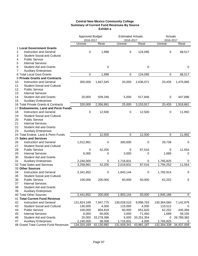### **Central New Mexico Community College Summary of Current Fund Revenues By Source Exhibit a**

|                |                                      | <b>Approved Budget</b><br>2016-2017 |            | <b>Estimated Actuals</b><br>2016-2017 |            | Actuals<br>2016-2017 |             |  |
|----------------|--------------------------------------|-------------------------------------|------------|---------------------------------------|------------|----------------------|-------------|--|
|                |                                      | Unrestr                             | Restr      | Unrestr                               | Restr      | Unrestr              | Restr       |  |
|                | 1 Local Government Grants            |                                     |            |                                       |            |                      |             |  |
| $\overline{2}$ | Instruction and General              | $\pmb{0}$                           | 1,998      | 0                                     | 124,095    | 0                    | 68,517      |  |
| 3              | <b>Student Social and Cultural</b>   |                                     |            |                                       |            |                      |             |  |
| 4              | <b>Public Service</b>                |                                     |            |                                       |            |                      |             |  |
| 5              | <b>Internal Services</b>             |                                     |            |                                       |            |                      |             |  |
| 6              | <b>Student Aid and Grants</b>        |                                     | 0          |                                       | 0          |                      | $\mathbf 0$ |  |
| 7              | <b>Auxiliary Enterprises</b>         |                                     |            |                                       |            |                      |             |  |
|                | 8 Total Local Govt Grants            | 0                                   | 1,998      | 0                                     | 124,095    | $\pmb{0}$            | 68,517      |  |
|                | 9 Private Grants and Contracts       |                                     |            |                                       |            |                      |             |  |
| 10             | <b>Instruction and General</b>       | 300,000                             | 1,847,545  | 20,000                                | 2,636,071  | 20,435               | 1,470,965   |  |
| 11             | <b>Student Social and Cultural</b>   |                                     |            |                                       |            |                      |             |  |
| 12             | <b>Public Service</b>                |                                     |            |                                       |            |                      |             |  |
| 13             | <b>Internal Services</b>             |                                     |            |                                       |            |                      |             |  |
| 14             | <b>Student Aid and Grants</b>        | 20,000                              | 509,346    | 5,000                                 | 517,846    | 0                    | 447,896     |  |
| 15             | <b>Auxiliary Enterprises</b>         |                                     |            |                                       |            |                      |             |  |
|                | 16 Total Private Grants & Contracts  | 320,000                             | 2,356,891  | 25,000                                | 3,153,917  | 20,435               | 1,918,861   |  |
|                | 17 Endowments, Land and Perm Funds   |                                     |            |                                       |            |                      |             |  |
| 18             | <b>Instruction and General</b>       | $\pmb{0}$                           | 12,500     | 0                                     | 12,500     | 0                    | 11,992      |  |
| 19             | <b>Student Social and Cultural</b>   |                                     |            |                                       |            |                      |             |  |
| 20             | <b>Public Service</b>                |                                     |            |                                       |            |                      |             |  |
| 21             | <b>Internal Services</b>             |                                     |            |                                       |            |                      |             |  |
| 22             | <b>Student Aid and Grants</b>        |                                     |            |                                       |            |                      |             |  |
| 23             | <b>Auxiliary Enterprises</b>         |                                     |            |                                       |            |                      |             |  |
|                | 24 Total Endow, Land & Perm Funds    | 0                                   | 12,500     | $\mathbf 0$                           | 12,500     | $\mathbf 0$          | 11,992      |  |
|                | 25 Sales and Services                |                                     |            |                                       |            |                      |             |  |
| 26             | <b>Instruction and General</b>       | 1,012,861                           | 0          | 300,000                               | 0          | 26,738               | 0           |  |
| 27             | <b>Student Social and Cultural</b>   |                                     |            |                                       |            |                      |             |  |
| 28             | <b>Public Service</b>                | 0                                   | 42,205     | 0                                     | 87,516     | 0                    | 11,554      |  |
| 29             | <b>Internal Services</b>             | 6,000                               | 0          | 3,000                                 | 0          | 1,689                | 0           |  |
| 30             | <b>Student Aid and Grants</b>        |                                     |            |                                       |            |                      |             |  |
| 31             | <b>Auxiliary Enterprises</b>         | 2,240,000                           | 0          | 1,716,831                             | 0          | 1,765,825            | 0           |  |
|                | 32 Total Sales and Services          | 3,258,861                           | 42,205     | 2,019,831                             | 87,516     | 1,794,252            | 11,554      |  |
|                | 33 Other Sources                     |                                     |            |                                       |            |                      |             |  |
| 34             | <b>Instruction and General</b>       | 2,341,852                           | 0          | 1,843,144                             | 0          | 1,782,914            | 0           |  |
| 35             | <b>Student Social and Cultural</b>   |                                     |            |                                       |            |                      |             |  |
| 36             | <b>Public Service</b>                | 100,000                             | 200,000    | 60,000                                | 50,000     | 62,252               | $\pmb{0}$   |  |
| 37             | <b>Internal Services</b>             |                                     |            |                                       |            |                      |             |  |
| 38             | <b>Student Aid and Grants</b>        |                                     |            |                                       |            |                      |             |  |
| 39             | <b>Auxiliary Enterprises</b>         |                                     |            |                                       |            |                      |             |  |
|                | 40 Total Other Sources               | 2,441,852                           | 200,000    | 1,903,144                             | 50,000     | 1,845,166            | $\mathbf 0$ |  |
|                | 41 Total Current Fund Revenue        |                                     |            |                                       |            |                      |             |  |
| 42             | Instruction and General              | 131,824,169                         | 7,947,775  | 130,028,510                           | 9,998,763  | 130,364,060          | 7,142,979   |  |
| 43             | <b>Student Social and Cultural</b>   | 130,000                             | 4,000      | 115,000                               | 4,000      | 110,512              | 0           |  |
| 44             | <b>Public Service</b>                | 100,000                             | 804,818    | 60,000                                | 651,620    | 62,252               | 445,494     |  |
| 45             | <b>Internal Services</b>             | 6,000                               | 60,005     | 3,000                                 | 71,450     | 1,689                | 59,155      |  |
| 46             | <b>Student Aid and Grants</b>        | 20,000                              | 33,278,386 | 5,000                                 | 33,251,354 | 0                    | 26,789,382  |  |
| 47             | <b>Auxiliary Enterprises</b>         | 2,240,000                           | 36,008     | 1,716,831                             | 4,000      | 1,765,825            | 0           |  |
|                | 48 Grand Total Current Fund Revenues | 134,320,169                         | 42,130,992 | 131,928,341                           | 43,981,187 | 132,304,338          | 34,437,009  |  |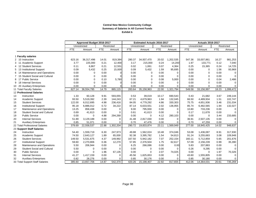#### **Central New Mexico Community College Summary of Salaries in All Current Funds Exhibit b**

|                |                                    | Approved Budget 2016-2017 |              |            |            |            | <b>Estimated Actuals 2016-2017</b> |       |             | <b>Actuals 2016-2017</b> |              |            |             |
|----------------|------------------------------------|---------------------------|--------------|------------|------------|------------|------------------------------------|-------|-------------|--------------------------|--------------|------------|-------------|
|                |                                    |                           | Unrestricted |            | Restricted |            | Unrestricted                       |       | Restricted  |                          | Unrestricted |            | Restricted  |
|                |                                    | <b>FTE</b>                | Amount       | <b>FTE</b> | Amount     | <b>FTE</b> | Amount                             | FTE   | Amount      | <b>FTE</b>               | Amount       | <b>FTE</b> | Amount      |
|                |                                    |                           |              |            |            |            |                                    |       |             |                          |              |            |             |
|                | 1 Faculty salaries                 |                           |              |            |            |            |                                    |       |             |                          |              |            |             |
|                | 2 10 Instruction                   | 623.16                    | 36,317,496   | 14.01      | 819,384    | 280.37     | 34,937,470                         | 20.02 | 1,202,535   | 547.36                   | 33,007,861   | 16.27      | 981,253     |
| $3 \t11$       | <b>Academic Support</b>            | 3.77                      | 225,000      | 0.21       | 12,400     | 3.17       | 215,000                            | 0.24  | 14,200      | 1.97                     | 133,771      | 0.12       | 7,040       |
| $\overline{4}$ | <b>Student Services</b><br>12      | 0.11                      | 6,867        | 0.21       | 12,551     | 0.02       | 1,061                              | 0.07  | 4,364       | 0.25                     | 15,365       | 0.24       | 14,725      |
| 5              | 13 Institutional Support           | 0.09                      | 5,432        | 0.25       | 15,000     | 0.09       | 5,432                              | 1.59  | 95,695      | 0.00                     | 0            | 1.56       | 93,969      |
| 6              | 14 Maintenance and Operations      | 0.00                      | 0            | 0.00       | $\Omega$   | 0.00       | $\mathbf 0$                        | 0.00  | 0           | 0.00                     | $\mathbf 0$  | 0.00       | $\mathbf 0$ |
| 7 15           | <b>Student Social and Cultural</b> | 0.00                      | 0            | 0.00       | $\Omega$   | 0.00       | $\mathbf 0$                        | 0.00  | $\Omega$    | 0.00                     | $\Omega$     | 0.00       | $\Omega$    |
| 8 17           | <b>Public Service</b>              | 0.00                      | $\Omega$     | 0.10       | 5,780      | 0.00       | $\Omega$                           | 0.08  | 5,000       | 0.00                     | $\Omega$     | 0.04       | 2,486       |
| 9              | <b>Internal Services</b><br>18     | 0.00                      | $\Omega$     | 0.00       |            | 0.00       | $\mathbf 0$                        | 0.00  | $\Omega$    | 0.00                     | $\Omega$     | 0.00       | $\Omega$    |
| 10 20          | <b>Auxiliary Enterprises</b>       | 0.00                      | $\Omega$     | 0.00       |            | 0.00       | $\Omega$                           | 0.00  | $\Omega$    | 0.00                     | $\Omega$     | 0.00       | 0           |
|                | 11 Total Faculty Salaries          | 627.14                    | 36,554,795   | 14.79      | 865,115    | 283.64     | 35,158,963                         | 22.00 | 1,321,794   | 549.58                   | 33,156,997   | 18.23      | 1,099,472   |
|                | 12 Professional Salaries           |                           |              |            |            |            |                                    |       |             |                          |              |            |             |
| 13             | Instruction                        | 1.33                      | 60,128       | 9.91       | 593,055    | 0.53       | 39,019                             | 10.17 | 690,543     | 0.43                     | 21,682       | 3.67       | 249,144     |
| 14             | Academic Support                   | 93.50                     | 5,519,392    | 2.39       | 144,243    | 67.21      | 4,679,963                          | 1.94  | 132,045     | 66.50                    | 4,489,934    | 1.51       | 102,747     |
| 15             | <b>Student Services</b>            | 122.00                    | 6,012,695    | 4.98       | 236,416    | 84.05      | 4,779,292                          | 4.86  | 330,303     | 75.75                    | 4,651,936    | 3.46       | 231,034     |
| 16             | <b>Institutional Support</b>       | 95.18                     | 6,886,012    | 0.72       | 34,222     | 87.14      | 6,633,551                          | 2.02  | 136,955     | 85.74                    | 6,482,565    | 1.94       | 132,027     |
| 17             | Maintenance and Operations         | 13.25                     | 858,438      | 0.00       | 0          | 9.00       | 795,930                            | 0.00  | $\Omega$    | 10.80                    | 733,236      | 0.00       | $\mathbf 0$ |
| 18             | <b>Student Social and Cultural</b> | 0.69                      | 41,613       | 0.00       | 0          | 0.61       | 41,613                             | 0.00  | $\Omega$    | 0.17                     | 11,678       | 0.00       | $\mathbf 0$ |
| 19             | <b>Public Service</b>              | 0.00                      | $\Omega$     | 4.88       | 294,268    | 0.00       | $\mathbf 0$                        | 4.12  | 280,103     | 0.00                     | $\mathbf 0$  | 3.44       | 233,685     |
| 20             | <b>Internal Services</b>           | 51.89                     | 3,129,188    | 0.00       | 0          | 41.48      | 2,817,030                          | 0.00  | $\Omega$    | 36.91                    | 2,507,135    | 0.00       | $\mathbf 0$ |
| 21             | <b>Auxiliary Enterprises</b>       | 0.85                      | 51,071       | 0.00       | $\Omega$   | 0.70       | 47,476                             | 0.00  | $\Omega$    | 0.70                     | 47,259       | 0.00       | 0           |
|                | 22 Total Professional Salaries     | 378.69                    | 22,558,537   | 22.88      | 1,302,204  | 290.72     | 19,833,874                         | 23.11 | 1,569,949   | 277.00                   | 18,945,425   | 14.02      | 948,637     |
|                | 23 Support Staff Salaries          |                           |              |            |            |            |                                    |       |             |                          |              |            |             |
| 24             | Instruction                        | 54.40                     | 1,559,719    | 6.30       | 247,973    | 49.88      | 1,562,024                          | 10.48 | 374,046     | 53.08                    | 1,436,087    | 8.91       | 317,930     |
| 25             | <b>Academic Support</b>            | 74.50                     | 2,643,127    | 1.89       | 65,000     | 92.38      | 3,395,782                          | 1.54  | 54,813      | 91.24                    | 3,255,683    | 3.08       | 109,948     |
| 26             | <b>Student Services</b>            | 149.50                    | 5,531,675    | 4.37       | 149,992    | 167.50     | 5,942,182                          | 7.07  | 252,154     | 160.11                   | 5,712,859    | 5.65       | 201,676     |
| 27             | <b>Institutional Support</b>       | 59.60                     | 2,270,806    | 0.36       | 12,270     | 57.85      | 2,376,504                          | 1.75  | 62,617      | 57.09                    | 2,156,239    | 0.99       | 35,390      |
| 28             | Maintenance and Operations         | 5.50                      | 206,944      | 0.00       | 0          | 6.25       | 266,086                            | 0.00  | 0.00        | 5.83                     | 207,883      | 0.00       | $\mathbf 0$ |
| 29             | <b>Student Social and Cultural</b> | 5.50                      | 0            | 0.00       | $\Omega$   | 0.00       | $\Omega$                           | 0.00  | $\Omega$    | 0.26                     | 9,295        | 0.00       | $\mathbf 0$ |
| 30             | <b>Public Service</b>              | 0.00                      | $\Omega$     | 1.96       | 67,135     | 0.00       | $\Omega$                           | 2.07  | 74,025      | 0.00                     | $\Omega$     | 1.97       | 70,326      |
| 31             | <b>Internal Services</b>           | 41.27                     | 1,417,159    | 0.00       | 0          | 45.56      | 1,625,653                          | 0.00  | $\mathbf 0$ | 43.60                    | 1,555,805    | 0.00       | $\mathbf 0$ |
| 32             | <b>Auxiliary Enterprises</b>       | 0.82                      | 28,276       | 0.00       | $\Omega$   | 0.85       | 30,176                             | 0.00  | $\Omega$    | 0.85                     | 30,180       | 0.00       | 0           |
|                | 33 Total Support Staff Salaries    | 385.60                    | 13,657,706   | 14.87      | 542,370    | 420.26     | 15,198,407                         | 22.92 | 817,655     | 412.06                   | 14,364,031   | 20.61      | 735,269     |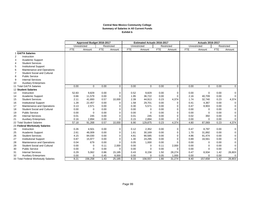### **Central New Mexico Community College Summary of Salaries in All Current Funds Exhibit b**

|                |                                     |            | Approved Budget 2016-2017  |            |              |            | <b>Estimated Actuals 2016-2017</b> |            |              | <b>Actuals 2016-2017</b> |             |            |             |
|----------------|-------------------------------------|------------|----------------------------|------------|--------------|------------|------------------------------------|------------|--------------|--------------------------|-------------|------------|-------------|
|                |                                     |            | Unrestricted<br>Restricted |            | Unrestricted |            |                                    | Restricted | Unrestricted |                          | Restricted  |            |             |
|                |                                     | <b>FTE</b> | Amount                     | <b>FTE</b> | Amount       | <b>FTE</b> | Amount                             | <b>FTE</b> | Amount       | FTE                      | Amount      | <b>FTE</b> | Amount      |
|                | 1 GA/TA Salaries                    |            |                            |            |              |            |                                    |            |              |                          |             |            |             |
| $\overline{2}$ | Instruction                         |            |                            |            |              |            |                                    |            |              |                          |             |            |             |
| 3              | Academic Support                    |            |                            |            |              |            |                                    |            |              |                          |             |            |             |
| 4              | <b>Student Services</b>             |            |                            |            |              |            |                                    |            |              |                          |             |            |             |
| 5              | <b>Institutional Support</b>        |            |                            |            |              |            |                                    |            |              |                          |             |            |             |
| 6              | Maintenance and Operations          |            |                            |            |              |            |                                    |            |              |                          |             |            |             |
|                | <b>Student Social and Cultural</b>  |            |                            |            |              |            |                                    |            |              |                          |             |            |             |
| 8              | <b>Public Service</b>               |            |                            |            |              |            |                                    |            |              |                          |             |            |             |
| 9              | <b>Internal Services</b>            |            |                            |            |              |            |                                    |            |              |                          |             |            |             |
| 10             | <b>Auxiliary Enterprises</b>        |            |                            |            |              |            |                                    |            |              |                          |             |            |             |
|                | 11 Total GA/TA Salaries             | 0.00       | $\Omega$                   | 0.00       | $\mathbf 0$  | 0.00       | $\mathbf{0}$                       | 0.00       | $\mathbf{0}$ | 0.00                     | $\Omega$    | 0.00       | $\mathbf 0$ |
|                | 12 Student Salaries                 |            |                            |            |              |            |                                    |            |              |                          |             |            |             |
| 13             | Instruction                         | 52.83      | 9,829                      | 0.00       | $\mathbf 0$  | 0.52       | 9,829                              | 0.00       | 0            | 0.00                     | 0           | 0.00       | $\mathbf 0$ |
| 14             | Academic Support                    | 0.66       | 11,579                     | 0.00       | 0            | 1.95       | 36,722                             | 0.00       | $\mathbf 0$  | 2.16                     | 40,709      | 0.00       | $\mathbf 0$ |
| 15             | <b>Student Services</b>             | 2.11       | 41,693                     | 0.57       | 10,000       | 2.39       | 44,913                             | 0.23       | 4,374        | 1.74                     | 32,740      | 0.23       | 4,374       |
| 16             | <b>Institutional Support</b>        | 1.28       | 22,457                     | 0.00       | $\Omega$     | 1.58       | 29,701                             | 0.00       | 0            | 0.41                     | 4,367       | 0.00       | $\mathbf 0$ |
| 17             | Maintenance and Operations          | 0.13       | 2,571                      | 0.00       | $\Omega$     | 0.30       | 5,571                              | 0.00       | $\mathbf 0$  | 0.47                     | 8,903       | 0.00       | 0           |
| 18             | <b>Student Social and Cultural</b>  | 0.00       | 0                          | 0.00       | $\Omega$     | 0.00       | 0                                  | 0.00       | $\mathbf 0$  | 0.00                     | 0           | 0.00       | 0           |
| 19             | <b>Public Service</b>               | 0.00       | $\Omega$                   | 0.00       | $\Omega$     | 0.00       | $\Omega$                           | 0.00       | $\Omega$     | 0.00                     | $\mathbf 0$ | 0.00       | 0           |
| 20             | <b>Internal Services</b>            | 0.01       | 245                        | 0.00       | $\Omega$     | 0.01       | 245                                | 0.00       | $\mathbf 0$  | 0.02                     | 350         | 0.00       | 0           |
| 21             | <b>Auxiliary Enterprises</b>        | 0.16       | 2,894                      | 0.00       | $\Omega$     | 0.15       | 2,894                              | 0.00       | $\Omega$     | 0.00                     | 0           | 0.00       | 0           |
|                | 22 Total Student Salaries           | 57.18      | 91,268                     | 0.57       | 10,000       | 6.90       | 129,875                            | 0.23       | 4,374        | 4.80                     | 87,069      | 0.23       | 4,374       |
|                | 23 Federal Workstudy Salaries       |            |                            |            |              |            |                                    |            |              |                          |             |            |             |
| 24             | Instruction                         | 0.26       | 4,501                      | 0.00       | $\mathbf 0$  | 0.12       | 2,352                              | 0.00       | 0            | 0.47                     | 8,797       | 0.00       | 0           |
| 25             | <b>Academic Support</b>             | 2.61       | 46,009                     | 0.00       | $\mathbf 0$  | 1.61       | 30,169                             | 0.00       | $\mathbf 0$  | 1.70                     | 31,892      | 0.00       | 0           |
| 26             | <b>Student Services</b>             | 4.15       | 84,030                     | 0.00       | $\Omega$     | 4.81       | 90,585                             | 0.00       | $\Omega$     | 4.86                     | 91,474      | 0.00       | 0           |
| 27             | <b>Institutional Support</b>        | 0.87       | 15,977                     | 0.00       | $\Omega$     | 1.30       | 24,295                             | 0.00       | $\Omega$     | 0.89                     | 16,561      | 0.00       | 0           |
| 28             | Maintenance and Operations          | 0.04       | 679                        | 0.00       | $\Omega$     | 0.05       | 1,000                              | 0.00       | $\Omega$     | 0.00                     | 0           | 0.00       | 0           |
| 29             | <b>Student Social and Cultural</b>  | 0.00       | 0                          | 0.11       | 2,000        | 0.00       | $\mathbf 0$                        | 0.11       | 2,000        | 0.00                     | $\Omega$    | 0.00       | 0           |
| 30             | <b>Public Service</b>               | 0.00       | $\Omega$                   | 0.00       | $\Omega$     | 0.00       | $\Omega$                           | 0.00       | $\Omega$     | 0.00                     | 0           | 0.00       | $\mathbf 0$ |
| 31             | <b>Internal Services</b>            | 0.29       | 5,062                      | 0.86       | 15,185       | 0.43       | 8,156                              | 1.50       | 28,274       | 0.47                     | 8,934       | 1.42       | 26,803      |
| 32             | <b>Auxiliary Enterprises</b>        | 0.00       | $\Omega$                   | 0.45       | 8,000        | 0.00       | $\Omega$                           | 0.05       | 1,000        | 0.00                     | $\mathbf 0$ | 0.00       | 0           |
|                | 33 Total Federal Workstudy Salaries | 8.21       | 156,258                    | 1.43       | 25,185       | 8.33       | 156,557                            | 1.66       | 31,274       | 8.40                     | 157,658     | 1.42       | 26,803      |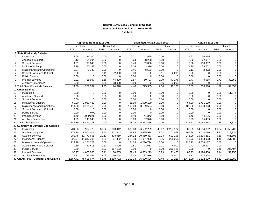### **Central New Mexico Community College Summary of Salaries in All Current Funds Exhibit b**

|                |                                        | Approved Budget 2016-2017 |              |            |            | <b>Estimated Actuals 2016-2017</b> |              |            |             | <b>Actuals 2016-2017</b> |             |            |             |
|----------------|----------------------------------------|---------------------------|--------------|------------|------------|------------------------------------|--------------|------------|-------------|--------------------------|-------------|------------|-------------|
|                |                                        |                           | Unrestricted |            | Restricted |                                    | Unrestricted |            | Restricted  | Unrestricted             |             |            | Restricted  |
|                |                                        | <b>FTE</b>                | Amount       | <b>FTE</b> | Amount     | <b>FTE</b>                         | Amount       | <b>FTE</b> | Amount      | <b>FTE</b>               | Amount      | <b>FTE</b> | Amount      |
|                | 1 State Workstudy Salaries             |                           |              |            |            |                                    |              |            |             |                          |             |            |             |
| 2              | Instruction                            | 2.05                      | 36,100       | 0.00       | 0          | 2.21                               | 41,595       | 0.00       | $\mathbf 0$ | 1.62                     | 30,465      | 0.00       | 0           |
| 3              | Academic Support                       | 3.12                      | 54,904       | 0.00       | 0          | 3.63                               | 68,298       | 0.00       | $\mathbf 0$ | 3.30                     | 62,097      | 0.00       | $\mathbf 0$ |
| $\overline{4}$ | <b>Student Services</b>                | 4.61                      | 93,645       | 0.00       | $\Omega$   | 5.46                               | 102,800      | 0.00       | $\Omega$    | 5.36                     | 100,907     | 0.00       | $\pmb{0}$   |
| 5              | <b>Institutional Support</b>           | 3.76                      | 66,133       | 0.00       | 0          | 2.16                               | 43,316       | 0.00       | 0           | 1.70                     | 33,001      | 0.00       | 0           |
| 6              | Maintenance and Operations             | 0.07                      | 1,183        | 0.00       | 0          | 0.46                               | 8,583        | 0.00       | $\Omega$    | 0.13                     | 2,432       | 0.00       | $\pmb{0}$   |
| $\overline{7}$ | <b>Student Social and Cultural</b>     | 0.00                      | $\mathbf 0$  | 0.11       | 2,000      | 0.00                               | $\Omega$     | 0.11       | 2,000       | 0.00                     | $\Omega$    | 0.00       | $\pmb{0}$   |
| 8              | <b>Public Service</b>                  | 0.00                      | $\Omega$     | 0.00       | 0          | 0.00                               | $\Omega$     | 0.00       | $\Omega$    | 0.00                     | $\mathbf 0$ | 0.00       | $\mathbf 0$ |
| 9              | <b>Internal Services</b>               | 0.91                      | 15,967       | 2.55       | 44,820     | 0.57                               | 10,793       | 2.29       | 43,176      | 0.43                     | 8,088       | 1.72       | 32,352      |
| 10             | <b>Auxiliary Enterprises</b>           | 0.00                      | $\mathbf 0$  | 1.59       | 28,008     | 0.00                               | $\Omega$     | 0.16       | 3,000       | 0.00                     | $\Omega$    | 0.00       | 0           |
|                | 11 Total State Workstudy Salaries      | 14.50                     | 267,932      | 4.25       | 74,828     | 14.48                              | 275,385      | 2.56       | 48,176      | 12.53                    | 236,990     | 1.72       | 32,352      |
|                | 12 Other Salaries                      |                           |              |            |            |                                    |              |            |             |                          |             |            |             |
| 13             | Instruction                            | 0.00                      | 0            | 0.00       | 0          | 0.00                               | $\Omega$     | 0.00       | 0           | 0.00                     | 0           | 0.39       | 11,374      |
| 14             | Academic Support                       | 0.00                      | $\Omega$     | 0.00       | $\Omega$   | 0.00                               | $\Omega$     | 0.00       | $\Omega$    | 0.00                     | $\Omega$    | 0.00       | $\mathbf 0$ |
| 15             | <b>Student Services</b>                | 0.00                      | $\Omega$     | 0.00       | 0          | 0.00                               | $\Omega$     | 0.00       | $\mathbf 0$ | 0.00                     | $\Omega$    | 0.00       | $\pmb{0}$   |
| 16             | <b>Institutional Support</b>           | 69.00                     | 2,050,483    | 0.00       | 0          | 65.00                              | 1,979,199    | 0.00       | $\mathbf 0$ | 64.90                    | 1.751.190   | 0.00       | $\mathbf 0$ |
| 17             | Maintenance and Operations             | 111.00                    | 3,181,413    | 0.00       | 0          | 108.00                             | 3,139,554    | 0.00       | $\mathbf 0$ | 108.00                   | 3,053,663   | 0.00       | 0           |
| 18             | <b>Student Social and Cultural</b>     | 0.00                      | $\Omega$     | 0.00       | 0          | 0.00                               | $\Omega$     | 0.00       | $\mathbf 0$ | 0.00                     | $\mathbf 0$ | 0.00       | $\pmb{0}$   |
| 19             | <b>Public Service</b>                  | 0.00                      | 0.00         | 0.00       | 0          | 0.00                               | $\Omega$     | 0.00       | $\mathbf 0$ | 0.00                     | $\mathbf 0$ | 0.00       | 0           |
| 20             | <b>Internal Services</b>               | 1.40                      | 39,442.00    | 0.00       | 0          | 1.40                               | 41,342       | 0.00       | $\mathbf 0$ | 1.49                     | 44,126      | 0.00       | $\pmb{0}$   |
| 21             | <b>Auxiliary Enterprises</b>           | 4.99                      | 140,840      | 0.00       | 0          | 3.63                               | 107,370      | 0.00       | $\mathbf 0$ | 3.23                     | 95.489      | 0.00       | $\mathbf 0$ |
|                | 22 Total Other Salaries                | 186.39                    | 5,412,178    | 0.00       | $\Omega$   | 178.04                             | 5,267,465    | 0.00       | $\Omega$    | 177.62                   | 4,944,468   | 0.39       | 11,374      |
|                | 23 Summary of Current Fund Salaries    |                           |              |            |            |                                    |              |            |             |                          |             |            |             |
| 24             | Instruction                            | 734.03                    | 37,987,773   | 30.22      | 1,660,412  | 333.63                             | 36,592,289   | 40.67      | 2,267,124   | 602.95                   | 34,504,892  | 29.24      | 1,559,702   |
| 25             | Academic Support                       | 178.15                    | 8,500,011    | 4.50       | 221,643    | 169.94                             | 8,425,934    | 3.72       | 201,058     | 166.88                   | 8,014,086   | 4.71       | 219,735     |
| 26             | <b>Student Services</b>                | 282.48                    | 11,770,605   | 10.13      | 408,959    | 264.22                             | 10,960,833   | 12.23      | 591,195     | 248.06                   | 10,605,281  | 9.59       | 451,808     |
| 27             | <b>Institutional Support</b>           | 229.77                    | 11,317,300   | 1.33       | 61,492     | 215.13                             | 11,091,998   | 5.36       | 295,266     | 210.73                   | 10,443,923  | 4.49       | 261,386     |
| 28             | Maintenance and Operations             | 129.98                    | 4,251,228    | 0.00       | 0          | 124.05                             | 4,216,724    | 0.00       | $\Omega$    | 125.22                   | 4,006,117   | 0.00       | $\mathbf 0$ |
| 29             | Student Social and Cultural            | 0.69                      | 41,613       | 0.23       | 4,000      | 0.61                               | 41,613       | 0.21       | 4,000       | 0.43                     | 20,973      | 0.00       | $\mathbf 0$ |
| 30             | <b>Public Service</b>                  | 0.00                      | $\Omega$     | 6.93       | 367,183    | 0.00                               | $\Omega$     | 6.28       | 359,128     | 0.00                     | $\Omega$    | 5.45       | 306,497     |
| 31             | <b>Internal Services</b>               | 95.77                     | 4,607,063    | 3.41       | 60,005     | 89.45                              | 4,503,219    | 3.79       | 71,450      | 82.93                    | 4,124,438   | 3.14       | 59,155      |
| 32             | <b>Auxiliary Enterprises</b>           | 6.83                      | 223,081      | 2.05       | 36,008     | 5.33                               | 187,916      | 0.21       | 4,000       | 4.77                     | 172,928     | 0.00       | $\mathbf 0$ |
|                | 33 Grand Total - Current Fund Salaries | 1,657.71                  | 78,698,674   | 58.78      | 2,819,702  | 1,202.38                           | 76,020,526   | 72.48      | 3,793,221   | 1,441.99                 | 71,892,639  | 56.62      | 2,858,282   |